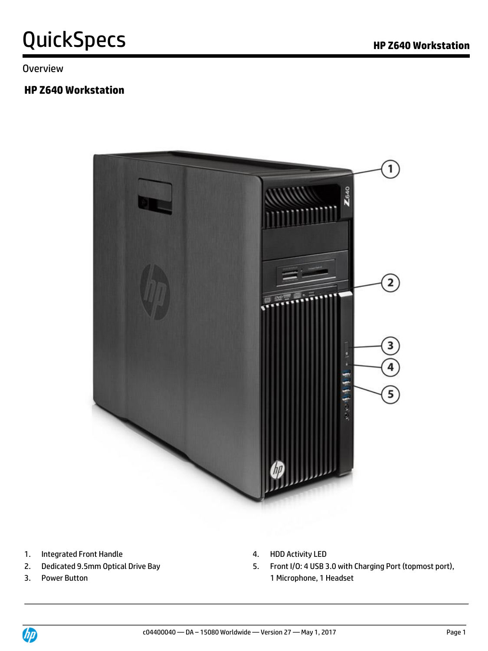Overview

### **HP Z640 Workstation**



- 1. Integrated Front Handle **4. HDD Activity LED**
- 
- 
- 
- 2. Dedicated 9.5mm Optical Drive Bay 6. Front I/O: 4 USB 3.0 with Charging Port (topmost port), 3. Power Button **1 All Accords** 2 Microphone, 1 Headset

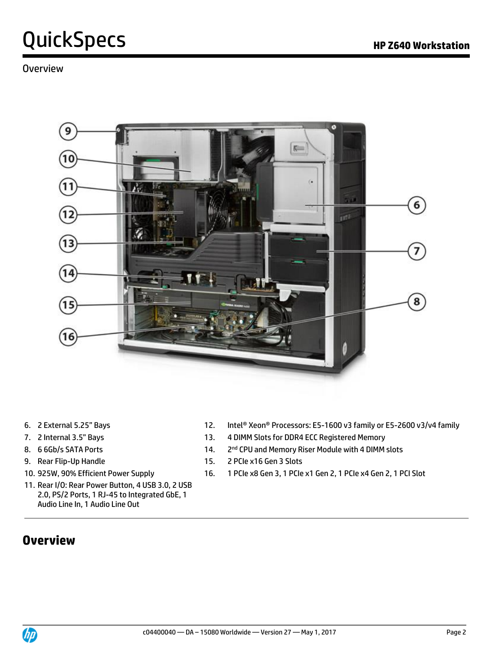### Overview



- 
- 
- 8. 6 6Gb/s SATA Ports 14.
- 
- 
- 11. Rear I/O: Rear Power Button, 4 USB 3.0, 2 USB 2.0, PS/2 Ports, 1 RJ-45 to Integrated GbE, 1 Audio Line In, 1 Audio Line Out

#### 6. 2 External 5.25" Bays 12. Intel® Xeon® Processors: E5-1600 v3 family or E5-2600 v3/v4 family

- 7. 2 Internal 3.5" Bays 13. 4 DIMM Slots for DDR4 ECC Registered Memory
	- 2<sup>nd</sup> CPU and Memory Riser Module with 4 DIMM slots
- 9. Rear Flip-Up Handle 15. 2 PCIe x16 Gen 3 Slots
- 10. 925W, 90% Efficient Power Supply 16. 1 PCIe x8 Gen 3, 1 PCIe x1 Gen 2, 1 PCIe x4 Gen 2, 1 PCI Slot

### **Overview**

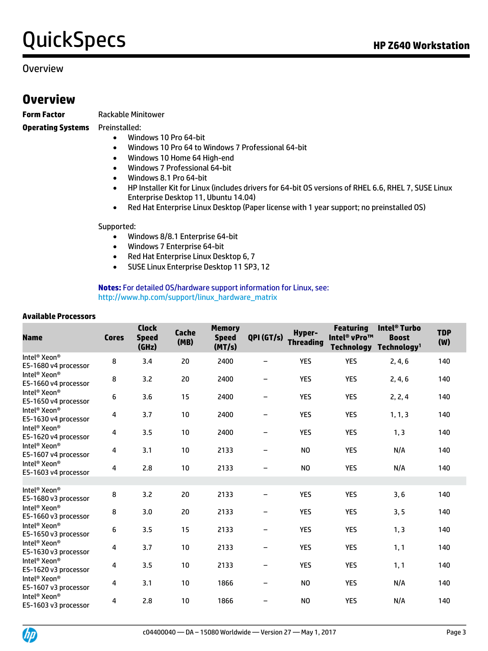#### Overview

### **Overview**

**Form Factor** Rackable Minitower

**Operating Systems** Preinstalled:

- Windows 10 Pro 64-bit
- Windows 10 Pro 64 to Windows 7 Professional 64-bit
- Windows 10 Home 64 High-end
- Windows 7 Professional 64-bit
- Windows 8.1 Pro 64-bit
- HP Installer Kit for Linux (includes drivers for 64-bit OS versions of RHEL 6.6, RHEL 7, SUSE Linux Enterprise Desktop 11, Ubuntu 14.04)
- Red Hat Enterprise Linux Desktop (Paper license with 1 year support; no preinstalled OS)

#### Supported:

- Windows 8/8.1 Enterprise 64-bit
- Windows 7 Enterprise 64-bit
- Red Hat Enterprise Linux Desktop 6, 7
- SUSE Linux Enterprise Desktop 11 SP3, 12

**Notes:** For detailed OS/hardware support information for Linux, see: [http://www.hp.com/support/linux\\_hardware\\_matrix](http://www.hp.com/support/linux_hardware_matrix)

#### **Available Processors**

| <b>Name</b>                                                                              | <b>Cores</b> | <b>Clock</b><br><b>Speed</b><br>(GHz) | Cache<br>(MB) | <b>Memory</b><br><b>Speed</b><br>(MT/s) | QPI (GT/s) | Hyper-<br><b>Threading</b> | <b>Featuring</b><br>Intel <sup>®</sup> vPro™<br><b>Technology</b> | Intel <sup>®</sup> Turbo<br><b>Boost</b><br>Technology <sup>1</sup> | <b>TDP</b><br>(W) |
|------------------------------------------------------------------------------------------|--------------|---------------------------------------|---------------|-----------------------------------------|------------|----------------------------|-------------------------------------------------------------------|---------------------------------------------------------------------|-------------------|
| Intel <sup>®</sup> Xeon <sup>®</sup><br>E5-1680 v4 processor                             | 8            | 3.4                                   | 20            | 2400                                    |            | <b>YES</b>                 | <b>YES</b>                                                        | 2, 4, 6                                                             | 140               |
| Intel <sup>®</sup> Xeon®<br>E5-1660 v4 processor                                         | 8            | 3.2                                   | 20            | 2400                                    |            | <b>YES</b>                 | <b>YES</b>                                                        | 2, 4, 6                                                             | 140               |
| Intel <sup>®</sup> Xeon <sup>®</sup><br>E5-1650 v4 processor                             | 6            | 3.6                                   | 15            | 2400                                    |            | <b>YES</b>                 | <b>YES</b>                                                        | 2, 2, 4                                                             | 140               |
| Intel <sup>®</sup> Xeon <sup>®</sup><br>E5-1630 v4 processor                             | 4            | 3.7                                   | 10            | 2400                                    |            | <b>YES</b>                 | <b>YES</b>                                                        | 1, 1, 3                                                             | 140               |
| Intel <sup>®</sup> Xeon <sup>®</sup><br>E5-1620 v4 processor                             | 4            | 3.5                                   | 10            | 2400                                    |            | <b>YES</b>                 | <b>YES</b>                                                        | 1, 3                                                                | 140               |
| Intel <sup>®</sup> Xeon®<br>E5-1607 v4 processor<br>Intel <sup>®</sup> Xeon <sup>®</sup> | 4            | 3.1                                   | 10            | 2133                                    |            | NO.                        | <b>YES</b>                                                        | N/A                                                                 | 140               |
| E5-1603 v4 processor                                                                     | 4            | 2.8                                   | 10            | 2133                                    |            | N <sub>O</sub>             | <b>YES</b>                                                        | N/A                                                                 | 140               |
| Intel <sup>®</sup> Xeon <sup>®</sup><br>E5-1680 v3 processor                             | 8            | 3.2                                   | 20            | 2133                                    | -          | <b>YES</b>                 | <b>YES</b>                                                        | 3, 6                                                                | 140               |
| Intel <sup>®</sup> Xeon®<br>E5-1660 v3 processor                                         | 8            | 3.0                                   | 20            | 2133                                    |            | <b>YES</b>                 | <b>YES</b>                                                        | 3, 5                                                                | 140               |
| Intel <sup>®</sup> Xeon <sup>®</sup><br>E5-1650 v3 processor                             | 6            | 3.5                                   | 15            | 2133                                    | -          | <b>YES</b>                 | <b>YES</b>                                                        | 1, 3                                                                | 140               |
| Intel <sup>®</sup> Xeon®<br>E5-1630 v3 processor                                         | 4            | 3.7                                   | 10            | 2133                                    |            | <b>YES</b>                 | <b>YES</b>                                                        | 1, 1                                                                | 140               |
| Intel <sup>®</sup> Xeon®<br>E5-1620 v3 processor                                         | 4            | 3.5                                   | 10            | 2133                                    | -          | <b>YES</b>                 | <b>YES</b>                                                        | 1, 1                                                                | 140               |
| Intel <sup>®</sup> Xeon <sup>®</sup><br>E5-1607 v3 processor                             | 4            | 3.1                                   | 10            | 1866                                    |            | NO.                        | <b>YES</b>                                                        | N/A                                                                 | 140               |
| Intel <sup>®</sup> Xeon <sup>®</sup><br>E5-1603 v3 processor                             | 4            | 2.8                                   | 10            | 1866                                    |            | N <sub>0</sub>             | <b>YES</b>                                                        | N/A                                                                 | 140               |

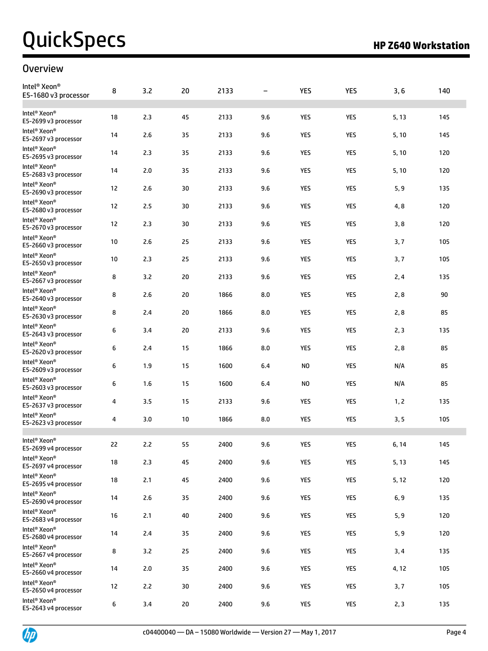### **Overview**

| Intel <sup>®</sup> Xeon <sup>®</sup><br>E5-1680 v3 processor | 8  | 3.2 | 20 | 2133 | $\overline{\phantom{m}}$ | YES        | YES        | 3, 6  | 140 |
|--------------------------------------------------------------|----|-----|----|------|--------------------------|------------|------------|-------|-----|
| Intel <sup>®</sup> Xeon®<br>E5-2699 v3 processor             | 18 | 2.3 | 45 | 2133 | 9.6                      | <b>YES</b> | <b>YES</b> | 5, 13 | 145 |
| Intel <sup>®</sup> Xeon <sup>®</sup><br>E5-2697 v3 processor | 14 | 2.6 | 35 | 2133 | 9.6                      | <b>YES</b> | <b>YES</b> | 5,10  | 145 |
| Intel <sup>®</sup> Xeon®<br>E5-2695 v3 processor             | 14 | 2.3 | 35 | 2133 | 9.6                      | <b>YES</b> | YES        | 5,10  | 120 |
| Intel <sup>®</sup> Xeon <sup>®</sup><br>E5-2683 v3 processor | 14 | 2.0 | 35 | 2133 | 9.6                      | <b>YES</b> | <b>YES</b> | 5, 10 | 120 |
| Intel <sup>®</sup> Xeon <sup>®</sup><br>E5-2690 v3 processor | 12 | 2.6 | 30 | 2133 | 9.6                      | <b>YES</b> | YES        | 5, 9  | 135 |
| Intel <sup>®</sup> Xeon <sup>®</sup><br>E5-2680 v3 processor | 12 | 2.5 | 30 | 2133 | 9.6                      | <b>YES</b> | <b>YES</b> | 4,8   | 120 |
| Intel <sup>®</sup> Xeon <sup>®</sup><br>E5-2670 v3 processor | 12 | 2.3 | 30 | 2133 | 9.6                      | <b>YES</b> | <b>YES</b> | 3,8   | 120 |
| Intel <sup>®</sup> Xeon®<br>E5-2660 v3 processor             | 10 | 2.6 | 25 | 2133 | 9.6                      | <b>YES</b> | YES        | 3, 7  | 105 |
| Intel <sup>®</sup> Xeon <sup>®</sup><br>E5-2650 v3 processor | 10 | 2.3 | 25 | 2133 | 9.6                      | <b>YES</b> | <b>YES</b> | 3, 7  | 105 |
| Intel <sup>®</sup> Xeon <sup>®</sup><br>E5-2667 v3 processor | 8  | 3.2 | 20 | 2133 | 9.6                      | <b>YES</b> | YES        | 2, 4  | 135 |
| Intel <sup>®</sup> Xeon <sup>®</sup><br>E5-2640 v3 processor | 8  | 2.6 | 20 | 1866 | 8.0                      | <b>YES</b> | <b>YES</b> | 2,8   | 90  |
| Intel <sup>®</sup> Xeon®<br>E5-2630 v3 processor             | 8  | 2.4 | 20 | 1866 | 8.0                      | <b>YES</b> | <b>YES</b> | 2,8   | 85  |
| Intel <sup>®</sup> Xeon®<br>E5-2643 v3 processor             | 6  | 3.4 | 20 | 2133 | 9.6                      | <b>YES</b> | YES        | 2, 3  | 135 |
| Intel <sup>®</sup> Xeon <sup>®</sup><br>E5-2620 v3 processor | 6  | 2.4 | 15 | 1866 | 8.0                      | <b>YES</b> | <b>YES</b> | 2,8   | 85  |
| Intel <sup>®</sup> Xeon <sup>®</sup><br>E5-2609 v3 processor | 6  | 1.9 | 15 | 1600 | 6.4                      | NO.        | YES        | N/A   | 85  |
| Intel <sup>®</sup> Xeon <sup>®</sup><br>E5-2603 v3 processor | 6  | 1.6 | 15 | 1600 | 6.4                      | NO.        | <b>YES</b> | N/A   | 85  |
| Intel <sup>®</sup> Xeon®<br>E5-2637 v3 processor             | 4  | 3.5 | 15 | 2133 | 9.6                      | <b>YES</b> | <b>YES</b> | 1, 2  | 135 |
| Intel <sup>®</sup> Xeon <sup>®</sup><br>E5-2623 v3 processor | 4  | 3.0 | 10 | 1866 | 8.0                      | YES        | <b>YES</b> | 3, 5  | 105 |
| Intel <sup>®</sup> Xeon <sup>®</sup><br>E5-2699 v4 processor | 22 | 2.2 | 55 | 2400 | 9.6                      | <b>YES</b> | <b>YES</b> | 6, 14 | 145 |
| Intel <sup>®</sup> Xeon <sup>®</sup><br>E5-2697 v4 processor | 18 | 2.3 | 45 | 2400 | 9.6                      | YES        | <b>YES</b> | 5, 13 | 145 |
| Intel® Xeon®<br>E5-2695 v4 processor                         | 18 | 2.1 | 45 | 2400 | 9.6                      | <b>YES</b> | <b>YES</b> | 5, 12 | 120 |
| Intel <sup>®</sup> Xeon <sup>®</sup><br>E5-2690 v4 processor | 14 | 2.6 | 35 | 2400 | 9.6                      | YES        | <b>YES</b> | 6, 9  | 135 |
| Intel <sup>®</sup> Xeon <sup>®</sup><br>E5-2683 v4 processor | 16 | 2.1 | 40 | 2400 | 9.6                      | <b>YES</b> | <b>YES</b> | 5, 9  | 120 |
| Intel <sup>®</sup> Xeon <sup>®</sup><br>E5-2680 v4 processor | 14 | 2.4 | 35 | 2400 | 9.6                      | YES        | YES        | 5, 9  | 120 |
| Intel <sup>®</sup> Xeon <sup>®</sup><br>E5-2667 v4 processor | 8  | 3.2 | 25 | 2400 | 9.6                      | YES        | <b>YES</b> | 3,4   | 135 |
| Intel® Xeon®<br>E5-2660 v4 processor                         | 14 | 2.0 | 35 | 2400 | 9.6                      | <b>YES</b> | YES        | 4,12  | 105 |
| Intel <sup>®</sup> Xeon <sup>®</sup><br>E5-2650 v4 processor | 12 | 2.2 | 30 | 2400 | 9.6                      | YES        | <b>YES</b> | 3, 7  | 105 |
| Intel <sup>®</sup> Xeon <sup>®</sup><br>E5-2643 v4 processor | 6  | 3.4 | 20 | 2400 | 9.6                      | YES        | YES        | 2, 3  | 135 |

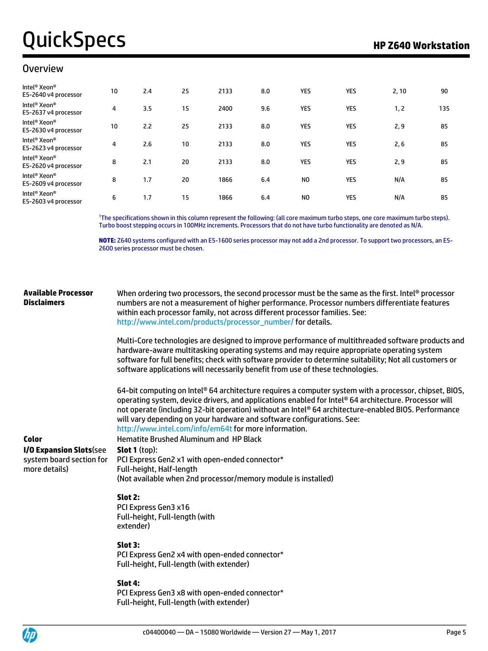#### Overview

| Intel <sup>®</sup> Xeon <sup>®</sup><br>E5-2640 v4 processor | 10 | 2.4 | 25 | 2133 | 8.0 | YES | YES | 2, 10 | 90  |
|--------------------------------------------------------------|----|-----|----|------|-----|-----|-----|-------|-----|
| Intel <sup>®</sup> Xeon <sup>®</sup><br>E5-2637 v4 processor | 4  | 3.5 | 15 | 2400 | 9.6 | YES | YES | 1, 2  | 135 |
| Intel <sup>®</sup> Xeon <sup>®</sup><br>E5-2630 v4 processor | 10 | 2.2 | 25 | 2133 | 8.0 | YES | YES | 2, 9  | 85  |
| Intel <sup>®</sup> Xeon <sup>®</sup><br>E5-2623 v4 processor | 4  | 2.6 | 10 | 2133 | 8.0 | YES | YES | 2, 6  | 85  |
| Intel <sup>®</sup> Xeon <sup>®</sup><br>E5-2620 v4 processor | 8  | 2.1 | 20 | 2133 | 8.0 | YES | YES | 2,9   | 85  |
| Intel <sup>®</sup> Xeon <sup>®</sup><br>E5-2609 v4 processor | 8  | 1.7 | 20 | 1866 | 6.4 | NO. | YES | N/A   | 85  |
| Intel <sup>®</sup> Xeon <sup>®</sup><br>E5-2603 v4 processor | 6  | 1.7 | 15 | 1866 | 6.4 | NO. | YES | N/A   | 85  |

<sup>1</sup>The specifications shown in this column represent the following: (all core maximum turbo steps, one core maximum turbo steps). Turbo boost stepping occurs in 100MHz increments. Processors that do not have turbo functionality are denoted as N/A.

**NOTE:** Z640 systems configured with an E5-1600 series processor may not add a 2nd processor. To support two processors, an E5- 2600 series processor must be chosen.

#### **Available Processor Disclaimers** When ordering two processors, the second processor must be the same as the first. Intel® processor numbers are not a measurement of higher performance. Processor numbers differentiate features within each processor family, not across different processor families. See:

[http://www.intel.com/products/processor\\_number/](http://www.intel.com/products/processor_number/) for details.

Multi-Core technologies are designed to improve performance of multithreaded software products and hardware-aware multitasking operating systems and may require appropriate operating system software for full benefits; check with software provider to determine suitability; Not all customers or software applications will necessarily benefit from use of these technologies.

64-bit computing on Intel® 64 architecture requires a computer system with a processor, chipset, BIOS, operating system, device drivers, and applications enabled for Intel® 64 architecture. Processor will not operate (including 32-bit operation) without an Intel® 64 architecture-enabled BIOS. Performance will vary depending on your hardware and software configurations. See: <http://www.intel.com/info/em64t> for more information.

**I/O Expansion Slots**(see system board section for more details)

**Color Color Hematite Brushed Aluminum and HP Black Slot 1** (top):

PCI Express Gen2 x1 with open-ended connector\*

(Not available when 2nd processor/memory module is installed)

#### **Slot 2:**

PCI Express Gen3 x16 Full-height, Full-length (with extender)

Full-height, Half-length

#### **Slot 3:**

PCI Express Gen2 x4 with open-ended connector\* Full-height, Full-length (with extender)

#### **Slot 4:**

PCI Express Gen3 x8 with open-ended connector\* Full-height, Full-length (with extender)

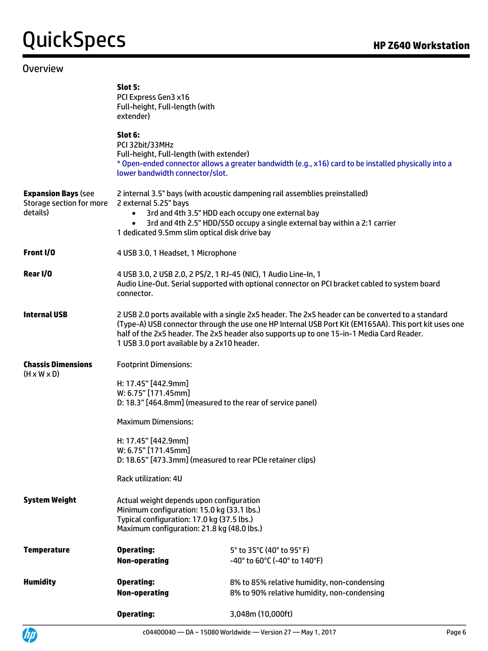#### **Overview**

|                                                                    | Slot 5:<br>PCI Express Gen3 x16<br>Full-height, Full-length (with<br>extender)                                                                                                                                                                                                                                    |                                                                                                                                                                                                                                                                                                         |  |  |  |  |  |
|--------------------------------------------------------------------|-------------------------------------------------------------------------------------------------------------------------------------------------------------------------------------------------------------------------------------------------------------------------------------------------------------------|---------------------------------------------------------------------------------------------------------------------------------------------------------------------------------------------------------------------------------------------------------------------------------------------------------|--|--|--|--|--|
|                                                                    | Slot 6:<br>PCI 32bit/33MHz<br>Full-height, Full-length (with extender)<br>lower bandwidth connector/slot.                                                                                                                                                                                                         | * Open-ended connector allows a greater bandwidth (e.g., x16) card to be installed physically into a                                                                                                                                                                                                    |  |  |  |  |  |
| <b>Expansion Bays (see</b><br>Storage section for more<br>details) | 2 external 5.25" bays<br>$\bullet$<br>1 dedicated 9.5mm slim optical disk drive bay                                                                                                                                                                                                                               | 2 internal 3.5" bays (with acoustic dampening rail assemblies preinstalled)<br>3rd and 4th 3.5" HDD each occupy one external bay<br>3rd and 4th 2.5" HDD/SSD occupy a single external bay within a 2:1 carrier                                                                                          |  |  |  |  |  |
| Front I/O                                                          | 4 USB 3.0, 1 Headset, 1 Microphone                                                                                                                                                                                                                                                                                |                                                                                                                                                                                                                                                                                                         |  |  |  |  |  |
| Rear I/O                                                           | connector.                                                                                                                                                                                                                                                                                                        | 4 USB 3.0, 2 USB 2.0, 2 PS/2, 1 RJ-45 (NIC), 1 Audio Line-In, 1<br>Audio Line-Out. Serial supported with optional connector on PCI bracket cabled to system board                                                                                                                                       |  |  |  |  |  |
| <b>Internal USB</b>                                                | 1 USB 3.0 port available by a 2x10 header.                                                                                                                                                                                                                                                                        | 2 USB 2.0 ports available with a single 2x5 header. The 2x5 header can be converted to a standard<br>(Type-A) USB connector through the use one HP Internal USB Port Kit (EM165AA). This port kit uses one<br>half of the 2x5 header. The 2x5 header also supports up to one 15-in-1 Media Card Reader. |  |  |  |  |  |
| <b>Chassis Dimensions</b><br>$(H \times W \times D)$               | <b>Footprint Dimensions:</b><br>H: 17.45" [442.9mm]<br>W: 6.75" [171.45mm]<br>D: 18.3" [464.8mm] (measured to the rear of service panel)<br><b>Maximum Dimensions:</b><br>H: 17.45" [442.9mm]<br>W: 6.75" [171.45mm]<br>D: 18.65" [473.3mm] (measured to rear PCIe retainer clips)<br><b>Rack utilization: 4U</b> |                                                                                                                                                                                                                                                                                                         |  |  |  |  |  |
| <b>System Weight</b>                                               | Actual weight depends upon configuration<br>Minimum configuration: 15.0 kg (33.1 lbs.)<br>Typical configuration: 17.0 kg (37.5 lbs.)<br>Maximum configuration: 21.8 kg (48.0 lbs.)                                                                                                                                |                                                                                                                                                                                                                                                                                                         |  |  |  |  |  |
| <b>Temperature</b>                                                 | <b>Operating:</b><br><b>Non-operating</b>                                                                                                                                                                                                                                                                         | 5° to 35°C (40° to 95° F)<br>-40° to 60°C (-40° to 140°F)                                                                                                                                                                                                                                               |  |  |  |  |  |
| <b>Humidity</b>                                                    | <b>Operating:</b><br><b>Non-operating</b>                                                                                                                                                                                                                                                                         | 8% to 85% relative humidity, non-condensing<br>8% to 90% relative humidity, non-condensing                                                                                                                                                                                                              |  |  |  |  |  |
|                                                                    | <b>Operating:</b>                                                                                                                                                                                                                                                                                                 | 3,048m (10,000ft)                                                                                                                                                                                                                                                                                       |  |  |  |  |  |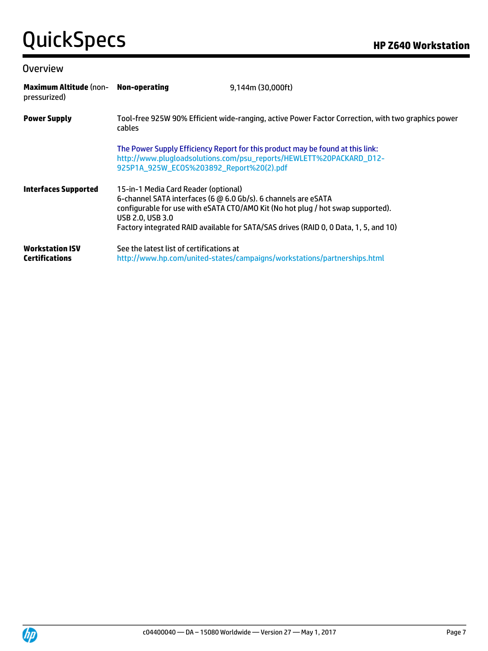#### **Overview**

| Maximum Altitude (non- Non-operating<br>pressurized) |                                                                                                                            | 9,144m (30,000ft)                                                                                                                                                       |
|------------------------------------------------------|----------------------------------------------------------------------------------------------------------------------------|-------------------------------------------------------------------------------------------------------------------------------------------------------------------------|
| <b>Power Supply</b>                                  | cables                                                                                                                     | Tool-free 925W 90% Efficient wide-ranging, active Power Factor Correction, with two graphics power                                                                      |
|                                                      | 925P1A_925W_EC0S%203892_Report%20(2).pdf                                                                                   | The Power Supply Efficiency Report for this product may be found at this link:<br>http://www.plugloadsolutions.com/psu_reports/HEWLETT%20PACKARD_D12-                   |
| <b>Interfaces Supported</b>                          | 15-in-1 Media Card Reader (optional)<br>6-channel SATA interfaces (6 @ 6.0 Gb/s). 6 channels are eSATA<br>USB 2.0, USB 3.0 | configurable for use with eSATA CTO/AMO Kit (No hot plug / hot swap supported).<br>Factory integrated RAID available for SATA/SAS drives (RAID 0, 0 Data, 1, 5, and 10) |
| <b>Workstation ISV</b><br><b>Certifications</b>      | See the latest list of certifications at                                                                                   | http://www.hp.com/united-states/campaigns/workstations/partnerships.html                                                                                                |

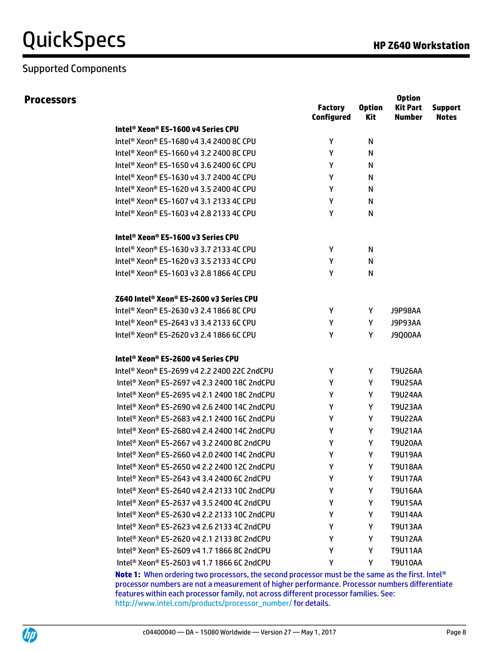### Supported Components

**Option** 

|                                                         | <b>Factory</b><br><b>Configured</b> | <b>Option</b><br>Kit | opuvn<br><b>Kit Part</b><br><b>Number</b> | <b>Support</b><br><b>Notes</b> |
|---------------------------------------------------------|-------------------------------------|----------------------|-------------------------------------------|--------------------------------|
| Intel® Xeon® E5-1600 v4 Series CPU                      |                                     |                      |                                           |                                |
| Intel <sup>®</sup> Xeon® E5-1680 v4 3.4 2400 8C CPU     | Y                                   | N                    |                                           |                                |
| Intel <sup>®</sup> Xeon® E5-1660 v4 3.2 2400 8C CPU     | Υ                                   | N                    |                                           |                                |
| Intel® Xeon® E5-1650 v4 3.6 2400 6C CPU                 | Υ                                   | N                    |                                           |                                |
| Intel <sup>®</sup> Xeon® E5-1630 v4 3.7 2400 4C CPU     | Y                                   | N                    |                                           |                                |
| Intel <sup>®</sup> Xeon® E5-1620 v4 3.5 2400 4C CPU     | Υ                                   | N                    |                                           |                                |
| Intel <sup>®</sup> Xeon® E5-1607 v4 3.1 2133 4C CPU     | Υ                                   | N                    |                                           |                                |
| Intel <sup>®</sup> Xeon® E5-1603 v4 2.8 2133 4C CPU     | Y                                   | N                    |                                           |                                |
| Intel® Xeon® E5-1600 v3 Series CPU                      |                                     |                      |                                           |                                |
| Intel <sup>®</sup> Xeon® E5-1630 v3 3.7 2133 4C CPU     | Y                                   | N                    |                                           |                                |
| Intel <sup>®</sup> Xeon® E5-1620 v3 3.5 2133 4C CPU     | Υ                                   | N                    |                                           |                                |
| Intel® Xeon® E5-1603 v3 2.8 1866 4C CPU                 | Υ                                   | N                    |                                           |                                |
| Z640 Intel® Xeon® E5-2600 v3 Series CPU                 |                                     |                      |                                           |                                |
| Intel® Xeon® E5-2630 v3 2.4 1866 8C CPU                 | Y                                   | Y                    | J9P98AA                                   |                                |
| Intel® Xeon® E5-2643 v3 3.4 2133 6C CPU                 | Y                                   | Y                    | J9P93AA                                   |                                |
| Intel <sup>®</sup> Xeon® E5-2620 v3 2.4 1866 6C CPU     | Υ                                   | Υ                    | J9Q00AA                                   |                                |
| Intel® Xeon® E5-2600 v4 Series CPU                      |                                     |                      |                                           |                                |
| Intel <sup>®</sup> Xeon® E5-2699 v4 2.2 2400 22C 2ndCPU | Y                                   | Y                    | <b>T9U26AA</b>                            |                                |
| Intel <sup>®</sup> Xeon® E5-2697 v4 2.3 2400 18C 2ndCPU | Υ                                   | Y                    | <b>T9U25AA</b>                            |                                |
| Intel® Xeon® E5-2695 v4 2.1 2400 18C 2ndCPU             | Y                                   | Y                    | <b>T9U24AA</b>                            |                                |
| Intel <sup>®</sup> Xeon® E5-2690 v4 2.6 2400 14C 2ndCPU | Υ                                   | Y                    | <b>T9U23AA</b>                            |                                |
| Intel <sup>®</sup> Xeon® E5-2683 v4 2.1 2400 16C 2ndCPU | Y                                   | Υ                    | <b>T9U22AA</b>                            |                                |
| Intel <sup>®</sup> Xeon® E5-2680 v4 2.4 2400 14C 2ndCPU | Υ                                   | Υ                    | T9U21AA                                   |                                |
| Intel <sup>®</sup> Xeon® E5-2667 v4 3.2 2400 8C 2ndCPU  | Υ                                   | Y                    | <b>T9U20AA</b>                            |                                |
| Intel® Xeon® E5-2660 v4 2.0 2400 14C 2ndCPU             | Y                                   | Y                    | <b>T9U19AA</b>                            |                                |
| Intel <sup>®</sup> Xeon® E5-2650 v4 2.2 2400 12C 2ndCPU | Υ                                   | Υ                    | <b>T9U18AA</b>                            |                                |
| Intel <sup>®</sup> Xeon® E5-2643 v4 3.4 2400 6C 2ndCPU  | Υ                                   | Y                    | <b>T9U17AA</b>                            |                                |
| Intel® Xeon® E5-2640 v4 2.4 2133 10C 2ndCPU             | Υ                                   | Υ                    | <b>T9U16AA</b>                            |                                |
| Intel <sup>®</sup> Xeon® E5-2637 v4 3.5 2400 4C 2ndCPU  | Υ                                   | Υ                    | <b>T9U15AA</b>                            |                                |
| Intel® Xeon® E5-2630 v4 2.2 2133 10C 2ndCPU             | Υ                                   | Υ                    | <b>T9U14AA</b>                            |                                |
| Intel® Xeon® E5-2623 v4 2.6 2133 4C 2ndCPU              | Υ                                   | Y                    | T9U13AA                                   |                                |
| Intel <sup>®</sup> Xeon® E5-2620 v4 2.1 2133 8C 2ndCPU  | Υ                                   | Υ                    | <b>T9U12AA</b>                            |                                |
| Intel <sup>®</sup> Xeon® E5-2609 v4 1.7 1866 8C 2ndCPU  | Υ                                   | Υ                    | <b>T9U11AA</b>                            |                                |
| Intel® Xeon® E5-2603 v4 1.7 1866 6C 2ndCPU              | Υ                                   | Υ                    | <b>T9U10AA</b>                            |                                |
|                                                         |                                     |                      |                                           |                                |

**Note 1:** When ordering two processors, the second processor must be the same as the first. Intel® processor numbers are not a measurement of higher performance. Processor numbers differentiate features within each processor family, not across different processor families. See: [http://www.intel.com/products/processor\\_number/](http://www.intel.com/products/processor_number/) for details.

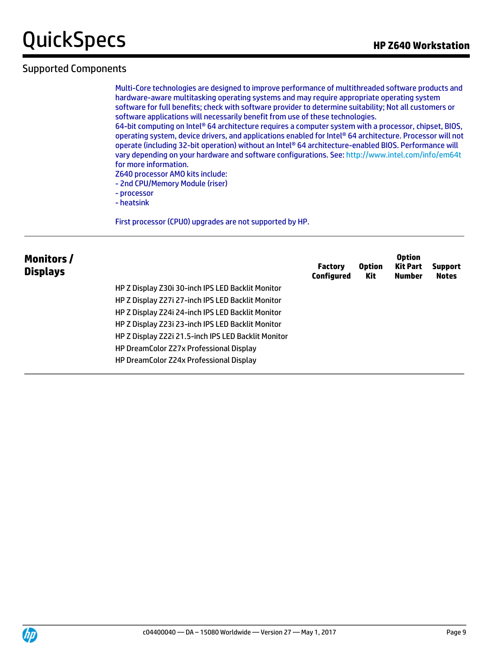### Supported Components

Multi-Core technologies are designed to improve performance of multithreaded software products and hardware-aware multitasking operating systems and may require appropriate operating system software for full benefits; check with software provider to determine suitability; Not all customers or software applications will necessarily benefit from use of these technologies.

64-bit computing on Intel® 64 architecture requires a computer system with a processor, chipset, BIOS, operating system, device drivers, and applications enabled for Intel® 64 architecture. Processor will not operate (including 32-bit operation) without an Intel® 64 architecture-enabled BIOS. Performance will vary depending on your hardware and software configurations. See: <http://www.intel.com/info/em64t> for more information.

- Z640 processor AMO kits include:
- 2nd CPU/Memory Module (riser)
- processor
- heatsink

First processor (CPU0) upgrades are not supported by HP.

| Monitors/<br><b>Displays</b> |                                                     | <b>Factory</b><br>Configured | <b>Option</b><br>Kit | <b>Option</b><br><b>Kit Part</b><br><b>Number</b> | <b>Support</b><br><b>Notes</b> |
|------------------------------|-----------------------------------------------------|------------------------------|----------------------|---------------------------------------------------|--------------------------------|
|                              | HP Z Display Z30i 30-inch IPS LED Backlit Monitor   |                              |                      |                                                   |                                |
|                              | HP Z Display Z27i 27-inch IPS LED Backlit Monitor   |                              |                      |                                                   |                                |
|                              | HP Z Display Z24i 24-inch IPS LED Backlit Monitor   |                              |                      |                                                   |                                |
|                              | HP Z Display Z23i 23-inch IPS LED Backlit Monitor   |                              |                      |                                                   |                                |
|                              | HP Z Display Z22i 21.5-inch IPS LED Backlit Monitor |                              |                      |                                                   |                                |
|                              | HP DreamColor Z27x Professional Display             |                              |                      |                                                   |                                |
|                              | HP DreamColor Z24x Professional Display             |                              |                      |                                                   |                                |

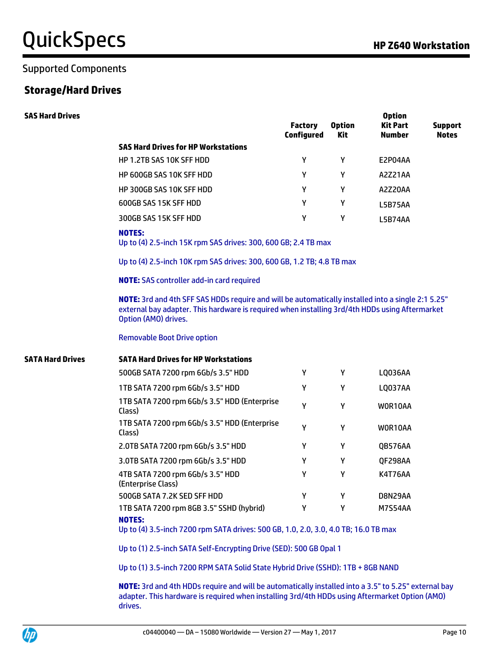### Supported Components

### **Storage/Hard Drives**

| <b>SAS Hard Drives</b>  |                                                                                                                                                                                                                              | <b>Factory</b><br><b>Configured</b> | <b>Option</b><br>Kit | <b>Option</b><br><b>Kit Part</b><br><b>Number</b> | <b>Support</b><br><b>Notes</b> |
|-------------------------|------------------------------------------------------------------------------------------------------------------------------------------------------------------------------------------------------------------------------|-------------------------------------|----------------------|---------------------------------------------------|--------------------------------|
|                         | <b>SAS Hard Drives for HP Workstations</b>                                                                                                                                                                                   |                                     |                      |                                                   |                                |
|                         | HP 1.2TB SAS 10K SFF HDD                                                                                                                                                                                                     | Y                                   | Y                    | E2P04AA                                           |                                |
|                         | HP 600GB SAS 10K SFF HDD                                                                                                                                                                                                     | Y                                   | Y                    | A2Z21AA                                           |                                |
|                         | HP 300GB SAS 10K SFF HDD                                                                                                                                                                                                     | Y                                   | Y                    | A2Z20AA                                           |                                |
|                         | 600GB SAS 15K SFF HDD                                                                                                                                                                                                        | Y                                   | Y                    | <b>L5B75AA</b>                                    |                                |
|                         | 300GB SAS 15K SFF HDD                                                                                                                                                                                                        | Υ                                   | Y                    | L5B74AA                                           |                                |
|                         | <b>NOTES:</b><br>Up to (4) 2.5-inch 15K rpm SAS drives: 300, 600 GB; 2.4 TB max                                                                                                                                              |                                     |                      |                                                   |                                |
|                         | Up to (4) 2.5-inch 10K rpm SAS drives: 300, 600 GB, 1.2 TB; 4.8 TB max                                                                                                                                                       |                                     |                      |                                                   |                                |
|                         | <b>NOTE:</b> SAS controller add-in card required                                                                                                                                                                             |                                     |                      |                                                   |                                |
|                         | NOTE: 3rd and 4th SFF SAS HDDs require and will be automatically installed into a single 2:1 5.25"<br>external bay adapter. This hardware is required when installing 3rd/4th HDDs using Aftermarket<br>Option (AMO) drives. |                                     |                      |                                                   |                                |
|                         | <b>Removable Boot Drive option</b>                                                                                                                                                                                           |                                     |                      |                                                   |                                |
| <b>SATA Hard Drives</b> | <b>SATA Hard Drives for HP Workstations</b>                                                                                                                                                                                  |                                     |                      |                                                   |                                |
|                         | 500GB SATA 7200 rpm 6Gb/s 3.5" HDD                                                                                                                                                                                           | Y                                   | Y                    | LQ036AA                                           |                                |
|                         | 1TB SATA 7200 rpm 6Gb/s 3.5" HDD                                                                                                                                                                                             | Y                                   | Y                    | LQ037AA                                           |                                |
|                         | 1TB SATA 7200 rpm 6Gb/s 3.5" HDD (Enterprise<br>Class)                                                                                                                                                                       | Y                                   | Y                    | WOR10AA                                           |                                |
|                         | 1TB SATA 7200 rpm 6Gb/s 3.5" HDD (Enterprise<br>Class)                                                                                                                                                                       | Y                                   | Y                    | WOR10AA                                           |                                |
|                         | 2.0TB SATA 7200 rpm 6Gb/s 3.5" HDD                                                                                                                                                                                           | Y                                   | Y                    | QB576AA                                           |                                |
|                         | 3.0TB SATA 7200 rpm 6Gb/s 3.5" HDD                                                                                                                                                                                           | Υ                                   | Y                    | QF298AA                                           |                                |
|                         | 4TB SATA 7200 rpm 6Gb/s 3.5" HDD<br>(Enterprise Class)                                                                                                                                                                       | Υ                                   | Y                    | K4T76AA                                           |                                |
|                         | 500GB SATA 7.2K SED SFF HDD                                                                                                                                                                                                  | Y                                   | Y                    | D8N29AA                                           |                                |
|                         | 1TB SATA 7200 rpm 8GB 3.5" SSHD (hybrid)                                                                                                                                                                                     | Y                                   | Y                    | <b>M7S54AA</b>                                    |                                |
|                         | <b>NOTES:</b><br>Up to (4) 3.5-inch 7200 rpm SATA drives: 500 GB, 1.0, 2.0, 3.0, 4.0 TB; 16.0 TB max                                                                                                                         |                                     |                      |                                                   |                                |
|                         | Up to (1) 2.5-inch SATA Self-Encrypting Drive (SED): 500 GB Opal 1                                                                                                                                                           |                                     |                      |                                                   |                                |
|                         | Up to (1) 3.5-inch 7200 RPM SATA Solid State Hybrid Drive (SSHD): 1TB + 8GB NAND                                                                                                                                             |                                     |                      |                                                   |                                |
|                         | NOTE: 3rd and 4th HDDs require and will be automatically installed into a 3.5" to 5.25" external bay                                                                                                                         |                                     |                      |                                                   |                                |

adapter. This hardware is required when installing 3rd/4th HDDs using Aftermarket Option (AMO) drives.

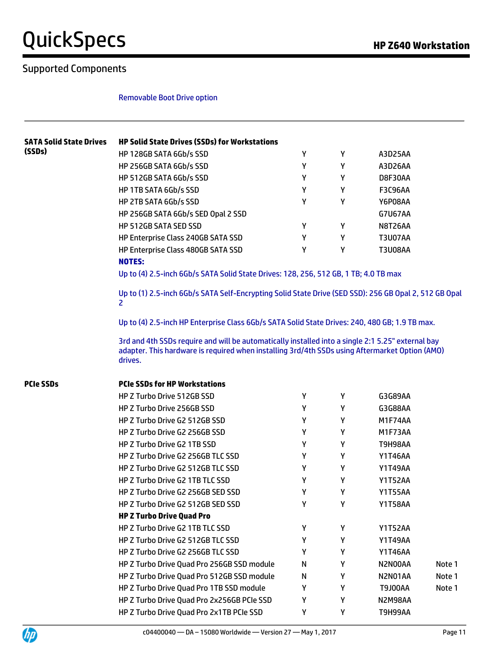### Supported Components

**UP** 

#### Removable Boot Drive option

| <b>SATA Solid State Drives</b><br>(SSDs) | <b>HP Solid State Drives (SSDs) for Workstations</b>                                                                                                                                                           |   |   |                |        |
|------------------------------------------|----------------------------------------------------------------------------------------------------------------------------------------------------------------------------------------------------------------|---|---|----------------|--------|
|                                          | HP 128GB SATA 6Gb/s SSD                                                                                                                                                                                        | Υ | Υ | A3D25AA        |        |
|                                          | HP 256GB SATA 6Gb/s SSD                                                                                                                                                                                        | Υ | Y | A3D26AA        |        |
|                                          | HP 512GB SATA 6Gb/s SSD                                                                                                                                                                                        | Y | Y | D8F30AA        |        |
|                                          | HP 1TB SATA 6Gb/s SSD                                                                                                                                                                                          | Y | Y | <b>F3C96AA</b> |        |
|                                          | HP 2TB SATA 6Gb/s SSD                                                                                                                                                                                          | Υ | Υ | Y6P08AA        |        |
|                                          | HP 256GB SATA 6Gb/s SED Opal 2 SSD                                                                                                                                                                             |   |   | <b>G7U67AA</b> |        |
|                                          | HP 512GB SATA SED SSD                                                                                                                                                                                          | Y | Υ | N8T26AA        |        |
|                                          | HP Enterprise Class 240GB SATA SSD                                                                                                                                                                             | Υ | Υ | <b>T3U07AA</b> |        |
|                                          | HP Enterprise Class 480GB SATA SSD<br><b>NOTES:</b>                                                                                                                                                            | Υ | Υ | <b>T3U08AA</b> |        |
|                                          | Up to (4) 2.5-inch 6Gb/s SATA Solid State Drives: 128, 256, 512 GB, 1 TB; 4.0 TB max                                                                                                                           |   |   |                |        |
|                                          | Up to (1) 2.5-inch 6Gb/s SATA Self-Encrypting Solid State Drive (SED SSD): 256 GB Opal 2, 512 GB Opal<br>2                                                                                                     |   |   |                |        |
|                                          | Up to (4) 2.5-inch HP Enterprise Class 6Gb/s SATA Solid State Drives: 240, 480 GB; 1.9 TB max.                                                                                                                 |   |   |                |        |
|                                          | 3rd and 4th SSDs require and will be automatically installed into a single 2:1 5.25" external bay<br>adapter. This hardware is required when installing 3rd/4th SSDs using Aftermarket Option (AMO)<br>drives. |   |   |                |        |
| <b>PCIe SSDs</b>                         | <b>PCIe SSDs for HP Workstations</b>                                                                                                                                                                           |   |   |                |        |
|                                          | HP Z Turbo Drive 512GB SSD                                                                                                                                                                                     | Y | Y | G3G89AA        |        |
|                                          | HP Z Turbo Drive 256GB SSD                                                                                                                                                                                     | Y | Y | G3G88AA        |        |
|                                          | HP Z Turbo Drive G2 512GB SSD                                                                                                                                                                                  | Υ | Y | M1F74AA        |        |
|                                          | HP Z Turbo Drive G2 256GB SSD                                                                                                                                                                                  | Υ | Y | M1F73AA        |        |
|                                          | HP Z Turbo Drive G2 1TB SSD                                                                                                                                                                                    | Υ | Υ | <b>T9H98AA</b> |        |
|                                          | HP Z Turbo Drive G2 256GB TLC SSD                                                                                                                                                                              | Υ | Y | Y1T46AA        |        |
|                                          | HP Z Turbo Drive G2 512GB TLC SSD                                                                                                                                                                              | Υ | Y | <b>Y1T49AA</b> |        |
|                                          | HP Z Turbo Drive G2 1TB TLC SSD                                                                                                                                                                                | Y | Y | <b>Y1T52AA</b> |        |
|                                          | HP Z Turbo Drive G2 256GB SED SSD                                                                                                                                                                              | Υ | Υ | <b>Y1T55AA</b> |        |
|                                          |                                                                                                                                                                                                                | Υ | Υ | <b>Y1T58AA</b> |        |
|                                          | HP Z Turbo Drive G2 512GB SED SSD                                                                                                                                                                              |   |   |                |        |
|                                          | <b>HP Z Turbo Drive Quad Pro</b>                                                                                                                                                                               |   |   |                |        |
|                                          | HP Z Turbo Drive G2 1TB TLC SSD                                                                                                                                                                                | Υ | Υ | Y1T52AA        |        |
|                                          | HP Z Turbo Drive G2 512GB TLC SSD                                                                                                                                                                              | Υ | Υ | Y1T49AA        |        |
|                                          | HP Z Turbo Drive G2 256GB TLC SSD                                                                                                                                                                              | Y | Y | Y1T46AA        |        |
|                                          | HP Z Turbo Drive Quad Pro 256GB SSD module                                                                                                                                                                     | N | Y | N2N00AA        | Note 1 |
|                                          | HP Z Turbo Drive Quad Pro 512GB SSD module                                                                                                                                                                     | N | Y | N2N01AA        | Note 1 |
|                                          | HP Z Turbo Drive Quad Pro 1TB SSD module                                                                                                                                                                       | Y | Y | T9J00AA        | Note 1 |
|                                          | HP Z Turbo Drive Quad Pro 2x256GB PCIe SSD                                                                                                                                                                     | Υ | Υ | N2M98AA        |        |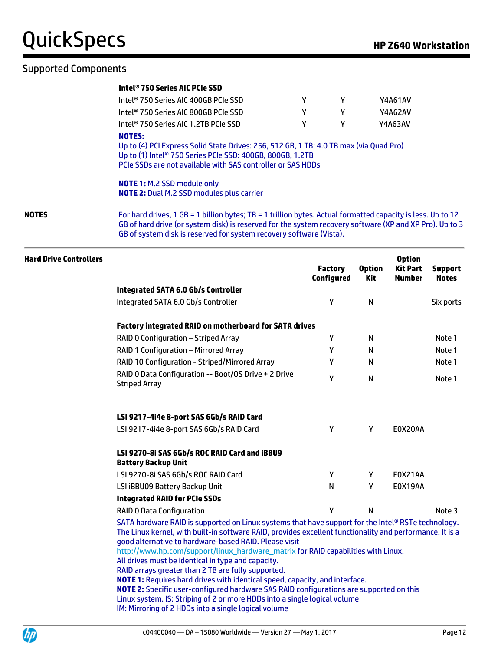### Supported Components

#### **Intel® 750 Series AIC PCIe SSD**

|       | Intel® 750 Series AIC 400GB PCIe SSD                                                                                                                                                                                                                                                          |   | γ | Y4A61AV |  |
|-------|-----------------------------------------------------------------------------------------------------------------------------------------------------------------------------------------------------------------------------------------------------------------------------------------------|---|---|---------|--|
|       | Intel® 750 Series AIC 800GB PCIe SSD                                                                                                                                                                                                                                                          | γ | Υ | Y4A62AV |  |
|       | Intel <sup>®</sup> 750 Series AIC 1.2TB PCIe SSD                                                                                                                                                                                                                                              | γ | γ | Y4A63AV |  |
|       | <b>NOTES:</b><br>Up to (4) PCI Express Solid State Drives: 256, 512 GB, 1 TB; 4.0 TB max (via Quad Pro)<br>Up to (1) Intel® 750 Series PCIe SSD: 400GB, 800GB, 1.2TB<br>PCIe SSDs are not available with SAS controller or SAS HDDs                                                           |   |   |         |  |
|       | <b>NOTE 1: M.2 SSD module only</b><br><b>NOTE 2: Dual M.2 SSD modules plus carrier</b>                                                                                                                                                                                                        |   |   |         |  |
| NOTES | For hard drives, 1 GB = 1 billion bytes; TB = 1 trillion bytes. Actual formatted capacity is less. Up to 12<br>GB of hard drive (or system disk) is reserved for the system recovery software (XP and XP Pro). Up to 3<br>GB of system disk is reserved for system recovery software (Vista). |   |   |         |  |
|       |                                                                                                                                                                                                                                                                                               |   |   |         |  |

#### **Hard Drive Controllers Factory Configured Option Kit Option Kit Part Number Support Notes Integrated SATA 6.0 Gb/s Controller** Integrated SATA 6.0 Gb/s Controller Y N Six ports **Factory integrated RAID on motherboard for SATA drives** RAID 0 Configuration – Striped Array Note 1 Note 1 Note 1 RAID 1 Configuration – Mirrored Array Note 1 Note 1 Note 1 RAID 10 Configuration - Striped/Mirrored Array New Y N Note 1 RAID 0 Data Configuration -- Boot/OS Drive + 2 Drive Striped Array <sup>Y</sup> <sup>N</sup> Note 1 **LSI 9217-4i4e 8-port SAS 6Gb/s RAID Card** LSI 9217-4i4e 8-port SAS 6Gb/s RAID Card V Y Y E0X20AA **LSI 9270-8i SAS 6Gb/s ROC RAID Card and iBBU9 Battery Backup Unit** LSI 9270-8i SAS 6Gb/s ROC RAID Card Y Y E0X21AA LSI iBBU09 Battery Backup Unit N N Y E0X19AA **Integrated RAID for PCIe SSDs** RAID 0 Data Configuration The Context Context Context Context Context Context Context Context Context Context Context Context Context Context Context Context Context Context Context Context Context Context Context Context SATA hardware RAID is supported on Linux systems that have support for the Intel® RSTe technology. The Linux kernel, with built-in software RAID, provides excellent functionality and performance. It is a good alternative to hardware-based RAID. Please visit

[http://www.hp.com/support/linux\\_hardware\\_matrix](http://www.hp.com/support/linux_hardware_matrix) for RAID capabilities with Linux.

All drives must be identical in type and capacity.

RAID arrays greater than 2 TB are fully supported.

**NOTE 1:** Requires hard drives with identical speed, capacity, and interface.

**NOTE 2:** Specific user-configured hardware SAS RAID configurations are supported on this Linux system. IS: Striping of 2 or more HDDs into a single logical volume IM: Mirroring of 2 HDDs into a single logical volume

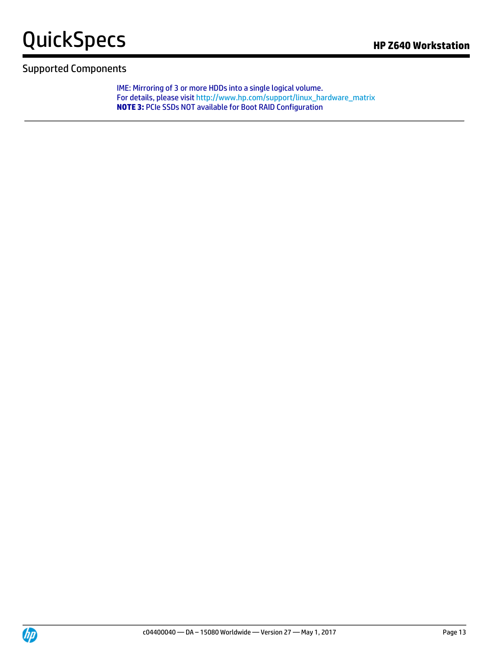

IME: Mirroring of 3 or more HDDs into a single logical volume. For details, please visit [http://www.hp.com/support/linux\\_hardware\\_matrix](http://www.hp.com/support/linux_hardware_matrix) **NOTE 3:** PCIe SSDs NOT available for Boot RAID Configuration

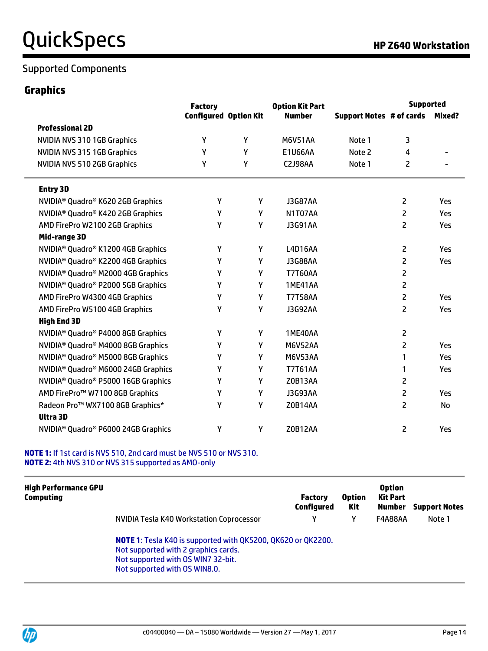### **Graphics**

|                                                             | <b>Factory</b>               |   | <b>Option Kit Part</b> |                                 | <b>Supported</b> |        |
|-------------------------------------------------------------|------------------------------|---|------------------------|---------------------------------|------------------|--------|
|                                                             | <b>Configured Option Kit</b> |   | <b>Number</b>          | <b>Support Notes # of cards</b> |                  | Mixed? |
| <b>Professional 2D</b>                                      |                              |   |                        |                                 |                  |        |
| NVIDIA NVS 310 1GB Graphics                                 | Y                            | Y | <b>M6V51AA</b>         | Note 1                          | 3                |        |
| NVIDIA NVS 315 1GB Graphics                                 | Υ                            | Υ | E1U66AA                | Note 2                          | 4                |        |
| NVIDIA NVS 510 2GB Graphics                                 | Υ                            | Υ | <b>C2J98AA</b>         | Note 1                          | 2                |        |
| <b>Entry 3D</b>                                             |                              |   |                        |                                 |                  |        |
| NVIDIA <sup>®</sup> Quadro® K620 2GB Graphics               | Υ                            | Υ | <b>J3G87AA</b>         |                                 | $\overline{2}$   | Yes    |
| NVIDIA <sup>®</sup> Quadro® K420 2GB Graphics               | Υ                            | Υ | N1T07AA                |                                 | $\overline{2}$   | Yes    |
| AMD FirePro W2100 2GB Graphics                              | Υ                            | Υ | <b>J3G91AA</b>         |                                 | $\overline{c}$   | Yes    |
| Mid-range 3D                                                |                              |   |                        |                                 |                  |        |
| NVIDIA <sup>®</sup> Quadro <sup>®</sup> K1200 4GB Graphics  | Y                            | Υ | L4D16AA                |                                 | 2                | Yes    |
| NVIDIA <sup>®</sup> Quadro® K2200 4GB Graphics              | γ                            | γ | J3G88AA                |                                 | $\overline{2}$   | Yes    |
| NVIDIA <sup>®</sup> Quadro® M2000 4GB Graphics              | Υ                            | Y | <b>T7T60AA</b>         |                                 | $\overline{c}$   |        |
| NVIDIA <sup>®</sup> Quadro® P2000 5GB Graphics              | Υ                            | γ | 1ME41AA                |                                 | $\overline{c}$   |        |
| AMD FirePro W4300 4GB Graphics                              | Υ                            | Υ | <b>T7T58AA</b>         |                                 | $\overline{c}$   | Yes    |
| AMD FirePro W5100 4GB Graphics                              | Υ                            | γ | <b>J3G92AA</b>         |                                 | $\overline{2}$   | Yes    |
| <b>High End 3D</b>                                          |                              |   |                        |                                 |                  |        |
| NVIDIA <sup>®</sup> Quadro <sup>®</sup> P4000 8GB Graphics  | γ                            | Υ | 1ME40AA                |                                 | $\overline{c}$   |        |
| NVIDIA <sup>®</sup> Quadro® M4000 8GB Graphics              | Υ                            | Y | <b>M6V52AA</b>         |                                 | $\overline{c}$   | Yes    |
| NVIDIA <sup>®</sup> Quadro® M5000 8GB Graphics              | Υ                            | γ | <b>M6V53AA</b>         |                                 | 1                | Yes    |
| NVIDIA <sup>®</sup> Quadro <sup>®</sup> M6000 24GB Graphics | γ                            | γ | <b>T7T61AA</b>         |                                 | 1                | Yes    |
| NVIDIA <sup>®</sup> Quadro® P5000 16GB Graphics             | Υ                            | Y | Z0B13AA                |                                 | $\overline{2}$   |        |
| AMD FirePro™ W7100 8GB Graphics                             | Υ                            | Υ | <b>J3G93AA</b>         |                                 | $\overline{c}$   | Yes    |
| Radeon Pro <sup>™</sup> WX7100 8GB Graphics*                | Y                            | γ | Z0B14AA                |                                 | $\overline{2}$   | No     |
| <b>Ultra 3D</b>                                             |                              |   |                        |                                 |                  |        |
| NVIDIA <sup>®</sup> Quadro® P6000 24GB Graphics             | Υ                            | γ | <b>Z0B12AA</b>         |                                 | $\overline{c}$   | Yes    |

#### **NOTE 1:** If 1st card is NVS 510, 2nd card must be NVS 510 or NVS 310. **NOTE 2:** 4th NVS 310 or NVS 315 supported as AMO-only

| <b>High Performance GPU</b><br><b>Computing</b> |                                                                                                                                                                             | <b>Factory</b><br>Configured | <b>Option</b><br>Kit | <b>Option</b><br><b>Kit Part</b> | <b>Number</b> Support Notes |
|-------------------------------------------------|-----------------------------------------------------------------------------------------------------------------------------------------------------------------------------|------------------------------|----------------------|----------------------------------|-----------------------------|
|                                                 | NVIDIA Tesla K40 Workstation Coprocessor                                                                                                                                    | ν                            |                      | F4A88AA                          | Note 1                      |
|                                                 | NOTE 1: Tesla K40 is supported with QK5200, QK620 or QK2200.<br>Not supported with 2 graphics cards.<br>Not supported with OS WIN7 32-bit.<br>Not supported with OS WIN8.0. |                              |                      |                                  |                             |

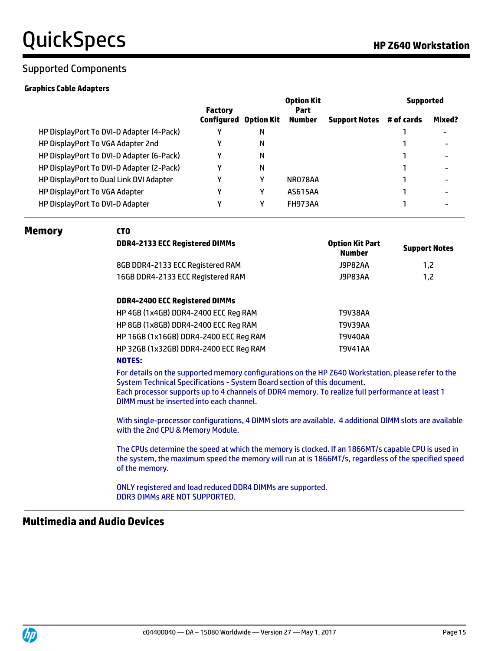#### **Graphics Cable Adapters**

|                                          | <b>Factory</b>               |   | <b>Option Kit</b><br><b>Part</b> |                      |            | <b>Supported</b>         |  |  |
|------------------------------------------|------------------------------|---|----------------------------------|----------------------|------------|--------------------------|--|--|
|                                          | <b>Configured Option Kit</b> |   | <b>Number</b>                    | <b>Support Notes</b> | # of cards | Mixed?                   |  |  |
| HP DisplayPort To DVI-D Adapter (4-Pack) |                              | N |                                  |                      |            |                          |  |  |
| HP DisplayPort To VGA Adapter 2nd        |                              | N |                                  |                      |            | ۰                        |  |  |
| HP DisplayPort To DVI-D Adapter (6-Pack) |                              | Ν |                                  |                      |            | ۰                        |  |  |
| HP DisplayPort To DVI-D Adapter (2-Pack) |                              | N |                                  |                      |            | $\overline{\phantom{0}}$ |  |  |
| HP DisplayPort to Dual Link DVI Adapter  | ν                            | γ | NR078AA                          |                      |            | ۰                        |  |  |
| HP DisplayPort To VGA Adapter            |                              | γ | AS615AA                          |                      |            | ۰                        |  |  |
| HP DisplayPort To DVI-D Adapter          |                              |   | FH973AA                          |                      |            | ۰                        |  |  |
|                                          |                              |   |                                  |                      |            |                          |  |  |

#### **Memory CTO**

| LIU                                    |                                         |                      |
|----------------------------------------|-----------------------------------------|----------------------|
| <b>DDR4-2133 ECC Registered DIMMs</b>  | <b>Option Kit Part</b><br><b>Number</b> | <b>Support Notes</b> |
| 8GB DDR4-2133 ECC Registered RAM       | J9P82AA                                 | 1,2                  |
| 16GB DDR4-2133 ECC Registered RAM      | <b>J9P83AA</b>                          | 1,2                  |
| DDR4-2400 ECC Registered DIMMs         |                                         |                      |
| HP 4GB (1x4GB) DDR4-2400 ECC Reg RAM   | T9V38AA                                 |                      |
| HP 8GB (1x8GB) DDR4-2400 ECC Reg RAM   | T9V39AA                                 |                      |
| HP 16GB (1x16GB) DDR4-2400 ECC Reg RAM | T9V40AA                                 |                      |
| HP 32GB (1x32GB) DDR4-2400 ECC Reg RAM | <b>T9V41AA</b>                          |                      |
| <b>NOTES:</b>                          |                                         |                      |

#### **NOTES:**

For details on the supported memory configurations on the HP Z640 Workstation, please refer to the System Technical Specifications - System Board section of this document. Each processor supports up to 4 channels of DDR4 memory. To realize full performance at least 1 DIMM must be inserted into each channel.

With single-processor configurations, 4 DIMM slots are available. 4 additional DIMM slots are available with the 2nd CPU & Memory Module.

The CPUs determine the speed at which the memory is clocked. If an 1866MT/s capable CPU is used in the system, the maximum speed the memory will run at is 1866MT/s, regardless of the specified speed of the memory.

ONLY registered and load reduced DDR4 DIMMs are supported. DDR3 DIMMs ARE NOT SUPPORTED.

### **Multimedia and Audio Devices**

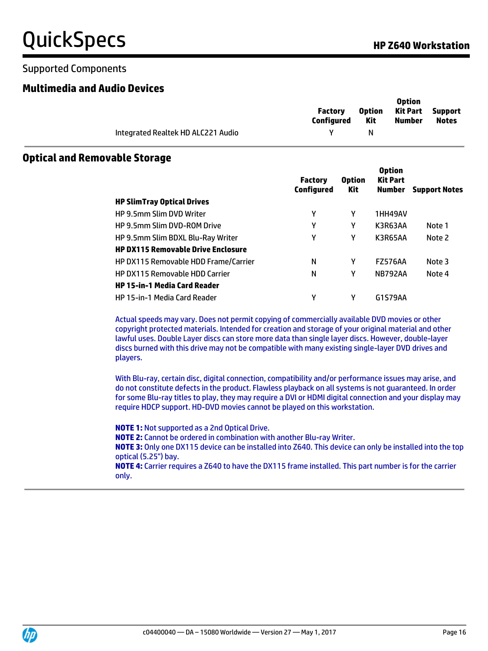### Supported Components

### **Multimedia and Audio Devices**

|                                    | <b>Factory</b><br>Configured | <b>Option</b><br>Kit | <b>Option</b><br><b>Kit Part</b> Support<br>Number | <b>Notes</b> |
|------------------------------------|------------------------------|----------------------|----------------------------------------------------|--------------|
| Integrated Realtek HD ALC221 Audio |                              | N.                   |                                                    |              |

### **Optical and Removable Storage**

|                                             | <b>Factory</b><br><b>Configured</b> | <b>Option</b><br>Kit | <b>Option</b><br><b>Kit Part</b><br><b>Number</b> | <b>Support Notes</b> |
|---------------------------------------------|-------------------------------------|----------------------|---------------------------------------------------|----------------------|
| <b>HP SlimTray Optical Drives</b>           |                                     |                      |                                                   |                      |
| <b>HP 9.5mm Slim DVD Writer</b>             | γ                                   | γ                    | 1HH49AV                                           |                      |
| <b>HP 9.5mm Slim DVD-ROM Drive</b>          | γ                                   | γ                    | K3R63AA                                           | Note 1               |
| HP 9.5mm Slim BDXL Blu-Ray Writer           | γ                                   | γ                    | K3R65AA                                           | Note 2               |
| <b>HP DX115 Removable Drive Enclosure</b>   |                                     |                      |                                                   |                      |
| <b>HP DX115 Removable HDD Frame/Carrier</b> | N                                   | γ                    | <b>FZ576AA</b>                                    | Note 3               |
| <b>HP DX115 Removable HDD Carrier</b>       | N                                   | γ                    | <b>NB792AA</b>                                    | Note 4               |
| <b>HP 15-in-1 Media Card Reader</b>         |                                     |                      |                                                   |                      |
| HP 15-in-1 Media Card Reader                | γ                                   | γ                    | G1S79AA                                           |                      |

Actual speeds may vary. Does not permit copying of commercially available DVD movies or other copyright protected materials. Intended for creation and storage of your original material and other lawful uses. Double Layer discs can store more data than single layer discs. However, double-layer discs burned with this drive may not be compatible with many existing single-layer DVD drives and players.

With Blu-ray, certain disc, digital connection, compatibility and/or performance issues may arise, and do not constitute defects in the product. Flawless playback on all systems is not guaranteed. In order for some Blu-ray titles to play, they may require a DVI or HDMI digital connection and your display may require HDCP support. HD-DVD movies cannot be played on this workstation.

**NOTE 1:** Not supported as a 2nd Optical Drive.

**NOTE 2:** Cannot be ordered in combination with another Blu-ray Writer.

**NOTE 3:** Only one DX115 device can be installed into Z640. This device can only be installed into the top optical (5.25") bay.

**NOTE 4:** Carrier requires a Z640 to have the DX115 frame installed. This part number is for the carrier only.

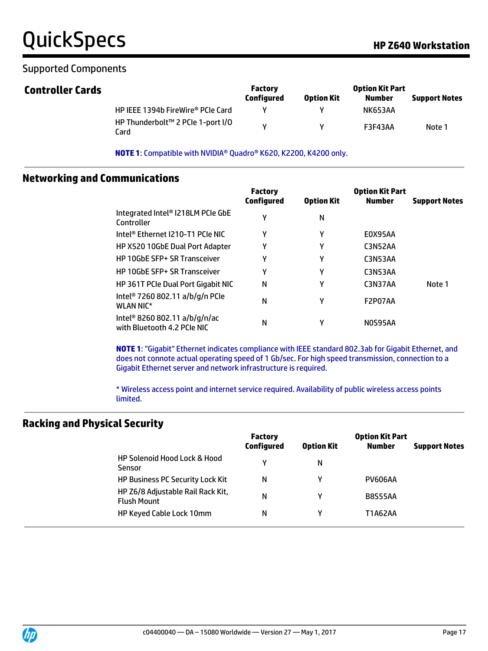### Supported Components

| <b>Controller Cards</b> |                                           | <b>Factory</b><br><b>Configured</b> | <b>Option Kit</b> | <b>Option Kit Part</b><br>Number | <b>Support Notes</b> |
|-------------------------|-------------------------------------------|-------------------------------------|-------------------|----------------------------------|----------------------|
|                         | HP IEEE 1394b FireWire® PCIe Card         |                                     |                   | <b>NK653AA</b>                   |                      |
|                         | HP Thunderbolt™ 2 PCIe 1-port I/O<br>Card |                                     |                   | <b>F3F43AA</b>                   | Note 1               |

**NOTE 1**: Compatible with NVIDIA® Quadro® K620, K2200, K4200 only.

### **Networking and Communications**

|                                                                          | <b>Factory</b><br>Configured | <b>Option Kit</b> | <b>Option Kit Part</b><br><b>Number</b> | <b>Support Notes</b> |
|--------------------------------------------------------------------------|------------------------------|-------------------|-----------------------------------------|----------------------|
| Integrated Intel® I218LM PCIe GbE<br>Controller                          | γ                            | N                 |                                         |                      |
| Intel <sup>®</sup> Ethernet I210-T1 PCIe NIC                             | Υ                            | γ                 | E0X95AA                                 |                      |
| HP X520 10GbE Dual Port Adapter                                          | Υ                            | γ                 | <b>C3N52AA</b>                          |                      |
| <b>HP 10GbE SFP+ SR Transceiver</b>                                      | γ                            | γ                 | <b>C3N53AA</b>                          |                      |
| <b>HP 10GbE SFP+ SR Transceiver</b>                                      | Υ                            | γ                 | <b>C3N53AA</b>                          |                      |
| <b>HP 361T PCIe Dual Port Gigabit NIC</b>                                | Ν                            | γ                 | C3N37AA                                 | Note 1               |
| Intel <sup>®</sup> 7260 802.11 a/b/g/n PCIe<br><b>WLAN NIC*</b>          | N                            | γ                 | F2P07AA                                 |                      |
| Intel <sup>®</sup> 8260 802.11 a/b/g/n/ac<br>with Bluetooth 4.2 PCIe NIC | N                            | γ                 | NOS95AA                                 |                      |

**NOTE 1**: "Gigabit" Ethernet indicates compliance with IEEE standard 802.3ab for Gigabit Ethernet, and does not connote actual operating speed of 1 Gb/sec. For high speed transmission, connection to a Gigabit Ethernet server and network infrastructure is required.

\* Wireless access point and internet service required. Availability of public wireless access points limited.

### **Racking and Physical Security**

|                                                         | <b>Factory</b><br>Configured | <b>Option Kit</b> | <b>Option Kit Part</b><br><b>Number</b> | <b>Support Notes</b> |
|---------------------------------------------------------|------------------------------|-------------------|-----------------------------------------|----------------------|
| <b>HP Solenoid Hood Lock &amp; Hood</b><br>Sensor       | v                            | N                 |                                         |                      |
| <b>HP Business PC Security Lock Kit</b>                 | N                            | v                 | <b>PV606AA</b>                          |                      |
| HP Z6/8 Adjustable Rail Rack Kit,<br><b>Flush Mount</b> | N                            | v                 | <b>B8S55AA</b>                          |                      |
| <b>HP Keyed Cable Lock 10mm</b>                         | N                            | v                 | T1A62AA                                 |                      |

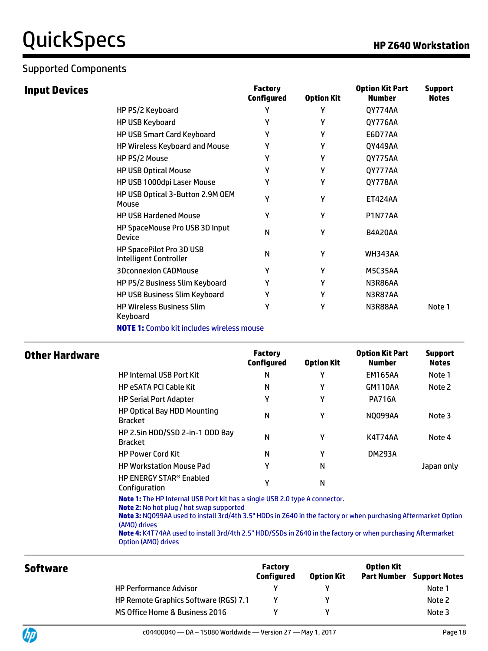### Supported Components

**Input Devices** 

|                                                    | <b>Factory</b><br><b>Configured</b> | <b>Option Kit</b> | <b>Option Kit Part</b><br>Number | <b>Support</b><br><b>Notes</b> |
|----------------------------------------------------|-------------------------------------|-------------------|----------------------------------|--------------------------------|
| HP PS/2 Keyboard                                   | Υ                                   | γ                 | QY774AA                          |                                |
| HP USB Keyboard                                    | γ                                   | γ                 | QY776AA                          |                                |
| <b>HP USB Smart Card Keyboard</b>                  | γ                                   | γ                 | <b>E6D77AA</b>                   |                                |
| HP Wireless Keyboard and Mouse                     | γ                                   | γ                 | 0Y449AA                          |                                |
| HP PS/2 Mouse                                      | γ                                   | γ                 | QY775AA                          |                                |
| <b>HP USB Optical Mouse</b>                        | γ                                   | γ                 | QY777AA                          |                                |
| HP USB 1000dpi Laser Mouse                         | γ                                   | γ                 | QY778AA                          |                                |
| HP USB Optical 3-Button 2.9M OEM<br>Mouse          | γ                                   | γ                 | <b>ET424AA</b>                   |                                |
| <b>HP USB Hardened Mouse</b>                       | γ                                   | γ                 | <b>P1N77AA</b>                   |                                |
| HP SpaceMouse Pro USB 3D Input<br><b>Device</b>    | N                                   | γ                 | B4A20AA                          |                                |
| HP SpacePilot Pro 3D USB<br>Intelligent Controller | N                                   | γ                 | <b>WH343AA</b>                   |                                |
| <b>3Dconnexion CADMouse</b>                        | Y                                   | Υ                 | M5C35AA                          |                                |
| HP PS/2 Business Slim Keyboard                     | γ                                   | γ                 | N3R86AA                          |                                |
| HP USB Business Slim Keyboard                      | γ                                   | γ                 | N3R87AA                          |                                |
| <b>HP Wireless Business Slim</b><br>Keyboard       | γ                                   | γ                 | N3R88AA                          | Note 1                         |

**NOTE 1:** Combo kit includes wireless mouse

| Other Hardware |                                                            | <b>Factory</b><br>Configured | <b>Option Kit</b> | <b>Option Kit Part</b><br><b>Number</b> | <b>Support</b><br><b>Notes</b> |
|----------------|------------------------------------------------------------|------------------------------|-------------------|-----------------------------------------|--------------------------------|
|                | <b>HP Internal USB Port Kit</b>                            | N                            | γ                 | <b>EM165AA</b>                          | Note 1                         |
|                | <b>HP eSATA PCI Cable Kit</b>                              | N                            | γ                 | GM110AA                                 | Note 2                         |
|                | <b>HP Serial Port Adapter</b>                              | γ                            | γ                 | <b>PA716A</b>                           |                                |
|                | HP Optical Bay HDD Mounting<br><b>Bracket</b>              | N                            | γ                 | <b>NO099AA</b>                          | Note 3                         |
|                | HP 2.5in HDD/SSD 2-in-1 ODD Bay<br><b>Bracket</b>          | N                            | γ                 | K4T74AA                                 | Note 4                         |
|                | <b>HP Power Cord Kit</b>                                   | N                            | γ                 | <b>DM293A</b>                           |                                |
|                | <b>HP Workstation Mouse Pad</b>                            | γ                            | Ν                 |                                         | Japan only                     |
|                | <b>HP ENERGY STAR<sup>®</sup> Enabled</b><br>Configuration | γ                            | N                 |                                         |                                |

**Note 1:** The HP Internal USB Port kit has a single USB 2.0 type A connector.

**Note 2:** No hot plug / hot swap supported

**Note 3:** NQ099AA used to install 3rd/4th 3.5" HDDs in Z640 in the factory or when purchasing Aftermarket Option (AMO) drives

**Note 4:** K4T74AA used to install 3rd/4th 2.5" HDD/SSDs in Z640 in the factory or when purchasing Aftermarket Option (AMO) drives

| <b>Software</b> |                                       | <b>Factory</b><br><b>Configured</b> | <b>Option Kit</b> | <b>Option Kit</b><br>Part Number | <b>Support Notes</b> |
|-----------------|---------------------------------------|-------------------------------------|-------------------|----------------------------------|----------------------|
|                 | <b>HP Performance Advisor</b>         |                                     |                   |                                  | Note 1               |
|                 | HP Remote Graphics Software (RGS) 7.1 |                                     |                   |                                  | Note 2               |
|                 | MS Office Home & Business 2016        |                                     |                   |                                  | Note 3               |

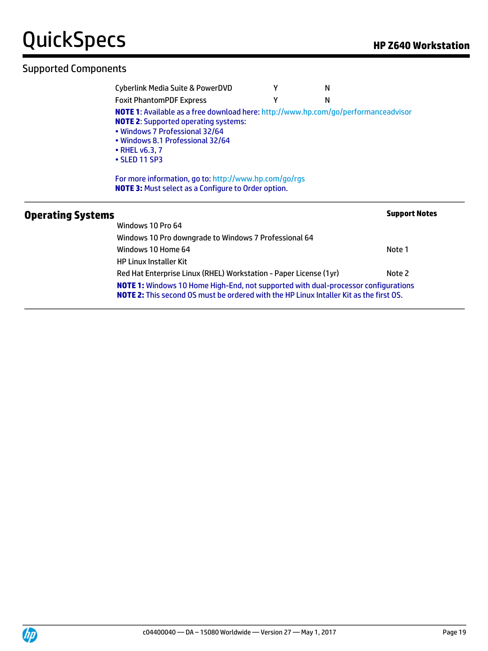|                          | <b>Cyberlink Media Suite &amp; PowerDVD</b>                                                                                                                                                                                                             |   | N |                      |
|--------------------------|---------------------------------------------------------------------------------------------------------------------------------------------------------------------------------------------------------------------------------------------------------|---|---|----------------------|
|                          | <b>Foxit PhantomPDF Express</b>                                                                                                                                                                                                                         | v | N |                      |
|                          | <b>NOTE 1:</b> Available as a free download here: http://www.hp.com/go/performanceadvisor<br><b>NOTE 2:</b> Supported operating systems:<br>• Windows 7 Professional 32/64<br>• Windows 8.1 Professional 32/64<br>$\cdot$ RHEL v6.3, 7<br>• SLED 11 SP3 |   |   |                      |
|                          | For more information, go to: http://www.hp.com/go/rgs<br><b>NOTE 3:</b> Must select as a Configure to Order option.                                                                                                                                     |   |   |                      |
| <b>Operating Systems</b> | Windows 10 Pro 64                                                                                                                                                                                                                                       |   |   | <b>Support Notes</b> |
|                          | Windows 10 Pro downgrade to Windows 7 Professional 64                                                                                                                                                                                                   |   |   |                      |

Windows 10 Home 64 Note 1 HP Linux Installer Kit Red Hat Enterprise Linux (RHEL) Workstation - Paper License (1yr) Note 2 **NOTE 1:** Windows 10 Home High-End, not supported with dual-processor configurations **NOTE 2:** This second OS must be ordered with the HP Linux Intaller Kit as the first OS.

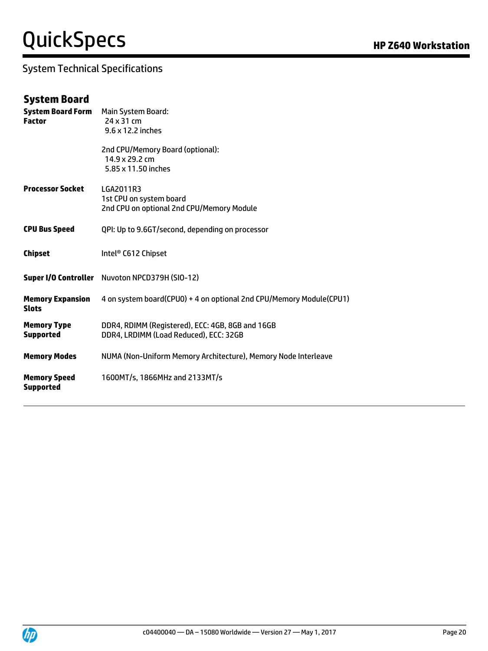### System Technical Specifications

### **System Board**

| <b>System Board Form</b><br><b>Factor</b> | Main System Board:<br>24 x 31 cm<br>9.6 x 12.2 inches                                      |
|-------------------------------------------|--------------------------------------------------------------------------------------------|
|                                           | 2nd CPU/Memory Board (optional):<br>14.9 x 29.2 cm<br>5.85 x 11.50 inches                  |
| <b>Processor Socket</b>                   | LGA2011R3<br>1st CPU on system board<br>2nd CPU on optional 2nd CPU/Memory Module          |
| <b>CPU Bus Speed</b>                      | QPI: Up to 9.6GT/second, depending on processor                                            |
| <b>Chipset</b>                            | Intel <sup>®</sup> C612 Chipset                                                            |
|                                           | Super I/O Controller Nuvoton NPCD379H (SIO-12)                                             |
| <b>Memory Expansion</b><br><b>Slots</b>   | 4 on system board(CPUO) + 4 on optional 2nd CPU/Memory Module(CPU1)                        |
| <b>Memory Type</b><br><b>Supported</b>    | DDR4, RDIMM (Registered), ECC: 4GB, 8GB and 16GB<br>DDR4, LRDIMM (Load Reduced), ECC: 32GB |
| <b>Memory Modes</b>                       | NUMA (Non-Uniform Memory Architecture), Memory Node Interleave                             |
| <b>Memory Speed</b><br><b>Supported</b>   | 1600MT/s, 1866MHz and 2133MT/s                                                             |

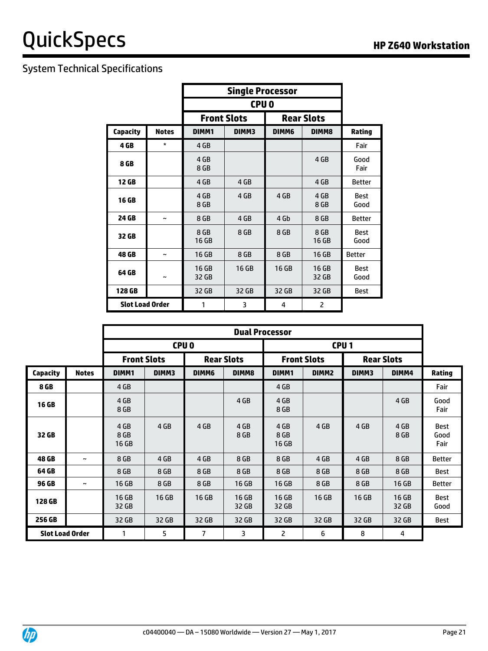### System Technical Specifications

|                        |                       |                | <b>CPUO</b>                             |       |                |                     |  |  |  |
|------------------------|-----------------------|----------------|-----------------------------------------|-------|----------------|---------------------|--|--|--|
|                        |                       |                | <b>Front Slots</b><br><b>Rear Slots</b> |       |                |                     |  |  |  |
| <b>Capacity</b>        | <b>Notes</b>          | DIMM1          | DIMM3                                   | DIMM6 | DIMM8          | Rating              |  |  |  |
| 4 GB                   | *                     | 4 GB           |                                         |       |                | Fair                |  |  |  |
| 8 GB                   |                       | 4 GB<br>8 GB   |                                         |       | 4 GB           | Good<br>Fair        |  |  |  |
| 12 GB                  |                       | 4 GB           | 4 GB                                    |       | 4 GB           | <b>Better</b>       |  |  |  |
| 16 GB                  |                       | 4 GB<br>8 GB   | 4 GB                                    | 4 GB  | 4 GB<br>8 GB   | <b>Best</b><br>Good |  |  |  |
| 24 GB                  | $\tilde{\phantom{a}}$ | 8 GB           | 4 GB                                    | 4 Gb  | 8 GB           | <b>Better</b>       |  |  |  |
| 32 GB                  |                       | 8 GB<br>16 GB  | 8 GB                                    | 8 GB  | 8 GB<br>16 GB  | <b>Best</b><br>Good |  |  |  |
| 48 GB                  | $\tilde{\phantom{a}}$ | 16 GB          | 8 GB                                    | 8 GB  | 16 GB          | <b>Better</b>       |  |  |  |
| 64 GB                  | $\tilde{\phantom{a}}$ | 16 GB<br>32 GB | 16 GB                                   | 16 GB | 16 GB<br>32 GB | <b>Best</b><br>Good |  |  |  |
| 128 GB                 |                       | 32 GB          | 32 GB                                   | 32 GB | 32 GB          | <b>Best</b>         |  |  |  |
| <b>Slot Load Order</b> |                       | 1              | 3                                       | 4     | 2              |                     |  |  |  |

|                        |                       | <b>Dual Processor</b> |       |       |                   |                       |                    |       |                   |                             |
|------------------------|-----------------------|-----------------------|-------|-------|-------------------|-----------------------|--------------------|-------|-------------------|-----------------------------|
|                        |                       | CPU <sub>0</sub>      |       |       |                   | CPU <sub>1</sub>      |                    |       |                   |                             |
|                        |                       | <b>Front Slots</b>    |       |       | <b>Rear Slots</b> |                       | <b>Front Slots</b> |       | <b>Rear Slots</b> |                             |
| <b>Capacity</b>        | <b>Notes</b>          | DIMM1                 | DIMM3 | DIMM6 | DIMM8             | DIMM1                 | DIMM <sub>2</sub>  | DIMM3 | DIMM4             | Rating                      |
| 8 GB                   |                       | 4 GB                  |       |       |                   | 4 GB                  |                    |       |                   | Fair                        |
| <b>16 GB</b>           |                       | 4 GB<br>8 GB          |       |       | 4 GB              | 4 GB<br>8 GB          |                    |       | 4 GB              | Good<br>Fair                |
| 32 GB                  |                       | 4 GB<br>8 GB<br>16 GB | 4 GB  | 4 GB  | 4 GB<br>8 GB      | 4 GB<br>8 GB<br>16 GB | 4 GB               | 4 GB  | 4 GB<br>8 GB      | <b>Best</b><br>Good<br>Fair |
| 48 GB                  | $\tilde{\phantom{a}}$ | 8 GB                  | 4 GB  | 4 GB  | 8 GB              | 8 GB                  | 4 GB               | 4 GB  | 8 GB              | <b>Better</b>               |
| 64 GB                  |                       | 8 GB                  | 8 GB  | 8 GB  | 8 GB              | 8 GB                  | 8 GB               | 8 GB  | 8 GB              | Best                        |
| 96 GB                  | $\tilde{\phantom{a}}$ | 16 GB                 | 8 GB  | 8 GB  | 16 GB             | 16 GB                 | 8 GB               | 8 GB  | 16 GB             | <b>Better</b>               |
| 128 GB                 |                       | 16 GB<br>32 GB        | 16 GB | 16 GB | 16 GB<br>32 GB    | 16 GB<br>32 GB        | 16 GB              | 16 GB | 16 GB<br>32 GB    | Best<br>Good                |
| 256 GB                 |                       | 32 GB                 | 32 GB | 32 GB | 32 GB             | 32 GB                 | 32 GB              | 32 GB | 32 GB             | Best                        |
| <b>Slot Load Order</b> |                       | 1                     | 5     | 7     | 3                 | 2                     | 6                  | 8     | 4                 |                             |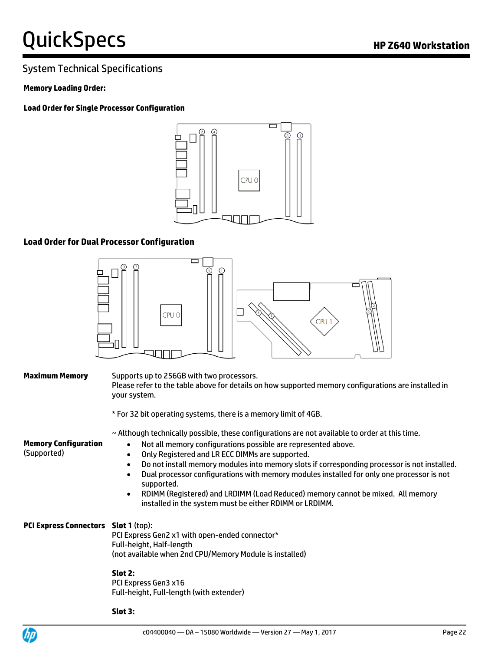### System Technical Specifications

#### **Memory Loading Order:**

**Load Order for Single Processor Configuration**



#### **Load Order for Dual Processor Configuration**



| <b>Maximum Memory</b>                       | Supports up to 256GB with two processors.<br>Please refer to the table above for details on how supported memory configurations are installed in<br>your system.                                                                                                                                                                                                                                                                                                                                                                                                                                                                             |
|---------------------------------------------|----------------------------------------------------------------------------------------------------------------------------------------------------------------------------------------------------------------------------------------------------------------------------------------------------------------------------------------------------------------------------------------------------------------------------------------------------------------------------------------------------------------------------------------------------------------------------------------------------------------------------------------------|
|                                             | * For 32 bit operating systems, there is a memory limit of 4GB.                                                                                                                                                                                                                                                                                                                                                                                                                                                                                                                                                                              |
| <b>Memory Configuration</b><br>(Supported)  | ~ Although technically possible, these configurations are not available to order at this time.<br>Not all memory configurations possible are represented above.<br>$\bullet$<br>Only Registered and LR ECC DIMMs are supported.<br>$\bullet$<br>Do not install memory modules into memory slots if corresponding processor is not installed.<br>$\bullet$<br>Dual processor configurations with memory modules installed for only one processor is not<br>$\bullet$<br>supported.<br>RDIMM (Registered) and LRDIMM (Load Reduced) memory cannot be mixed. All memory<br>$\bullet$<br>installed in the system must be either RDIMM or LRDIMM. |
| <b>PCI Express Connectors Slot 1 (top):</b> | PCI Express Gen2 x1 with open-ended connector*<br>Full-height, Half-length<br>(not available when 2nd CPU/Memory Module is installed)                                                                                                                                                                                                                                                                                                                                                                                                                                                                                                        |
|                                             | Slot 2:<br>PCI Express Gen3 x16<br>Full-height, Full-length (with extender)                                                                                                                                                                                                                                                                                                                                                                                                                                                                                                                                                                  |

**Slot 3:**

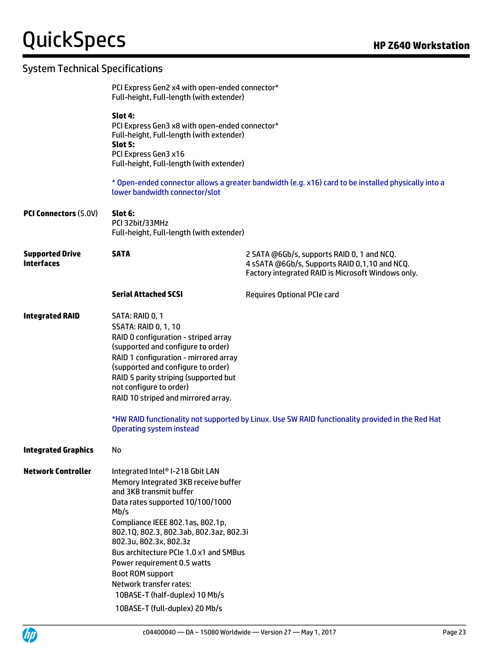### System Technical Specifications

|                                             | PCI Express Gen2 x4 with open-ended connector*<br>Full-height, Full-length (with extender)                                                                                                                                                                                                                                                                                                                                                                  |                                                                                                                                                   |
|---------------------------------------------|-------------------------------------------------------------------------------------------------------------------------------------------------------------------------------------------------------------------------------------------------------------------------------------------------------------------------------------------------------------------------------------------------------------------------------------------------------------|---------------------------------------------------------------------------------------------------------------------------------------------------|
|                                             | Slot 4:<br>PCI Express Gen3 x8 with open-ended connector*<br>Full-height, Full-length (with extender)<br>Slot 5:<br>PCI Express Gen3 x16<br>Full-height, Full-length (with extender)                                                                                                                                                                                                                                                                        |                                                                                                                                                   |
|                                             | lower bandwidth connector/slot                                                                                                                                                                                                                                                                                                                                                                                                                              | * Open-ended connector allows a greater bandwidth (e.g. x16) card to be installed physically into a                                               |
| <b>PCI Connectors (5.0V)</b>                | Slot 6:<br>PCI 32bit/33MHz<br>Full-height, Full-length (with extender)                                                                                                                                                                                                                                                                                                                                                                                      |                                                                                                                                                   |
| <b>Supported Drive</b><br><b>Interfaces</b> | <b>SATA</b>                                                                                                                                                                                                                                                                                                                                                                                                                                                 | 2 SATA @6Gb/s, supports RAID 0, 1 and NCQ.<br>4 sSATA @6Gb/s, Supports RAID 0,1,10 and NCQ.<br>Factory integrated RAID is Microsoft Windows only. |
|                                             | <b>Serial Attached SCSI</b>                                                                                                                                                                                                                                                                                                                                                                                                                                 | <b>Requires Optional PCIe card</b>                                                                                                                |
| <b>Integrated RAID</b>                      | SATA: RAID 0, 1<br><b>SSATA: RAID 0, 1, 10</b><br>RAID 0 configuration - striped array<br>(supported and configure to order)<br>RAID 1 configuration - mirrored array<br>(supported and configure to order)<br>RAID 5 parity striping (supported but<br>not configure to order)<br>RAID 10 striped and mirrored array.<br><b>Operating system instead</b>                                                                                                   | *HW RAID functionality not supported by Linux. Use SW RAID functionality provided in the Red Hat                                                  |
| <b>Integrated Graphics</b>                  | No                                                                                                                                                                                                                                                                                                                                                                                                                                                          |                                                                                                                                                   |
| <b>Network Controller</b>                   | Integrated Intel® I-218 Gbit LAN<br>Memory Integrated 3KB receive buffer<br>and 3KB transmit buffer<br>Data rates supported 10/100/1000<br>Mb/s<br>Compliance IEEE 802.1as, 802.1p,<br>802.1Q, 802.3, 802.3ab, 802.3az, 802.3i<br>802.3u, 802.3x, 802.3z<br>Bus architecture PCIe 1.0 x1 and SMBus<br>Power requirement 0.5 watts<br><b>Boot ROM support</b><br>Network transfer rates:<br>10BASE-T (half-duplex) 10 Mb/s<br>10BASE-T (full-duplex) 20 Mb/s |                                                                                                                                                   |

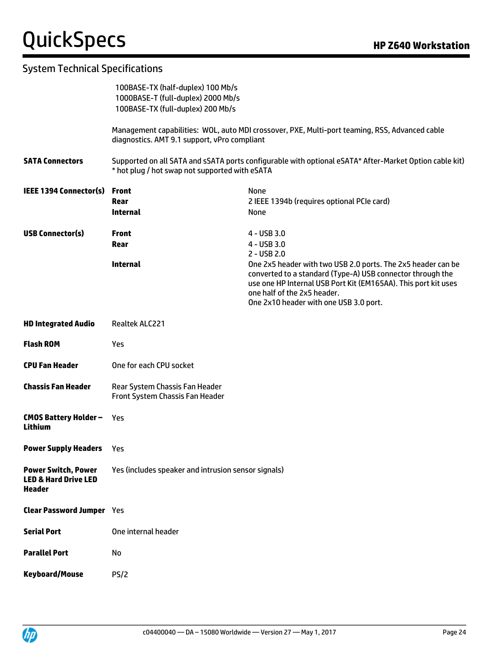### System Technical Specifications

| 100BASE-TX (half-duplex) 100 Mb/s                                                              |                                                                                                                            |  |  |  |  |
|------------------------------------------------------------------------------------------------|----------------------------------------------------------------------------------------------------------------------------|--|--|--|--|
| 100BASE-TX (full-duplex) 200 Mb/s                                                              |                                                                                                                            |  |  |  |  |
| Management capabilities: WOL, auto MDI crossover, PXE, Multi-port teaming, RSS, Advanced cable |                                                                                                                            |  |  |  |  |
| diagnostics. AMT 9.1 support, vPro compliant                                                   |                                                                                                                            |  |  |  |  |
|                                                                                                | Supported on all SATA and sSATA ports configurable with optional eSATA* After-Market Option cable kit)                     |  |  |  |  |
| <b>Front</b>                                                                                   | None                                                                                                                       |  |  |  |  |
| Rear                                                                                           | 2 IEEE 1394b (requires optional PCIe card)                                                                                 |  |  |  |  |
| <b>Internal</b>                                                                                | None                                                                                                                       |  |  |  |  |
| <b>Front</b>                                                                                   | $4 - USB3.0$                                                                                                               |  |  |  |  |
| Rear                                                                                           | 4 - USB 3.0                                                                                                                |  |  |  |  |
|                                                                                                | $2 - USB$ 2.0                                                                                                              |  |  |  |  |
|                                                                                                | One 2x5 header with two USB 2.0 ports. The 2x5 header can be<br>converted to a standard (Type-A) USB connector through the |  |  |  |  |
|                                                                                                | use one HP Internal USB Port Kit (EM165AA). This port kit uses                                                             |  |  |  |  |
|                                                                                                | one half of the 2x5 header.                                                                                                |  |  |  |  |
|                                                                                                | One 2x10 header with one USB 3.0 port.                                                                                     |  |  |  |  |
| Realtek ALC221                                                                                 |                                                                                                                            |  |  |  |  |
| Yes                                                                                            |                                                                                                                            |  |  |  |  |
|                                                                                                |                                                                                                                            |  |  |  |  |
| One for each CPU socket                                                                        |                                                                                                                            |  |  |  |  |
| Rear System Chassis Fan Header<br>Front System Chassis Fan Header                              |                                                                                                                            |  |  |  |  |
| Yes                                                                                            |                                                                                                                            |  |  |  |  |
|                                                                                                |                                                                                                                            |  |  |  |  |
| Yes                                                                                            |                                                                                                                            |  |  |  |  |
| Yes (includes speaker and intrusion sensor signals)                                            |                                                                                                                            |  |  |  |  |
| <b>Clear Password Jumper</b> Yes                                                               |                                                                                                                            |  |  |  |  |
| One internal header                                                                            |                                                                                                                            |  |  |  |  |
| No                                                                                             |                                                                                                                            |  |  |  |  |
|                                                                                                | 1000BASE-T (full-duplex) 2000 Mb/s<br>* hot plug / hot swap not supported with eSATA<br><b>Internal</b>                    |  |  |  |  |

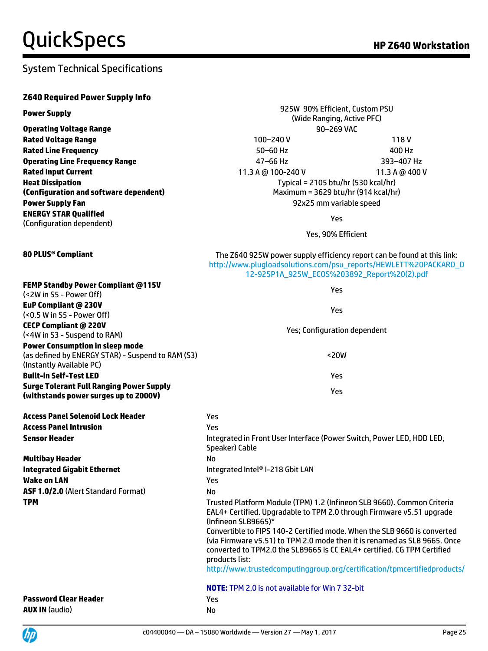### System Technical Specifications

### **Z640 Required Power Supply Info**

| <b>Power Supply</b>                                                                                                     | 925W 90% Efficient, Custom PSU<br>(Wide Ranging, Active PFC)                                                                                                                                                                                       |                |  |  |
|-------------------------------------------------------------------------------------------------------------------------|----------------------------------------------------------------------------------------------------------------------------------------------------------------------------------------------------------------------------------------------------|----------------|--|--|
|                                                                                                                         | 90-269 VAC                                                                                                                                                                                                                                         |                |  |  |
| <b>Operating Voltage Range</b><br><b>Rated Voltage Range</b>                                                            | 100-240V                                                                                                                                                                                                                                           | 118V           |  |  |
| <b>Rated Line Frequency</b>                                                                                             | 50-60 Hz                                                                                                                                                                                                                                           | 400 Hz         |  |  |
| <b>Operating Line Frequency Range</b>                                                                                   | 47-66 Hz                                                                                                                                                                                                                                           | 393-407 Hz     |  |  |
| <b>Rated Input Current</b>                                                                                              |                                                                                                                                                                                                                                                    |                |  |  |
|                                                                                                                         | 11.3 A @ 100-240 V                                                                                                                                                                                                                                 | 11.3 A @ 400 V |  |  |
| <b>Heat Dissipation</b><br>(Configuration and software dependent)                                                       | Typical = 2105 btu/hr (530 kcal/hr)<br>Maximum = 3629 btu/hr (914 kcal/hr)                                                                                                                                                                         |                |  |  |
| <b>Power Supply Fan</b>                                                                                                 |                                                                                                                                                                                                                                                    |                |  |  |
| <b>ENERGY STAR Qualified</b>                                                                                            | 92x25 mm variable speed                                                                                                                                                                                                                            |                |  |  |
| (Configuration dependent)                                                                                               | Yes                                                                                                                                                                                                                                                |                |  |  |
|                                                                                                                         | Yes, 90% Efficient                                                                                                                                                                                                                                 |                |  |  |
| 80 PLUS® Compliant                                                                                                      | The Z640 925W power supply efficiency report can be found at this link:<br>http://www.plugloadsolutions.com/psu_reports/HEWLETT%20PACKARD_D<br>12-925P1A_925W_ECOS%203892_Report%20(2).pdf                                                         |                |  |  |
| <b>FEMP Standby Power Compliant @115V</b><br>(<2W in S5 - Power Off)                                                    | Yes                                                                                                                                                                                                                                                |                |  |  |
| <b>EuP Compliant @ 230V</b>                                                                                             |                                                                                                                                                                                                                                                    |                |  |  |
| (<0.5 W in S5 - Power Off)                                                                                              | Yes                                                                                                                                                                                                                                                |                |  |  |
| <b>CECP Compliant @ 220V</b>                                                                                            | Yes; Configuration dependent                                                                                                                                                                                                                       |                |  |  |
| (<4W in S3 - Suspend to RAM)                                                                                            |                                                                                                                                                                                                                                                    |                |  |  |
| <b>Power Consumption in sleep mode</b><br>(as defined by ENERGY STAR) - Suspend to RAM (S3)<br>(Instantly Available PC) | $20W$                                                                                                                                                                                                                                              |                |  |  |
| <b>Built-in Self-Test LED</b>                                                                                           | Yes                                                                                                                                                                                                                                                |                |  |  |
| <b>Surge Tolerant Full Ranging Power Supply</b><br>(withstands power surges up to 2000V)                                | Yes                                                                                                                                                                                                                                                |                |  |  |
| <b>Access Panel Solenoid Lock Header</b>                                                                                | Yes                                                                                                                                                                                                                                                |                |  |  |
| <b>Access Panel Intrusion</b>                                                                                           | Yes                                                                                                                                                                                                                                                |                |  |  |
| <b>Sensor Header</b>                                                                                                    | Integrated in Front User Interface (Power Switch, Power LED, HDD LED,<br>Speaker) Cable                                                                                                                                                            |                |  |  |
| <b>Multibay Header</b>                                                                                                  | No                                                                                                                                                                                                                                                 |                |  |  |
| <b>Integrated Gigabit Ethernet</b>                                                                                      | Integrated Intel® I-218 Gbit LAN                                                                                                                                                                                                                   |                |  |  |
| <b>Wake on LAN</b>                                                                                                      | Yes                                                                                                                                                                                                                                                |                |  |  |
| ASF 1.0/2.0 (Alert Standard Format)                                                                                     | <b>No</b>                                                                                                                                                                                                                                          |                |  |  |
| <b>TPM</b>                                                                                                              | Trusted Platform Module (TPM) 1.2 (Infineon SLB 9660). Common Criteria<br>EAL4+ Certified. Upgradable to TPM 2.0 through Firmware v5.51 upgrade<br>(Infineon SLB9665)*                                                                             |                |  |  |
|                                                                                                                         | Convertible to FIPS 140-2 Certified mode. When the SLB 9660 is converted<br>(via Firmware v5.51) to TPM 2.0 mode then it is renamed as SLB 9665. Once<br>converted to TPM2.0 the SLB9665 is CC EAL4+ certified. CG TPM Certified<br>products list: |                |  |  |
|                                                                                                                         | http://www.trustedcomputinggroup.org/certification/tpmcertifiedproducts/                                                                                                                                                                           |                |  |  |
|                                                                                                                         | <b>NOTE:</b> TPM 2.0 is not available for Win 7 32-bit                                                                                                                                                                                             |                |  |  |
| <b>Password Clear Header</b>                                                                                            | Yes                                                                                                                                                                                                                                                |                |  |  |
| <b>AUX IN (audio)</b>                                                                                                   | No                                                                                                                                                                                                                                                 |                |  |  |

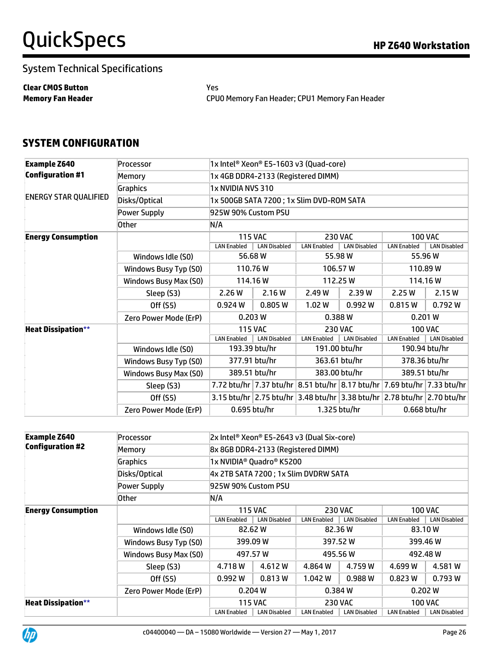### System Technical Specifications

**Clear CMOS Button** Yes

**Memory Fan Header** CPU0 Memory Fan Header; CPU1 Memory Fan Header

### **SYSTEM CONFIGURATION**

| <b>Example Z640</b>          | Processor             | 1x Intel <sup>®</sup> Xeon® E5-1603 v3 (Quad-core) |                                           |                    |                                                                                   |                    |                     |
|------------------------------|-----------------------|----------------------------------------------------|-------------------------------------------|--------------------|-----------------------------------------------------------------------------------|--------------------|---------------------|
| <b>Configuration #1</b>      | Memory                |                                                    | 1x 4GB DDR4-2133 (Registered DIMM)        |                    |                                                                                   |                    |                     |
|                              | <b>Graphics</b>       | 1x NVIDIA NVS 310                                  |                                           |                    |                                                                                   |                    |                     |
| <b>ENERGY STAR QUALIFIED</b> | Disks/Optical         |                                                    | 1x 500GB SATA 7200 ; 1x Slim DVD-ROM SATA |                    |                                                                                   |                    |                     |
|                              | Power Supply          | 925W 90% Custom PSU                                |                                           |                    |                                                                                   |                    |                     |
|                              | <b>Other</b>          | N/A                                                |                                           |                    |                                                                                   |                    |                     |
| <b>Energy Consumption</b>    |                       |                                                    | <b>115 VAC</b>                            |                    | <b>230 VAC</b>                                                                    |                    | <b>100 VAC</b>      |
|                              |                       | <b>LAN Enabled</b>                                 | <b>LAN Disabled</b>                       | <b>LAN Enabled</b> | <b>LAN Disabled</b>                                                               | <b>LAN Enabled</b> | <b>LAN Disabled</b> |
|                              | Windows Idle (S0)     |                                                    | 56.68 W                                   |                    | 55.98 W                                                                           |                    | 55.96 W             |
|                              | Windows Busy Typ (S0) | 110.76 W<br>106.57 W                               |                                           |                    |                                                                                   | 110.89 W           |                     |
|                              | Windows Busy Max (S0) | 114.16W<br>112.25 W                                |                                           | 114.16 W           |                                                                                   |                    |                     |
|                              | Sleep (S3)            | 2.26 W                                             | 2.16W                                     | 2.49 W             | 2.39W                                                                             | 2.25W              | 2.15W               |
|                              | Off (S5)              | 0.924W                                             | 0.805 W                                   | 1.02W              | 0.992 W                                                                           | 0.815W             | 0.792W              |
|                              | Zero Power Mode (ErP) |                                                    | 0.203 W                                   | 0.388 W            |                                                                                   | 0.201 W            |                     |
| <b>Heat Dissipation**</b>    |                       |                                                    | <b>115 VAC</b>                            |                    | <b>230 VAC</b>                                                                    |                    | <b>100 VAC</b>      |
|                              |                       | <b>LAN Enabled</b>                                 | <b>LAN Disabled</b>                       | <b>LAN Enabled</b> | <b>LAN Disabled</b>                                                               | <b>LAN Enabled</b> | <b>LAN Disabled</b> |
|                              | Windows Idle (S0)     |                                                    | 193.39 btu/hr                             |                    | 191.00 btu/hr                                                                     | 190.94 btu/hr      |                     |
|                              | Windows Busy Typ (S0) | 377.91 btu/hr<br>363.61 btu/hr                     |                                           |                    | 378.36 btu/hr                                                                     |                    |                     |
|                              | Windows Busy Max (S0) | 389.51 btu/hr<br>383.00 btu/hr                     |                                           |                    | 389.51 btu/hr                                                                     |                    |                     |
|                              | Sleep (S3)            |                                                    |                                           |                    | 7.72 btu/hr   7.37 btu/hr   8.51 btu/hr   8.17 btu/hr   7.69 btu/hr   7.33 btu/hr |                    |                     |
|                              | Off (S5)              |                                                    |                                           |                    | 3.15 btu/hr 2.75 btu/hr 3.48 btu/hr 3.38 btu/hr 2.78 btu/hr 2.70 btu/hr           |                    |                     |
|                              | Zero Power Mode (ErP) |                                                    | 0.695 btu/hr                              |                    | 1.325 btu/hr                                                                      |                    | 0.668 btu/hr        |

| <b>Example Z640</b>       | Processor             |                                       |                     | 2x Intel® Xeon® E5-2643 v3 (Dual Six-core) |                     |                    |                     |  |  |
|---------------------------|-----------------------|---------------------------------------|---------------------|--------------------------------------------|---------------------|--------------------|---------------------|--|--|
| <b>Configuration #2</b>   | Memory                | 8x 8GB DDR4-2133 (Registered DIMM)    |                     |                                            |                     |                    |                     |  |  |
|                           | Graphics              | 1x NVIDIA <sup>®</sup> Quadro® K5200  |                     |                                            |                     |                    |                     |  |  |
|                           | Disks/Optical         | 4x 2TB SATA 7200 ; 1x Slim DVDRW SATA |                     |                                            |                     |                    |                     |  |  |
|                           | Power Supply          | 925W 90% Custom PSU                   |                     |                                            |                     |                    |                     |  |  |
|                           | <b>Other</b>          | N/A                                   |                     |                                            |                     |                    |                     |  |  |
| <b>Energy Consumption</b> |                       |                                       | <b>115 VAC</b>      |                                            | <b>230 VAC</b>      |                    | 100 VAC             |  |  |
|                           |                       | <b>LAN Enabled</b>                    | <b>LAN Disabled</b> | <b>LAN Enabled</b>                         | <b>LAN Disabled</b> | <b>LAN Enabled</b> | <b>LAN Disabled</b> |  |  |
|                           | Windows Idle (S0)     | 82.62 W                               |                     |                                            | 82.36 W             | 83.10 W            |                     |  |  |
|                           | Windows Busy Typ (S0) |                                       | 399.09 W            | 397.52 W                                   |                     | 399.46 W           |                     |  |  |
|                           | Windows Busy Max (S0) |                                       | 497.57 W            |                                            | 495.56 W            |                    | 492.48 W            |  |  |
|                           | Sleep (S3)            | 4.718W                                | 4.612W              | 4.864 W                                    | 4.759 W             | 4.699 W            | 4.581 W             |  |  |
|                           | Off (S5)              | 0.992W                                | 0.813 W             | 1.042 W                                    | 0.988W              | 0.823 W            | 0.793W              |  |  |
|                           | Zero Power Mode (ErP) | 0.204 W<br>0.202 W<br>0.384W          |                     |                                            |                     |                    |                     |  |  |
| <b>Heat Dissipation**</b> |                       |                                       | <b>115 VAC</b>      |                                            | <b>230 VAC</b>      |                    | <b>100 VAC</b>      |  |  |
|                           |                       | <b>LAN Enabled</b>                    | <b>LAN Disabled</b> | <b>LAN Enabled</b>                         | <b>LAN Disabled</b> | <b>LAN Enabled</b> | LAN Disabled        |  |  |

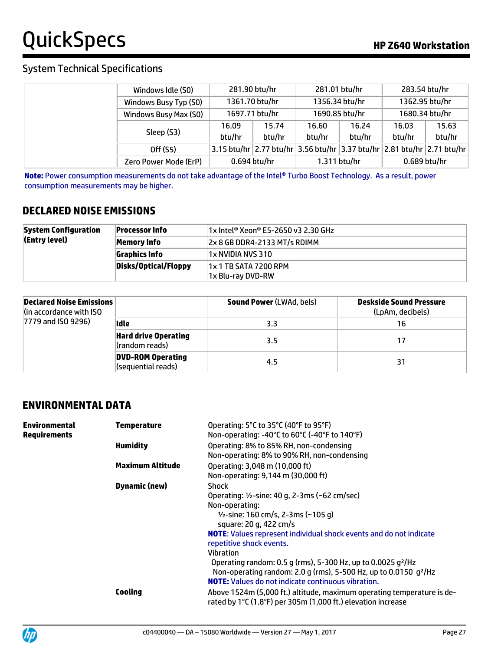### System Technical Specifications

| Windows Idle (S0)     |        | 281.90 btu/hr                                                                          |        | 281.01 btu/hr  |              | 283.54 btu/hr  |  |                |
|-----------------------|--------|----------------------------------------------------------------------------------------|--------|----------------|--------------|----------------|--|----------------|
| Windows Busy Typ (S0) |        | 1361.70 btu/hr                                                                         |        |                |              | 1356.34 btu/hr |  | 1362.95 btu/hr |
| Windows Busy Max (S0) |        | 1697.71 btu/hr                                                                         |        | 1690.85 btu/hr |              | 1680.34 btu/hr |  |                |
| Sleep (S3)            | 16.09  | 15.74                                                                                  | 16.60  | 16.24          | 16.03        | 15.63          |  |                |
|                       | btu/hr | btu/hr                                                                                 | btu/hr | btu/hr         | btu/hr       | btu/hr         |  |                |
| Off (S5)              |        | 3.15 btu/hr $ 2.77$ btu/hr $ 3.56$ btu/hr $ 3.37$ btu/hr $ 2.81$ btu/hr $ 2.71$ btu/hr |        |                |              |                |  |                |
| Zero Power Mode (ErP) |        | 0.694 btu/hr                                                                           |        | 1.311 btu/hr   | 0.689 btu/hr |                |  |                |

**Note:** Power consumption measurements do not take advantage of the Intel® Turbo Boost Technology. As a result, power consumption measurements may be higher.

### **DECLARED NOISE EMISSIONS**

| <b>System Configuration</b> | <b>Processor Info</b> | $ 1x $ Intel® Xeon® E5-2650 v3 2.30 GHz |
|-----------------------------|-----------------------|-----------------------------------------|
| (Entry level)               | Memory Info           | $ 2x 8 GB DDR4-2133 MT/s RDIMM$         |
|                             | <b>Graphics Info</b>  | 1x NVIDIA NVS 310                       |
|                             | Disks/Optical/Floppy  | 1x 1 TB SATA 7200 RPM                   |
|                             |                       | 1x Blu-ray DVD-RW                       |

| Declared Noise Emissions<br>(in accordance with ISO |                                                | <b>Sound Power (LWAd, bels)</b> | Deskside Sound Pressure<br>(LpAm, decibels) |
|-----------------------------------------------------|------------------------------------------------|---------------------------------|---------------------------------------------|
| 7779 and ISO 9296)                                  | lidle                                          | 3.3                             | 16                                          |
|                                                     | <b>Hard drive Operating</b><br>(random reads)  | 3.5                             | 17                                          |
|                                                     | <b>DVD-ROM Operating</b><br>(sequential reads) | 4.5                             | 31                                          |

### **ENVIRONMENTAL DATA**

| Environmental<br>Requirements | <b>Temperature</b>      | Operating: 5°C to 35°C (40°F to 95°F)                                                                                                  |
|-------------------------------|-------------------------|----------------------------------------------------------------------------------------------------------------------------------------|
|                               |                         | Non-operating: -40°C to 60°C (-40°F to 140°F)                                                                                          |
|                               | <b>Humidity</b>         | Operating: 8% to 85% RH, non-condensing                                                                                                |
|                               |                         | Non-operating: 8% to 90% RH, non-condensing                                                                                            |
|                               | <b>Maximum Altitude</b> | Operating: 3,048 m (10,000 ft)                                                                                                         |
|                               |                         | Non-operating: 9,144 m (30,000 ft)                                                                                                     |
|                               | <b>Dynamic (new)</b>    | <b>Shock</b>                                                                                                                           |
|                               |                         | Operating: 1/2-sine: 40 g, 2-3ms (~62 cm/sec)                                                                                          |
|                               |                         | Non-operating:                                                                                                                         |
|                               |                         | $1/2$ -sine: 160 cm/s, 2-3ms (~105 g)                                                                                                  |
|                               |                         | square: 20 g, 422 cm/s                                                                                                                 |
|                               |                         | <b>NOTE:</b> Values represent individual shock events and do not indicate                                                              |
|                               |                         | repetitive shock events.                                                                                                               |
|                               |                         | <b>Vibration</b>                                                                                                                       |
|                               |                         | Operating random: 0.5 g (rms), 5-300 Hz, up to 0.0025 g <sup>2</sup> /Hz                                                               |
|                               |                         | Non-operating random: 2.0 g (rms), 5-500 Hz, up to 0.0150 g <sup>2</sup> /Hz                                                           |
|                               |                         | <b>NOTE:</b> Values do not indicate continuous vibration.                                                                              |
|                               | Cooling                 | Above 1524m (5,000 ft.) altitude, maximum operating temperature is de-<br>rated by 1°C (1.8°F) per 305m (1,000 ft.) elevation increase |
|                               |                         |                                                                                                                                        |

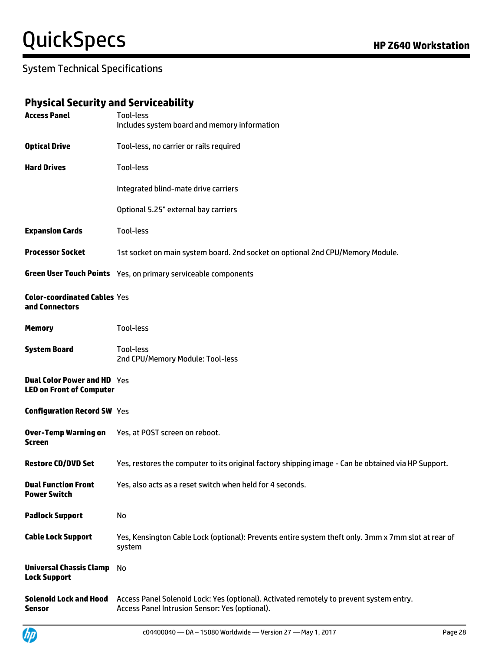### System Technical Specifications

### **Physical Security and Serviceability**

| <b>Access Panel</b>                                                   | Tool-less<br>Includes system board and memory information                                                                                 |
|-----------------------------------------------------------------------|-------------------------------------------------------------------------------------------------------------------------------------------|
| <b>Optical Drive</b>                                                  | Tool-less, no carrier or rails required                                                                                                   |
| <b>Hard Drives</b>                                                    | <b>Tool-less</b>                                                                                                                          |
|                                                                       | Integrated blind-mate drive carriers                                                                                                      |
|                                                                       | Optional 5.25" external bay carriers                                                                                                      |
| <b>Expansion Cards</b>                                                | Tool-less                                                                                                                                 |
| <b>Processor Socket</b>                                               | 1st socket on main system board. 2nd socket on optional 2nd CPU/Memory Module.                                                            |
|                                                                       | Green User Touch Points Yes, on primary serviceable components                                                                            |
| <b>Color-coordinated Cables Yes</b><br>and Connectors                 |                                                                                                                                           |
| <b>Memory</b>                                                         | Tool-less                                                                                                                                 |
| <b>System Board</b>                                                   | Tool-less<br>2nd CPU/Memory Module: Tool-less                                                                                             |
| <b>Dual Color Power and HD</b> Yes<br><b>LED on Front of Computer</b> |                                                                                                                                           |
| <b>Configuration Record SW Yes</b>                                    |                                                                                                                                           |
| <b>Over-Temp Warning on</b><br>Screen                                 | Yes, at POST screen on reboot.                                                                                                            |
| <b>Restore CD/DVD Set</b>                                             | Yes, restores the computer to its original factory shipping image - Can be obtained via HP Support.                                       |
| <b>Dual Function Front</b><br><b>Power Switch</b>                     | Yes, also acts as a reset switch when held for 4 seconds.                                                                                 |
| <b>Padlock Support</b>                                                | No                                                                                                                                        |
| <b>Cable Lock Support</b>                                             | Yes, Kensington Cable Lock (optional): Prevents entire system theft only. 3mm x 7mm slot at rear of<br>system                             |
| <b>Universal Chassis Clamp</b><br><b>Lock Support</b>                 | No                                                                                                                                        |
| <b>Solenoid Lock and Hood</b><br><b>Sensor</b>                        | Access Panel Solenoid Lock: Yes (optional). Activated remotely to prevent system entry.<br>Access Panel Intrusion Sensor: Yes (optional). |

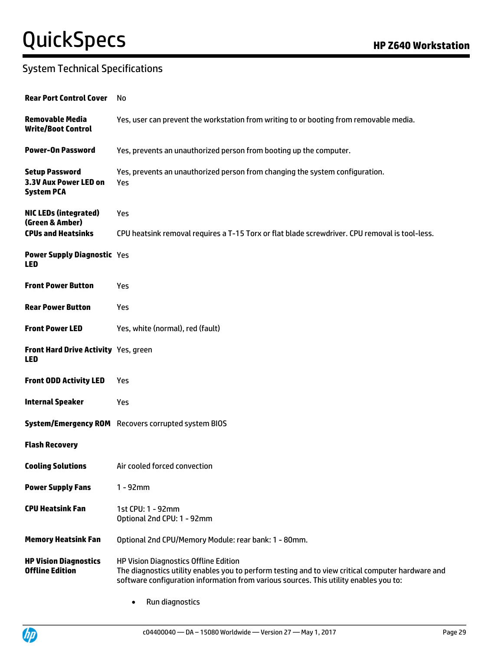### System Technical Specifications

| <b>Rear Port Control Cover</b>                                      | No                                                                                                                                                                                                                                         |
|---------------------------------------------------------------------|--------------------------------------------------------------------------------------------------------------------------------------------------------------------------------------------------------------------------------------------|
| <b>Removable Media</b><br><b>Write/Boot Control</b>                 | Yes, user can prevent the workstation from writing to or booting from removable media.                                                                                                                                                     |
| <b>Power-On Password</b>                                            | Yes, prevents an unauthorized person from booting up the computer.                                                                                                                                                                         |
| <b>Setup Password</b><br>3.3V Aux Power LED on<br><b>System PCA</b> | Yes, prevents an unauthorized person from changing the system configuration.<br>Yes                                                                                                                                                        |
| <b>NIC LEDs (integrated)</b><br>(Green & Amber)                     | Yes                                                                                                                                                                                                                                        |
| <b>CPUs and Heatsinks</b>                                           | CPU heatsink removal requires a T-15 Torx or flat blade screwdriver. CPU removal is tool-less.                                                                                                                                             |
| <b>Power Supply Diagnostic Yes</b><br><b>LED</b>                    |                                                                                                                                                                                                                                            |
| <b>Front Power Button</b>                                           | Yes                                                                                                                                                                                                                                        |
| <b>Rear Power Button</b>                                            | Yes                                                                                                                                                                                                                                        |
| <b>Front Power LED</b>                                              | Yes, white (normal), red (fault)                                                                                                                                                                                                           |
| Front Hard Drive Activity Yes, green<br><b>LED</b>                  |                                                                                                                                                                                                                                            |
| <b>Front ODD Activity LED</b>                                       | Yes                                                                                                                                                                                                                                        |
| <b>Internal Speaker</b>                                             | Yes                                                                                                                                                                                                                                        |
|                                                                     | <b>System/Emergency ROM</b> Recovers corrupted system BIOS                                                                                                                                                                                 |
| <b>Flash Recovery</b>                                               |                                                                                                                                                                                                                                            |
| <b>Cooling Solutions</b>                                            | Air cooled forced convection                                                                                                                                                                                                               |
| <b>Power Supply Fans</b>                                            | $1 - 92$ mm                                                                                                                                                                                                                                |
| <b>CPU Heatsink Fan</b>                                             | 1st CPU: 1 - 92mm<br>Optional 2nd CPU: 1 - 92mm                                                                                                                                                                                            |
| <b>Memory Heatsink Fan</b>                                          | Optional 2nd CPU/Memory Module: rear bank: 1 - 80mm.                                                                                                                                                                                       |
| <b>HP Vision Diagnostics</b><br><b>Offline Edition</b>              | <b>HP Vision Diagnostics Offline Edition</b><br>The diagnostics utility enables you to perform testing and to view critical computer hardware and<br>software configuration information from various sources. This utility enables you to: |
|                                                                     | Run diagnostics                                                                                                                                                                                                                            |

**UP**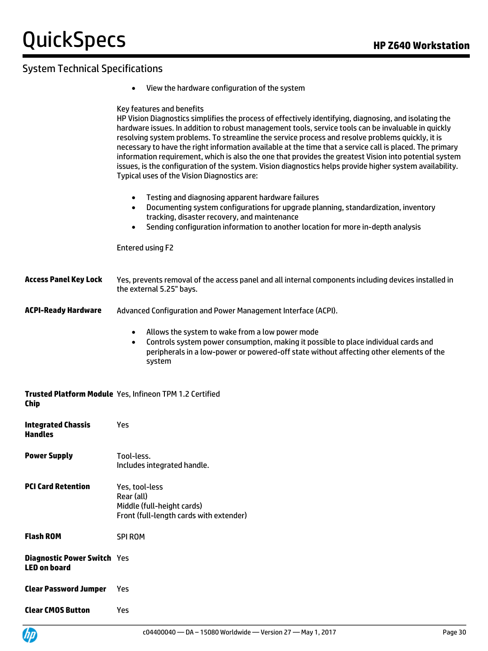### System Technical Specifications

View the hardware configuration of the system

### Key features and benefits HP Vision Diagnostics simplifies the process of effectively identifying, diagnosing, and isolating the

hardware issues. In addition to robust management tools, service tools can be invaluable in quickly resolving system problems. To streamline the service process and resolve problems quickly, it is necessary to have the right information available at the time that a service call is placed. The primary information requirement, which is also the one that provides the greatest Vision into potential system issues, is the configuration of the system. Vision diagnostics helps provide higher system availability. Typical uses of the Vision Diagnostics are:

- Testing and diagnosing apparent hardware failures
- Documenting system configurations for upgrade planning, standardization, inventory tracking, disaster recovery, and maintenance
- Sending configuration information to another location for more in-depth analysis

Entered using F2

| <b>Access Panel Key Lock</b> | Yes, prevents removal of the access panel and all internal components including devices installed in |
|------------------------------|------------------------------------------------------------------------------------------------------|
|                              | the external 5.25" bays.                                                                             |

- **ACPI-Ready Hardware** Advanced Configuration and Power Management Interface (ACPI).
	- Allows the system to wake from a low power mode
	- Controls system power consumption, making it possible to place individual cards and peripherals in a low-power or powered-off state without affecting other elements of the system

#### **Trusted Platform Module**  Yes, Infineon TPM 1.2 Certified **Chip**

| <b>Integrated Chassis</b><br><b>Handles</b>               | Yes                                                                                                   |
|-----------------------------------------------------------|-------------------------------------------------------------------------------------------------------|
| <b>Power Supply</b>                                       | Tool-less.<br>Includes integrated handle.                                                             |
| <b>PCI Card Retention</b>                                 | Yes, tool-less<br>Rear (all)<br>Middle (full-height cards)<br>Front (full-length cards with extender) |
| <b>Flash ROM</b>                                          | <b>SPI ROM</b>                                                                                        |
| <b>Diagnostic Power Switch</b> Yes<br><b>LED on board</b> |                                                                                                       |
| <b>Clear Password Jumper</b>                              | Yes                                                                                                   |
| <b>Clear CMOS Button</b>                                  | Yes                                                                                                   |

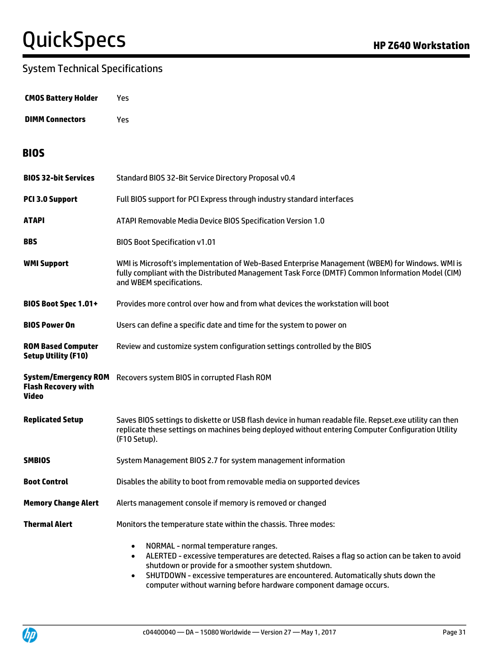### System Technical Specifications

| <b>CMOS Battery Holder</b> | Yes. |
|----------------------------|------|
|----------------------------|------|

**DIMM Connectors** Yes

### **BIOS**

| <b>BIOS 32-bit Services</b>                                               | Standard BIOS 32-Bit Service Directory Proposal v0.4                                                                                                                                                                                                                                                                                                                                      |  |
|---------------------------------------------------------------------------|-------------------------------------------------------------------------------------------------------------------------------------------------------------------------------------------------------------------------------------------------------------------------------------------------------------------------------------------------------------------------------------------|--|
| PCI 3.0 Support                                                           | Full BIOS support for PCI Express through industry standard interfaces                                                                                                                                                                                                                                                                                                                    |  |
| ATAPI                                                                     | ATAPI Removable Media Device BIOS Specification Version 1.0                                                                                                                                                                                                                                                                                                                               |  |
| <b>BBS</b>                                                                | <b>BIOS Boot Specification v1.01</b>                                                                                                                                                                                                                                                                                                                                                      |  |
| <b>WMI Support</b>                                                        | WMI is Microsoft's implementation of Web-Based Enterprise Management (WBEM) for Windows. WMI is<br>fully compliant with the Distributed Management Task Force (DMTF) Common Information Model (CIM)<br>and WBEM specifications.                                                                                                                                                           |  |
| BIOS Boot Spec 1.01+                                                      | Provides more control over how and from what devices the workstation will boot                                                                                                                                                                                                                                                                                                            |  |
| <b>BIOS Power On</b>                                                      | Users can define a specific date and time for the system to power on                                                                                                                                                                                                                                                                                                                      |  |
| <b>ROM Based Computer</b><br><b>Setup Utility (F10)</b>                   | Review and customize system configuration settings controlled by the BIOS                                                                                                                                                                                                                                                                                                                 |  |
| <b>System/Emergency ROM</b><br><b>Flash Recovery with</b><br><b>Video</b> | Recovers system BIOS in corrupted Flash ROM                                                                                                                                                                                                                                                                                                                                               |  |
| <b>Replicated Setup</b>                                                   | Saves BIOS settings to diskette or USB flash device in human readable file. Repset.exe utility can then<br>replicate these settings on machines being deployed without entering Computer Configuration Utility<br>(F10 Setup).                                                                                                                                                            |  |
| <b>SMBIOS</b>                                                             | System Management BIOS 2.7 for system management information                                                                                                                                                                                                                                                                                                                              |  |
| <b>Boot Control</b>                                                       | Disables the ability to boot from removable media on supported devices                                                                                                                                                                                                                                                                                                                    |  |
| <b>Memory Change Alert</b>                                                | Alerts management console if memory is removed or changed                                                                                                                                                                                                                                                                                                                                 |  |
| <b>Thermal Alert</b>                                                      | Monitors the temperature state within the chassis. Three modes:                                                                                                                                                                                                                                                                                                                           |  |
|                                                                           | NORMAL - normal temperature ranges.<br>$\bullet$<br>ALERTED - excessive temperatures are detected. Raises a flag so action can be taken to avoid<br>$\bullet$<br>shutdown or provide for a smoother system shutdown.<br>SHUTDOWN - excessive temperatures are encountered. Automatically shuts down the<br>$\bullet$<br>computer without warning before hardware component damage occurs. |  |

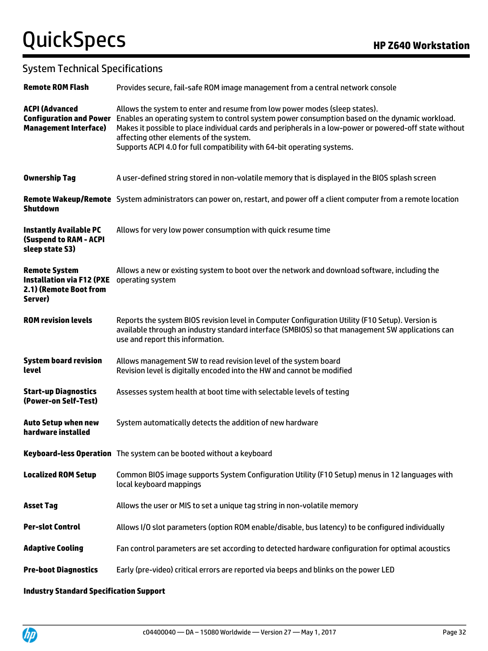### System Technical Specifications

| <b>Remote ROM Flash</b>                                                                       | Provides secure, fail-safe ROM image management from a central network console                                                                                                                                                                                                                                                                                                                                |
|-----------------------------------------------------------------------------------------------|---------------------------------------------------------------------------------------------------------------------------------------------------------------------------------------------------------------------------------------------------------------------------------------------------------------------------------------------------------------------------------------------------------------|
| <b>ACPI (Advanced</b><br><b>Configuration and Power</b><br><b>Management Interface)</b>       | Allows the system to enter and resume from low power modes (sleep states).<br>Enables an operating system to control system power consumption based on the dynamic workload.<br>Makes it possible to place individual cards and peripherals in a low-power or powered-off state without<br>affecting other elements of the system.<br>Supports ACPI 4.0 for full compatibility with 64-bit operating systems. |
| <b>Ownership Tag</b>                                                                          | A user-defined string stored in non-volatile memory that is displayed in the BIOS splash screen                                                                                                                                                                                                                                                                                                               |
| <b>Shutdown</b>                                                                               | Remote Wakeup/Remote System administrators can power on, restart, and power off a client computer from a remote location                                                                                                                                                                                                                                                                                      |
| <b>Instantly Available PC</b><br><b>(Suspend to RAM - ACPI</b><br>sleep state S3)             | Allows for very low power consumption with quick resume time                                                                                                                                                                                                                                                                                                                                                  |
| <b>Remote System</b><br><b>Installation via F12 (PXE</b><br>2.1) (Remote Boot from<br>Server) | Allows a new or existing system to boot over the network and download software, including the<br>operating system                                                                                                                                                                                                                                                                                             |
| <b>ROM revision levels</b>                                                                    | Reports the system BIOS revision level in Computer Configuration Utility (F10 Setup). Version is<br>available through an industry standard interface (SMBIOS) so that management SW applications can<br>use and report this information.                                                                                                                                                                      |
| <b>System board revision</b><br>level                                                         | Allows management SW to read revision level of the system board<br>Revision level is digitally encoded into the HW and cannot be modified                                                                                                                                                                                                                                                                     |
| <b>Start-up Diagnostics</b><br>(Power-on Self-Test)                                           | Assesses system health at boot time with selectable levels of testing                                                                                                                                                                                                                                                                                                                                         |
| <b>Auto Setup when new</b><br>hardware installed                                              | System automatically detects the addition of new hardware                                                                                                                                                                                                                                                                                                                                                     |
|                                                                                               | Keyboard-less Operation The system can be booted without a keyboard                                                                                                                                                                                                                                                                                                                                           |
| <b>Localized ROM Setup</b>                                                                    | Common BIOS image supports System Configuration Utility (F10 Setup) menus in 12 languages with<br>local keyboard mappings                                                                                                                                                                                                                                                                                     |
| <b>Asset Tag</b>                                                                              | Allows the user or MIS to set a unique tag string in non-volatile memory                                                                                                                                                                                                                                                                                                                                      |
| <b>Per-slot Control</b>                                                                       | Allows I/O slot parameters (option ROM enable/disable, bus latency) to be configured individually                                                                                                                                                                                                                                                                                                             |
| <b>Adaptive Cooling</b>                                                                       | Fan control parameters are set according to detected hardware configuration for optimal acoustics                                                                                                                                                                                                                                                                                                             |
| <b>Pre-boot Diagnostics</b>                                                                   | Early (pre-video) critical errors are reported via beeps and blinks on the power LED                                                                                                                                                                                                                                                                                                                          |

#### **Industry Standard Specification Support**

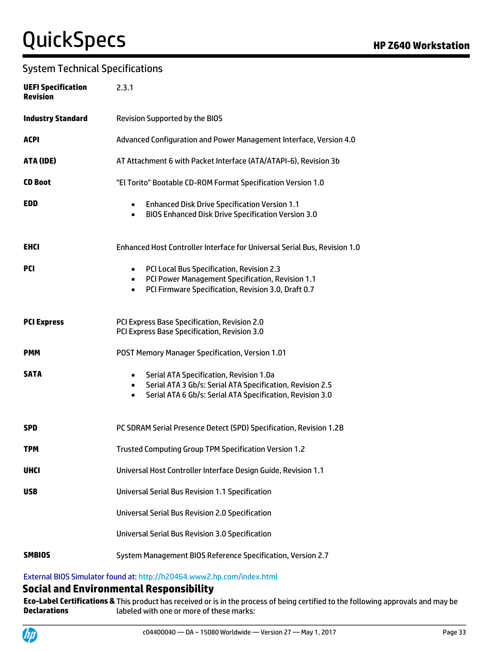### System Technical Specifications

| <b>UEFI Specification</b><br><b>Revision</b> | 2.3.1                                                                                                                                                                                                    |
|----------------------------------------------|----------------------------------------------------------------------------------------------------------------------------------------------------------------------------------------------------------|
| <b>Industry Standard</b>                     | <b>Revision Supported by the BIOS</b>                                                                                                                                                                    |
| <b>ACPI</b>                                  | Advanced Configuration and Power Management Interface, Version 4.0                                                                                                                                       |
| ATA (IDE)                                    | AT Attachment 6 with Packet Interface (ATA/ATAPI-6), Revision 3b                                                                                                                                         |
| <b>CD Boot</b>                               | "El Torito" Bootable CD-ROM Format Specification Version 1.0                                                                                                                                             |
| <b>EDD</b>                                   | <b>Enhanced Disk Drive Specification Version 1.1</b><br>$\bullet$<br><b>BIOS Enhanced Disk Drive Specification Version 3.0</b><br>$\bullet$                                                              |
| <b>EHCI</b>                                  | Enhanced Host Controller Interface for Universal Serial Bus, Revision 1.0                                                                                                                                |
| <b>PCI</b>                                   | PCI Local Bus Specification, Revision 2.3<br>$\bullet$<br>PCI Power Management Specification, Revision 1.1<br>$\bullet$<br>PCI Firmware Specification, Revision 3.0, Draft 0.7<br>$\bullet$              |
| <b>PCI Express</b>                           | PCI Express Base Specification, Revision 2.0<br>PCI Express Base Specification, Revision 3.0                                                                                                             |
| <b>PMM</b>                                   | POST Memory Manager Specification, Version 1.01                                                                                                                                                          |
| <b>SATA</b>                                  | Serial ATA Specification, Revision 1.0a<br>$\bullet$<br>Serial ATA 3 Gb/s: Serial ATA Specification, Revision 2.5<br>$\bullet$<br>Serial ATA 6 Gb/s: Serial ATA Specification, Revision 3.0<br>$\bullet$ |
| <b>SPD</b>                                   | PC SDRAM Serial Presence Detect (SPD) Specification, Revision 1.2B                                                                                                                                       |
| TPM                                          | Trusted Computing Group TPM Specification Version 1.2                                                                                                                                                    |
| <b>UHCI</b>                                  | Universal Host Controller Interface Design Guide, Revision 1.1                                                                                                                                           |
| <b>USB</b>                                   | <b>Universal Serial Bus Revision 1.1 Specification</b>                                                                                                                                                   |
|                                              | <b>Universal Serial Bus Revision 2.0 Specification</b>                                                                                                                                                   |
|                                              | <b>Universal Serial Bus Revision 3.0 Specification</b>                                                                                                                                                   |
| <b>SMBIOS</b>                                | System Management BIOS Reference Specification, Version 2.7                                                                                                                                              |

### External BIOS Simulator found at[: http://h20464.www2.hp.com/index.html](http://h20464.www2.hp.com/index.html)

### **Social and Environmental Responsibility**

**Eco-Label Certifications &**  This product has received or is in the process of being certified to the following approvals and may be **Declarations** labeled with one or more of these marks:

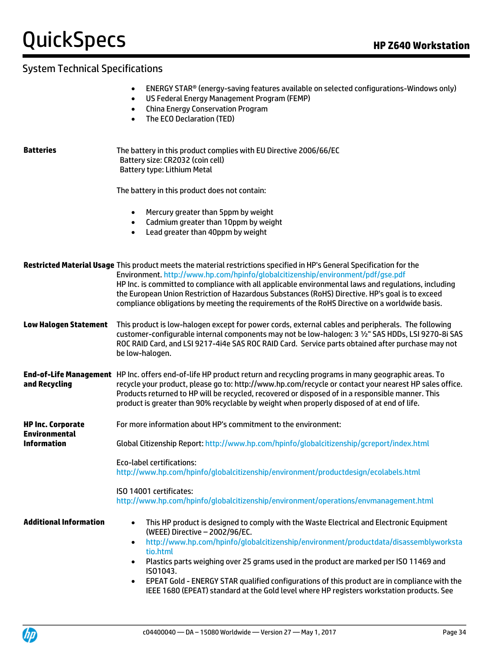### System Technical Specifications

- US Federal Energy Management Program (FEMP)
- China Energy Conservation Program
- The ECO Declaration (TED)

| <b>Batteries</b>                                 | The battery in this product complies with EU Directive 2006/66/EC<br>Battery size: CR2032 (coin cell)<br>Battery type: Lithium Metal                                                                                                                                                                                                                                                                                                                                                                                                                                                   |
|--------------------------------------------------|----------------------------------------------------------------------------------------------------------------------------------------------------------------------------------------------------------------------------------------------------------------------------------------------------------------------------------------------------------------------------------------------------------------------------------------------------------------------------------------------------------------------------------------------------------------------------------------|
|                                                  | The battery in this product does not contain:                                                                                                                                                                                                                                                                                                                                                                                                                                                                                                                                          |
|                                                  | Mercury greater than 5ppm by weight<br>Cadmium greater than 10ppm by weight<br>$\bullet$<br>Lead greater than 40ppm by weight<br>$\bullet$                                                                                                                                                                                                                                                                                                                                                                                                                                             |
|                                                  | Restricted Material Usage This product meets the material restrictions specified in HP's General Specification for the<br>Environment. http://www.hp.com/hpinfo/globalcitizenship/environment/pdf/gse.pdf<br>HP Inc. is committed to compliance with all applicable environmental laws and regulations, including<br>the European Union Restriction of Hazardous Substances (RoHS) Directive. HP's goal is to exceed<br>compliance obligations by meeting the requirements of the RoHS Directive on a worldwide basis.                                                                 |
| <b>Low Halogen Statement</b>                     | This product is low-halogen except for power cords, external cables and peripherals. The following<br>customer-configurable internal components may not be low-halogen: 3 1/2" SAS HDDs, LSI 9270-8i SAS<br>ROC RAID Card, and LSI 9217-4i4e SAS ROC RAID Card. Service parts obtained after purchase may not<br>be low-halogen.                                                                                                                                                                                                                                                       |
| and Recycling                                    | End-of-Life Management HP Inc. offers end-of-life HP product return and recycling programs in many geographic areas. To<br>recycle your product, please go to: http://www.hp.com/recycle or contact your nearest HP sales office.<br>Products returned to HP will be recycled, recovered or disposed of in a responsible manner. This<br>product is greater than 90% recyclable by weight when properly disposed of at end of life.                                                                                                                                                    |
| <b>HP Inc. Corporate</b><br><b>Environmental</b> | For more information about HP's commitment to the environment:                                                                                                                                                                                                                                                                                                                                                                                                                                                                                                                         |
| <b>Information</b>                               | Global Citizenship Report: http://www.hp.com/hpinfo/globalcitizenship/gcreport/index.html                                                                                                                                                                                                                                                                                                                                                                                                                                                                                              |
|                                                  | <b>Eco-label certifications:</b><br>http://www.hp.com/hpinfo/globalcitizenship/environment/productdesign/ecolabels.html                                                                                                                                                                                                                                                                                                                                                                                                                                                                |
|                                                  | ISO 14001 certificates:<br>http://www.hp.com/hpinfo/globalcitizenship/environment/operations/envmanagement.html                                                                                                                                                                                                                                                                                                                                                                                                                                                                        |
| <b>Additional Information</b>                    | This HP product is designed to comply with the Waste Electrical and Electronic Equipment<br>$\bullet$<br>(WEEE) Directive - 2002/96/EC.<br>http://www.hp.com/hpinfo/globalcitizenship/environment/productdata/disassemblyworksta<br>$\bullet$<br>tio.html<br>Plastics parts weighing over 25 grams used in the product are marked per ISO 11469 and<br>$\bullet$<br>ISO1043.<br>EPEAT Gold - ENERGY STAR qualified configurations of this product are in compliance with the<br>$\bullet$<br>IEEE 1680 (EPEAT) standard at the Gold level where HP registers workstation products. See |

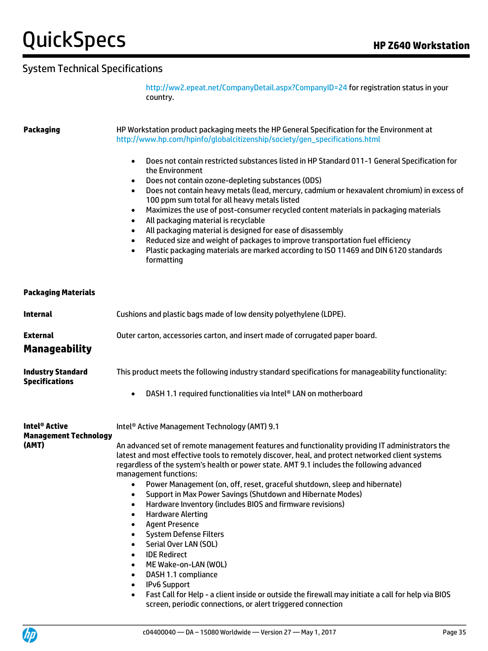### System Technical Specifications

<http://ww2.epeat.net/CompanyDetail.aspx?CompanyID=24> for registration status in your country.

**Packaging** HP Workstation product packaging meets the HP General Specification for the Environment at [http://www.hp.com/hpinfo/globalcitizenship/society/gen\\_specifications.html](http://www.hp.com/hpinfo/globalcitizenship/society/gen_specifications.html) Does not contain restricted substances listed in HP Standard 011-1 General Specification for the Environment Does not contain ozone-depleting substances (ODS) Does not contain heavy metals (lead, mercury, cadmium or hexavalent chromium) in excess of 100 ppm sum total for all heavy metals listed Maximizes the use of post-consumer recycled content materials in packaging materials All packaging material is recyclable All packaging material is designed for ease of disassembly Reduced size and weight of packages to improve transportation fuel efficiency Plastic packaging materials are marked according to ISO 11469 and DIN 6120 standards formatting **Packaging Materials Internal Example 2** Cushions and plastic bags made of low density polyethylene (LDPE). **External External** Outer carton, accessories carton, and insert made of corrugated paper board. **Manageability Industry Standard Specifications** This product meets the following industry standard specifications for manageability functionality: DASH 1.1 required functionalities via Intel® LAN on motherboard **Intel® Active Management Technology (AMT)** Intel® Active Management Technology (AMT) 9.1 An advanced set of remote management features and functionality providing IT administrators the latest and most effective tools to remotely discover, heal, and protect networked client systems regardless of the system's health or power state. AMT 9.1 includes the following advanced management functions: Power Management (on, off, reset, graceful shutdown, sleep and hibernate) Support in Max Power Savings (Shutdown and Hibernate Modes) Hardware Inventory (includes BIOS and firmware revisions) Hardware Alerting Agent Presence System Defense Filters Serial Over LAN (SOL) IDE Redirect ME Wake-on-LAN (WOL) DASH 1.1 compliance IPv6 Support Fast Call for Help - a client inside or outside the firewall may initiate a call for help via BIOS screen, periodic connections, or alert triggered connection

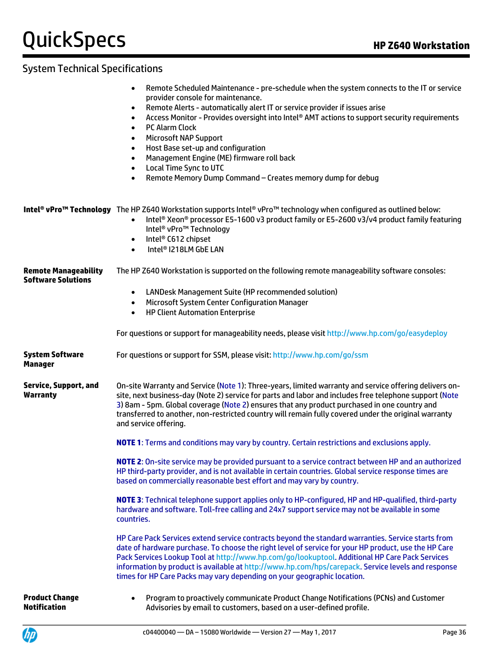### System Technical Specifications

|                                                          | Remote Scheduled Maintenance - pre-schedule when the system connects to the IT or service<br>provider console for maintenance.<br>Remote Alerts - automatically alert IT or service provider if issues arise<br>Access Monitor - Provides oversight into Intel® AMT actions to support security requirements<br><b>PC Alarm Clock</b><br>$\bullet$<br><b>Microsoft NAP Support</b><br>Host Base set-up and configuration<br>Management Engine (ME) firmware roll back<br><b>Local Time Sync to UTC</b><br>Remote Memory Dump Command - Creates memory dump for debug<br>$\bullet$ |
|----------------------------------------------------------|-----------------------------------------------------------------------------------------------------------------------------------------------------------------------------------------------------------------------------------------------------------------------------------------------------------------------------------------------------------------------------------------------------------------------------------------------------------------------------------------------------------------------------------------------------------------------------------|
|                                                          | <b>Intel® vPro™ Technology</b> The HP Z640 Workstation supports Intel® vPro™ technology when configured as outlined below:<br>Intel® Xeon® processor E5-1600 v3 product family or E5-2600 v3/v4 product family featuring<br>$\bullet$<br>Intel <sup>®</sup> vPro <sup>™</sup> Technology<br>Intel <sup>®</sup> C612 chipset<br>$\bullet$<br>Intel <sup>®</sup> I218LM GbE LAN<br>$\bullet$                                                                                                                                                                                        |
| <b>Remote Manageability</b><br><b>Software Solutions</b> | The HP Z640 Workstation is supported on the following remote manageability software consoles:<br>LANDesk Management Suite (HP recommended solution)<br>$\bullet$<br>Microsoft System Center Configuration Manager<br>$\bullet$<br><b>HP Client Automation Enterprise</b><br>$\bullet$<br>For questions or support for manageability needs, please visit http://www.hp.com/go/easydeploy                                                                                                                                                                                           |
| <b>System Software</b><br>Manager                        | For questions or support for SSM, please visit: http://www.hp.com/go/ssm                                                                                                                                                                                                                                                                                                                                                                                                                                                                                                          |
| <b>Service, Support, and</b><br><b>Warranty</b>          | On-site Warranty and Service (Note 1): Three-years, limited warranty and service offering delivers on-<br>site, next business-day (Note 2) service for parts and labor and includes free telephone support (Note<br>3) 8am - 5pm. Global coverage (Note 2) ensures that any product purchased in one country and<br>transferred to another, non-restricted country will remain fully covered under the original warranty<br>and service offering.                                                                                                                                 |
|                                                          | <b>NOTE 1:</b> Terms and conditions may vary by country. Certain restrictions and exclusions apply.                                                                                                                                                                                                                                                                                                                                                                                                                                                                               |
|                                                          | NOTE 2: On-site service may be provided pursuant to a service contract between HP and an authorized<br>HP third-party provider, and is not available in certain countries. Global service response times are<br>based on commercially reasonable best effort and may vary by country.                                                                                                                                                                                                                                                                                             |
|                                                          | NOTE 3: Technical telephone support applies only to HP-configured, HP and HP-qualified, third-party<br>hardware and software. Toll-free calling and 24x7 support service may not be available in some<br>countries.                                                                                                                                                                                                                                                                                                                                                               |
|                                                          | HP Care Pack Services extend service contracts beyond the standard warranties. Service starts from<br>date of hardware purchase. To choose the right level of service for your HP product, use the HP Care<br>Pack Services Lookup Tool at http://www.hp.com/go/lookuptool. Additional HP Care Pack Services<br>information by product is available at http://www.hp.com/hps/carepack. Service levels and response<br>times for HP Care Packs may vary depending on your geographic location.                                                                                     |
| <b>Product Change</b><br><b>Notification</b>             | Program to proactively communicate Product Change Notifications (PCNs) and Customer<br>Advisories by email to customers, based on a user-defined profile.                                                                                                                                                                                                                                                                                                                                                                                                                         |

Advisories by email to customers, based on a user-defined profile.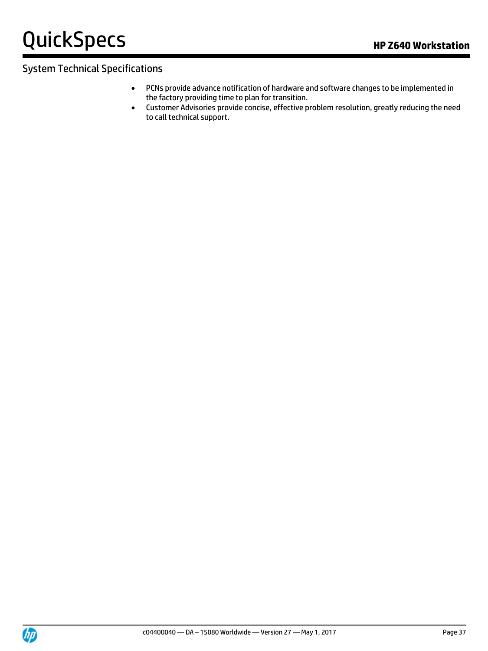# **QuickSpecs HP Z640 Workstation**

#### System Technical Specifications

- PCNs provide advance notification of hardware and software changes to be implemented in the factory providing time to plan for transition.
- Customer Advisories provide concise, effective problem resolution, greatly reducing the need to call technical support.

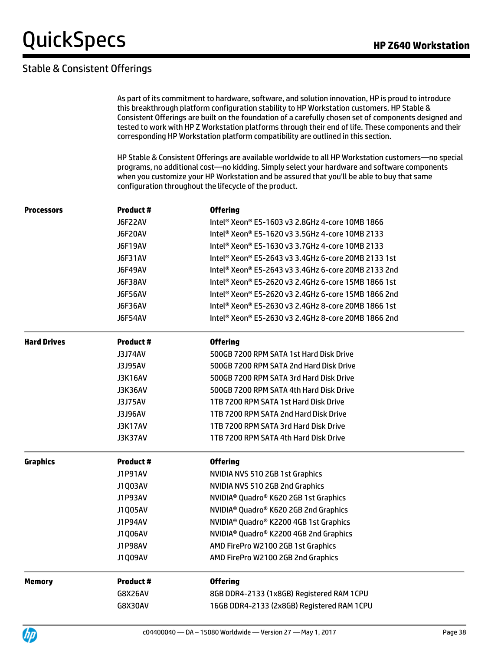#### Stable & Consistent Offerings

|                    | As part of its commitment to hardware, software, and solution innovation, HP is proud to introduce<br>this breakthrough platform configuration stability to HP Workstation customers. HP Stable &<br>Consistent Offerings are built on the foundation of a carefully chosen set of components designed and<br>tested to work with HP Z Workstation platforms through their end of life. These components and their<br>corresponding HP Workstation platform compatibility are outlined in this section. |                                                                                                                                                                                                                                                                                                                                                             |  |  |  |
|--------------------|---------------------------------------------------------------------------------------------------------------------------------------------------------------------------------------------------------------------------------------------------------------------------------------------------------------------------------------------------------------------------------------------------------------------------------------------------------------------------------------------------------|-------------------------------------------------------------------------------------------------------------------------------------------------------------------------------------------------------------------------------------------------------------------------------------------------------------------------------------------------------------|--|--|--|
|                    |                                                                                                                                                                                                                                                                                                                                                                                                                                                                                                         | HP Stable & Consistent Offerings are available worldwide to all HP Workstation customers—no special<br>programs, no additional cost-no kidding. Simply select your hardware and software components<br>when you customize your HP Workstation and be assured that you'll be able to buy that same<br>configuration throughout the lifecycle of the product. |  |  |  |
| <b>Processors</b>  | <b>Product #</b>                                                                                                                                                                                                                                                                                                                                                                                                                                                                                        | <b>Offering</b>                                                                                                                                                                                                                                                                                                                                             |  |  |  |
|                    | J6F22AV                                                                                                                                                                                                                                                                                                                                                                                                                                                                                                 | Intel® Xeon® E5-1603 v3 2.8GHz 4-core 10MB 1866                                                                                                                                                                                                                                                                                                             |  |  |  |
|                    | J6F20AV                                                                                                                                                                                                                                                                                                                                                                                                                                                                                                 | Intel <sup>®</sup> Xeon® E5-1620 v3 3.5GHz 4-core 10MB 2133                                                                                                                                                                                                                                                                                                 |  |  |  |
|                    | J6F19AV                                                                                                                                                                                                                                                                                                                                                                                                                                                                                                 | Intel <sup>®</sup> Xeon® E5-1630 v3 3.7GHz 4-core 10MB 2133                                                                                                                                                                                                                                                                                                 |  |  |  |
|                    | J6F31AV                                                                                                                                                                                                                                                                                                                                                                                                                                                                                                 | Intel <sup>®</sup> Xeon® E5-2643 v3 3.4GHz 6-core 20MB 2133 1st                                                                                                                                                                                                                                                                                             |  |  |  |
|                    | J6F49AV                                                                                                                                                                                                                                                                                                                                                                                                                                                                                                 | Intel <sup>®</sup> Xeon® E5-2643 v3 3.4GHz 6-core 20MB 2133 2nd                                                                                                                                                                                                                                                                                             |  |  |  |
|                    | J6F38AV                                                                                                                                                                                                                                                                                                                                                                                                                                                                                                 | Intel <sup>®</sup> Xeon <sup>®</sup> E5-2620 v3 2.4GHz 6-core 15MB 1866 1st                                                                                                                                                                                                                                                                                 |  |  |  |
|                    | <b>J6F56AV</b>                                                                                                                                                                                                                                                                                                                                                                                                                                                                                          | Intel <sup>®</sup> Xeon® E5-2620 v3 2.4GHz 6-core 15MB 1866 2nd                                                                                                                                                                                                                                                                                             |  |  |  |
|                    | J6F36AV                                                                                                                                                                                                                                                                                                                                                                                                                                                                                                 | Intel <sup>®</sup> Xeon® E5-2630 v3 2.4GHz 8-core 20MB 1866 1st                                                                                                                                                                                                                                                                                             |  |  |  |
|                    | J6F54AV                                                                                                                                                                                                                                                                                                                                                                                                                                                                                                 | Intel <sup>®</sup> Xeon® E5-2630 v3 2.4GHz 8-core 20MB 1866 2nd                                                                                                                                                                                                                                                                                             |  |  |  |
| <b>Hard Drives</b> | <b>Product #</b>                                                                                                                                                                                                                                                                                                                                                                                                                                                                                        | <b>Offering</b>                                                                                                                                                                                                                                                                                                                                             |  |  |  |
|                    | <b>J3J74AV</b>                                                                                                                                                                                                                                                                                                                                                                                                                                                                                          | 500GB 7200 RPM SATA 1st Hard Disk Drive                                                                                                                                                                                                                                                                                                                     |  |  |  |
|                    | <b>J3J95AV</b>                                                                                                                                                                                                                                                                                                                                                                                                                                                                                          | 500GB 7200 RPM SATA 2nd Hard Disk Drive                                                                                                                                                                                                                                                                                                                     |  |  |  |
|                    | <b>J3K16AV</b>                                                                                                                                                                                                                                                                                                                                                                                                                                                                                          | 500GB 7200 RPM SATA 3rd Hard Disk Drive                                                                                                                                                                                                                                                                                                                     |  |  |  |
|                    | J3K36AV                                                                                                                                                                                                                                                                                                                                                                                                                                                                                                 | 500GB 7200 RPM SATA 4th Hard Disk Drive                                                                                                                                                                                                                                                                                                                     |  |  |  |
|                    | <b>J3J75AV</b>                                                                                                                                                                                                                                                                                                                                                                                                                                                                                          | 1TB 7200 RPM SATA 1st Hard Disk Drive                                                                                                                                                                                                                                                                                                                       |  |  |  |
|                    | <b>J3J96AV</b>                                                                                                                                                                                                                                                                                                                                                                                                                                                                                          | 1TB 7200 RPM SATA 2nd Hard Disk Drive                                                                                                                                                                                                                                                                                                                       |  |  |  |
|                    | <b>J3K17AV</b>                                                                                                                                                                                                                                                                                                                                                                                                                                                                                          | 1TB 7200 RPM SATA 3rd Hard Disk Drive                                                                                                                                                                                                                                                                                                                       |  |  |  |
|                    | J3K37AV                                                                                                                                                                                                                                                                                                                                                                                                                                                                                                 | 1TB 7200 RPM SATA 4th Hard Disk Drive                                                                                                                                                                                                                                                                                                                       |  |  |  |
| Graphics           | Product #                                                                                                                                                                                                                                                                                                                                                                                                                                                                                               | <b>Offering</b>                                                                                                                                                                                                                                                                                                                                             |  |  |  |
|                    | <b>J1P91AV</b>                                                                                                                                                                                                                                                                                                                                                                                                                                                                                          | NVIDIA NVS 510 2GB 1st Graphics                                                                                                                                                                                                                                                                                                                             |  |  |  |
|                    | J1Q03AV                                                                                                                                                                                                                                                                                                                                                                                                                                                                                                 | NVIDIA NVS 510 2GB 2nd Graphics                                                                                                                                                                                                                                                                                                                             |  |  |  |
|                    | <b>J1P93AV</b>                                                                                                                                                                                                                                                                                                                                                                                                                                                                                          | NVIDIA <sup>®</sup> Quadro® K620 2GB 1st Graphics                                                                                                                                                                                                                                                                                                           |  |  |  |
|                    | <b>J1Q05AV</b>                                                                                                                                                                                                                                                                                                                                                                                                                                                                                          | NVIDIA <sup>®</sup> Quadro® K620 2GB 2nd Graphics                                                                                                                                                                                                                                                                                                           |  |  |  |
|                    | <b>J1P94AV</b>                                                                                                                                                                                                                                                                                                                                                                                                                                                                                          | NVIDIA <sup>®</sup> Quadro® K2200 4GB 1st Graphics                                                                                                                                                                                                                                                                                                          |  |  |  |
|                    | J1Q06AV                                                                                                                                                                                                                                                                                                                                                                                                                                                                                                 | NVIDIA <sup>®</sup> Quadro <sup>®</sup> K2200 4GB 2nd Graphics                                                                                                                                                                                                                                                                                              |  |  |  |
|                    | <b>J1P98AV</b>                                                                                                                                                                                                                                                                                                                                                                                                                                                                                          | AMD FirePro W2100 2GB 1st Graphics                                                                                                                                                                                                                                                                                                                          |  |  |  |
|                    | J1Q09AV                                                                                                                                                                                                                                                                                                                                                                                                                                                                                                 | AMD FirePro W2100 2GB 2nd Graphics                                                                                                                                                                                                                                                                                                                          |  |  |  |
| Memory             | <b>Product#</b>                                                                                                                                                                                                                                                                                                                                                                                                                                                                                         | <b>Offering</b>                                                                                                                                                                                                                                                                                                                                             |  |  |  |
|                    | G8X26AV                                                                                                                                                                                                                                                                                                                                                                                                                                                                                                 | 8GB DDR4-2133 (1x8GB) Registered RAM 1CPU                                                                                                                                                                                                                                                                                                                   |  |  |  |
|                    | <b>G8X30AV</b>                                                                                                                                                                                                                                                                                                                                                                                                                                                                                          | 16GB DDR4-2133 (2x8GB) Registered RAM 1CPU                                                                                                                                                                                                                                                                                                                  |  |  |  |

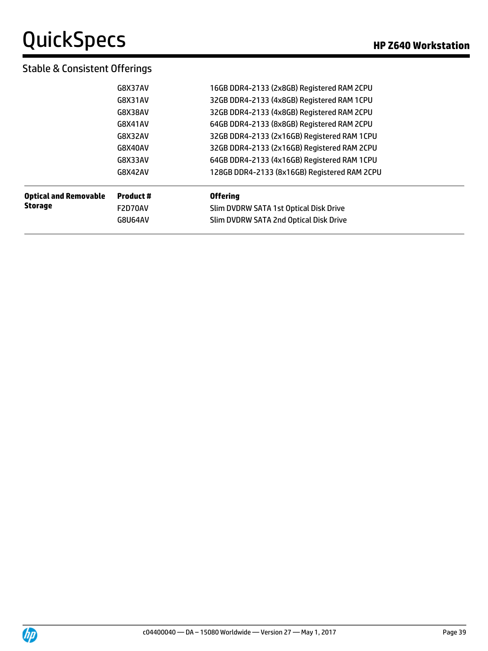#### Stable & Consistent Offerings

|                              | G8U64AV   | Slim DVDRW SATA 2nd Optical Disk Drive       |
|------------------------------|-----------|----------------------------------------------|
| <b>Storage</b>               | F2D70AV   | Slim DVDRW SATA 1st Optical Disk Drive       |
| <b>Optical and Removable</b> | Product # | <b>Offering</b>                              |
|                              | G8X42AV   | 128GB DDR4-2133 (8x16GB) Registered RAM 2CPU |
|                              | G8X33AV   | 64GB DDR4-2133 (4x16GB) Registered RAM 1CPU  |
|                              |           |                                              |
|                              | G8X40AV   | 32GB DDR4-2133 (2x16GB) Registered RAM 2CPU  |
|                              | G8X32AV   | 32GB DDR4-2133 (2x16GB) Registered RAM 1CPU  |
|                              | G8X41AV   | 64GB DDR4-2133 (8x8GB) Registered RAM 2CPU   |
|                              | G8X38AV   | 32GB DDR4-2133 (4x8GB) Registered RAM 2CPU   |
|                              | G8X31AV   | 32GB DDR4-2133 (4x8GB) Registered RAM 1CPU   |
|                              | G8X37AV   | 16GB DDR4-2133 (2x8GB) Registered RAM 2CPU   |
|                              |           |                                              |

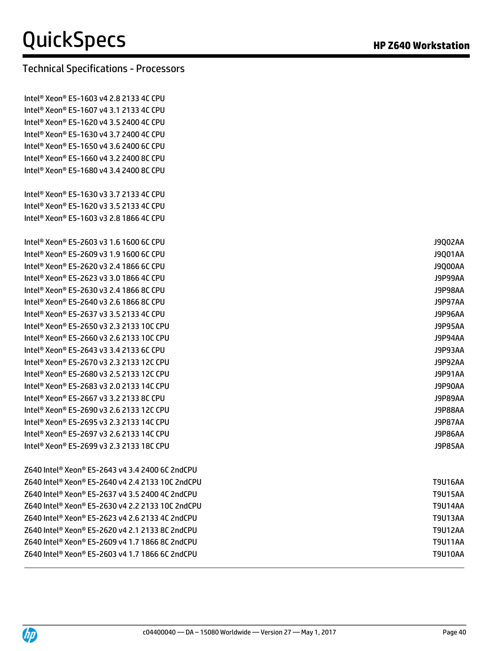#### Technical Specifications - Processors

Intel® Xeon® E5-1603 v4 2.8 2133 4C CPU Intel® Xeon® E5-1607 v4 3.1 2133 4C CPU Intel® Xeon® E5-1620 v4 3.5 2400 4C CPU Intel® Xeon® E5-1630 v4 3.7 2400 4C CPU Intel® Xeon® E5-1650 v4 3.6 2400 6C CPU Intel® Xeon® E5-1660 v4 3.2 2400 8C CPU Intel® Xeon® E5-1680 v4 3.4 2400 8C CPU

Intel® Xeon® E5-1630 v3 3.7 2133 4C CPU Intel® Xeon® E5-1620 v3 3.5 2133 4C CPU Intel® Xeon® E5-1603 v3 2.8 1866 4C CPU

Intel® Xeon® E5-2603 v3 1.6 1600 6C CPU J9Q02AA Intel® Xeon® E5-2609 v3 1.9 1600 6C CPU J9Q01AA Intel® Xeon® E5-2620 v3 2.4 1866 6C CPU J9Q00AA Intel® Xeon® E5-2623 v3 3.0 1866 4C CPU J9P99AA Intel® Xeon® E5-2630 v3 2.4 1866 8C CPU J9P98AA Intel® Xeon® E5-2640 v3 2.6 1866 8C CPU J9P97AA Intel® Xeon® E5-2637 v3 3.5 2133 4C CPU J9P96AA Intel® Xeon® E5-2650 v3 2.3 2133 10C CPU J9P95AA Intel® Xeon® E5-2660 v3 2.6 2133 10C CPU J9P94AA Intel® Xeon® E5-2643 v3 3.4 2133 6C CPU J9P93AA Intel® Xeon® E5-2670 v3 2.3 2133 12C CPU J9P92AA Intel® Xeon® E5-2680 v3 2.5 2133 12C CPU J9P91AA Intel® Xeon® E5-2683 v3 2.0 2133 14C CPU J9P90AA Intel® Xeon® E5-2667 v3 3.2 2133 8C CPU J9P89AA Intel® Xeon® E5-2690 v3 2.6 2133 12C CPU J9P88AA Intel® Xeon® E5-2695 v3 2.3 2133 14C CPU J9P87AA Intel® Xeon® E5-2697 v3 2.6 2133 14C CPU J9P86AA Intel® Xeon® E5-2699 v3 2.3 2133 18C CPU J9P85AA

Z640 Intel® Xeon® E5-2643 v4 3.4 2400 6C 2ndCPU Z640 Intel® Xeon® E5-2640 v4 2.4 2133 10C 2ndCPU T9U16AA Z640 Intel® Xeon® E5-2637 v4 3.5 2400 4C 2ndCPU T9U15AA Z640 Intel® Xeon® E5-2630 v4 2.2 2133 10C 2ndCPU T9U14AA Z640 Intel® Xeon® E5-2623 v4 2.6 2133 4C 2ndCPU T9U13AA Z640 Intel® Xeon® E5-2620 v4 2.1 2133 8C 2ndCPU T9U12AA Z640 Intel® Xeon® E5-2609 v4 1.7 1866 8C 2ndCPU T9U11AA Z640 Intel® Xeon® E5-2603 v4 1.7 1866 6C 2ndCPU T9U10AA

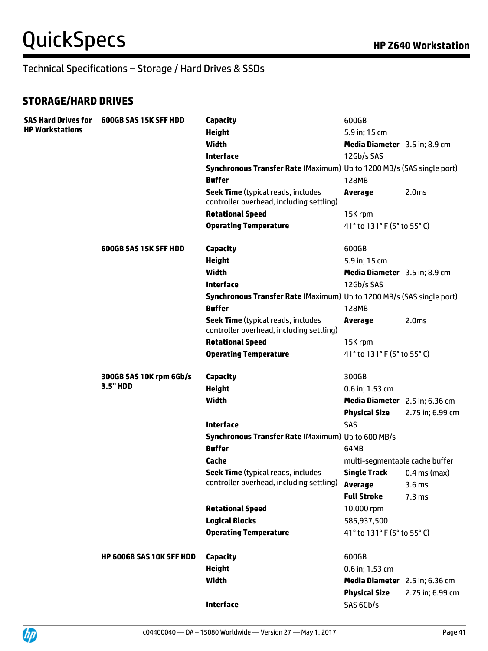#### **STORAGE/HARD DRIVES**

| <b>SAS Hard Drives for</b> | 600GB SAS 15K SFF HDD           | <b>Capacity</b>                                                                       | 600GB                          |                   |
|----------------------------|---------------------------------|---------------------------------------------------------------------------------------|--------------------------------|-------------------|
| <b>HP Workstations</b>     |                                 | <b>Height</b>                                                                         | 5.9 in; 15 cm                  |                   |
|                            |                                 | <b>Width</b>                                                                          | Media Diameter 3.5 in; 8.9 cm  |                   |
|                            |                                 | <b>Interface</b>                                                                      | 12Gb/s SAS                     |                   |
|                            |                                 | Synchronous Transfer Rate (Maximum) Up to 1200 MB/s (SAS single port)                 |                                |                   |
|                            |                                 | <b>Buffer</b>                                                                         | <b>128MB</b>                   |                   |
|                            |                                 | <b>Seek Time (typical reads, includes</b><br>controller overhead, including settling) | <b>Average</b>                 | 2.0 <sub>ms</sub> |
|                            |                                 | <b>Rotational Speed</b>                                                               | 15K rpm                        |                   |
|                            |                                 | <b>Operating Temperature</b>                                                          | 41° to 131° F (5° to 55° C)    |                   |
|                            | <b>600GB SAS 15K SFF HDD</b>    | <b>Capacity</b>                                                                       | 600GB                          |                   |
|                            |                                 | <b>Height</b>                                                                         | 5.9 in; 15 cm                  |                   |
|                            |                                 | <b>Width</b>                                                                          | Media Diameter 3.5 in; 8.9 cm  |                   |
|                            |                                 | <b>Interface</b>                                                                      | 12Gb/s SAS                     |                   |
|                            |                                 | Synchronous Transfer Rate (Maximum) Up to 1200 MB/s (SAS single port)                 |                                |                   |
|                            |                                 | <b>Buffer</b>                                                                         | <b>128MB</b>                   |                   |
|                            |                                 | <b>Seek Time (typical reads, includes</b><br>controller overhead, including settling) | <b>Average</b>                 | 2.0 <sub>ms</sub> |
|                            |                                 | <b>Rotational Speed</b>                                                               | 15K rpm                        |                   |
|                            |                                 | <b>Operating Temperature</b>                                                          | 41° to 131° F (5° to 55° C)    |                   |
|                            | 300GB SAS 10K rpm 6Gb/s         | Capacity                                                                              | 300GB                          |                   |
|                            | 3.5" HDD                        | <b>Height</b>                                                                         | 0.6 in; 1.53 cm                |                   |
|                            |                                 | <b>Width</b>                                                                          | Media Diameter 2.5 in; 6.36 cm |                   |
|                            |                                 |                                                                                       | <b>Physical Size</b>           | 2.75 in; 6.99 cm  |
|                            |                                 | Interface                                                                             | SAS                            |                   |
|                            |                                 | Synchronous Transfer Rate (Maximum) Up to 600 MB/s                                    |                                |                   |
|                            |                                 | <b>Buffer</b>                                                                         | 64MB                           |                   |
|                            |                                 | Cache                                                                                 | multi-segmentable cache buffer |                   |
|                            |                                 | <b>Seek Time (typical reads, includes</b>                                             | <b>Single Track</b>            | $0.4$ ms (max)    |
|                            |                                 | controller overhead, including settling)                                              | Average                        | 3.6 <sub>ms</sub> |
|                            |                                 |                                                                                       | <b>Full Stroke</b>             | $7.3 \text{ ms}$  |
|                            |                                 | <b>Rotational Speed</b>                                                               | 10,000 rpm                     |                   |
|                            |                                 | <b>Logical Blocks</b>                                                                 | 585,937,500                    |                   |
|                            |                                 | <b>Operating Temperature</b>                                                          | 41° to 131° F (5° to 55° C)    |                   |
|                            | <b>HP 600GB SAS 10K SFF HDD</b> | <b>Capacity</b>                                                                       | 600GB                          |                   |
|                            |                                 | <b>Height</b>                                                                         | 0.6 in; 1.53 cm                |                   |
|                            |                                 | <b>Width</b>                                                                          | Media Diameter 2.5 in; 6.36 cm |                   |
|                            |                                 |                                                                                       | <b>Physical Size</b>           | 2.75 in; 6.99 cm  |
|                            |                                 | <b>Interface</b>                                                                      | SAS 6Gb/s                      |                   |

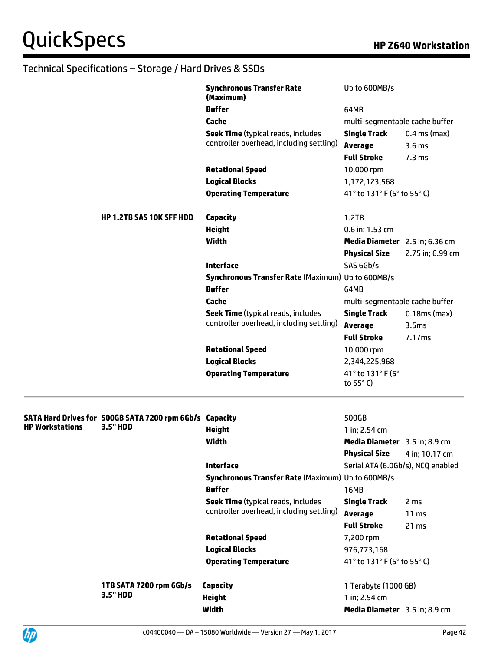|                        |                                                         | <b>Synchronous Transfer Rate</b><br>(Maximum)            | Up to 600MB/s                     |                   |
|------------------------|---------------------------------------------------------|----------------------------------------------------------|-----------------------------------|-------------------|
|                        |                                                         | <b>Buffer</b>                                            | 64MB                              |                   |
|                        |                                                         | Cache                                                    | multi-segmentable cache buffer    |                   |
|                        |                                                         | <b>Seek Time (typical reads, includes</b>                | <b>Single Track</b>               | $0.4$ ms (max)    |
|                        |                                                         | controller overhead, including settling)                 | <b>Average</b>                    | 3.6 <sub>ms</sub> |
|                        |                                                         |                                                          | <b>Full Stroke</b>                | 7.3 <sub>ms</sub> |
|                        |                                                         | <b>Rotational Speed</b>                                  | 10,000 rpm                        |                   |
|                        |                                                         | <b>Logical Blocks</b>                                    | 1,172,123,568                     |                   |
|                        |                                                         | <b>Operating Temperature</b>                             | 41° to 131° F (5° to 55° C)       |                   |
|                        | <b>HP 1.2TB SAS 10K SFF HDD</b>                         | <b>Capacity</b>                                          | 1.2TB                             |                   |
|                        |                                                         | <b>Height</b>                                            | 0.6 in; 1.53 cm                   |                   |
|                        |                                                         | <b>Width</b>                                             | Media Diameter 2.5 in; 6.36 cm    |                   |
|                        |                                                         |                                                          | <b>Physical Size</b>              | 2.75 in; 6.99 cm  |
|                        |                                                         | <b>Interface</b>                                         | SAS 6Gb/s                         |                   |
|                        |                                                         | <b>Synchronous Transfer Rate (Maximum) Up to 600MB/s</b> |                                   |                   |
|                        |                                                         | <b>Buffer</b>                                            | 64MB                              |                   |
|                        |                                                         | Cache                                                    | multi-segmentable cache buffer    |                   |
|                        |                                                         | <b>Seek Time (typical reads, includes</b>                | <b>Single Track</b>               | $0.18ms$ (max)    |
|                        |                                                         | controller overhead, including settling)                 | <b>Average</b>                    | 3.5 <sub>ms</sub> |
|                        |                                                         |                                                          | <b>Full Stroke</b>                | 7.17ms            |
|                        |                                                         | <b>Rotational Speed</b>                                  | 10,000 rpm                        |                   |
|                        |                                                         | <b>Logical Blocks</b>                                    | 2,344,225,968                     |                   |
|                        |                                                         | <b>Operating Temperature</b>                             | 41° to 131° F (5°                 |                   |
|                        |                                                         |                                                          | to 55 $\degree$ C)                |                   |
|                        | SATA Hard Drives for 500GB SATA 7200 rpm 6Gb/s Capacity |                                                          | 500GB                             |                   |
| <b>HP Workstations</b> | 3.5" HDD                                                | <b>Height</b>                                            | 1 in; 2.54 cm                     |                   |
|                        |                                                         | <b>Width</b>                                             | Media Diameter 3.5 in; 8.9 cm     |                   |
|                        |                                                         |                                                          | <b>Physical Size</b>              | 4 in; 10.17 cm    |
|                        |                                                         | <b>Interface</b>                                         | Serial ATA (6.0Gb/s), NCQ enabled |                   |
|                        |                                                         | <b>Synchronous Transfer Rate (Maximum) Up to 600MB/s</b> |                                   |                   |
|                        |                                                         | <b>Buffer</b>                                            | <b>16MB</b>                       |                   |
|                        |                                                         | <b>Seek Time (typical reads, includes</b>                | <b>Single Track</b>               | 2 ms              |
|                        |                                                         | controller overhead, including settling)                 | <b>Average</b>                    | 11 ms             |
|                        |                                                         |                                                          | <b>Full Stroke</b>                | 21 ms             |
|                        |                                                         | <b>Rotational Speed</b>                                  | 7,200 rpm                         |                   |
|                        |                                                         | <b>Logical Blocks</b>                                    | 976,773,168                       |                   |
|                        |                                                         | <b>Operating Temperature</b>                             | 41° to 131° F (5° to 55° C)       |                   |
|                        |                                                         |                                                          |                                   |                   |
|                        | 1TB SATA 7200 rpm 6Gb/s                                 | <b>Capacity</b>                                          | 1 Terabyte (1000 GB)              |                   |
|                        | 3.5" HDD                                                | <b>Height</b>                                            | 1 in; 2.54 cm                     |                   |
|                        |                                                         | Width                                                    | Media Diameter 3.5 in; 8.9 cm     |                   |
|                        |                                                         |                                                          |                                   |                   |



 $\overline{\phantom{a}}$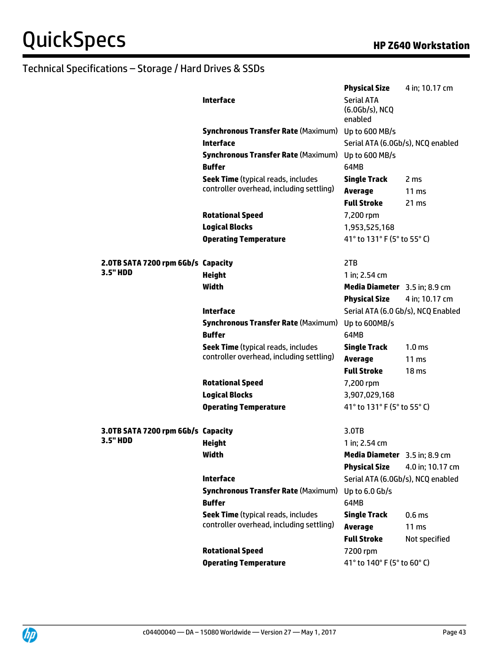|                                                | <b>Interface</b><br><b>Synchronous Transfer Rate (Maximum)</b> Up to 600 MB/s | <b>Physical Size</b><br><b>Serial ATA</b><br>(6.0Gb/s), NCQ<br>enabled | 4 in; 10.17 cm                        |
|------------------------------------------------|-------------------------------------------------------------------------------|------------------------------------------------------------------------|---------------------------------------|
|                                                | <b>Interface</b>                                                              | Serial ATA (6.0Gb/s), NCQ enabled                                      |                                       |
|                                                | <b>Synchronous Transfer Rate (Maximum)</b>                                    | Up to 600 MB/s                                                         |                                       |
|                                                | <b>Buffer</b>                                                                 | 64MB                                                                   |                                       |
|                                                | <b>Seek Time (typical reads, includes</b>                                     | <b>Single Track</b>                                                    | 2 ms                                  |
|                                                | controller overhead, including settling)                                      | <b>Average</b>                                                         | 11 <sub>ms</sub>                      |
|                                                |                                                                               | <b>Full Stroke</b>                                                     | 21 ms                                 |
|                                                | <b>Rotational Speed</b>                                                       | 7,200 rpm                                                              |                                       |
|                                                | <b>Logical Blocks</b>                                                         | 1,953,525,168                                                          |                                       |
|                                                | <b>Operating Temperature</b>                                                  | 41° to 131° F (5° to 55° C)                                            |                                       |
|                                                |                                                                               |                                                                        |                                       |
| 2.0TB SATA 7200 rpm 6Gb/s Capacity             |                                                                               | 2TB                                                                    |                                       |
| 3.5" HDD                                       | <b>Height</b>                                                                 | 1 in; 2.54 cm                                                          |                                       |
|                                                | Width                                                                         | Media Diameter 3.5 in; 8.9 cm                                          |                                       |
|                                                |                                                                               | <b>Physical Size</b>                                                   | 4 in; 10.17 cm                        |
|                                                | <b>Interface</b>                                                              | Serial ATA (6.0 Gb/s), NCQ Enabled                                     |                                       |
|                                                | <b>Synchronous Transfer Rate (Maximum)</b>                                    | Up to 600MB/s                                                          |                                       |
|                                                | <b>Buffer</b>                                                                 | 64MB                                                                   |                                       |
|                                                | <b>Seek Time (typical reads, includes</b>                                     | <b>Single Track</b>                                                    | 1.0 <sub>ms</sub>                     |
|                                                | controller overhead, including settling)                                      | <b>Average</b>                                                         | 11 <sub>ms</sub>                      |
|                                                |                                                                               | <b>Full Stroke</b>                                                     | 18 <sub>ms</sub>                      |
|                                                | <b>Rotational Speed</b>                                                       | 7,200 rpm                                                              |                                       |
|                                                | <b>Logical Blocks</b>                                                         | 3,907,029,168                                                          |                                       |
|                                                | <b>Operating Temperature</b>                                                  | 41° to 131° F (5° to 55° C)                                            |                                       |
|                                                |                                                                               |                                                                        |                                       |
| 3.0TB SATA 7200 rpm 6Gb/s Capacity<br>3.5" HDD |                                                                               | 3.0TB                                                                  |                                       |
|                                                | <b>Height</b>                                                                 | 1 in; 2.54 cm                                                          |                                       |
|                                                | Width                                                                         | Media Diameter 3.5 in; 8.9 cm                                          |                                       |
|                                                |                                                                               | <b>Physical Size</b>                                                   | 4.0 in; 10.17 cm                      |
|                                                | <b>Interface</b>                                                              | Serial ATA (6.0Gb/s), NCQ enabled                                      |                                       |
|                                                | <b>Synchronous Transfer Rate (Maximum)</b><br><b>Buffer</b>                   | Up to 6.0 Gb/s<br>64MB                                                 |                                       |
|                                                | <b>Seek Time (typical reads, includes</b>                                     | <b>Single Track</b>                                                    |                                       |
|                                                | controller overhead, including settling)                                      | <b>Average</b>                                                         | 0.6 <sub>ms</sub><br>11 <sub>ms</sub> |
|                                                |                                                                               | <b>Full Stroke</b>                                                     | Not specified                         |
|                                                | <b>Rotational Speed</b>                                                       | 7200 rpm                                                               |                                       |
|                                                | <b>Operating Temperature</b>                                                  | 41° to 140° F (5° to 60° C)                                            |                                       |
|                                                |                                                                               |                                                                        |                                       |

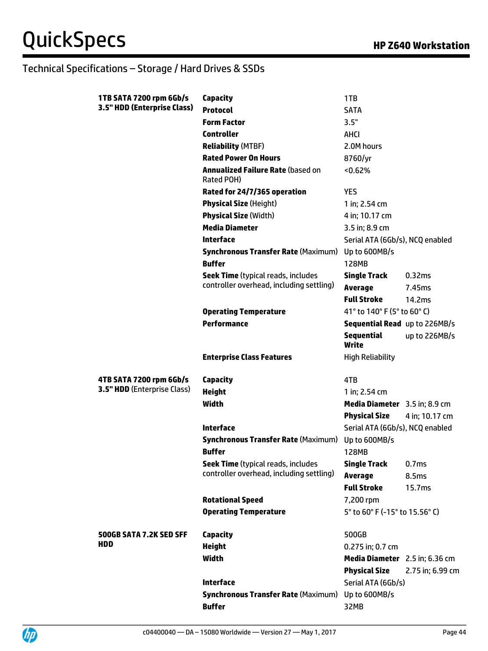| 1TB SATA 7200 rpm 6Gb/s     | <b>Capacity</b>                                             | 1TB                             |                   |
|-----------------------------|-------------------------------------------------------------|---------------------------------|-------------------|
| 3.5" HDD (Enterprise Class) | <b>Protocol</b>                                             | <b>SATA</b>                     |                   |
|                             | <b>Form Factor</b>                                          | 3.5"                            |                   |
|                             | <b>Controller</b>                                           | AHCI                            |                   |
|                             | <b>Reliability (MTBF)</b>                                   | 2.0M hours                      |                   |
|                             | <b>Rated Power On Hours</b>                                 | 8760/yr                         |                   |
|                             | <b>Annualized Failure Rate (based on</b><br>Rated POH)      | < 0.62%                         |                   |
|                             | Rated for 24/7/365 operation                                | <b>YES</b>                      |                   |
|                             | <b>Physical Size (Height)</b>                               | 1 in; 2.54 cm                   |                   |
|                             | <b>Physical Size (Width)</b>                                | 4 in; 10.17 cm                  |                   |
|                             | <b>Media Diameter</b>                                       | 3.5 in; 8.9 cm                  |                   |
|                             | <b>Interface</b>                                            | Serial ATA (6Gb/s), NCQ enabled |                   |
|                             | <b>Synchronous Transfer Rate (Maximum)</b>                  | Up to 600MB/s                   |                   |
|                             | <b>Buffer</b>                                               | <b>128MB</b>                    |                   |
|                             | <b>Seek Time (typical reads, includes</b>                   | <b>Single Track</b>             | 0.32ms            |
|                             | controller overhead, including settling)                    | <b>Average</b>                  | 7.45ms            |
|                             |                                                             | <b>Full Stroke</b>              | 14.2ms            |
|                             | <b>Operating Temperature</b>                                | 41° to 140° F (5° to 60° C)     |                   |
|                             | <b>Performance</b>                                          | Sequential Read up to 226MB/s   |                   |
|                             |                                                             | <b>Sequential</b><br>Write      | up to 226MB/s     |
|                             |                                                             |                                 |                   |
|                             | <b>Enterprise Class Features</b>                            | <b>High Reliability</b>         |                   |
| 4TB SATA 7200 rpm 6Gb/s     | Capacity                                                    | 4TB                             |                   |
| 3.5" HDD (Enterprise Class) | <b>Height</b>                                               | 1 in; 2.54 cm                   |                   |
|                             | Width                                                       | Media Diameter 3.5 in; 8.9 cm   |                   |
|                             |                                                             | <b>Physical Size</b>            | 4 in; 10.17 cm    |
|                             | <b>Interface</b>                                            | Serial ATA (6Gb/s), NCQ enabled |                   |
|                             | <b>Synchronous Transfer Rate (Maximum)</b>                  | Up to 600MB/s                   |                   |
|                             | <b>Buffer</b>                                               | 128MB                           |                   |
|                             | <b>Seek Time (typical reads, includes</b>                   | <b>Single Track</b>             | 0.7 <sub>ms</sub> |
|                             | controller overhead, including settling)                    | <b>Average</b>                  | 8.5ms             |
|                             |                                                             | <b>Full Stroke</b>              | 15.7ms            |
|                             | <b>Rotational Speed</b>                                     | 7,200 rpm                       |                   |
|                             | <b>Operating Temperature</b>                                | 5° to 60° F (-15° to 15.56° C)  |                   |
| 500GB SATA 7.2K SED SFF     | Capacity                                                    | 500GB                           |                   |
| <b>HDD</b>                  | <b>Height</b>                                               | 0.275 in; 0.7 cm                |                   |
|                             | <b>Width</b>                                                | Media Diameter 2.5 in; 6.36 cm  |                   |
|                             |                                                             | <b>Physical Size</b>            | 2.75 in; 6.99 cm  |
|                             | <b>Interface</b>                                            | Serial ATA (6Gb/s)              |                   |
|                             | <b>Synchronous Transfer Rate (Maximum)</b><br><b>Buffer</b> | Up to 600MB/s<br>32MB           |                   |

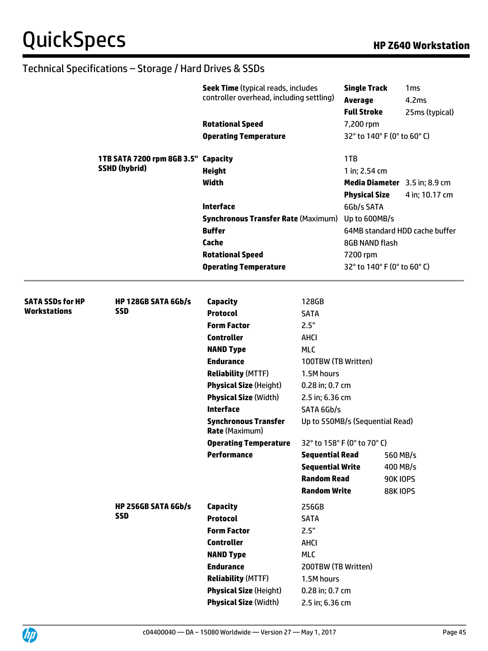|                                                | 1TB SATA 7200 rpm 8GB 3.5" Capacity      | <b>Seek Time (typical reads, includes</b><br>controller overhead, including settling)<br><b>Rotational Speed</b><br><b>Operating Temperature</b> |                               | <b>Single Track</b><br>1 <sub>ms</sub><br>4.2ms<br><b>Average</b><br><b>Full Stroke</b><br>25ms (typical)<br>7,200 rpm<br>32° to 140° F (0° to 60° C) |                                |
|------------------------------------------------|------------------------------------------|--------------------------------------------------------------------------------------------------------------------------------------------------|-------------------------------|-------------------------------------------------------------------------------------------------------------------------------------------------------|--------------------------------|
|                                                |                                          |                                                                                                                                                  |                               | 1TB                                                                                                                                                   |                                |
|                                                | <b>SSHD (hybrid)</b>                     | <b>Height</b>                                                                                                                                    |                               | 1 in; 2.54 cm                                                                                                                                         |                                |
|                                                |                                          | <b>Width</b>                                                                                                                                     |                               |                                                                                                                                                       | Media Diameter 3.5 in; 8.9 cm  |
|                                                |                                          |                                                                                                                                                  |                               | <b>Physical Size</b>                                                                                                                                  | 4 in; 10.17 cm                 |
|                                                |                                          | <b>Interface</b>                                                                                                                                 |                               | 6Gb/s SATA                                                                                                                                            |                                |
|                                                |                                          | <b>Synchronous Transfer Rate (Maximum)</b>                                                                                                       |                               | Up to 600MB/s                                                                                                                                         |                                |
|                                                |                                          | <b>Buffer</b>                                                                                                                                    |                               |                                                                                                                                                       | 64MB standard HDD cache buffer |
|                                                |                                          | <b>Cache</b>                                                                                                                                     |                               | 8GB NAND flash                                                                                                                                        |                                |
|                                                |                                          | <b>Rotational Speed</b>                                                                                                                          |                               | 7200 rpm                                                                                                                                              |                                |
|                                                |                                          | <b>Operating Temperature</b>                                                                                                                     |                               |                                                                                                                                                       | 32° to 140° F (0° to 60° C)    |
|                                                |                                          |                                                                                                                                                  |                               |                                                                                                                                                       |                                |
| <b>SATA SSDs for HP</b><br><b>Workstations</b> | <b>HP 128GB SATA 6Gb/s</b><br><b>SSD</b> | <b>Capacity</b>                                                                                                                                  | 128GB                         |                                                                                                                                                       |                                |
|                                                |                                          | <b>Protocol</b>                                                                                                                                  | <b>SATA</b>                   |                                                                                                                                                       |                                |
|                                                |                                          | <b>Form Factor</b>                                                                                                                               | 2.5"                          |                                                                                                                                                       |                                |
|                                                |                                          | <b>Controller</b>                                                                                                                                | AHCI                          |                                                                                                                                                       |                                |
|                                                |                                          | <b>NAND Type</b>                                                                                                                                 | <b>MLC</b>                    |                                                                                                                                                       |                                |
|                                                |                                          | <b>Endurance</b>                                                                                                                                 | 100TBW (TB Written)           |                                                                                                                                                       |                                |
|                                                |                                          | <b>Reliability (MTTF)</b>                                                                                                                        | 1.5M hours                    |                                                                                                                                                       |                                |
|                                                |                                          | <b>Physical Size (Height)</b>                                                                                                                    | 0.28 in; 0.7 cm               |                                                                                                                                                       |                                |
|                                                |                                          | <b>Physical Size (Width)</b><br><b>Interface</b>                                                                                                 | 2.5 in; 6.36 cm<br>SATA 6Gb/s |                                                                                                                                                       |                                |
|                                                |                                          | <b>Synchronous Transfer</b><br><b>Rate (Maximum)</b>                                                                                             |                               | Up to 550MB/s (Sequential Read)                                                                                                                       |                                |
|                                                |                                          | <b>Operating Temperature</b>                                                                                                                     |                               | 32° to 158° F (0° to 70° C)                                                                                                                           |                                |
|                                                |                                          | <b>Performance</b>                                                                                                                               | <b>Sequential Read</b>        |                                                                                                                                                       | 560 MB/s                       |
|                                                |                                          |                                                                                                                                                  | <b>Sequential Write</b>       |                                                                                                                                                       | 400 MB/s                       |
|                                                |                                          |                                                                                                                                                  | <b>Random Read</b>            |                                                                                                                                                       | <b>90K IOPS</b>                |
|                                                |                                          |                                                                                                                                                  | <b>Random Write</b>           |                                                                                                                                                       | <b>88K IOPS</b>                |
|                                                | HP 256GB SATA 6Gb/s                      | <b>Capacity</b>                                                                                                                                  | 256GB                         |                                                                                                                                                       |                                |
|                                                | <b>SSD</b>                               | <b>Protocol</b>                                                                                                                                  | <b>SATA</b>                   |                                                                                                                                                       |                                |
|                                                |                                          | <b>Form Factor</b>                                                                                                                               | 2.5"                          |                                                                                                                                                       |                                |
|                                                |                                          | <b>Controller</b>                                                                                                                                | <b>AHCI</b>                   |                                                                                                                                                       |                                |
|                                                |                                          | <b>NAND Type</b>                                                                                                                                 | <b>MLC</b>                    |                                                                                                                                                       |                                |
|                                                |                                          | <b>Endurance</b>                                                                                                                                 | 200TBW (TB Written)           |                                                                                                                                                       |                                |
|                                                |                                          | <b>Reliability (MTTF)</b>                                                                                                                        | 1.5M hours                    |                                                                                                                                                       |                                |
|                                                |                                          | <b>Physical Size (Height)</b>                                                                                                                    | 0.28 in; 0.7 cm               |                                                                                                                                                       |                                |
|                                                |                                          | <b>Physical Size (Width)</b>                                                                                                                     | 2.5 in; 6.36 cm               |                                                                                                                                                       |                                |

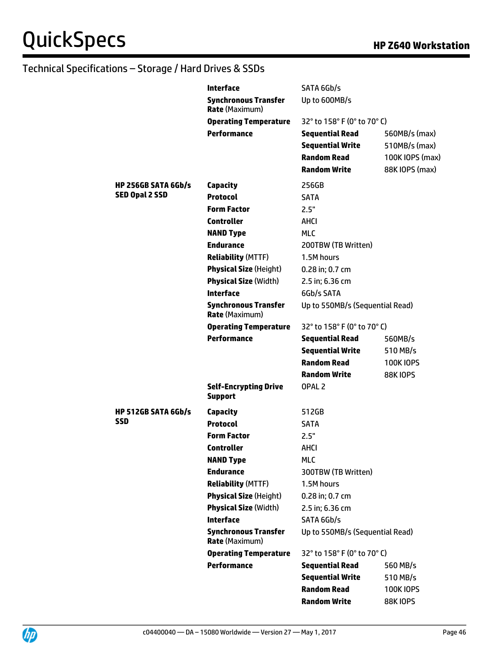|                            | Interface                                            | SATA 6Gb/s                      |                  |
|----------------------------|------------------------------------------------------|---------------------------------|------------------|
|                            | <b>Synchronous Transfer</b><br><b>Rate (Maximum)</b> | Up to 600MB/s                   |                  |
|                            | <b>Operating Temperature</b>                         | 32° to 158° F (0° to 70° C)     |                  |
|                            | Performance                                          | <b>Sequential Read</b>          | 560MB/s (max)    |
|                            |                                                      | <b>Sequential Write</b>         | 510MB/s (max)    |
|                            |                                                      | <b>Random Read</b>              | 100K IOPS (max)  |
|                            |                                                      | <b>Random Write</b>             | 88K IOPS (max)   |
| <b>HP 256GB SATA 6Gb/s</b> | <b>Capacity</b>                                      | 256GB                           |                  |
| <b>SED Opal 2 SSD</b>      | <b>Protocol</b>                                      | <b>SATA</b>                     |                  |
|                            | <b>Form Factor</b>                                   | 2.5"                            |                  |
|                            | <b>Controller</b>                                    | AHCI                            |                  |
|                            | <b>NAND Type</b>                                     | <b>MLC</b>                      |                  |
|                            | <b>Endurance</b>                                     | 200TBW (TB Written)             |                  |
|                            | <b>Reliability (MTTF)</b>                            | 1.5M hours                      |                  |
|                            | <b>Physical Size (Height)</b>                        | 0.28 in; 0.7 cm                 |                  |
|                            | <b>Physical Size (Width)</b>                         | 2.5 in; 6.36 cm                 |                  |
|                            | <b>Interface</b>                                     | 6Gb/s SATA                      |                  |
|                            | <b>Synchronous Transfer</b><br><b>Rate (Maximum)</b> | Up to 550MB/s (Sequential Read) |                  |
|                            | <b>Operating Temperature</b>                         | 32° to 158° F (0° to 70° C)     |                  |
|                            | <b>Performance</b>                                   | <b>Sequential Read</b>          | 560MB/s          |
|                            |                                                      | <b>Sequential Write</b>         | 510 MB/s         |
|                            |                                                      | <b>Random Read</b>              | <b>100KIOPS</b>  |
|                            |                                                      | <b>Random Write</b>             | <b>88K10PS</b>   |
|                            | <b>Self-Encrypting Drive</b><br><b>Support</b>       | OPAL <sub>2</sub>               |                  |
| <b>HP 512GB SATA 6Gb/s</b> | Capacity                                             | 512GB                           |                  |
| <b>SSD</b>                 | <b>Protocol</b>                                      | <b>SATA</b>                     |                  |
|                            | <b>Form Factor</b>                                   | 2.5"                            |                  |
|                            | Controller                                           | <b>AHCI</b>                     |                  |
|                            | <b>NAND Type</b>                                     | <b>MLC</b>                      |                  |
|                            | <b>Endurance</b>                                     | 300TBW (TB Written)             |                  |
|                            | <b>Reliability (MTTF)</b>                            | 1.5M hours                      |                  |
|                            | <b>Physical Size (Height)</b>                        | 0.28 in; 0.7 cm                 |                  |
|                            | <b>Physical Size (Width)</b>                         | 2.5 in; 6.36 cm                 |                  |
|                            | <b>Interface</b>                                     | SATA 6Gb/s                      |                  |
|                            | <b>Synchronous Transfer</b><br><b>Rate (Maximum)</b> | Up to 550MB/s (Sequential Read) |                  |
|                            | <b>Operating Temperature</b>                         | 32° to 158° F (0° to 70° C)     |                  |
|                            | <b>Performance</b>                                   | <b>Sequential Read</b>          | 560 MB/s         |
|                            |                                                      | <b>Sequential Write</b>         | 510 MB/s         |
|                            |                                                      | <b>Random Read</b>              | <b>100K IOPS</b> |
|                            |                                                      | <b>Random Write</b>             | <b>88K10PS</b>   |
|                            |                                                      |                                 |                  |

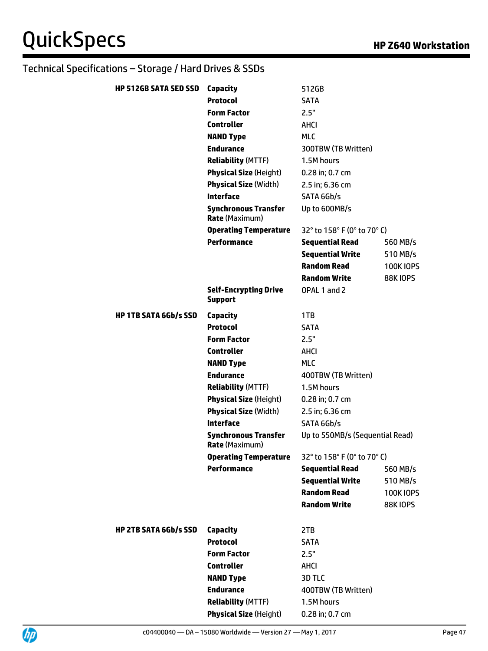| <b>HP 512GB SATA SED SSD</b> | <b>Capacity</b>                                               | 512GB                           |                 |
|------------------------------|---------------------------------------------------------------|---------------------------------|-----------------|
|                              | <b>Protocol</b>                                               | <b>SATA</b>                     |                 |
|                              | <b>Form Factor</b>                                            | 2.5"                            |                 |
|                              | <b>Controller</b>                                             | AHCI                            |                 |
|                              | <b>NAND Type</b>                                              | <b>MLC</b>                      |                 |
|                              | <b>Endurance</b>                                              |                                 |                 |
|                              |                                                               | 300TBW (TB Written)             |                 |
|                              | <b>Reliability (MTTF)</b>                                     | 1.5M hours                      |                 |
|                              | <b>Physical Size (Height)</b><br><b>Physical Size (Width)</b> | 0.28 in; 0.7 cm                 |                 |
|                              |                                                               | 2.5 in; 6.36 cm                 |                 |
|                              | <b>Interface</b>                                              | SATA 6Gb/s                      |                 |
|                              | <b>Synchronous Transfer</b><br><b>Rate (Maximum)</b>          | Up to 600MB/s                   |                 |
|                              | <b>Operating Temperature</b>                                  | 32° to 158° F (0° to 70° C)     |                 |
|                              | <b>Performance</b>                                            | <b>Sequential Read</b>          | 560 MB/s        |
|                              |                                                               | <b>Sequential Write</b>         | 510 MB/s        |
|                              |                                                               | <b>Random Read</b>              | <b>100KIOPS</b> |
|                              |                                                               | <b>Random Write</b>             | <b>88K10PS</b>  |
|                              | <b>Self-Encrypting Drive</b><br><b>Support</b>                | OPAL 1 and 2                    |                 |
| <b>HP 1TB SATA 6Gb/s SSD</b> | <b>Capacity</b>                                               | 1TB                             |                 |
|                              | <b>Protocol</b>                                               | SATA                            |                 |
|                              | <b>Form Factor</b>                                            | 2.5"                            |                 |
|                              | <b>Controller</b>                                             | AHCI                            |                 |
|                              | <b>NAND Type</b>                                              | <b>MLC</b>                      |                 |
|                              | <b>Endurance</b>                                              | 400TBW (TB Written)             |                 |
|                              | <b>Reliability (MTTF)</b>                                     | 1.5M hours                      |                 |
|                              | <b>Physical Size (Height)</b>                                 | 0.28 in; 0.7 cm                 |                 |
|                              | <b>Physical Size (Width)</b>                                  | 2.5 in; 6.36 cm                 |                 |
|                              | <b>Interface</b>                                              | SATA 6Gb/s                      |                 |
|                              | <b>Synchronous Transfer</b><br><b>Rate</b> (Maximum)          | Up to 550MB/s (Sequential Read) |                 |
|                              | <b>Operating Temperature</b>                                  | 32° to 158° F (0° to 70° C)     |                 |
|                              | <b>Performance</b>                                            | <b>Sequential Read</b>          | 560 MB/s        |
|                              |                                                               | <b>Sequential Write</b>         | 510 MB/s        |
|                              |                                                               | <b>Random Read</b>              | <b>100KIOPS</b> |
|                              |                                                               | <b>Random Write</b>             | <b>88K10PS</b>  |
| <b>HP 2TB SATA 6Gb/s SSD</b> | Capacity                                                      | 2TB                             |                 |
|                              | <b>Protocol</b>                                               | <b>SATA</b>                     |                 |
|                              | <b>Form Factor</b>                                            | 2.5"                            |                 |
|                              | <b>Controller</b>                                             | AHCI                            |                 |
|                              | <b>NAND Type</b>                                              | 3D TLC                          |                 |
|                              | <b>Endurance</b>                                              | 400TBW (TB Written)             |                 |
|                              | <b>Reliability (MTTF)</b>                                     | 1.5M hours                      |                 |
|                              | <b>Physical Size (Height)</b>                                 | 0.28 in; 0.7 cm                 |                 |

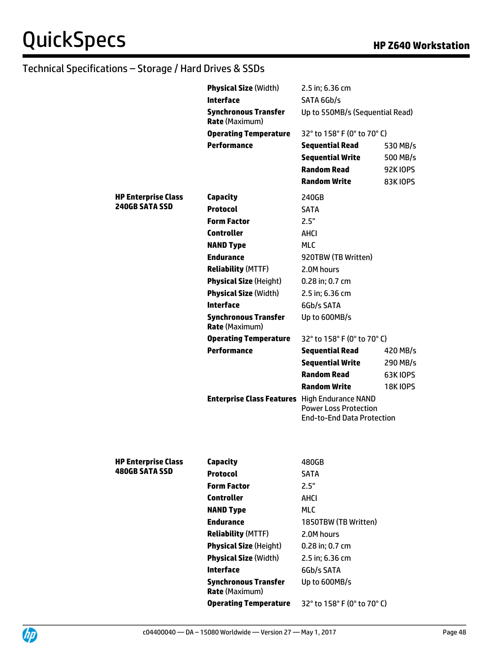|                            | <b>Physical Size (Width)</b>                         | 2.5 in; 6.36 cm                                                   |                 |
|----------------------------|------------------------------------------------------|-------------------------------------------------------------------|-----------------|
|                            | <b>Interface</b>                                     | SATA 6Gb/s                                                        |                 |
|                            | <b>Synchronous Transfer</b><br><b>Rate (Maximum)</b> | Up to 550MB/s (Sequential Read)                                   |                 |
|                            | <b>Operating Temperature</b>                         | 32° to 158° F (0° to 70° C)                                       |                 |
|                            | <b>Performance</b>                                   | <b>Sequential Read</b>                                            | 530 MB/s        |
|                            |                                                      | <b>Sequential Write</b>                                           | 500 MB/s        |
|                            |                                                      | <b>Random Read</b>                                                | <b>92K10PS</b>  |
|                            |                                                      | <b>Random Write</b>                                               | 83K IOPS        |
| <b>HP Enterprise Class</b> | Capacity                                             | 240GB                                                             |                 |
| <b>240GB SATA SSD</b>      | <b>Protocol</b>                                      | <b>SATA</b>                                                       |                 |
|                            | <b>Form Factor</b>                                   | 2.5"                                                              |                 |
|                            | <b>Controller</b>                                    | AHCI                                                              |                 |
|                            | <b>NAND Type</b>                                     | <b>MLC</b>                                                        |                 |
|                            | <b>Endurance</b>                                     | 920TBW (TB Written)                                               |                 |
|                            | <b>Reliability (MTTF)</b>                            | 2.0M hours                                                        |                 |
|                            | <b>Physical Size (Height)</b>                        | 0.28 in; 0.7 cm                                                   |                 |
|                            | <b>Physical Size (Width)</b>                         | 2.5 in; 6.36 cm                                                   |                 |
|                            | <b>Interface</b>                                     | 6Gb/s SATA                                                        |                 |
|                            | <b>Synchronous Transfer</b><br><b>Rate (Maximum)</b> | Up to 600MB/s                                                     |                 |
|                            | <b>Operating Temperature</b>                         | 32° to 158° F (0° to 70° C)                                       |                 |
|                            | <b>Performance</b>                                   | <b>Sequential Read</b>                                            | 420 MB/s        |
|                            |                                                      | <b>Sequential Write</b>                                           | 290 MB/s        |
|                            |                                                      | <b>Random Read</b>                                                | <b>63K IOPS</b> |
|                            |                                                      | <b>Random Write</b>                                               | <b>18K10PS</b>  |
|                            | <b>Enterprise Class Features</b> High Endurance NAND | <b>Power Loss Protection</b><br><b>End-to-End Data Protection</b> |                 |
|                            |                                                      |                                                                   |                 |
| <b>HP Enterprise Class</b> | <b>Capacity</b>                                      | 480GB                                                             |                 |
| <b>480GB SATA SSD</b>      | <b>Protocol</b>                                      | SATA                                                              |                 |
|                            | <b>Form Factor</b>                                   | 2.5"                                                              |                 |
|                            | <b>Controller</b>                                    | AHCI                                                              |                 |
|                            | <b>NAND Type</b>                                     | <b>MLC</b>                                                        |                 |
|                            | <b>Endurance</b>                                     | 1850TBW (TB Written)                                              |                 |
|                            | <b>Reliability (MTTF)</b>                            | 2.0M hours                                                        |                 |
|                            | <b>Physical Size (Height)</b>                        | 0.28 in; 0.7 cm                                                   |                 |
|                            | <b>Physical Size (Width)</b>                         | 2.5 in; 6.36 cm                                                   |                 |
|                            | <b>Interface</b>                                     | 6Gb/s SATA                                                        |                 |
|                            | <b>Synchronous Transfer</b><br><b>Rate (Maximum)</b> | Up to 600MB/s                                                     |                 |
|                            | <b>Operating Temperature</b>                         | 32° to 158° F (0° to 70° C)                                       |                 |

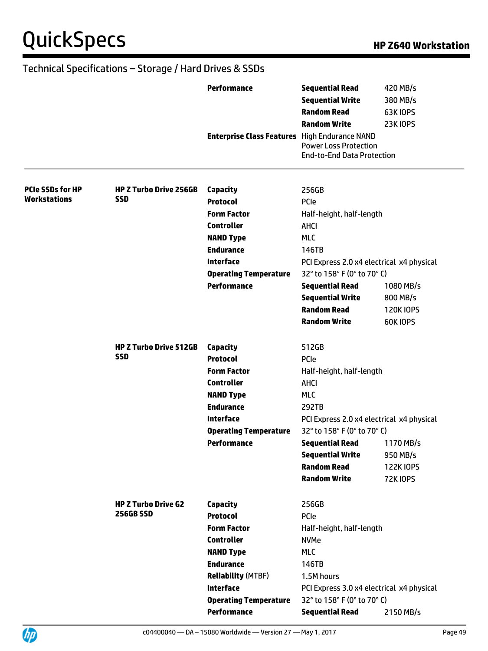|                         |                               | <b>Performance</b><br><b>Enterprise Class Features</b> High Endurance NAND | <b>Sequential Read</b><br><b>Sequential Write</b><br><b>Random Read</b><br><b>Random Write</b><br><b>Power Loss Protection</b><br><b>End-to-End Data Protection</b> | 420 MB/s<br>380 MB/s<br><b>63K10PS</b><br><b>23K10PS</b> |
|-------------------------|-------------------------------|----------------------------------------------------------------------------|---------------------------------------------------------------------------------------------------------------------------------------------------------------------|----------------------------------------------------------|
| <b>PCIe SSDs for HP</b> | <b>HP Z Turbo Drive 256GB</b> | Capacity                                                                   | 256GB                                                                                                                                                               |                                                          |
| <b>Workstations</b>     | <b>SSD</b>                    | <b>Protocol</b>                                                            | PCIe                                                                                                                                                                |                                                          |
|                         |                               | <b>Form Factor</b>                                                         | Half-height, half-length                                                                                                                                            |                                                          |
|                         |                               | <b>Controller</b>                                                          | AHCI                                                                                                                                                                |                                                          |
|                         |                               | <b>NAND Type</b>                                                           | <b>MLC</b>                                                                                                                                                          |                                                          |
|                         |                               | <b>Endurance</b>                                                           | 146TB                                                                                                                                                               |                                                          |
|                         |                               | <b>Interface</b>                                                           | PCI Express 2.0 x4 electrical x4 physical                                                                                                                           |                                                          |
|                         |                               | <b>Operating Temperature</b>                                               | 32° to 158° F (0° to 70° C)                                                                                                                                         |                                                          |
|                         |                               | <b>Performance</b>                                                         | <b>Sequential Read</b>                                                                                                                                              | 1080 MB/s                                                |
|                         |                               |                                                                            | <b>Sequential Write</b>                                                                                                                                             | 800 MB/s                                                 |
|                         |                               |                                                                            | <b>Random Read</b>                                                                                                                                                  | <b>120KIOPS</b>                                          |
|                         |                               |                                                                            | <b>Random Write</b>                                                                                                                                                 | <b>60K10PS</b>                                           |
|                         | <b>HP Z Turbo Drive 512GB</b> | Capacity                                                                   | 512GB                                                                                                                                                               |                                                          |
|                         | <b>SSD</b>                    | <b>Protocol</b>                                                            | PCIe                                                                                                                                                                |                                                          |
|                         |                               | <b>Form Factor</b>                                                         | Half-height, half-length                                                                                                                                            |                                                          |
|                         |                               | <b>Controller</b>                                                          | <b>AHCI</b>                                                                                                                                                         |                                                          |
|                         |                               | <b>NAND Type</b>                                                           | <b>MLC</b>                                                                                                                                                          |                                                          |
|                         |                               | <b>Endurance</b>                                                           | 292TB                                                                                                                                                               |                                                          |
|                         |                               | <b>Interface</b>                                                           | PCI Express 2.0 x4 electrical x4 physical                                                                                                                           |                                                          |
|                         |                               | <b>Operating Temperature</b>                                               | 32° to 158° F (0° to 70° C)                                                                                                                                         |                                                          |
|                         |                               | <b>Performance</b>                                                         | <b>Sequential Read</b>                                                                                                                                              | 1170 MB/s                                                |
|                         |                               |                                                                            | <b>Sequential Write</b>                                                                                                                                             | 950 MB/s                                                 |
|                         |                               |                                                                            | <b>Random Read</b>                                                                                                                                                  | <b>122K10PS</b>                                          |
|                         |                               |                                                                            | <b>Random Write</b>                                                                                                                                                 | <b>72K10PS</b>                                           |
|                         | <b>HP Z Turbo Drive G2</b>    | <b>Capacity</b>                                                            | 256GB                                                                                                                                                               |                                                          |
|                         | <b>256GB SSD</b>              | <b>Protocol</b>                                                            | PCIe                                                                                                                                                                |                                                          |
|                         |                               | <b>Form Factor</b>                                                         | Half-height, half-length                                                                                                                                            |                                                          |
|                         |                               | <b>Controller</b>                                                          | <b>NVMe</b>                                                                                                                                                         |                                                          |
|                         |                               | <b>NAND Type</b>                                                           | <b>MLC</b>                                                                                                                                                          |                                                          |
|                         |                               | <b>Endurance</b>                                                           | 146TB                                                                                                                                                               |                                                          |
|                         |                               | <b>Reliability (MTBF)</b>                                                  | 1.5M hours                                                                                                                                                          |                                                          |
|                         |                               | <b>Interface</b>                                                           | PCI Express 3.0 x4 electrical x4 physical                                                                                                                           |                                                          |
|                         |                               | <b>Operating Temperature</b>                                               | 32° to 158° F (0° to 70° C)                                                                                                                                         |                                                          |
|                         |                               | Performance                                                                | <b>Sequential Read</b>                                                                                                                                              | 2150 MB/s                                                |

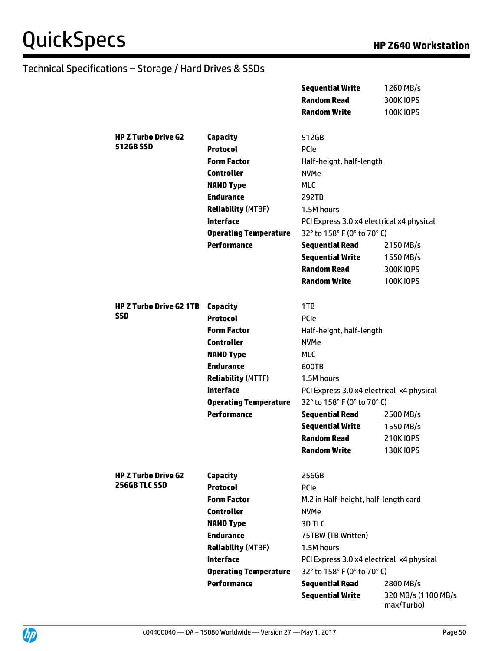|                                |                              | <b>Sequential Write</b>                   | 1260 MB/s           |
|--------------------------------|------------------------------|-------------------------------------------|---------------------|
|                                |                              | <b>Random Read</b>                        | 300K IOPS           |
|                                |                              | <b>Random Write</b>                       | <b>100K IOPS</b>    |
|                                |                              |                                           |                     |
| <b>HP Z Turbo Drive G2</b>     | <b>Capacity</b>              | 512GB                                     |                     |
| <b>512GB SSD</b>               | <b>Protocol</b>              | <b>PCIe</b>                               |                     |
|                                | <b>Form Factor</b>           | Half-height, half-length                  |                     |
|                                | <b>Controller</b>            | <b>NVMe</b>                               |                     |
|                                | <b>NAND Type</b>             | <b>MLC</b>                                |                     |
|                                | <b>Endurance</b>             | 292TB                                     |                     |
|                                | <b>Reliability (MTBF)</b>    | 1.5M hours                                |                     |
|                                | <b>Interface</b>             | PCI Express 3.0 x4 electrical x4 physical |                     |
|                                | <b>Operating Temperature</b> | 32° to 158° F (0° to 70° C)               |                     |
|                                | <b>Performance</b>           | <b>Sequential Read</b>                    | 2150 MB/s           |
|                                |                              | <b>Sequential Write</b>                   | 1550 MB/s           |
|                                |                              | <b>Random Read</b>                        | 300K IOPS           |
|                                |                              | <b>Random Write</b>                       | <b>100K IOPS</b>    |
|                                |                              |                                           |                     |
| <b>HP Z Turbo Drive G2 1TB</b> | Capacity                     | 1TB                                       |                     |
| SSD                            | <b>Protocol</b>              | PCIe                                      |                     |
|                                | <b>Form Factor</b>           | Half-height, half-length                  |                     |
|                                | <b>Controller</b>            | <b>NVMe</b>                               |                     |
|                                | <b>NAND Type</b>             | <b>MLC</b>                                |                     |
|                                | <b>Endurance</b>             | 600TB                                     |                     |
|                                | <b>Reliability (MTTF)</b>    | 1.5M hours                                |                     |
|                                | <b>Interface</b>             | PCI Express 3.0 x4 electrical x4 physical |                     |
|                                | <b>Operating Temperature</b> | 32° to 158° F (0° to 70° C)               |                     |
|                                | <b>Performance</b>           | <b>Sequential Read</b>                    | 2500 MB/s           |
|                                |                              | <b>Sequential Write</b>                   | 1550 MB/s           |
|                                |                              | <b>Random Read</b>                        | 210K IOPS           |
|                                |                              | <b>Random Write</b>                       | <b>130K IOPS</b>    |
|                                |                              |                                           |                     |
| <b>HP Z Turbo Drive G2</b>     | <b>Capacity</b>              | 256GB                                     |                     |
| 256GB TLC SSD                  | <b>Protocol</b>              | PCIe                                      |                     |
|                                | <b>Form Factor</b>           | M.2 in Half-height, half-length card      |                     |
|                                | <b>Controller</b>            | <b>NVMe</b>                               |                     |
|                                | <b>NAND Type</b>             | 3D TLC                                    |                     |
|                                | <b>Endurance</b>             | 75TBW (TB Written)                        |                     |
|                                | <b>Reliability (MTBF)</b>    | 1.5M hours                                |                     |
|                                | <b>Interface</b>             | PCI Express 3.0 x4 electrical x4 physical |                     |
|                                | <b>Operating Temperature</b> | 32° to 158° F (0° to 70° C)               |                     |
|                                | <b>Performance</b>           | <b>Sequential Read</b>                    | 2800 MB/s           |
|                                |                              | <b>Sequential Write</b>                   | 320 MB/s (1100 MB/s |



max/Turbo)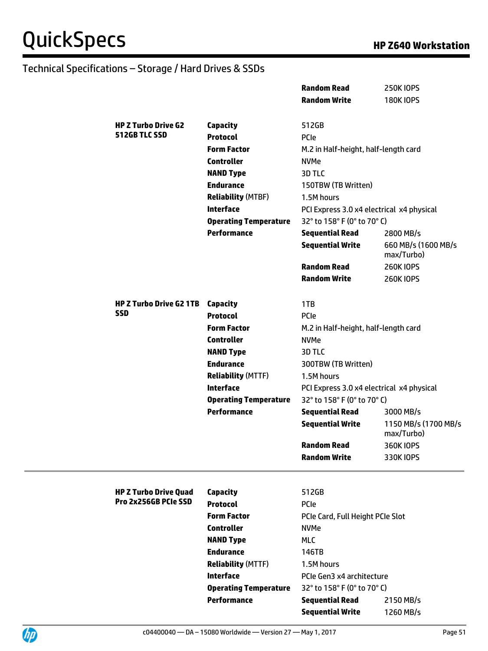|  |                                |                                                    | <b>Random Read</b>                        | <b>250K IOPS</b>                   |
|--|--------------------------------|----------------------------------------------------|-------------------------------------------|------------------------------------|
|  |                                |                                                    | <b>Random Write</b>                       | <b>180K IOPS</b>                   |
|  |                                |                                                    |                                           |                                    |
|  | <b>HP Z Turbo Drive G2</b>     | <b>Capacity</b>                                    | 512GB                                     |                                    |
|  | 512GB TLC SSD                  | <b>Protocol</b>                                    | PCIe                                      |                                    |
|  |                                | <b>Form Factor</b>                                 | M.2 in Half-height, half-length card      |                                    |
|  |                                | <b>Controller</b>                                  | <b>NVMe</b>                               |                                    |
|  |                                | <b>NAND Type</b>                                   | 3D TLC                                    |                                    |
|  |                                | <b>Endurance</b>                                   | 150TBW (TB Written)                       |                                    |
|  |                                | <b>Reliability (MTBF)</b>                          | 1.5M hours                                |                                    |
|  |                                | <b>Interface</b>                                   | PCI Express 3.0 x4 electrical x4 physical |                                    |
|  |                                | <b>Operating Temperature</b>                       | 32° to 158° F (0° to 70° C)               |                                    |
|  |                                | <b>Performance</b>                                 | <b>Sequential Read</b>                    | 2800 MB/s                          |
|  |                                |                                                    | <b>Sequential Write</b>                   | 660 MB/s (1600 MB/s<br>max/Turbo)  |
|  |                                |                                                    | <b>Random Read</b>                        | <b>260KIOPS</b>                    |
|  |                                |                                                    | <b>Random Write</b>                       | <b>260KIOPS</b>                    |
|  |                                |                                                    |                                           |                                    |
|  | <b>HP Z Turbo Drive G2 1TB</b> | Capacity                                           | 1TB                                       |                                    |
|  | <b>SSD</b>                     | <b>Protocol</b>                                    | PCIe                                      |                                    |
|  |                                | <b>Form Factor</b>                                 | M.2 in Half-height, half-length card      |                                    |
|  |                                | <b>Controller</b>                                  | <b>NVMe</b>                               |                                    |
|  |                                | <b>NAND Type</b>                                   | 3D TLC                                    |                                    |
|  |                                | <b>Endurance</b>                                   | 300TBW (TB Written)                       |                                    |
|  |                                | <b>Reliability (MTTF)</b>                          | 1.5M hours                                |                                    |
|  |                                | <b>Interface</b>                                   | PCI Express 3.0 x4 electrical x4 physical |                                    |
|  |                                | <b>Operating Temperature</b>                       | 32° to 158° F (0° to 70° C)               |                                    |
|  |                                | <b>Performance</b>                                 | <b>Sequential Read</b>                    | 3000 MB/s                          |
|  |                                |                                                    | <b>Sequential Write</b>                   | 1150 MB/s (1700 MB/s<br>max/Turbo) |
|  |                                |                                                    | <b>Random Read</b>                        | 360K IOPS                          |
|  |                                |                                                    | <b>Random Write</b>                       | 330K IOPS                          |
|  | <b>HP Z Turbo Drive Quad</b>   | <b>Capacity</b>                                    | 512GB                                     |                                    |
|  | Pro 2x256GB PCIe SSD           | <b>Protocol</b>                                    | PCIe                                      |                                    |
|  |                                | <b>Form Factor</b>                                 | PCIe Card, Full Height PCIe Slot          |                                    |
|  |                                | <b>Controller</b>                                  | <b>NVMe</b>                               |                                    |
|  |                                | <b>NAND Type</b>                                   | <b>MLC</b>                                |                                    |
|  |                                | <b>Endurance</b>                                   | 146TB                                     |                                    |
|  |                                | <b>Reliability (MTTF)</b>                          |                                           |                                    |
|  |                                | <b>Interface</b>                                   | 1.5M hours                                |                                    |
|  |                                |                                                    | PCIe Gen3 x4 architecture                 |                                    |
|  |                                | <b>Operating Temperature</b><br><b>Performance</b> | 32° to 158° F (0° to 70° C)               |                                    |
|  |                                |                                                    | <b>Sequential Read</b>                    | 2150 MB/s                          |
|  |                                |                                                    | <b>Sequential Write</b>                   | 1260 MB/s                          |

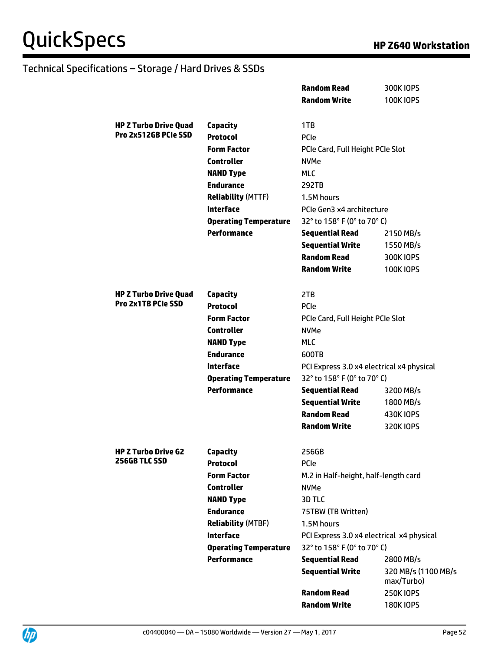|                              |                                       | <b>Random Read</b>                                  | 300K IOPS           |
|------------------------------|---------------------------------------|-----------------------------------------------------|---------------------|
|                              |                                       | <b>Random Write</b>                                 | <b>100KIOPS</b>     |
|                              |                                       |                                                     |                     |
| <b>HP Z Turbo Drive Quad</b> | <b>Capacity</b>                       | 1TB                                                 |                     |
| Pro 2x512GB PCIe SSD         | <b>Protocol</b>                       | <b>PCIe</b>                                         |                     |
|                              | <b>Form Factor</b>                    | PCIe Card, Full Height PCIe Slot                    |                     |
|                              | <b>Controller</b>                     | <b>NVMe</b>                                         |                     |
|                              | <b>NAND Type</b>                      | <b>MLC</b>                                          |                     |
|                              | <b>Endurance</b>                      | 292TB                                               |                     |
|                              | <b>Reliability (MTTF)</b>             | 1.5M hours                                          |                     |
|                              | <b>Interface</b>                      | PCIe Gen3 x4 architecture                           |                     |
|                              | <b>Operating Temperature</b>          | 32° to 158° F (0° to 70° C)                         |                     |
|                              | <b>Performance</b>                    | <b>Sequential Read</b>                              | 2150 MB/s           |
|                              |                                       | <b>Sequential Write</b>                             | 1550 MB/s           |
|                              |                                       | <b>Random Read</b>                                  | 300K IOPS           |
|                              |                                       | <b>Random Write</b>                                 | <b>100KIOPS</b>     |
|                              |                                       |                                                     |                     |
| <b>HP Z Turbo Drive Quad</b> | <b>Capacity</b>                       | 2TB                                                 |                     |
| Pro 2x1TB PCIe SSD           | <b>Protocol</b>                       | <b>PCIe</b>                                         |                     |
|                              | <b>Form Factor</b>                    | PCIe Card, Full Height PCIe Slot                    |                     |
|                              | <b>Controller</b>                     | <b>NVMe</b>                                         |                     |
|                              | <b>NAND Type</b>                      | <b>MLC</b>                                          |                     |
|                              | <b>Endurance</b>                      | 600TB                                               |                     |
|                              | <b>Interface</b>                      | PCI Express 3.0 x4 electrical x4 physical           |                     |
|                              | <b>Operating Temperature</b>          | 32° to 158° F (0° to 70° C)                         |                     |
|                              | <b>Performance</b>                    | <b>Sequential Read</b>                              | 3200 MB/s           |
|                              |                                       | <b>Sequential Write</b>                             | 1800 MB/s           |
|                              |                                       | <b>Random Read</b>                                  | 430K IOPS           |
|                              |                                       | <b>Random Write</b>                                 | 320K IOPS           |
| <b>HP Z Turbo Drive G2</b>   |                                       |                                                     |                     |
| 256GB TLC SSD                | Capacity                              | 256GB                                               |                     |
|                              | <b>Protocol</b><br><b>Form Factor</b> | <b>PCIe</b><br>M.2 in Half-height, half-length card |                     |
|                              | <b>Controller</b>                     | <b>NVMe</b>                                         |                     |
|                              | <b>NAND Type</b>                      | 3D TLC                                              |                     |
|                              | <b>Endurance</b>                      | 75TBW (TB Written)                                  |                     |
|                              | <b>Reliability (MTBF)</b>             | 1.5M hours                                          |                     |
|                              | <b>Interface</b>                      | PCI Express 3.0 x4 electrical x4 physical           |                     |
|                              | <b>Operating Temperature</b>          | 32° to 158° F (0° to 70° C)                         |                     |
|                              | <b>Performance</b>                    | <b>Sequential Read</b>                              | 2800 MB/s           |
|                              |                                       | <b>Sequential Write</b>                             | 320 MB/s (1100 MB/s |
|                              |                                       |                                                     | max/Turbo)          |
|                              |                                       | <b>Random Read</b>                                  | <b>250K IOPS</b>    |
|                              |                                       | <b>Random Write</b>                                 | <b>180K IOPS</b>    |
|                              |                                       |                                                     |                     |

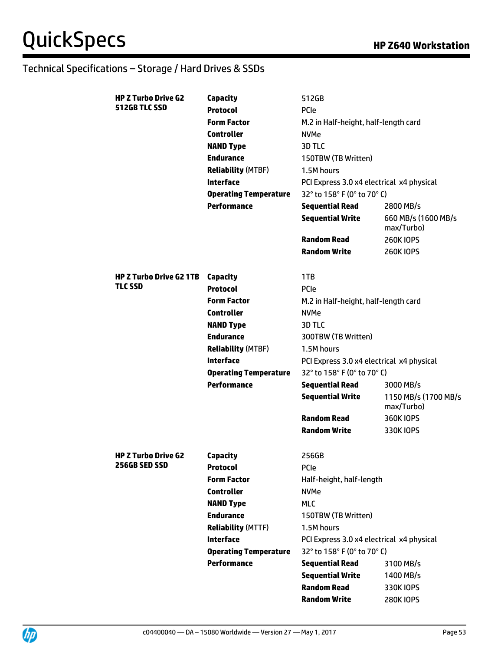| <b>HP Z Turbo Drive G2</b>     | <b>Capacity</b>              | 512GB                                     |                                    |
|--------------------------------|------------------------------|-------------------------------------------|------------------------------------|
| 512GB TLC SSD                  | <b>Protocol</b>              | <b>PCIe</b>                               |                                    |
|                                | <b>Form Factor</b>           | M.2 in Half-height, half-length card      |                                    |
|                                | <b>Controller</b>            | <b>NVMe</b>                               |                                    |
|                                | <b>NAND Type</b>             | 3D TLC                                    |                                    |
|                                | <b>Endurance</b>             | 150TBW (TB Written)                       |                                    |
|                                | <b>Reliability (MTBF)</b>    | 1.5M hours                                |                                    |
|                                | <b>Interface</b>             | PCI Express 3.0 x4 electrical x4 physical |                                    |
|                                | <b>Operating Temperature</b> | 32° to 158° F (0° to 70° C)               |                                    |
|                                | <b>Performance</b>           | <b>Sequential Read</b>                    | 2800 MB/s                          |
|                                |                              | <b>Sequential Write</b>                   | 660 MB/s (1600 MB/s<br>max/Turbo)  |
|                                |                              | <b>Random Read</b>                        | <b>260KIOPS</b>                    |
|                                |                              | <b>Random Write</b>                       | <b>260KIOPS</b>                    |
| <b>HP Z Turbo Drive G2 1TB</b> | <b>Capacity</b>              | 1TB                                       |                                    |
| <b>TLC SSD</b>                 | <b>Protocol</b>              | <b>PCIe</b>                               |                                    |
|                                | <b>Form Factor</b>           | M.2 in Half-height, half-length card      |                                    |
|                                | <b>Controller</b>            | <b>NVMe</b>                               |                                    |
|                                | <b>NAND Type</b>             | 3D TLC                                    |                                    |
|                                | <b>Endurance</b>             | 300TBW (TB Written)                       |                                    |
|                                | <b>Reliability (MTBF)</b>    | 1.5M hours                                |                                    |
|                                | <b>Interface</b>             | PCI Express 3.0 x4 electrical x4 physical |                                    |
|                                | <b>Operating Temperature</b> | 32° to 158° F (0° to 70° C)               |                                    |
|                                | <b>Performance</b>           | <b>Sequential Read</b>                    | 3000 MB/s                          |
|                                |                              | <b>Sequential Write</b>                   | 1150 MB/s (1700 MB/s<br>max/Turbo) |
|                                |                              | <b>Random Read</b>                        | 360K IOPS                          |
|                                |                              | <b>Random Write</b>                       | 330K IOPS                          |
| <b>HP Z Turbo Drive G2</b>     | Capacity                     | 256GB                                     |                                    |
| <b>256GB SED SSD</b>           | <b>Protocol</b>              | <b>PCIe</b>                               |                                    |
|                                | <b>Form Factor</b>           | Half-height, half-length                  |                                    |
|                                |                              |                                           |                                    |
|                                | <b>Controller</b>            | <b>NVMe</b>                               |                                    |
|                                | <b>NAND Type</b>             | <b>MLC</b>                                |                                    |
|                                | <b>Endurance</b>             | 150TBW (TB Written)                       |                                    |
|                                | <b>Reliability (MTTF)</b>    | 1.5M hours                                |                                    |
|                                | <b>Interface</b>             | PCI Express 3.0 x4 electrical x4 physical |                                    |
|                                | <b>Operating Temperature</b> | 32° to 158° F (0° to 70° C)               |                                    |
|                                | <b>Performance</b>           | <b>Sequential Read</b>                    | 3100 MB/s                          |
|                                |                              | <b>Sequential Write</b>                   | 1400 MB/s                          |
|                                |                              | <b>Random Read</b>                        | 330K IOPS                          |

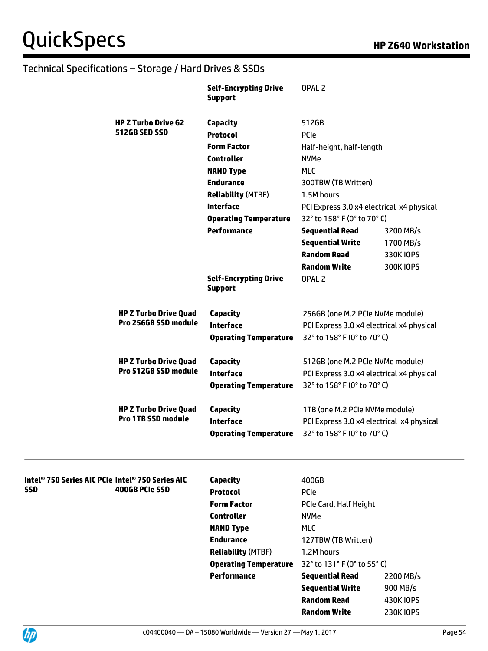|                                                              | <b>Self-Encrypting Drive</b><br><b>Support</b> | OPAL <sub>2</sub>                         |           |
|--------------------------------------------------------------|------------------------------------------------|-------------------------------------------|-----------|
| <b>HP Z Turbo Drive G2</b>                                   | <b>Capacity</b>                                | 512GB                                     |           |
| 512GB SED SSD                                                | <b>Protocol</b>                                | <b>PCIe</b>                               |           |
|                                                              | <b>Form Factor</b>                             | Half-height, half-length                  |           |
|                                                              | <b>Controller</b>                              | <b>NVMe</b>                               |           |
|                                                              | <b>NAND Type</b>                               | <b>MLC</b>                                |           |
|                                                              | <b>Endurance</b>                               | 300TBW (TB Written)                       |           |
|                                                              | <b>Reliability (MTBF)</b>                      | 1.5M hours                                |           |
|                                                              | <b>Interface</b>                               | PCI Express 3.0 x4 electrical x4 physical |           |
|                                                              | <b>Operating Temperature</b>                   | 32° to 158° F (0° to 70° C)               |           |
|                                                              | <b>Performance</b>                             | <b>Sequential Read</b>                    | 3200 MB/s |
|                                                              |                                                | <b>Sequential Write</b>                   | 1700 MB/s |
|                                                              |                                                | <b>Random Read</b>                        | 330K IOPS |
|                                                              |                                                | <b>Random Write</b>                       | 300K IOPS |
|                                                              | <b>Self-Encrypting Drive</b><br><b>Support</b> | OPAL <sub>2</sub>                         |           |
| <b>HP Z Turbo Drive Quad</b>                                 | <b>Capacity</b>                                | 256GB (one M.2 PCIe NVMe module)          |           |
| Pro 256GB SSD module                                         | <b>Interface</b>                               | PCI Express 3.0 x4 electrical x4 physical |           |
|                                                              | <b>Operating Temperature</b>                   | 32° to 158° F (0° to 70° C)               |           |
| <b>HP Z Turbo Drive Quad</b>                                 | <b>Capacity</b>                                | 512GB (one M.2 PCIe NVMe module)          |           |
| Pro 512GB SSD module                                         | <b>Interface</b>                               | PCI Express 3.0 x4 electrical x4 physical |           |
|                                                              | <b>Operating Temperature</b>                   | 32° to 158° F (0° to 70° C)               |           |
| <b>HP Z Turbo Drive Quad</b>                                 | <b>Capacity</b>                                | 1TB (one M.2 PCIe NVMe module)            |           |
| <b>Pro 1TB SSD module</b>                                    | <b>Interface</b>                               | PCI Express 3.0 x4 electrical x4 physical |           |
|                                                              | <b>Operating Temperature</b>                   | 32° to 158° F (0° to 70° C)               |           |
| Intel <sup>®</sup> 750 Series AIC PCIe Intel® 750 Series AIC | <b>Capacity</b>                                | 400GB                                     |           |
| <b>SSD</b><br>400GB PCIe SSD                                 | <b>Protocol</b>                                | <b>PCIe</b>                               |           |
|                                                              | <b>Form Factor</b>                             | PCIe Card, Half Height                    |           |
|                                                              | <b>Controller</b>                              | <b>NVMe</b>                               |           |
|                                                              | <b>NAND Type</b>                               | <b>MLC</b>                                |           |
|                                                              | <b>Endurance</b>                               | 127TBW (TB Written)                       |           |
|                                                              | <b>Reliability (MTBF)</b>                      | 1.2M hours                                |           |
|                                                              | <b>Operating Temperature</b>                   | 32° to 131° F (0° to 55° C)               |           |
|                                                              | <b>Performance</b>                             | <b>Sequential Read</b>                    | 2200 MB/s |
|                                                              |                                                | <b>Sequential Write</b>                   | 900 MB/s  |
|                                                              |                                                | <b>Random Read</b>                        | 430K IOPS |
|                                                              |                                                | <b>Random Write</b>                       | 230K IOPS |

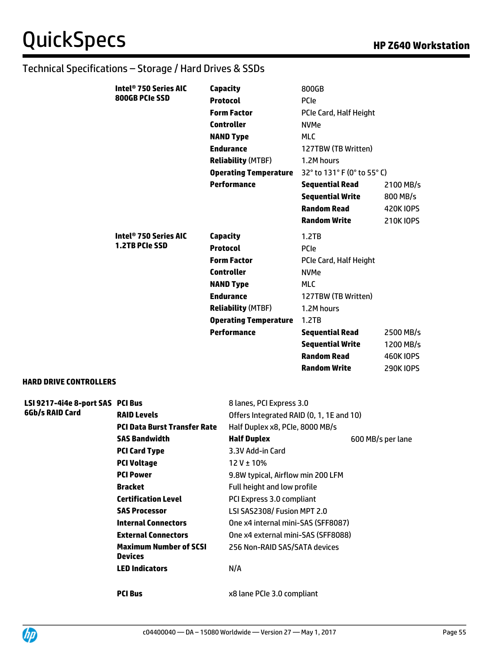| Intel® 750 Series AIC | <b>Capacity</b>              | 800GB                       |                  |
|-----------------------|------------------------------|-----------------------------|------------------|
| 800GB PCIe SSD        | <b>Protocol</b>              | <b>PCIe</b>                 |                  |
|                       | <b>Form Factor</b>           | PCIe Card, Half Height      |                  |
|                       | <b>Controller</b>            | <b>NVMe</b>                 |                  |
|                       | <b>NAND Type</b>             | <b>MLC</b>                  |                  |
|                       | <b>Endurance</b>             | 127TBW (TB Written)         |                  |
|                       | <b>Reliability (MTBF)</b>    | 1.2M hours                  |                  |
|                       | <b>Operating Temperature</b> | 32° to 131° F (0° to 55° C) |                  |
|                       | <b>Performance</b>           | Sequential Read             | 2100 MB/s        |
|                       |                              | <b>Sequential Write</b>     | 800 MB/s         |
|                       |                              | <b>Random Read</b>          | <b>420K IOPS</b> |
|                       |                              | Random Write                | <b>210KIOPS</b>  |
|                       |                              |                             |                  |
| Intel® 750 Series AIC | Capacity                     | 1.2TB                       |                  |
| <b>1.2TB PCIe SSD</b> | <b>Protocol</b>              | PCIe                        |                  |
|                       | <b>Form Factor</b>           | PCIe Card, Half Height      |                  |
|                       | <b>Controller</b>            | <b>NVMe</b>                 |                  |
|                       | <b>NAND Type</b>             | <b>MLC</b>                  |                  |
|                       | <b>Endurance</b>             | 127TBW (TB Written)         |                  |
|                       | <b>Reliability (MTBF)</b>    | 1.2M hours                  |                  |
|                       | <b>Operating Temperature</b> | 1.2TB                       |                  |
|                       | <b>Performance</b>           | <b>Sequential Read</b>      | 2500 MB/s        |
|                       |                              | <b>Sequential Write</b>     | 1200 MB/s        |
|                       |                              | <b>Random Read</b>          | 460K IOPS        |

#### **HARD DRIVE CONTROLLERS**

| 6Gb/s RAID Card<br><b>RAID Levels</b><br>Offers Integrated RAID (0, 1, 1E and 10)<br><b>PCI Data Burst Transfer Rate</b><br>Half Duplex x8, PCIe, 8000 MB/s<br><b>Half Duplex</b><br><b>SAS Bandwidth</b><br>600 MB/s per lane<br><b>PCI Card Type</b><br>3.3V Add-in Card<br><b>PCI Voltage</b><br>$12V \pm 10\%$ |
|--------------------------------------------------------------------------------------------------------------------------------------------------------------------------------------------------------------------------------------------------------------------------------------------------------------------|
|                                                                                                                                                                                                                                                                                                                    |
|                                                                                                                                                                                                                                                                                                                    |
|                                                                                                                                                                                                                                                                                                                    |
|                                                                                                                                                                                                                                                                                                                    |
|                                                                                                                                                                                                                                                                                                                    |
| <b>PCI Power</b><br>9.8W typical, Airflow min 200 LFM                                                                                                                                                                                                                                                              |
| <b>Bracket</b><br>Full height and low profile                                                                                                                                                                                                                                                                      |
| <b>Certification Level</b><br>PCI Express 3.0 compliant                                                                                                                                                                                                                                                            |
| LSI SAS2308/ Fusion MPT 2.0<br><b>SAS Processor</b>                                                                                                                                                                                                                                                                |
| <b>Internal Connectors</b><br>One x4 internal mini-SAS (SFF8087)                                                                                                                                                                                                                                                   |
| <b>External Connectors</b><br>One x4 external mini-SAS (SFF8088)                                                                                                                                                                                                                                                   |
| <b>Maximum Number of SCSI</b><br>256 Non-RAID SAS/SATA devices<br><b>Devices</b>                                                                                                                                                                                                                                   |
| <b>LED Indicators</b><br>N/A                                                                                                                                                                                                                                                                                       |

**PCI Bus** x8 lane PCIe 3.0 compliant

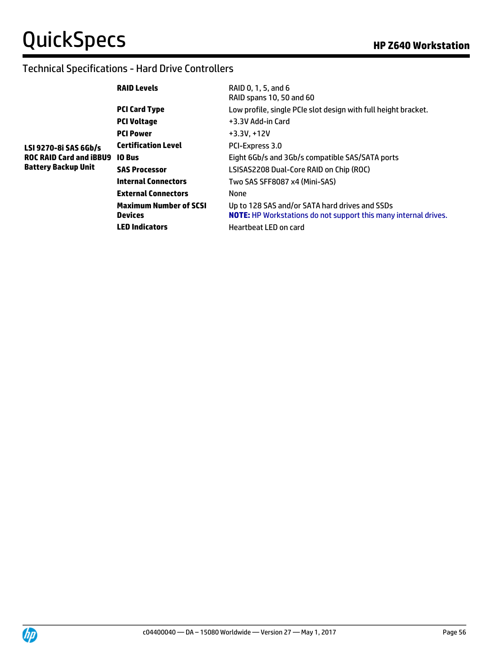#### Technical Specifications - Hard Drive Controllers

|                         | <b>RAID Levels</b>                              | RAID 0, 1, 5, and 6<br>RAID spans 10, 50 and 60                                                                          |
|-------------------------|-------------------------------------------------|--------------------------------------------------------------------------------------------------------------------------|
|                         | <b>PCI Card Type</b>                            | Low profile, single PCIe slot design with full height bracket.                                                           |
|                         | <b>PCI Voltage</b>                              | +3.3V Add-in Card                                                                                                        |
|                         | <b>PCI Power</b>                                | $+3.3V, +12V$                                                                                                            |
| LSI 9270-8i SAS 6Gb/s   | <b>Certification Level</b>                      | PCI-Express 3.0                                                                                                          |
| ROC RAID Card and iBBU9 | <b>10 Bus</b>                                   | Eight 6Gb/s and 3Gb/s compatible SAS/SATA ports                                                                          |
| Battery Backup Unit     | <b>SAS Processor</b>                            | LSISAS2208 Dual-Core RAID on Chip (ROC)                                                                                  |
|                         | <b>Internal Connectors</b>                      | Two SAS SFF8087 x4 (Mini-SAS)                                                                                            |
|                         | <b>External Connectors</b>                      | None                                                                                                                     |
|                         | <b>Maximum Number of SCSI</b><br><b>Devices</b> | Up to 128 SAS and/or SATA hard drives and SSDs<br><b>NOTE:</b> HP Workstations do not support this many internal drives. |
|                         | <b>LED Indicators</b>                           | Heartbeat LED on card                                                                                                    |
|                         |                                                 |                                                                                                                          |

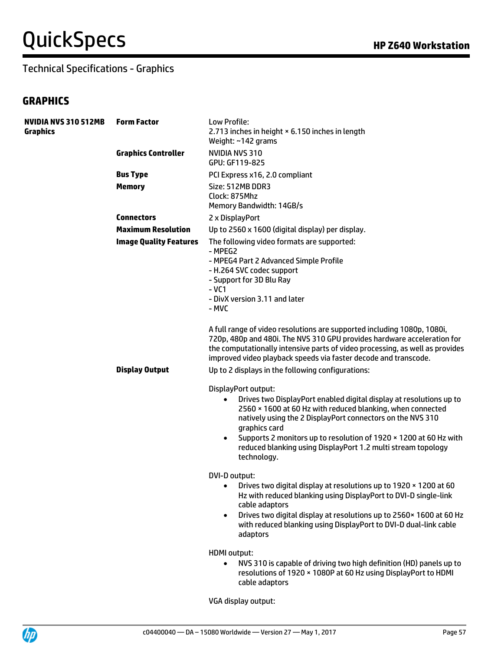# **QuickSpecs HP Z640 Workstation**

#### Technical Specifications - Graphics

#### **GRAPHICS**

| <b>NVIDIA NVS 310 512MB</b><br><b>Graphics</b> | <b>Form Factor</b>            | Low Profile:<br>2.713 inches in height × 6.150 inches in length<br>Weight: $~142$ grams                                                                                                                                                                                                                                                                                           |
|------------------------------------------------|-------------------------------|-----------------------------------------------------------------------------------------------------------------------------------------------------------------------------------------------------------------------------------------------------------------------------------------------------------------------------------------------------------------------------------|
|                                                | <b>Graphics Controller</b>    | <b>NVIDIA NVS 310</b><br>GPU: GF119-825                                                                                                                                                                                                                                                                                                                                           |
|                                                | <b>Bus Type</b>               | PCI Express x16, 2.0 compliant                                                                                                                                                                                                                                                                                                                                                    |
|                                                | <b>Memory</b>                 | Size: 512MB DDR3<br>Clock: 875Mhz<br>Memory Bandwidth: 14GB/s                                                                                                                                                                                                                                                                                                                     |
|                                                | <b>Connectors</b>             | 2 x DisplayPort                                                                                                                                                                                                                                                                                                                                                                   |
|                                                | <b>Maximum Resolution</b>     | Up to 2560 x 1600 (digital display) per display.                                                                                                                                                                                                                                                                                                                                  |
|                                                | <b>Image Quality Features</b> | The following video formats are supported:<br>- MPEG2<br>- MPEG4 Part 2 Advanced Simple Profile<br>- H.264 SVC codec support<br>- Support for 3D Blu Ray<br>$-VC1$<br>- DivX version 3.11 and later<br>- MVC                                                                                                                                                                      |
|                                                |                               | A full range of video resolutions are supported including 1080p, 1080i,<br>720p, 480p and 480i. The NVS 310 GPU provides hardware acceleration for<br>the computationally intensive parts of video processing, as well as provides<br>improved video playback speeds via faster decode and transcode.                                                                             |
|                                                | <b>Display Output</b>         | Up to 2 displays in the following configurations:                                                                                                                                                                                                                                                                                                                                 |
|                                                |                               | DisplayPort output:                                                                                                                                                                                                                                                                                                                                                               |
|                                                |                               | Drives two DisplayPort enabled digital display at resolutions up to<br>$\bullet$<br>2560 × 1600 at 60 Hz with reduced blanking, when connected<br>natively using the 2 DisplayPort connectors on the NVS 310<br>graphics card<br>Supports 2 monitors up to resolution of 1920 × 1200 at 60 Hz with<br>reduced blanking using DisplayPort 1.2 multi stream topology<br>technology. |
|                                                |                               | DVI-D output:<br>Drives two digital display at resolutions up to 1920 x 1200 at 60<br>Hz with reduced blanking using DisplayPort to DVI-D single-link<br>cable adaptors<br>Drives two digital display at resolutions up to 2560 x 1600 at 60 Hz<br>$\bullet$<br>with reduced blanking using DisplayPort to DVI-D dual-link cable<br>adaptors                                      |
|                                                |                               | <b>HDMI</b> output:<br>NVS 310 is capable of driving two high definition (HD) panels up to<br>$\bullet$<br>resolutions of 1920 × 1080P at 60 Hz using DisplayPort to HDMI<br>cable adaptors                                                                                                                                                                                       |

VGA display output:

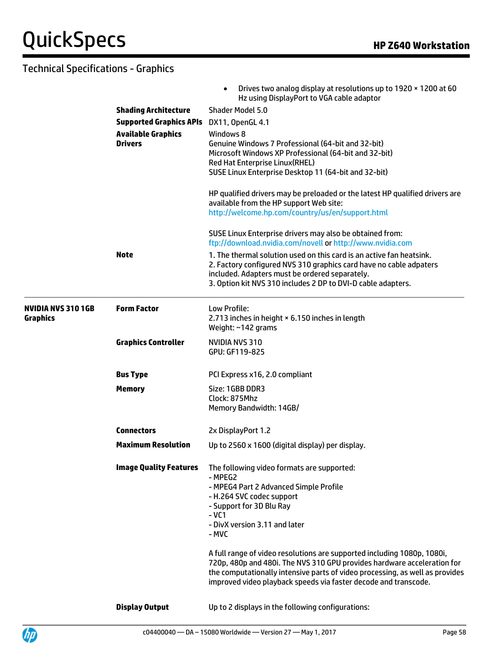|                               |                                | Drives two analog display at resolutions up to 1920 x 1200 at 60<br>Hz using DisplayPort to VGA cable adaptor                                                                                                                                                                           |
|-------------------------------|--------------------------------|-----------------------------------------------------------------------------------------------------------------------------------------------------------------------------------------------------------------------------------------------------------------------------------------|
|                               | <b>Shading Architecture</b>    | Shader Model 5.0                                                                                                                                                                                                                                                                        |
|                               | <b>Supported Graphics APIs</b> | DX11, OpenGL 4.1                                                                                                                                                                                                                                                                        |
|                               | <b>Available Graphics</b>      | Windows 8                                                                                                                                                                                                                                                                               |
|                               | <b>Drivers</b>                 | Genuine Windows 7 Professional (64-bit and 32-bit)<br>Microsoft Windows XP Professional (64-bit and 32-bit)<br>Red Hat Enterprise Linux(RHEL)<br>SUSE Linux Enterprise Desktop 11 (64-bit and 32-bit)                                                                                   |
|                               |                                |                                                                                                                                                                                                                                                                                         |
|                               |                                | HP qualified drivers may be preloaded or the latest HP qualified drivers are<br>available from the HP support Web site:                                                                                                                                                                 |
|                               |                                | http://welcome.hp.com/country/us/en/support.html                                                                                                                                                                                                                                        |
|                               |                                | SUSE Linux Enterprise drivers may also be obtained from:<br>ftp://download.nvidia.com/novell or http://www.nvidia.com                                                                                                                                                                   |
|                               | <b>Note</b>                    | 1. The thermal solution used on this card is an active fan heatsink.<br>2. Factory configured NVS 310 graphics card have no cable adpaters<br>included. Adapters must be ordered separately.<br>3. Option kit NVS 310 includes 2 DP to DVI-D cable adapters.                            |
| NVIDIA NVS 3101GB<br>Graphics | <b>Form Factor</b>             | Low Profile:<br>2.713 inches in height × 6.150 inches in length<br>Weight: ~142 grams                                                                                                                                                                                                   |
|                               | <b>Graphics Controller</b>     | NVIDIA NVS 310<br>GPU: GF119-825                                                                                                                                                                                                                                                        |
|                               | <b>Bus Type</b>                | PCI Express x16, 2.0 compliant                                                                                                                                                                                                                                                          |
|                               | <b>Memory</b>                  | Size: 1GBB DDR3<br>Clock: 875Mhz<br>Memory Bandwidth: 14GB/                                                                                                                                                                                                                             |
|                               | <b>Connectors</b>              | 2x DisplayPort 1.2                                                                                                                                                                                                                                                                      |
|                               | <b>Maximum Resolution</b>      | Up to 2560 x 1600 (digital display) per display.                                                                                                                                                                                                                                        |
|                               | <b>Image Quality Features</b>  | The following video formats are supported:<br>- MPEG2<br>- MPEG4 Part 2 Advanced Simple Profile<br>- H.264 SVC codec support<br>- Support for 3D Blu Ray<br>$-VC1$<br>- DivX version 3.11 and later<br>- MVC<br>A full range of video resolutions are supported including 1080p, 1080i, |
|                               |                                | 720p, 480p and 480i. The NVS 310 GPU provides hardware acceleration for<br>the computationally intensive parts of video processing, as well as provides<br>improved video playback speeds via faster decode and transcode.                                                              |
|                               | <b>Display Output</b>          | Up to 2 displays in the following configurations:                                                                                                                                                                                                                                       |

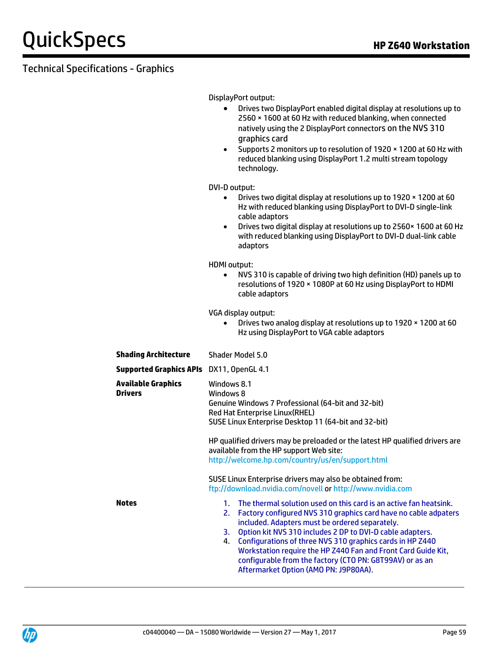DisplayPort output:

- Drives two DisplayPort enabled digital display at resolutions up to 2560 × 1600 at 60 Hz with reduced blanking, when connected natively using the 2 DisplayPort connectors on the NVS 310 graphics card
- Supports 2 monitors up to resolution of 1920 × 1200 at 60 Hz with reduced blanking using DisplayPort 1.2 multi stream topology technology.

DVI-D output:

- Drives two digital display at resolutions up to 1920 × 1200 at 60 Hz with reduced blanking using DisplayPort to DVI-D single-link cable adaptors
- Drives two digital display at resolutions up to 2560× 1600 at 60 Hz with reduced blanking using DisplayPort to DVI-D dual-link cable adaptors

HDMI output:

 NVS 310 is capable of driving two high definition (HD) panels up to resolutions of 1920 × 1080P at 60 Hz using DisplayPort to HDMI cable adaptors

VGA display output:

 Drives two analog display at resolutions up to 1920 × 1200 at 60 Hz using DisplayPort to VGA cable adaptors

| <b>Shading Architecture</b>              | Shader Model 5.0                                                                                                                                                                                                                                                                                                                                                                                                                                                                                                    |  |  |
|------------------------------------------|---------------------------------------------------------------------------------------------------------------------------------------------------------------------------------------------------------------------------------------------------------------------------------------------------------------------------------------------------------------------------------------------------------------------------------------------------------------------------------------------------------------------|--|--|
| Supported Graphics APIs DX11, OpenGL 4.1 |                                                                                                                                                                                                                                                                                                                                                                                                                                                                                                                     |  |  |
| Available Graphics<br>Drivers            | Windows 8.1<br>Windows 8<br>Genuine Windows 7 Professional (64-bit and 32-bit)<br>Red Hat Enterprise Linux (RHEL)<br>SUSE Linux Enterprise Desktop 11 (64-bit and 32-bit)                                                                                                                                                                                                                                                                                                                                           |  |  |
|                                          | HP qualified drivers may be preloaded or the latest HP qualified drivers are<br>available from the HP support Web site:<br>http://welcome.hp.com/country/us/en/support.html                                                                                                                                                                                                                                                                                                                                         |  |  |
|                                          | SUSE Linux Enterprise drivers may also be obtained from:<br>ftp://download.nvidia.com/novell or http://www.nvidia.com                                                                                                                                                                                                                                                                                                                                                                                               |  |  |
| Notes                                    | The thermal solution used on this card is an active fan heatsink.<br>$1_{-}$<br>Factory configured NVS 310 graphics card have no cable adpaters<br>2.<br>included. Adapters must be ordered separately.<br>Option kit NVS 310 includes 2 DP to DVI-D cable adapters.<br>3.<br>Configurations of three NVS 310 graphics cards in HP Z440<br>4.<br>Workstation require the HP Z440 Fan and Front Card Guide Kit,<br>configurable from the factory (CTO PN: G8T99AV) or as an<br>Aftermarket Option (AMO PN: J9P80AA). |  |  |

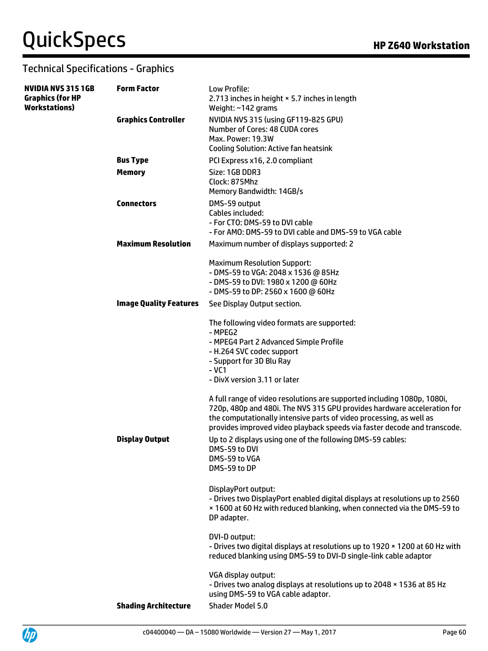| NVIDIA NVS 315 1GB<br><b>Graphics (for HP</b><br>Workstations) | <b>Form Factor</b>            | Low Profile:<br>2.713 inches in height × 5.7 inches in length<br>Weight: ~142 grams                                                                                                                                                                                                                                                                                                                                             |
|----------------------------------------------------------------|-------------------------------|---------------------------------------------------------------------------------------------------------------------------------------------------------------------------------------------------------------------------------------------------------------------------------------------------------------------------------------------------------------------------------------------------------------------------------|
|                                                                | <b>Graphics Controller</b>    | NVIDIA NVS 315 (using GF119-825 GPU)<br>Number of Cores: 48 CUDA cores<br>Max. Power: 19.3W<br><b>Cooling Solution: Active fan heatsink</b>                                                                                                                                                                                                                                                                                     |
|                                                                | <b>Bus Type</b>               | PCI Express x16, 2.0 compliant                                                                                                                                                                                                                                                                                                                                                                                                  |
|                                                                | <b>Memory</b>                 | Size: 1GB DDR3<br>Clock: 875Mhz<br>Memory Bandwidth: 14GB/s                                                                                                                                                                                                                                                                                                                                                                     |
|                                                                | <b>Connectors</b>             | DMS-59 output<br>Cables included:<br>- For CTO: DMS-59 to DVI cable<br>- For AMO: DMS-59 to DVI cable and DMS-59 to VGA cable                                                                                                                                                                                                                                                                                                   |
|                                                                | <b>Maximum Resolution</b>     | Maximum number of displays supported: 2                                                                                                                                                                                                                                                                                                                                                                                         |
|                                                                |                               | <b>Maximum Resolution Support:</b><br>- DMS-59 to VGA: 2048 x 1536 @ 85Hz<br>- DMS-59 to DVI: 1980 x 1200 @ 60Hz<br>- DMS-59 to DP: 2560 x 1600 @ 60Hz                                                                                                                                                                                                                                                                          |
|                                                                | <b>Image Quality Features</b> | See Display Output section.                                                                                                                                                                                                                                                                                                                                                                                                     |
|                                                                |                               | The following video formats are supported:<br>- MPEG2<br>- MPEG4 Part 2 Advanced Simple Profile<br>- H.264 SVC codec support<br>- Support for 3D Blu Ray<br>$-VC1$<br>- DivX version 3.11 or later<br>A full range of video resolutions are supported including 1080p, 1080i,<br>720p, 480p and 480i. The NVS 315 GPU provides hardware acceleration for<br>the computationally intensive parts of video processing, as well as |
|                                                                | <b>Display Output</b>         | provides improved video playback speeds via faster decode and transcode.<br>Up to 2 displays using one of the following DMS-59 cables:<br>DMS-59 to DVI<br>DMS-59 to VGA<br>DMS-59 to DP                                                                                                                                                                                                                                        |
|                                                                |                               | DisplayPort output:<br>- Drives two DisplayPort enabled digital displays at resolutions up to 2560<br>x 1600 at 60 Hz with reduced blanking, when connected via the DMS-59 to<br>DP adapter.                                                                                                                                                                                                                                    |
|                                                                |                               | DVI-D output:<br>- Drives two digital displays at resolutions up to 1920 x 1200 at 60 Hz with<br>reduced blanking using DMS-59 to DVI-D single-link cable adaptor                                                                                                                                                                                                                                                               |
|                                                                |                               | VGA display output:<br>- Drives two analog displays at resolutions up to 2048 x 1536 at 85 Hz<br>using DMS-59 to VGA cable adaptor.                                                                                                                                                                                                                                                                                             |
|                                                                | <b>Shading Architecture</b>   | Shader Model 5.0                                                                                                                                                                                                                                                                                                                                                                                                                |
|                                                                |                               |                                                                                                                                                                                                                                                                                                                                                                                                                                 |

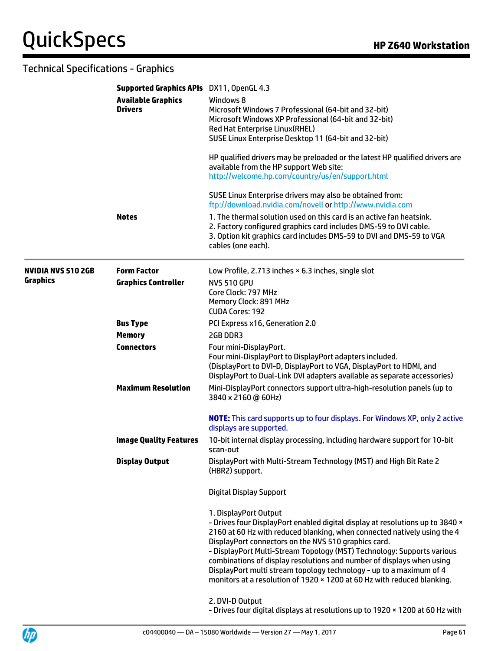|                           | Supported Graphics APIs DX11, OpenGL 4.3    |                                                                                                                                                                                                                                                                                                                                                                                                                                                                                                                                                 |  |  |
|---------------------------|---------------------------------------------|-------------------------------------------------------------------------------------------------------------------------------------------------------------------------------------------------------------------------------------------------------------------------------------------------------------------------------------------------------------------------------------------------------------------------------------------------------------------------------------------------------------------------------------------------|--|--|
|                           | <b>Available Graphics</b><br><b>Drivers</b> | Windows 8<br>Microsoft Windows 7 Professional (64-bit and 32-bit)<br>Microsoft Windows XP Professional (64-bit and 32-bit)<br>Red Hat Enterprise Linux(RHEL)<br>SUSE Linux Enterprise Desktop 11 (64-bit and 32-bit)                                                                                                                                                                                                                                                                                                                            |  |  |
|                           |                                             | HP qualified drivers may be preloaded or the latest HP qualified drivers are<br>available from the HP support Web site:<br>http://welcome.hp.com/country/us/en/support.html                                                                                                                                                                                                                                                                                                                                                                     |  |  |
|                           |                                             | SUSE Linux Enterprise drivers may also be obtained from:<br>ftp://download.nvidia.com/novell or http://www.nvidia.com                                                                                                                                                                                                                                                                                                                                                                                                                           |  |  |
|                           | <b>Notes</b>                                | 1. The thermal solution used on this card is an active fan heatsink.<br>2. Factory configured graphics card includes DMS-59 to DVI cable.<br>3. Option kit graphics card includes DMS-59 to DVI and DMS-59 to VGA<br>cables (one each).                                                                                                                                                                                                                                                                                                         |  |  |
| <b>NVIDIA NVS 510 2GB</b> | <b>Form Factor</b>                          | Low Profile, 2.713 inches × 6.3 inches, single slot                                                                                                                                                                                                                                                                                                                                                                                                                                                                                             |  |  |
| <b>Graphics</b>           | <b>Graphics Controller</b>                  | <b>NVS 510 GPU</b><br>Core Clock: 797 MHz<br>Memory Clock: 891 MHz<br><b>CUDA Cores: 192</b>                                                                                                                                                                                                                                                                                                                                                                                                                                                    |  |  |
|                           | <b>Bus Type</b>                             | PCI Express x16, Generation 2.0                                                                                                                                                                                                                                                                                                                                                                                                                                                                                                                 |  |  |
|                           | <b>Memory</b>                               | 2GB DDR3                                                                                                                                                                                                                                                                                                                                                                                                                                                                                                                                        |  |  |
|                           | <b>Connectors</b>                           | Four mini-DisplayPort.<br>Four mini-DisplayPort to DisplayPort adapters included.<br>(DisplayPort to DVI-D, DisplayPort to VGA, DisplayPort to HDMI, and<br>DisplayPort to Dual-Link DVI adapters available as separate accessories)                                                                                                                                                                                                                                                                                                            |  |  |
|                           | <b>Maximum Resolution</b>                   | Mini-DisplayPort connectors support ultra-high-resolution panels (up to<br>3840 x 2160 @ 60Hz)                                                                                                                                                                                                                                                                                                                                                                                                                                                  |  |  |
|                           |                                             | <b>NOTE:</b> This card supports up to four displays. For Windows XP, only 2 active<br>displays are supported.                                                                                                                                                                                                                                                                                                                                                                                                                                   |  |  |
|                           | <b>Image Quality Features</b>               | 10-bit internal display processing, including hardware support for 10-bit<br>scan-out                                                                                                                                                                                                                                                                                                                                                                                                                                                           |  |  |
|                           | <b>Display Output</b>                       | DisplayPort with Multi-Stream Technology (MST) and High Bit Rate 2<br>(HBR2) support.                                                                                                                                                                                                                                                                                                                                                                                                                                                           |  |  |
|                           |                                             | <b>Digital Display Support</b>                                                                                                                                                                                                                                                                                                                                                                                                                                                                                                                  |  |  |
|                           |                                             | 1. DisplayPort Output<br>- Drives four DisplayPort enabled digital display at resolutions up to 3840 x<br>2160 at 60 Hz with reduced blanking, when connected natively using the 4<br>DisplayPort connectors on the NVS 510 graphics card.<br>- DisplayPort Multi-Stream Topology (MST) Technology: Supports various<br>combinations of display resolutions and number of displays when using<br>DisplayPort multi stream topology technology - up to a maximum of 4<br>monitors at a resolution of 1920 × 1200 at 60 Hz with reduced blanking. |  |  |
|                           |                                             | 2. DVI-D Output<br>- Drives four digital displays at resolutions up to 1920 x 1200 at 60 Hz with                                                                                                                                                                                                                                                                                                                                                                                                                                                |  |  |

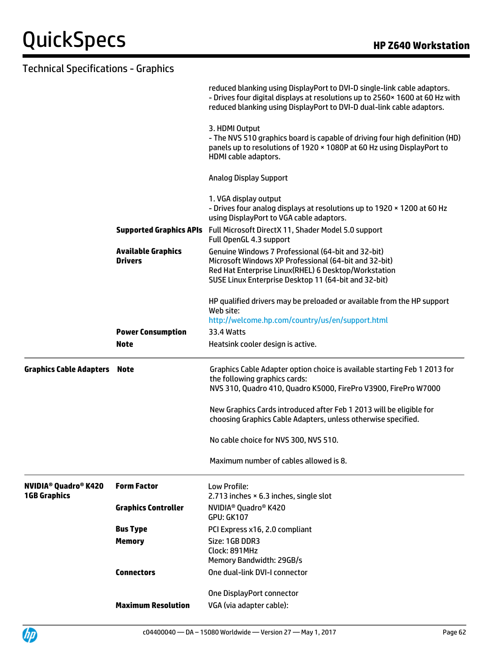|                                                                          |                                             | reduced blanking using DisplayPort to DVI-D single-link cable adaptors.<br>- Drives four digital displays at resolutions up to 2560x 1600 at 60 Hz with<br>reduced blanking using DisplayPort to DVI-D dual-link cable adaptors. |
|--------------------------------------------------------------------------|---------------------------------------------|----------------------------------------------------------------------------------------------------------------------------------------------------------------------------------------------------------------------------------|
|                                                                          |                                             | 3. HDMI Output<br>- The NVS 510 graphics board is capable of driving four high definition (HD)<br>panels up to resolutions of 1920 × 1080P at 60 Hz using DisplayPort to<br>HDMI cable adaptors.                                 |
|                                                                          |                                             | <b>Analog Display Support</b>                                                                                                                                                                                                    |
|                                                                          |                                             | 1. VGA display output<br>- Drives four analog displays at resolutions up to 1920 x 1200 at 60 Hz<br>using DisplayPort to VGA cable adaptors.                                                                                     |
|                                                                          |                                             | <b>Supported Graphics APIs</b> Full Microsoft DirectX 11, Shader Model 5.0 support<br>Full OpenGL 4.3 support                                                                                                                    |
|                                                                          | <b>Available Graphics</b><br><b>Drivers</b> | Genuine Windows 7 Professional (64-bit and 32-bit)<br>Microsoft Windows XP Professional (64-bit and 32-bit)<br>Red Hat Enterprise Linux(RHEL) 6 Desktop/Workstation<br>SUSE Linux Enterprise Desktop 11 (64-bit and 32-bit)      |
|                                                                          |                                             | HP qualified drivers may be preloaded or available from the HP support<br>Web site:                                                                                                                                              |
|                                                                          |                                             | http://welcome.hp.com/country/us/en/support.html                                                                                                                                                                                 |
|                                                                          | <b>Power Consumption</b><br><b>Note</b>     | 33.4 Watts                                                                                                                                                                                                                       |
|                                                                          |                                             | Heatsink cooler design is active.                                                                                                                                                                                                |
| <b>Graphics Cable Adapters Note</b>                                      |                                             | Graphics Cable Adapter option choice is available starting Feb 1 2013 for<br>the following graphics cards:<br>NVS 310, Quadro 410, Quadro K5000, FirePro V3900, FirePro W7000                                                    |
|                                                                          |                                             | New Graphics Cards introduced after Feb 1 2013 will be eligible for<br>choosing Graphics Cable Adapters, unless otherwise specified.                                                                                             |
|                                                                          |                                             | No cable choice for NVS 300, NVS 510.                                                                                                                                                                                            |
|                                                                          |                                             | Maximum number of cables allowed is 8.                                                                                                                                                                                           |
| <b>NVIDIA<sup>®</sup> Quadro<sup>®</sup> K420</b><br><b>1GB Graphics</b> | <b>Form Factor</b>                          | Low Profile:<br>2.713 inches × 6.3 inches, single slot                                                                                                                                                                           |
|                                                                          | <b>Graphics Controller</b>                  | NVIDIA <sup>®</sup> Quadro <sup>®</sup> K420<br><b>GPU: GK107</b>                                                                                                                                                                |
|                                                                          | <b>Bus Type</b>                             | PCI Express x16, 2.0 compliant                                                                                                                                                                                                   |
|                                                                          | <b>Memory</b>                               | Size: 1GB DDR3<br>Clock: 891MHz<br>Memory Bandwidth: 29GB/s                                                                                                                                                                      |
|                                                                          | <b>Connectors</b>                           | One dual-link DVI-I connector                                                                                                                                                                                                    |
|                                                                          |                                             |                                                                                                                                                                                                                                  |
|                                                                          | <b>Maximum Resolution</b>                   | One DisplayPort connector<br>VGA (via adapter cable):                                                                                                                                                                            |
|                                                                          |                                             |                                                                                                                                                                                                                                  |

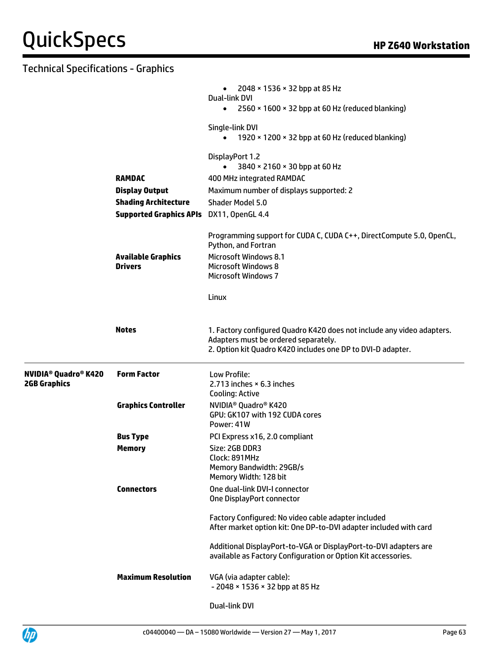|                                      |                                             | 2048 $\times$ 1536 $\times$ 32 bpp at 85 Hz<br>$\bullet$<br><b>Dual-link DVI</b><br>2560 × 1600 × 32 bpp at 60 Hz (reduced blanking)<br>$\bullet$                             |
|--------------------------------------|---------------------------------------------|-------------------------------------------------------------------------------------------------------------------------------------------------------------------------------|
|                                      |                                             | Single-link DVI<br>1920 × 1200 × 32 bpp at 60 Hz (reduced blanking)                                                                                                           |
|                                      |                                             | DisplayPort 1.2<br>3840 × 2160 × 30 bpp at 60 Hz                                                                                                                              |
|                                      | <b>RAMDAC</b>                               | 400 MHz integrated RAMDAC                                                                                                                                                     |
|                                      | <b>Display Output</b>                       | Maximum number of displays supported: 2                                                                                                                                       |
|                                      | <b>Shading Architecture</b>                 | Shader Model 5.0                                                                                                                                                              |
|                                      | <b>Supported Graphics APIs</b>              | DX11, OpenGL 4.4                                                                                                                                                              |
|                                      |                                             | Programming support for CUDA C, CUDA C++, DirectCompute 5.0, OpenCL,<br>Python, and Fortran                                                                                   |
|                                      | <b>Available Graphics</b><br><b>Drivers</b> | <b>Microsoft Windows 8.1</b><br><b>Microsoft Windows 8</b><br><b>Microsoft Windows 7</b>                                                                                      |
|                                      |                                             | Linux                                                                                                                                                                         |
|                                      | <b>Notes</b>                                | 1. Factory configured Quadro K420 does not include any video adapters.<br>Adapters must be ordered separately.<br>2. Option kit Quadro K420 includes one DP to DVI-D adapter. |
| NVIDIA® Quadro® K420<br>2GB Graphics | <b>Form Factor</b>                          | Low Profile:<br>2.713 inches $\times$ 6.3 inches<br><b>Cooling: Active</b>                                                                                                    |
|                                      | <b>Graphics Controller</b>                  | NVIDIA <sup>®</sup> Quadro <sup>®</sup> K420<br>GPU: GK107 with 192 CUDA cores<br>Power: 41W                                                                                  |
|                                      | <b>Bus Type</b>                             | PCI Express x16, 2.0 compliant                                                                                                                                                |
|                                      | Memorv                                      | Size: 2GB DDR3<br>Clock: 891MHz<br>Memory Bandwidth: 29GB/s<br>Memory Width: 128 bit                                                                                          |
|                                      | <b>Connectors</b>                           | One dual-link DVI-I connector<br>One DisplayPort connector                                                                                                                    |
|                                      |                                             | Factory Configured: No video cable adapter included<br>After market option kit: One DP-to-DVI adapter included with card                                                      |
|                                      |                                             | Additional DisplayPort-to-VGA or DisplayPort-to-DVI adapters are<br>available as Factory Configuration or Option Kit accessories.                                             |
|                                      | <b>Maximum Resolution</b>                   | VGA (via adapter cable):<br>- 2048 × 1536 × 32 bpp at 85 Hz                                                                                                                   |
|                                      |                                             | Dual-link DVI                                                                                                                                                                 |

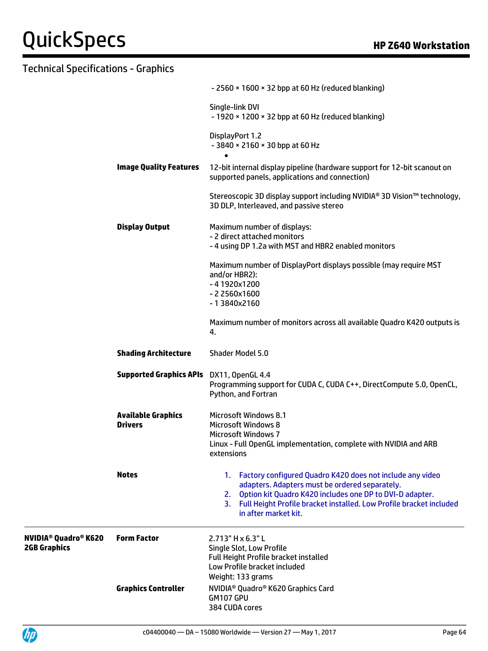|                                                                          |                                             | - 2560 × 1600 × 32 bpp at 60 Hz (reduced blanking)                                                                                                                                                                                                                              |
|--------------------------------------------------------------------------|---------------------------------------------|---------------------------------------------------------------------------------------------------------------------------------------------------------------------------------------------------------------------------------------------------------------------------------|
|                                                                          |                                             | Single-link DVI<br>$-1920 \times 1200 \times 32$ bpp at 60 Hz (reduced blanking)                                                                                                                                                                                                |
|                                                                          |                                             | DisplayPort 1.2<br>$-3840 \times 2160 \times 30$ bpp at 60 Hz                                                                                                                                                                                                                   |
|                                                                          | <b>Image Quality Features</b>               | 12-bit internal display pipeline (hardware support for 12-bit scanout on<br>supported panels, applications and connection)                                                                                                                                                      |
|                                                                          |                                             | Stereoscopic 3D display support including NVIDIA® 3D Vision™ technology,<br>3D DLP, Interleaved, and passive stereo                                                                                                                                                             |
|                                                                          | <b>Display Output</b>                       | Maximum number of displays:<br>- 2 direct attached monitors<br>- 4 using DP 1.2a with MST and HBR2 enabled monitors                                                                                                                                                             |
|                                                                          |                                             | Maximum number of DisplayPort displays possible (may require MST<br>and/or HBR2):<br>$-41920x1200$<br>$-22560x1600$<br>-13840x2160                                                                                                                                              |
|                                                                          |                                             | Maximum number of monitors across all available Quadro K420 outputs is<br>4.                                                                                                                                                                                                    |
|                                                                          | <b>Shading Architecture</b>                 | Shader Model 5.0                                                                                                                                                                                                                                                                |
|                                                                          | Supported Graphics APIs DX11, OpenGL 4.4    | Programming support for CUDA C, CUDA C++, DirectCompute 5.0, OpenCL,<br>Python, and Fortran                                                                                                                                                                                     |
|                                                                          | <b>Available Graphics</b><br><b>Drivers</b> | <b>Microsoft Windows 8.1</b><br><b>Microsoft Windows 8</b><br><b>Microsoft Windows 7</b><br>Linux - Full OpenGL implementation, complete with NVIDIA and ARB<br>extensions                                                                                                      |
|                                                                          | <b>Notes</b>                                | 1. Factory configured Quadro K420 does not include any video<br>adapters. Adapters must be ordered separately.<br>2. Option kit Quadro K420 includes one DP to DVI-D adapter.<br>3. Full Height Profile bracket installed. Low Profile bracket included<br>in after market kit. |
| <b>NVIDIA<sup>®</sup> Quadro<sup>®</sup> K620</b><br><b>2GB Graphics</b> | <b>Form Factor</b>                          | 2.713" H x 6.3" L<br>Single Slot, Low Profile<br>Full Height Profile bracket installed<br>Low Profile bracket included<br>Weight: 133 grams                                                                                                                                     |
|                                                                          | <b>Graphics Controller</b>                  | NVIDIA <sup>®</sup> Quadro® K620 Graphics Card<br>GM107 GPU<br>384 CUDA cores                                                                                                                                                                                                   |

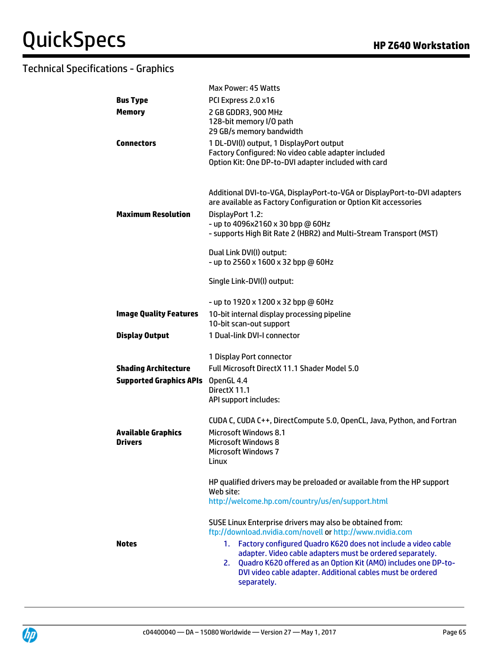|                                | Max Power: 45 Watts                                                       |
|--------------------------------|---------------------------------------------------------------------------|
| <b>Bus Type</b>                | PCI Express 2.0 x16                                                       |
| <b>Memory</b>                  | 2 GB GDDR3, 900 MHz                                                       |
|                                | 128-bit memory I/O path                                                   |
|                                | 29 GB/s memory bandwidth                                                  |
| <b>Connectors</b>              | 1 DL-DVI(I) output, 1 DisplayPort output                                  |
|                                | Factory Configured: No video cable adapter included                       |
|                                | Option Kit: One DP-to-DVI adapter included with card                      |
|                                |                                                                           |
|                                |                                                                           |
|                                | Additional DVI-to-VGA, DisplayPort-to-VGA or DisplayPort-to-DVI adapters  |
|                                | are available as Factory Configuration or Option Kit accessories          |
| <b>Maximum Resolution</b>      | DisplayPort 1.2:                                                          |
|                                | - up to 4096x2160 x 30 bpp @ 60Hz                                         |
|                                | - supports High Bit Rate 2 (HBR2) and Multi-Stream Transport (MST)        |
|                                | Dual Link DVI(I) output:                                                  |
|                                | - up to 2560 x 1600 x 32 bpp @ 60Hz                                       |
|                                |                                                                           |
|                                | Single Link-DVI(I) output:                                                |
|                                |                                                                           |
|                                | - up to 1920 x 1200 x 32 bpp @ 60Hz                                       |
| <b>Image Quality Features</b>  | 10-bit internal display processing pipeline                               |
|                                | 10-bit scan-out support                                                   |
| <b>Display Output</b>          | 1 Dual-link DVI-I connector                                               |
|                                | 1 Display Port connector                                                  |
| <b>Shading Architecture</b>    | Full Microsoft DirectX 11.1 Shader Model 5.0                              |
|                                |                                                                           |
| <b>Supported Graphics APIs</b> | OpenGL 4.4<br>DirectX 11.1                                                |
|                                | API support includes:                                                     |
|                                |                                                                           |
|                                | CUDA C, CUDA C++, DirectCompute 5.0, OpenCL, Java, Python, and Fortran    |
| <b>Available Graphics</b>      | Microsoft Windows 8.1                                                     |
| <b>Drivers</b>                 | <b>Microsoft Windows 8</b>                                                |
|                                | <b>Microsoft Windows 7</b>                                                |
|                                | Linux                                                                     |
|                                | HP qualified drivers may be preloaded or available from the HP support    |
|                                | Web site:                                                                 |
|                                | http://welcome.hp.com/country/us/en/support.html                          |
|                                |                                                                           |
|                                | SUSE Linux Enterprise drivers may also be obtained from:                  |
|                                | ftp://download.nvidia.com/novell or http://www.nvidia.com                 |
| <b>Notes</b>                   | Factory configured Quadro K620 does not include a video cable<br>1.       |
|                                | adapter. Video cable adapters must be ordered separately.                 |
|                                | Quadro K620 offered as an Option Kit (AMO) includes one DP-to-<br>2.      |
|                                | DVI video cable adapter. Additional cables must be ordered<br>separately. |
|                                |                                                                           |

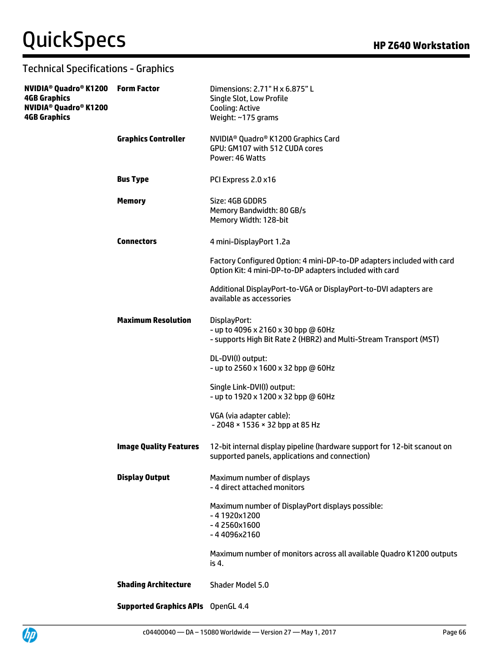| <b>4GB Graphics</b><br>NVIDIA® Quadro® K1200<br><b>4GB Graphics</b> |                                           | Dimensions: 2.71" H x 6.875" L<br>Single Slot, Low Profile<br><b>Cooling: Active</b><br>Weight: ~175 grams                        |
|---------------------------------------------------------------------|-------------------------------------------|-----------------------------------------------------------------------------------------------------------------------------------|
|                                                                     | <b>Graphics Controller</b>                | NVIDIA <sup>®</sup> Quadro® K1200 Graphics Card<br>GPU: GM107 with 512 CUDA cores<br>Power: 46 Watts                              |
|                                                                     | <b>Bus Type</b>                           | PCI Express 2.0 x16                                                                                                               |
|                                                                     | <b>Memory</b>                             | Size: 4GB GDDR5<br>Memory Bandwidth: 80 GB/s<br>Memory Width: 128-bit                                                             |
|                                                                     | <b>Connectors</b>                         | 4 mini-DisplayPort 1.2a                                                                                                           |
|                                                                     |                                           | Factory Configured Option: 4 mini-DP-to-DP adapters included with card<br>Option Kit: 4 mini-DP-to-DP adapters included with card |
|                                                                     |                                           | Additional DisplayPort-to-VGA or DisplayPort-to-DVI adapters are<br>available as accessories                                      |
|                                                                     | <b>Maximum Resolution</b>                 | DisplayPort:<br>- up to 4096 x 2160 x 30 bpp @ 60Hz<br>- supports High Bit Rate 2 (HBR2) and Multi-Stream Transport (MST)         |
|                                                                     |                                           | DL-DVI(I) output:<br>- up to 2560 x 1600 x 32 bpp @ 60Hz                                                                          |
|                                                                     |                                           | Single Link-DVI(I) output:<br>- up to 1920 x 1200 x 32 bpp @ 60Hz                                                                 |
|                                                                     |                                           | VGA (via adapter cable):<br>$-2048 \times 1536 \times 32$ bpp at 85 Hz                                                            |
|                                                                     | <b>Image Quality Features</b>             | 12-bit internal display pipeline (hardware support for 12-bit scanout on<br>supported panels, applications and connection)        |
|                                                                     | <b>Display Output</b>                     | Maximum number of displays<br>- 4 direct attached monitors                                                                        |
|                                                                     |                                           | Maximum number of DisplayPort displays possible:<br>$-41920x1200$<br>$-42560x1600$<br>$-44096x2160$                               |
|                                                                     |                                           | Maximum number of monitors across all available Quadro K1200 outputs<br>is 4.                                                     |
|                                                                     | <b>Shading Architecture</b>               | Shader Model 5.0                                                                                                                  |
|                                                                     | <b>Supported Graphics APIs</b> OpenGL 4.4 |                                                                                                                                   |

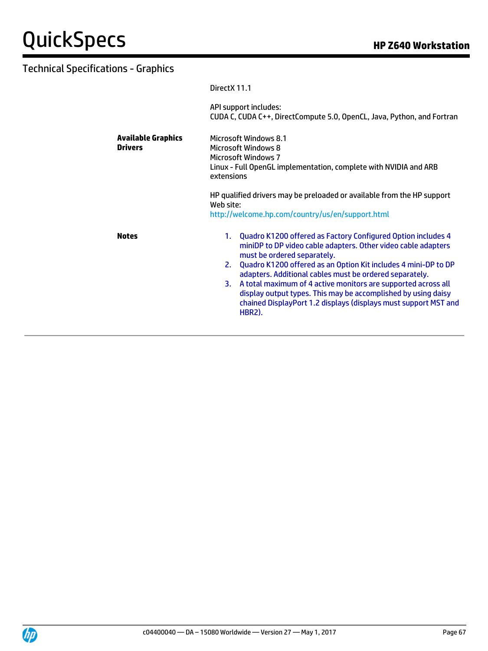| Direct X 11.1                                                                                                                                                                                                                                                                                                                                                                                                                                                                                                                  |  |
|--------------------------------------------------------------------------------------------------------------------------------------------------------------------------------------------------------------------------------------------------------------------------------------------------------------------------------------------------------------------------------------------------------------------------------------------------------------------------------------------------------------------------------|--|
| API support includes:<br>CUDA C, CUDA C++, DirectCompute 5.0, OpenCL, Java, Python, and Fortran                                                                                                                                                                                                                                                                                                                                                                                                                                |  |
| Microsoft Windows 8.1<br><b>Microsoft Windows 8</b><br><b>Microsoft Windows 7</b><br>Linux - Full OpenGL implementation, complete with NVIDIA and ARB<br>extensions                                                                                                                                                                                                                                                                                                                                                            |  |
| HP qualified drivers may be preloaded or available from the HP support<br>Web site:<br>http://welcome.hp.com/country/us/en/support.html                                                                                                                                                                                                                                                                                                                                                                                        |  |
| 1. Quadro K1200 offered as Factory Configured Option includes 4<br>miniDP to DP video cable adapters. Other video cable adapters<br>must be ordered separately.<br>Quadro K1200 offered as an Option Kit includes 4 mini-DP to DP<br>2.<br>adapters. Additional cables must be ordered separately.<br>A total maximum of 4 active monitors are supported across all<br>3.<br>display output types. This may be accomplished by using daisy<br>chained DisplayPort 1.2 displays (displays must support MST and<br><b>HBR2).</b> |  |
|                                                                                                                                                                                                                                                                                                                                                                                                                                                                                                                                |  |

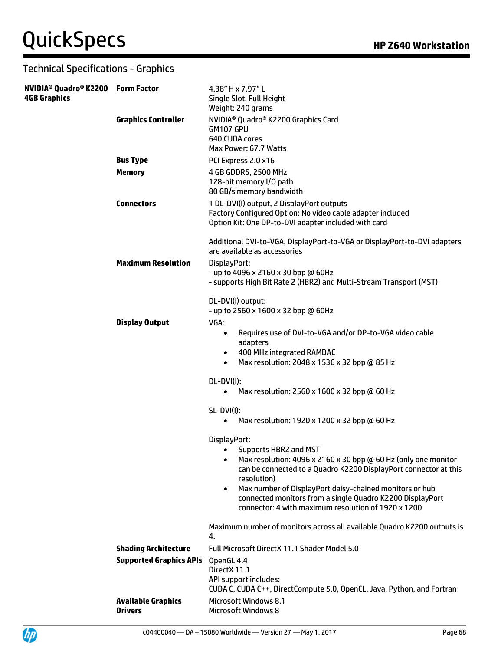| NVIDIA <sup>®</sup> Quadro® K2200 Form Factor<br><b>4GB Graphics</b> |                                             | 4.38" H x 7.97" L<br>Single Slot, Full Height<br>Weight: 240 grams                                                                                                                                                                                                                                                                                                                                    |
|----------------------------------------------------------------------|---------------------------------------------|-------------------------------------------------------------------------------------------------------------------------------------------------------------------------------------------------------------------------------------------------------------------------------------------------------------------------------------------------------------------------------------------------------|
|                                                                      | <b>Graphics Controller</b>                  | NVIDIA <sup>®</sup> Quadro® K2200 Graphics Card<br>GM107 GPU<br>640 CUDA cores<br>Max Power: 67.7 Watts                                                                                                                                                                                                                                                                                               |
|                                                                      | <b>Bus Type</b>                             | PCI Express 2.0 x16                                                                                                                                                                                                                                                                                                                                                                                   |
|                                                                      | <b>Memory</b>                               | 4 GB GDDR5, 2500 MHz<br>128-bit memory I/O path<br>80 GB/s memory bandwidth                                                                                                                                                                                                                                                                                                                           |
|                                                                      | <b>Connectors</b>                           | 1 DL-DVI(I) output, 2 DisplayPort outputs<br>Factory Configured Option: No video cable adapter included<br>Option Kit: One DP-to-DVI adapter included with card                                                                                                                                                                                                                                       |
|                                                                      |                                             | Additional DVI-to-VGA, DisplayPort-to-VGA or DisplayPort-to-DVI adapters<br>are available as accessories                                                                                                                                                                                                                                                                                              |
|                                                                      | <b>Maximum Resolution</b>                   | DisplayPort:<br>- up to 4096 x 2160 x 30 bpp @ 60Hz<br>- supports High Bit Rate 2 (HBR2) and Multi-Stream Transport (MST)                                                                                                                                                                                                                                                                             |
|                                                                      | <b>Display Output</b>                       | DL-DVI(I) output:<br>- up to 2560 x 1600 x 32 bpp @ 60Hz<br>VGA:                                                                                                                                                                                                                                                                                                                                      |
|                                                                      |                                             | Requires use of DVI-to-VGA and/or DP-to-VGA video cable<br>$\bullet$<br>adapters<br>400 MHz integrated RAMDAC<br>$\bullet$<br>Max resolution: 2048 x 1536 x 32 bpp @ 85 Hz<br>$\bullet$                                                                                                                                                                                                               |
|                                                                      |                                             | DL-DVI(I):<br>Max resolution: 2560 x 1600 x 32 bpp @ 60 Hz<br>$\bullet$                                                                                                                                                                                                                                                                                                                               |
|                                                                      |                                             | <b>SL-DVI(I):</b><br>Max resolution: 1920 x 1200 x 32 bpp @ 60 Hz<br>٠                                                                                                                                                                                                                                                                                                                                |
|                                                                      |                                             | DisplayPort:<br>• Supports HBR2 and MST<br>Max resolution: 4096 x 2160 x 30 bpp @ 60 Hz (only one monitor<br>$\bullet$<br>can be connected to a Quadro K2200 DisplayPort connector at this<br>resolution)<br>Max number of DisplayPort daisy-chained monitors or hub<br>$\bullet$<br>connected monitors from a single Quadro K2200 DisplayPort<br>connector: 4 with maximum resolution of 1920 x 1200 |
|                                                                      |                                             | Maximum number of monitors across all available Quadro K2200 outputs is<br>4.                                                                                                                                                                                                                                                                                                                         |
|                                                                      | <b>Shading Architecture</b>                 | Full Microsoft DirectX 11.1 Shader Model 5.0                                                                                                                                                                                                                                                                                                                                                          |
|                                                                      | <b>Supported Graphics APIs</b>              | OpenGL 4.4<br>DirectX 11.1<br>API support includes:<br>CUDA C, CUDA C++, DirectCompute 5.0, OpenCL, Java, Python, and Fortran                                                                                                                                                                                                                                                                         |
|                                                                      | <b>Available Graphics</b><br><b>Drivers</b> | <b>Microsoft Windows 8.1</b><br><b>Microsoft Windows 8</b>                                                                                                                                                                                                                                                                                                                                            |



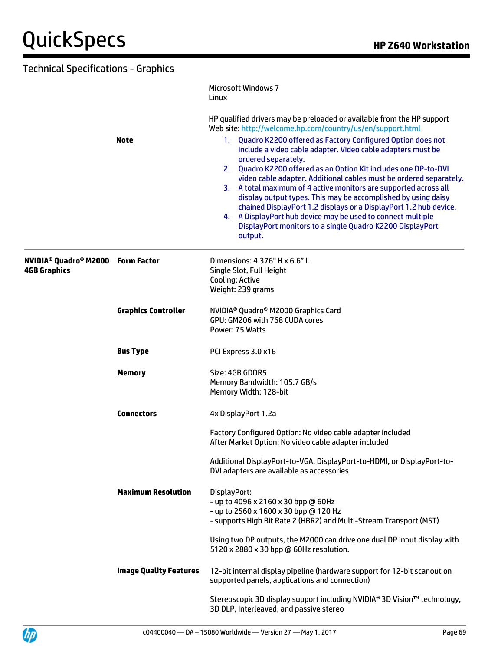| <b>Technical Specifications - Graphics</b>                                       |                               |                                                                                                                                                                                                                                                                                                                                                                                                                                                                                                                                                                                                                                               |
|----------------------------------------------------------------------------------|-------------------------------|-----------------------------------------------------------------------------------------------------------------------------------------------------------------------------------------------------------------------------------------------------------------------------------------------------------------------------------------------------------------------------------------------------------------------------------------------------------------------------------------------------------------------------------------------------------------------------------------------------------------------------------------------|
|                                                                                  |                               | <b>Microsoft Windows 7</b><br>Linux                                                                                                                                                                                                                                                                                                                                                                                                                                                                                                                                                                                                           |
|                                                                                  |                               | HP qualified drivers may be preloaded or available from the HP support<br>Web site: http://welcome.hp.com/country/us/en/support.html                                                                                                                                                                                                                                                                                                                                                                                                                                                                                                          |
|                                                                                  | <b>Note</b>                   | 1. Quadro K2200 offered as Factory Configured Option does not<br>include a video cable adapter. Video cable adapters must be<br>ordered separately.<br>2. Quadro K2200 offered as an Option Kit includes one DP-to-DVI<br>video cable adapter. Additional cables must be ordered separately.<br>3. A total maximum of 4 active monitors are supported across all<br>display output types. This may be accomplished by using daisy<br>chained DisplayPort 1.2 displays or a DisplayPort 1.2 hub device.<br>4. A DisplayPort hub device may be used to connect multiple<br>DisplayPort monitors to a single Quadro K2200 DisplayPort<br>output. |
| NVIDIA <sup>®</sup> Quadro <sup>®</sup> M2000 Form Factor<br><b>4GB Graphics</b> |                               | Dimensions: 4.376" H x 6.6" L<br>Single Slot, Full Height<br><b>Cooling: Active</b><br>Weight: 239 grams                                                                                                                                                                                                                                                                                                                                                                                                                                                                                                                                      |
|                                                                                  | <b>Graphics Controller</b>    | NVIDIA <sup>®</sup> Quadro® M2000 Graphics Card<br>GPU: GM206 with 768 CUDA cores<br>Power: 75 Watts                                                                                                                                                                                                                                                                                                                                                                                                                                                                                                                                          |
|                                                                                  | <b>Bus Type</b>               | PCI Express 3.0 x16                                                                                                                                                                                                                                                                                                                                                                                                                                                                                                                                                                                                                           |
|                                                                                  | <b>Memory</b>                 | Size: 4GB GDDR5<br>Memory Bandwidth: 105.7 GB/s<br>Memory Width: 128-bit                                                                                                                                                                                                                                                                                                                                                                                                                                                                                                                                                                      |
|                                                                                  | <b>Connectors</b>             | 4x DisplayPort 1.2a                                                                                                                                                                                                                                                                                                                                                                                                                                                                                                                                                                                                                           |
|                                                                                  |                               | Factory Configured Option: No video cable adapter included<br>After Market Option: No video cable adapter included                                                                                                                                                                                                                                                                                                                                                                                                                                                                                                                            |
|                                                                                  |                               | Additional DisplayPort-to-VGA, DisplayPort-to-HDMI, or DisplayPort-to-<br>DVI adapters are available as accessories                                                                                                                                                                                                                                                                                                                                                                                                                                                                                                                           |
|                                                                                  | <b>Maximum Resolution</b>     | DisplayPort:<br>- up to 4096 x 2160 x 30 bpp @ 60Hz<br>- up to 2560 x 1600 x 30 bpp @ 120 Hz<br>- supports High Bit Rate 2 (HBR2) and Multi-Stream Transport (MST)                                                                                                                                                                                                                                                                                                                                                                                                                                                                            |
|                                                                                  |                               | Using two DP outputs, the M2000 can drive one dual DP input display with<br>5120 x 2880 x 30 bpp @ 60Hz resolution.                                                                                                                                                                                                                                                                                                                                                                                                                                                                                                                           |
|                                                                                  | <b>Image Quality Features</b> | 12-bit internal display pipeline (hardware support for 12-bit scanout on<br>supported panels, applications and connection)                                                                                                                                                                                                                                                                                                                                                                                                                                                                                                                    |
|                                                                                  |                               | Stereoscopic 3D display support including NVIDIA® 3D Vision™ technology,<br>3D DLP, Interleaved, and passive stereo                                                                                                                                                                                                                                                                                                                                                                                                                                                                                                                           |

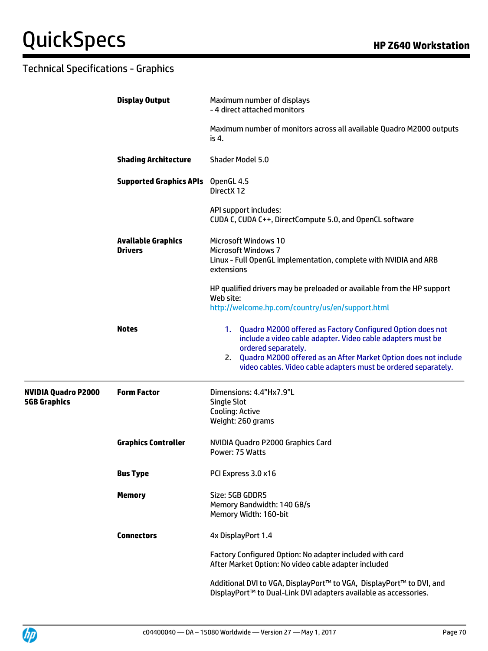|                                                   | <b>Display Output</b>                       | Maximum number of displays<br>- 4 direct attached monitors                                                                                          |
|---------------------------------------------------|---------------------------------------------|-----------------------------------------------------------------------------------------------------------------------------------------------------|
|                                                   |                                             | Maximum number of monitors across all available Quadro M2000 outputs<br>is 4.                                                                       |
|                                                   | <b>Shading Architecture</b>                 | <b>Shader Model 5.0</b>                                                                                                                             |
|                                                   | <b>Supported Graphics APIs</b> OpenGL 4.5   | DirectX 12                                                                                                                                          |
|                                                   |                                             | API support includes:<br>CUDA C, CUDA C++, DirectCompute 5.0, and OpenCL software                                                                   |
|                                                   | <b>Available Graphics</b><br><b>Drivers</b> | <b>Microsoft Windows 10</b><br><b>Microsoft Windows 7</b>                                                                                           |
|                                                   |                                             | Linux - Full OpenGL implementation, complete with NVIDIA and ARB<br>extensions                                                                      |
|                                                   |                                             | HP qualified drivers may be preloaded or available from the HP support<br>Web site:                                                                 |
|                                                   |                                             | http://welcome.hp.com/country/us/en/support.html                                                                                                    |
|                                                   | <b>Notes</b>                                | 1. Quadro M2000 offered as Factory Configured Option does not<br>include a video cable adapter. Video cable adapters must be<br>ordered separately. |
|                                                   |                                             | 2. Quadro M2000 offered as an After Market Option does not include<br>video cables. Video cable adapters must be ordered separately.                |
| <b>NVIDIA Quadro P2000</b><br><b>5GB Graphics</b> | <b>Form Factor</b>                          | Dimensions: 4.4"Hx7.9"L<br><b>Single Slot</b>                                                                                                       |
|                                                   |                                             | <b>Cooling: Active</b><br>Weight: 260 grams                                                                                                         |
|                                                   |                                             |                                                                                                                                                     |
|                                                   | <b>Graphics Controller</b>                  | NVIDIA Quadro P2000 Graphics Card<br>Power: 75 Watts                                                                                                |
|                                                   | <b>Bus Type</b>                             | PCI Express 3.0 x16                                                                                                                                 |
|                                                   | <b>Memory</b>                               | Size: 5GB GDDR5<br>Memory Bandwidth: 140 GB/s                                                                                                       |
|                                                   |                                             | Memory Width: 160-bit                                                                                                                               |
|                                                   | <b>Connectors</b>                           | 4x DisplayPort 1.4                                                                                                                                  |
|                                                   |                                             | Factory Configured Option: No adapter included with card<br>After Market Option: No video cable adapter included                                    |
|                                                   |                                             | Additional DVI to VGA, DisplayPort™ to VGA, DisplayPort™ to DVI, and<br>DisplayPort™ to Dual-Link DVI adapters available as accessories.            |

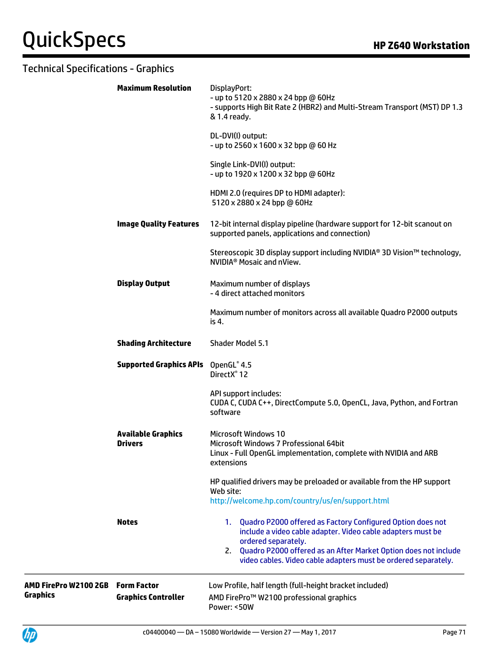|                                          | <b>Maximum Resolution</b>                        | DisplayPort:<br>- up to 5120 x 2880 x 24 bpp @ 60Hz<br>- supports High Bit Rate 2 (HBR2) and Multi-Stream Transport (MST) DP 1.3<br>& 1.4 ready.                                                                                                                                                  |
|------------------------------------------|--------------------------------------------------|---------------------------------------------------------------------------------------------------------------------------------------------------------------------------------------------------------------------------------------------------------------------------------------------------|
|                                          |                                                  | DL-DVI(I) output:<br>- up to 2560 x 1600 x 32 bpp @ 60 Hz                                                                                                                                                                                                                                         |
|                                          |                                                  | Single Link-DVI(I) output:<br>- up to 1920 x 1200 x 32 bpp @ 60Hz                                                                                                                                                                                                                                 |
|                                          |                                                  | HDMI 2.0 (requires DP to HDMI adapter):<br>5120 x 2880 x 24 bpp @ 60Hz                                                                                                                                                                                                                            |
|                                          | <b>Image Quality Features</b>                    | 12-bit internal display pipeline (hardware support for 12-bit scanout on<br>supported panels, applications and connection)                                                                                                                                                                        |
|                                          |                                                  | Stereoscopic 3D display support including NVIDIA® 3D Vision™ technology,<br>NVIDIA <sup>®</sup> Mosaic and nView.                                                                                                                                                                                 |
|                                          | <b>Display Output</b>                            | Maximum number of displays<br>- 4 direct attached monitors                                                                                                                                                                                                                                        |
|                                          |                                                  | Maximum number of monitors across all available Quadro P2000 outputs<br>is 4.                                                                                                                                                                                                                     |
|                                          | <b>Shading Architecture</b>                      | <b>Shader Model 5.1</b>                                                                                                                                                                                                                                                                           |
|                                          | <b>Supported Graphics APIs</b>                   | OpenGL® 4.5<br>DirectX <sup>®</sup> 12                                                                                                                                                                                                                                                            |
|                                          |                                                  | API support includes:<br>CUDA C, CUDA C++, DirectCompute 5.0, OpenCL, Java, Python, and Fortran<br>software                                                                                                                                                                                       |
|                                          | <b>Available Graphics</b><br><b>Drivers</b>      | <b>Microsoft Windows 10</b><br>Microsoft Windows 7 Professional 64bit<br>Linux - Full OpenGL implementation, complete with NVIDIA and ARB<br>extensions                                                                                                                                           |
|                                          |                                                  | HP qualified drivers may be preloaded or available from the HP support<br>Web site:<br>http://welcome.hp.com/country/us/en/support.html                                                                                                                                                           |
|                                          | <b>Notes</b>                                     | Quadro P2000 offered as Factory Configured Option does not<br>1.<br>include a video cable adapter. Video cable adapters must be<br>ordered separately.<br>Quadro P2000 offered as an After Market Option does not include<br>2.<br>video cables. Video cable adapters must be ordered separately. |
| AMD FirePro W2100 2GB<br><b>Graphics</b> | <b>Form Factor</b><br><b>Graphics Controller</b> | Low Profile, half length (full-height bracket included)<br>AMD FirePro™ W2100 professional graphics<br>Power: <50W                                                                                                                                                                                |

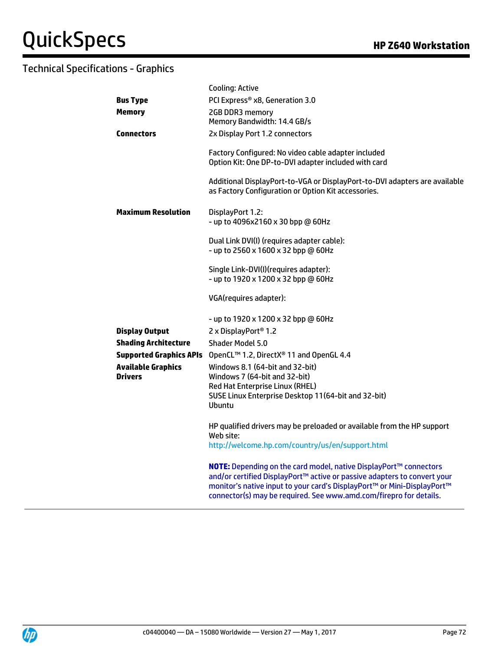|                             | <b>Cooling: Active</b>                                                                                                                                                                                                                                                                         |
|-----------------------------|------------------------------------------------------------------------------------------------------------------------------------------------------------------------------------------------------------------------------------------------------------------------------------------------|
| <b>Bus Type</b>             | PCI Express® x8, Generation 3.0                                                                                                                                                                                                                                                                |
| <b>Memory</b>               | 2GB DDR3 memory<br>Memory Bandwidth: 14.4 GB/s                                                                                                                                                                                                                                                 |
| <b>Connectors</b>           | 2x Display Port 1.2 connectors                                                                                                                                                                                                                                                                 |
|                             | Factory Configured: No video cable adapter included<br>Option Kit: One DP-to-DVI adapter included with card<br>Additional DisplayPort-to-VGA or DisplayPort-to-DVI adapters are available                                                                                                      |
|                             | as Factory Configuration or Option Kit accessories.                                                                                                                                                                                                                                            |
| <b>Maximum Resolution</b>   | DisplayPort 1.2:<br>- up to 4096x2160 x 30 bpp @ 60Hz                                                                                                                                                                                                                                          |
|                             | Dual Link DVI(I) (requires adapter cable):<br>- up to 2560 x 1600 x 32 bpp @ 60Hz                                                                                                                                                                                                              |
|                             | Single Link-DVI(I)(requires adapter):<br>- up to 1920 x 1200 x 32 bpp @ 60Hz                                                                                                                                                                                                                   |
|                             | VGA(requires adapter):                                                                                                                                                                                                                                                                         |
| <b>Display Output</b>       | - up to 1920 x 1200 x 32 bpp @ 60Hz<br>2 x DisplayPort <sup>®</sup> 1.2                                                                                                                                                                                                                        |
| <b>Shading Architecture</b> | Shader Model 5.0                                                                                                                                                                                                                                                                               |
|                             | Supported Graphics APIs OpenCL™ 1.2, DirectX® 11 and OpenGL 4.4                                                                                                                                                                                                                                |
| <b>Available Graphics</b>   | Windows 8.1 (64-bit and 32-bit)                                                                                                                                                                                                                                                                |
| <b>Drivers</b>              | Windows 7 (64-bit and 32-bit)                                                                                                                                                                                                                                                                  |
|                             | Red Hat Enterprise Linux (RHEL)<br>SUSE Linux Enterprise Desktop 11(64-bit and 32-bit)<br><b>Ubuntu</b>                                                                                                                                                                                        |
|                             | HP qualified drivers may be preloaded or available from the HP support<br>Web site:<br>http://welcome.hp.com/country/us/en/support.html                                                                                                                                                        |
|                             | NOTE: Depending on the card model, native DisplayPort™ connectors<br>and/or certified DisplayPort™ active or passive adapters to convert your<br>monitor's native input to your card's DisplayPort™ or Mini-DisplayPort™<br>connector(s) may be required. See www.amd.com/firepro for details. |

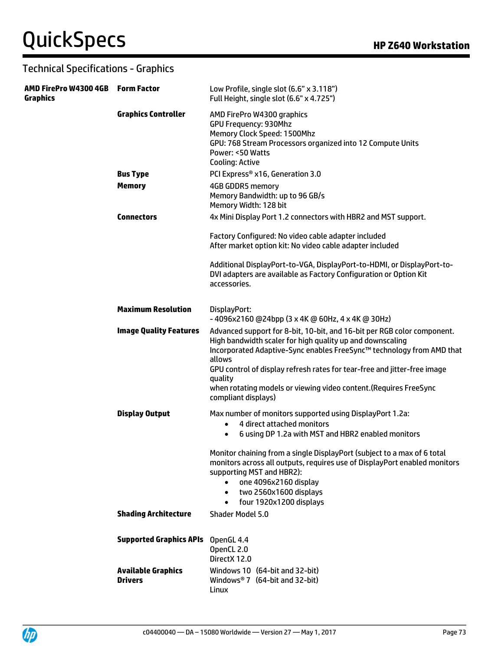| AMD FirePro W4300 4GB<br><b>Graphics</b> | <b>Form Factor</b>                          | Low Profile, single slot (6.6" x 3.118")<br>Full Height, single slot (6.6" x 4.725")                                                                                                                                                                                                                                                                                                                       |
|------------------------------------------|---------------------------------------------|------------------------------------------------------------------------------------------------------------------------------------------------------------------------------------------------------------------------------------------------------------------------------------------------------------------------------------------------------------------------------------------------------------|
|                                          | <b>Graphics Controller</b>                  | AMD FirePro W4300 graphics<br><b>GPU Frequency: 930Mhz</b><br>Memory Clock Speed: 1500Mhz<br>GPU: 768 Stream Processors organized into 12 Compute Units<br>Power: <50 Watts<br><b>Cooling: Active</b>                                                                                                                                                                                                      |
|                                          | <b>Bus Type</b>                             | PCI Express® x16, Generation 3.0                                                                                                                                                                                                                                                                                                                                                                           |
|                                          | <b>Memory</b>                               | <b>4GB GDDR5 memory</b><br>Memory Bandwidth: up to 96 GB/s<br>Memory Width: 128 bit                                                                                                                                                                                                                                                                                                                        |
|                                          | <b>Connectors</b>                           | 4x Mini Display Port 1.2 connectors with HBR2 and MST support.                                                                                                                                                                                                                                                                                                                                             |
|                                          |                                             | Factory Configured: No video cable adapter included<br>After market option kit: No video cable adapter included                                                                                                                                                                                                                                                                                            |
|                                          |                                             | Additional DisplayPort-to-VGA, DisplayPort-to-HDMI, or DisplayPort-to-<br>DVI adapters are available as Factory Configuration or Option Kit<br>accessories.                                                                                                                                                                                                                                                |
|                                          | <b>Maximum Resolution</b>                   | DisplayPort:<br>$-$ 4096x2160 @24bpp (3 x 4K @ 60Hz, 4 x 4K @ 30Hz)                                                                                                                                                                                                                                                                                                                                        |
|                                          | <b>Image Quality Features</b>               | Advanced support for 8-bit, 10-bit, and 16-bit per RGB color component.<br>High bandwidth scaler for high quality up and downscaling<br>Incorporated Adaptive-Sync enables FreeSync™ technology from AMD that<br>allows<br>GPU control of display refresh rates for tear-free and jitter-free image<br>quality<br>when rotating models or viewing video content. (Requires FreeSync<br>compliant displays) |
|                                          | <b>Display Output</b>                       | Max number of monitors supported using DisplayPort 1.2a:<br>4 direct attached monitors<br>$\bullet$                                                                                                                                                                                                                                                                                                        |
|                                          |                                             | 6 using DP 1.2a with MST and HBR2 enabled monitors<br>$\bullet$                                                                                                                                                                                                                                                                                                                                            |
|                                          |                                             | Monitor chaining from a single DisplayPort (subject to a max of 6 total<br>monitors across all outputs, requires use of DisplayPort enabled monitors<br>supporting MST and HBR2):<br>one 4096x2160 display<br>$\bullet$<br>two 2560x1600 displays<br>$\bullet$<br>four 1920x1200 displays<br>$\bullet$                                                                                                     |
|                                          | <b>Shading Architecture</b>                 | Shader Model 5.0                                                                                                                                                                                                                                                                                                                                                                                           |
|                                          | <b>Supported Graphics APIs</b>              | OpenGL 4.4<br>OpenCL 2.0<br>DirectX 12.0                                                                                                                                                                                                                                                                                                                                                                   |
|                                          | <b>Available Graphics</b><br><b>Drivers</b> | Windows 10 (64-bit and 32-bit)<br>Windows <sup>®</sup> 7 (64-bit and 32-bit)<br>Linux                                                                                                                                                                                                                                                                                                                      |

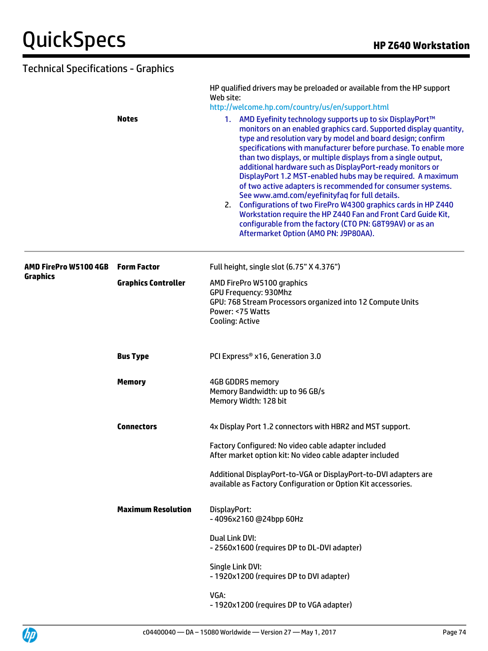|                                          | <b>Notes</b>               | HP qualified drivers may be preloaded or available from the HP support<br>Web site:<br>http://welcome.hp.com/country/us/en/support.html<br>1. AMD Eyefinity technology supports up to six DisplayPort™<br>monitors on an enabled graphics card. Supported display quantity,<br>type and resolution vary by model and board design; confirm<br>specifications with manufacturer before purchase. To enable more<br>than two displays, or multiple displays from a single output,<br>additional hardware such as DisplayPort-ready monitors or<br>DisplayPort 1.2 MST-enabled hubs may be required. A maximum<br>of two active adapters is recommended for consumer systems.<br>See www.amd.com/eyefinityfaq for full details.<br>2. Configurations of two FirePro W4300 graphics cards in HP Z440<br>Workstation require the HP Z440 Fan and Front Card Guide Kit,<br>configurable from the factory (CTO PN: G8T99AV) or as an<br>Aftermarket Option (AMO PN: J9P80AA). |
|------------------------------------------|----------------------------|------------------------------------------------------------------------------------------------------------------------------------------------------------------------------------------------------------------------------------------------------------------------------------------------------------------------------------------------------------------------------------------------------------------------------------------------------------------------------------------------------------------------------------------------------------------------------------------------------------------------------------------------------------------------------------------------------------------------------------------------------------------------------------------------------------------------------------------------------------------------------------------------------------------------------------------------------------------------|
| AMD FirePro W5100 4GB<br><b>Graphics</b> | <b>Form Factor</b>         | Full height, single slot (6.75" X 4.376")                                                                                                                                                                                                                                                                                                                                                                                                                                                                                                                                                                                                                                                                                                                                                                                                                                                                                                                              |
|                                          | <b>Graphics Controller</b> | AMD FirePro W5100 graphics<br><b>GPU Frequency: 930Mhz</b><br>GPU: 768 Stream Processors organized into 12 Compute Units<br>Power: <75 Watts<br><b>Cooling: Active</b>                                                                                                                                                                                                                                                                                                                                                                                                                                                                                                                                                                                                                                                                                                                                                                                                 |
|                                          | <b>Bus Type</b>            | PCI Express® x16, Generation 3.0                                                                                                                                                                                                                                                                                                                                                                                                                                                                                                                                                                                                                                                                                                                                                                                                                                                                                                                                       |
|                                          | <b>Memory</b>              | 4GB GDDR5 memory<br>Memory Bandwidth: up to 96 GB/s<br>Memory Width: 128 bit                                                                                                                                                                                                                                                                                                                                                                                                                                                                                                                                                                                                                                                                                                                                                                                                                                                                                           |
|                                          | <b>Connectors</b>          | 4x Display Port 1.2 connectors with HBR2 and MST support.                                                                                                                                                                                                                                                                                                                                                                                                                                                                                                                                                                                                                                                                                                                                                                                                                                                                                                              |
|                                          |                            | Factory Configured: No video cable adapter included<br>After market option kit: No video cable adapter included                                                                                                                                                                                                                                                                                                                                                                                                                                                                                                                                                                                                                                                                                                                                                                                                                                                        |
|                                          |                            | Additional DisplayPort-to-VGA or DisplayPort-to-DVI adapters are<br>available as Factory Configuration or Option Kit accessories.                                                                                                                                                                                                                                                                                                                                                                                                                                                                                                                                                                                                                                                                                                                                                                                                                                      |
|                                          | <b>Maximum Resolution</b>  | DisplayPort:<br>-4096x2160 @24bpp 60Hz                                                                                                                                                                                                                                                                                                                                                                                                                                                                                                                                                                                                                                                                                                                                                                                                                                                                                                                                 |
|                                          |                            | Dual Link DVI:<br>- 2560x1600 (requires DP to DL-DVI adapter)                                                                                                                                                                                                                                                                                                                                                                                                                                                                                                                                                                                                                                                                                                                                                                                                                                                                                                          |
|                                          |                            | Single Link DVI:<br>- 1920x1200 (requires DP to DVI adapter)                                                                                                                                                                                                                                                                                                                                                                                                                                                                                                                                                                                                                                                                                                                                                                                                                                                                                                           |
|                                          |                            | VGA:<br>- 1920x1200 (requires DP to VGA adapter)                                                                                                                                                                                                                                                                                                                                                                                                                                                                                                                                                                                                                                                                                                                                                                                                                                                                                                                       |

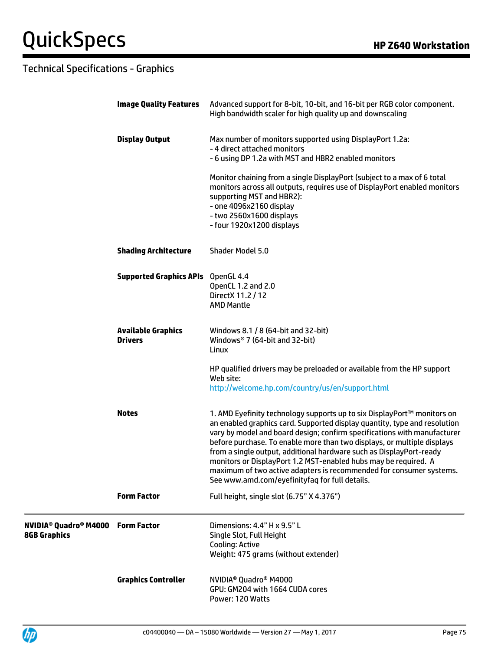# **QuickSpecs HP Z640 Workstation**

|                                                                                       | <b>Image Quality Features</b>               | Advanced support for 8-bit, 10-bit, and 16-bit per RGB color component.<br>High bandwidth scaler for high quality up and downscaling                                                                                                                                                                                                                                                                                                                                                                                                                                           |
|---------------------------------------------------------------------------------------|---------------------------------------------|--------------------------------------------------------------------------------------------------------------------------------------------------------------------------------------------------------------------------------------------------------------------------------------------------------------------------------------------------------------------------------------------------------------------------------------------------------------------------------------------------------------------------------------------------------------------------------|
|                                                                                       | <b>Display Output</b>                       | Max number of monitors supported using DisplayPort 1.2a:<br>- 4 direct attached monitors<br>- 6 using DP 1.2a with MST and HBR2 enabled monitors                                                                                                                                                                                                                                                                                                                                                                                                                               |
|                                                                                       |                                             | Monitor chaining from a single DisplayPort (subject to a max of 6 total<br>monitors across all outputs, requires use of DisplayPort enabled monitors<br>supporting MST and HBR2):<br>- one 4096x2160 display<br>- two 2560x1600 displays<br>- four 1920x1200 displays                                                                                                                                                                                                                                                                                                          |
|                                                                                       | <b>Shading Architecture</b>                 | Shader Model 5.0                                                                                                                                                                                                                                                                                                                                                                                                                                                                                                                                                               |
|                                                                                       | <b>Supported Graphics APIs</b>              | OpenGL 4.4<br>OpenCL 1.2 and 2.0<br>DirectX 11.2 / 12<br><b>AMD Mantle</b>                                                                                                                                                                                                                                                                                                                                                                                                                                                                                                     |
|                                                                                       | <b>Available Graphics</b><br><b>Drivers</b> | Windows 8.1 / 8 (64-bit and 32-bit)<br>Windows <sup>®</sup> 7 (64-bit and 32-bit)<br>Linux                                                                                                                                                                                                                                                                                                                                                                                                                                                                                     |
|                                                                                       |                                             | HP qualified drivers may be preloaded or available from the HP support<br>Web site:<br>http://welcome.hp.com/country/us/en/support.html                                                                                                                                                                                                                                                                                                                                                                                                                                        |
|                                                                                       | <b>Notes</b>                                | 1. AMD Eyefinity technology supports up to six DisplayPort™ monitors on<br>an enabled graphics card. Supported display quantity, type and resolution<br>vary by model and board design; confirm specifications with manufacturer<br>before purchase. To enable more than two displays, or multiple displays<br>from a single output, additional hardware such as DisplayPort-ready<br>monitors or DisplayPort 1.2 MST-enabled hubs may be required. A<br>maximum of two active adapters is recommended for consumer systems.<br>See www.amd.com/eyefinityfag for full details. |
|                                                                                       | <b>Form Factor</b>                          | Full height, single slot (6.75" X 4.376")                                                                                                                                                                                                                                                                                                                                                                                                                                                                                                                                      |
| <b>NVIDIA<sup>®</sup> Quadro<sup>®</sup> M4000 Form Factor</b><br><b>8GB Graphics</b> |                                             | Dimensions: 4.4" H x 9.5" L<br>Single Slot, Full Height<br><b>Cooling: Active</b><br>Weight: 475 grams (without extender)                                                                                                                                                                                                                                                                                                                                                                                                                                                      |
|                                                                                       | <b>Graphics Controller</b>                  | NVIDIA <sup>®</sup> Quadro <sup>®</sup> M4000<br>GPU: GM204 with 1664 CUDA cores<br>Power: 120 Watts                                                                                                                                                                                                                                                                                                                                                                                                                                                                           |

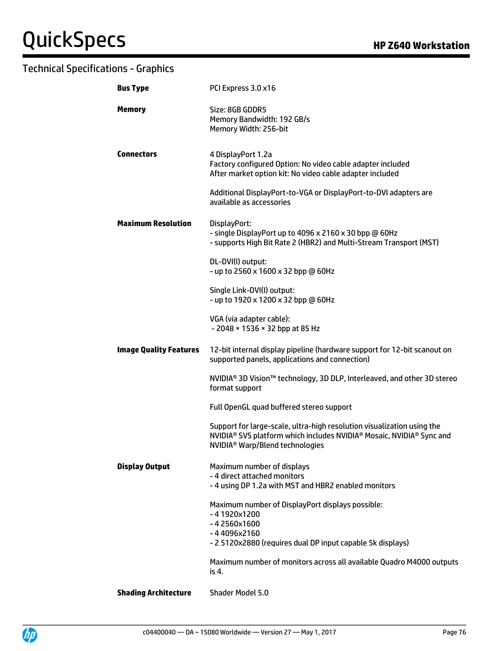| <b>Bus Type</b>               | PCI Express 3.0 x16                                                                                                                                                                                                               |
|-------------------------------|-----------------------------------------------------------------------------------------------------------------------------------------------------------------------------------------------------------------------------------|
| <b>Memory</b>                 | Size: 8GB GDDR5<br>Memory Bandwidth: 192 GB/s<br>Memory Width: 256-bit                                                                                                                                                            |
| <b>Connectors</b>             | 4 DisplayPort 1.2a<br>Factory configured Option: No video cable adapter included<br>After market option kit: No video cable adapter included                                                                                      |
|                               | Additional DisplayPort-to-VGA or DisplayPort-to-DVI adapters are<br>available as accessories                                                                                                                                      |
| <b>Maximum Resolution</b>     | DisplayPort:<br>- single DisplayPort up to 4096 x 2160 x 30 bpp @ 60Hz<br>- supports High Bit Rate 2 (HBR2) and Multi-Stream Transport (MST)                                                                                      |
|                               | DL-DVI(I) output:<br>- up to 2560 x 1600 x 32 bpp @ 60Hz                                                                                                                                                                          |
|                               | Single Link-DVI(I) output:<br>- up to 1920 x 1200 x 32 bpp @ 60Hz                                                                                                                                                                 |
|                               | VGA (via adapter cable):<br>- 2048 × 1536 × 32 bpp at 85 Hz                                                                                                                                                                       |
| <b>Image Quality Features</b> | 12-bit internal display pipeline (hardware support for 12-bit scanout on<br>supported panels, applications and connection)                                                                                                        |
|                               | NVIDIA <sup>®</sup> 3D Vision™ technology, 3D DLP, Interleaved, and other 3D stereo<br>format support                                                                                                                             |
|                               | Full OpenGL quad buffered stereo support                                                                                                                                                                                          |
|                               | Support for large-scale, ultra-high resolution visualization using the<br>NVIDIA <sup>®</sup> SVS platform which includes NVIDIA <sup>®</sup> Mosaic, NVIDIA <sup>®</sup> Sync and<br>NVIDIA <sup>®</sup> Warp/Blend technologies |
| <b>Display Output</b>         | Maximum number of displays<br>- 4 direct attached monitors<br>- 4 using DP 1.2a with MST and HBR2 enabled monitors                                                                                                                |
|                               | Maximum number of DisplayPort displays possible:<br>$-41920x1200$<br>$-42560x1600$<br>-44096x2160<br>- 2 5120x2880 (requires dual DP input capable 5k displays)                                                                   |
|                               | Maximum number of monitors across all available Quadro M4000 outputs<br>is 4.                                                                                                                                                     |

**Shading Architecture** Shader Model 5.0

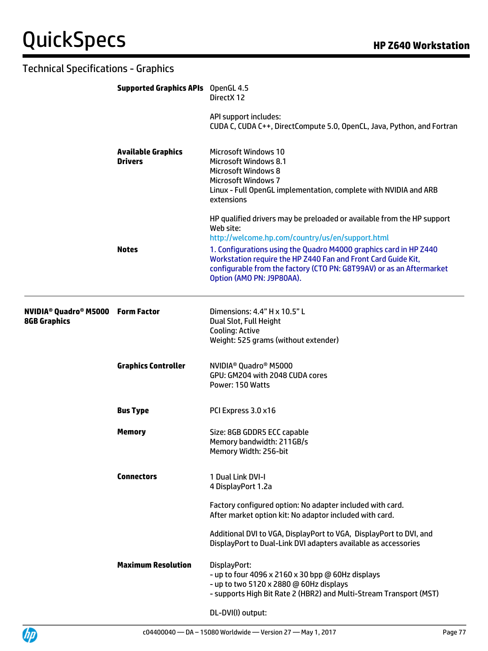| <b>Technical Specifications - Graphics</b>                                            |                                             |                                                                                                                                                                                                                                                                                                                                                                                    |
|---------------------------------------------------------------------------------------|---------------------------------------------|------------------------------------------------------------------------------------------------------------------------------------------------------------------------------------------------------------------------------------------------------------------------------------------------------------------------------------------------------------------------------------|
|                                                                                       | <b>Supported Graphics APIs</b> OpenGL 4.5   | DirectX 12                                                                                                                                                                                                                                                                                                                                                                         |
|                                                                                       |                                             | API support includes:<br>CUDA C, CUDA C++, DirectCompute 5.0, OpenCL, Java, Python, and Fortran                                                                                                                                                                                                                                                                                    |
|                                                                                       | <b>Available Graphics</b><br><b>Drivers</b> | <b>Microsoft Windows 10</b><br><b>Microsoft Windows 8.1</b><br><b>Microsoft Windows 8</b><br><b>Microsoft Windows 7</b><br>Linux - Full OpenGL implementation, complete with NVIDIA and ARB<br>extensions                                                                                                                                                                          |
|                                                                                       | <b>Notes</b>                                | HP qualified drivers may be preloaded or available from the HP support<br>Web site:<br>http://welcome.hp.com/country/us/en/support.html<br>1. Configurations using the Quadro M4000 graphics card in HP Z440<br>Workstation require the HP Z440 Fan and Front Card Guide Kit,<br>configurable from the factory (CTO PN: G8T99AV) or as an Aftermarket<br>Option (AMO PN: J9P80AA). |
| <b>NVIDIA<sup>®</sup> Quadro<sup>®</sup> M5000 Form Factor</b><br><b>8GB Graphics</b> |                                             | Dimensions: 4.4" H x 10.5" L<br>Dual Slot, Full Height<br>Cooling: Active<br>Weight: 525 grams (without extender)                                                                                                                                                                                                                                                                  |
|                                                                                       | <b>Graphics Controller</b>                  | NVIDIA <sup>®</sup> Quadro <sup>®</sup> M5000<br>GPU: GM204 with 2048 CUDA cores<br>Power: 150 Watts                                                                                                                                                                                                                                                                               |
|                                                                                       | <b>Bus Type</b>                             | PCI Express 3.0 x16                                                                                                                                                                                                                                                                                                                                                                |
|                                                                                       | <b>Memory</b>                               | Size: 8GB GDDR5 ECC capable<br>Memory bandwidth: 211GB/s<br>Memory Width: 256-bit                                                                                                                                                                                                                                                                                                  |
|                                                                                       | <b>Connectors</b>                           | 1 Dual Link DVI-I<br>4 DisplayPort 1.2a                                                                                                                                                                                                                                                                                                                                            |
|                                                                                       |                                             | Factory configured option: No adapter included with card.<br>After market option kit: No adaptor included with card.                                                                                                                                                                                                                                                               |
|                                                                                       |                                             | Additional DVI to VGA, DisplayPort to VGA, DisplayPort to DVI, and<br>DisplayPort to Dual-Link DVI adapters available as accessories                                                                                                                                                                                                                                               |
|                                                                                       | <b>Maximum Resolution</b>                   | DisplayPort:<br>- up to four 4096 x 2160 x 30 bpp @ 60Hz displays<br>- up to two 5120 x 2880 @ 60Hz displays<br>- supports High Bit Rate 2 (HBR2) and Multi-Stream Transport (MST)                                                                                                                                                                                                 |
|                                                                                       |                                             | DL-DVI(I) output:                                                                                                                                                                                                                                                                                                                                                                  |

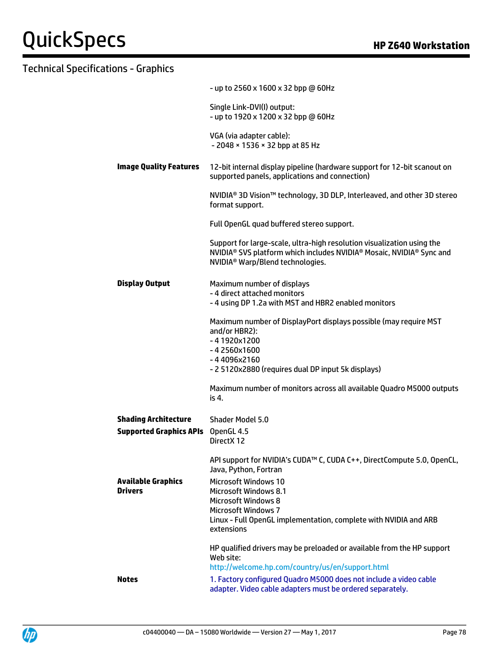|                                             | - up to 2560 x 1600 x 32 bpp @ 60Hz                                                                                                                                                                                                |
|---------------------------------------------|------------------------------------------------------------------------------------------------------------------------------------------------------------------------------------------------------------------------------------|
|                                             | Single Link-DVI(I) output:<br>- up to 1920 x 1200 x 32 bpp @ 60Hz                                                                                                                                                                  |
|                                             | VGA (via adapter cable):<br>- 2048 × 1536 × 32 bpp at 85 Hz                                                                                                                                                                        |
| <b>Image Quality Features</b>               | 12-bit internal display pipeline (hardware support for 12-bit scanout on<br>supported panels, applications and connection)                                                                                                         |
|                                             | NVIDIA <sup>®</sup> 3D Vision <sup>™</sup> technology, 3D DLP, Interleaved, and other 3D stereo<br>format support.                                                                                                                 |
|                                             | Full OpenGL quad buffered stereo support.                                                                                                                                                                                          |
|                                             | Support for large-scale, ultra-high resolution visualization using the<br>NVIDIA <sup>®</sup> SVS platform which includes NVIDIA <sup>®</sup> Mosaic, NVIDIA <sup>®</sup> Sync and<br>NVIDIA <sup>®</sup> Warp/Blend technologies. |
| <b>Display Output</b>                       | Maximum number of displays<br>- 4 direct attached monitors<br>- 4 using DP 1.2a with MST and HBR2 enabled monitors                                                                                                                 |
|                                             | Maximum number of DisplayPort displays possible (may require MST<br>and/or HBR2):<br>$-41920x1200$<br>$-42560x1600$                                                                                                                |
|                                             | -44096x2160<br>- 2 5120x2880 (requires dual DP input 5k displays)                                                                                                                                                                  |
|                                             | Maximum number of monitors across all available Quadro M5000 outputs<br>is 4.                                                                                                                                                      |
| <b>Shading Architecture</b>                 | Shader Model 5.0                                                                                                                                                                                                                   |
| <b>Supported Graphics APIs</b>              | OpenGL 4.5<br>Direct X 12                                                                                                                                                                                                          |
|                                             | API support for NVIDIA's CUDA™ C, CUDA C++, DirectCompute 5.0, OpenCL,<br>Java, Python, Fortran                                                                                                                                    |
| <b>Available Graphics</b><br><b>Drivers</b> | <b>Microsoft Windows 10</b><br><b>Microsoft Windows 8.1</b><br><b>Microsoft Windows 8</b><br><b>Microsoft Windows 7</b>                                                                                                            |
|                                             | Linux - Full OpenGL implementation, complete with NVIDIA and ARB<br>extensions                                                                                                                                                     |
|                                             | HP qualified drivers may be preloaded or available from the HP support<br>Web site:                                                                                                                                                |
| <b>Notes</b>                                | http://welcome.hp.com/country/us/en/support.html<br>1. Factory configured Quadro M5000 does not include a video cable                                                                                                              |
|                                             | adapter. Video cable adapters must be ordered separately.                                                                                                                                                                          |

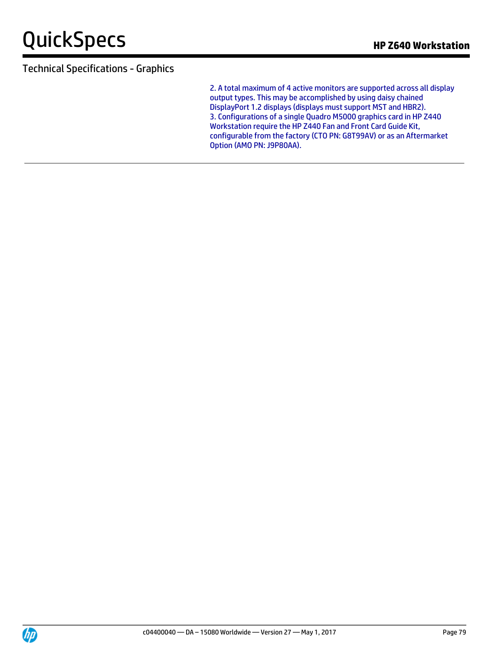2. A total maximum of 4 active monitors are supported across all display output types. This may be accomplished by using daisy chained DisplayPort 1.2 displays (displays must support MST and HBR2). 3. Configurations of a single Quadro M5000 graphics card in HP Z440 Workstation require the HP Z440 Fan and Front Card Guide Kit, configurable from the factory (CTO PN: G8T99AV) or as an Aftermarket Option (AMO PN: J9P80AA).

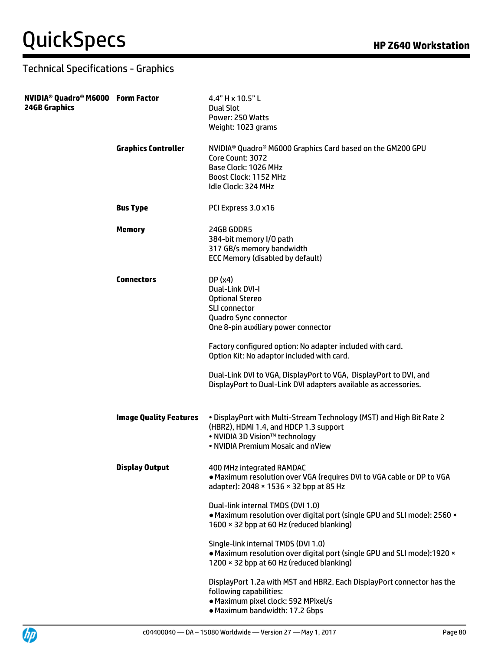| NVIDIA <sup>®</sup> Quadro® M6000 Form Factor<br><b>24GB Graphics</b> |                               | 4.4" H x 10.5" L<br>Dual Slot<br>Power: 250 Watts<br>Weight: 1023 grams                                                                                                                                                                                                                                                                                                                        |
|-----------------------------------------------------------------------|-------------------------------|------------------------------------------------------------------------------------------------------------------------------------------------------------------------------------------------------------------------------------------------------------------------------------------------------------------------------------------------------------------------------------------------|
|                                                                       | <b>Graphics Controller</b>    | NVIDIA <sup>®</sup> Quadro® M6000 Graphics Card based on the GM200 GPU<br>Core Count: 3072<br>Base Clock: 1026 MHz<br>Boost Clock: 1152 MHz<br>Idle Clock: 324 MHz                                                                                                                                                                                                                             |
|                                                                       | <b>Bus Type</b>               | PCI Express 3.0 x16                                                                                                                                                                                                                                                                                                                                                                            |
|                                                                       | <b>Memory</b>                 | 24GB GDDR5<br>384-bit memory I/O path<br>317 GB/s memory bandwidth<br><b>ECC Memory (disabled by default)</b>                                                                                                                                                                                                                                                                                  |
|                                                                       | <b>Connectors</b>             | DP(x4)<br>Dual-Link DVI-I<br><b>Optional Stereo</b><br><b>SLI connector</b><br>Quadro Sync connector<br>One 8-pin auxiliary power connector<br>Factory configured option: No adapter included with card.<br>Option Kit: No adaptor included with card.<br>Dual-Link DVI to VGA, DisplayPort to VGA, DisplayPort to DVI, and<br>DisplayPort to Dual-Link DVI adapters available as accessories. |
|                                                                       | <b>Image Quality Features</b> | . DisplayPort with Multi-Stream Technology (MST) and High Bit Rate 2<br>(HBR2), HDMI 1.4, and HDCP 1.3 support<br>. NVIDIA 3D Vision™ technology<br>• NVIDIA Premium Mosaic and nView                                                                                                                                                                                                          |
|                                                                       | <b>Display Output</b>         | 400 MHz integrated RAMDAC<br>. Maximum resolution over VGA (requires DVI to VGA cable or DP to VGA<br>adapter): 2048 × 1536 × 32 bpp at 85 Hz                                                                                                                                                                                                                                                  |
|                                                                       |                               | Dual-link internal TMDS (DVI 1.0)<br>• Maximum resolution over digital port (single GPU and SLI mode): 2560 ×<br>1600 × 32 bpp at 60 Hz (reduced blanking)                                                                                                                                                                                                                                     |
|                                                                       |                               | Single-link internal TMDS (DVI 1.0)<br>• Maximum resolution over digital port (single GPU and SLI mode):1920 ×<br>1200 × 32 bpp at 60 Hz (reduced blanking)                                                                                                                                                                                                                                    |
|                                                                       |                               | DisplayPort 1.2a with MST and HBR2. Each DisplayPort connector has the<br>following capabilities:<br>· Maximum pixel clock: 592 MPixel/s<br>· Maximum bandwidth: 17.2 Gbps                                                                                                                                                                                                                     |

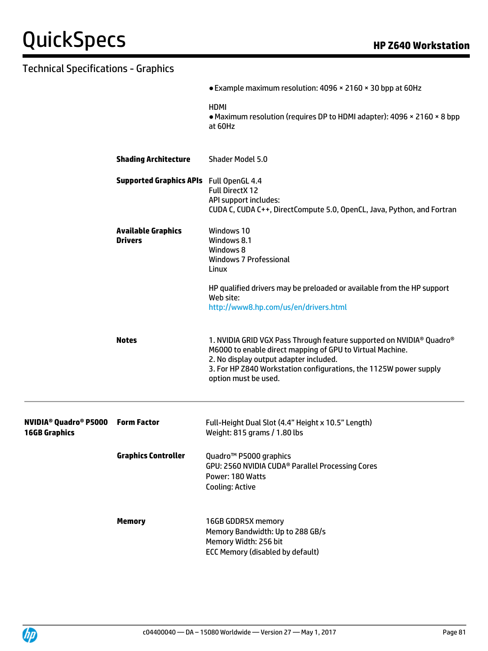|                                                                            |                                                | • Example maximum resolution: 4096 × 2160 × 30 bpp at 60Hz                                                                                                                                                                                                               |
|----------------------------------------------------------------------------|------------------------------------------------|--------------------------------------------------------------------------------------------------------------------------------------------------------------------------------------------------------------------------------------------------------------------------|
|                                                                            |                                                | <b>HDMI</b><br>• Maximum resolution (requires DP to HDMI adapter): 4096 × 2160 × 8 bpp<br>at 60Hz                                                                                                                                                                        |
|                                                                            | <b>Shading Architecture</b>                    | Shader Model 5.0                                                                                                                                                                                                                                                         |
|                                                                            | <b>Supported Graphics APIs</b> Full OpenGL 4.4 | <b>Full DirectX 12</b><br>API support includes:<br>CUDA C, CUDA C++, DirectCompute 5.0, OpenCL, Java, Python, and Fortran                                                                                                                                                |
|                                                                            | <b>Available Graphics</b><br><b>Drivers</b>    | Windows 10<br>Windows 8.1<br>Windows 8<br><b>Windows 7 Professional</b><br>Linux                                                                                                                                                                                         |
|                                                                            |                                                | HP qualified drivers may be preloaded or available from the HP support<br>Web site:<br>http://www8.hp.com/us/en/drivers.html                                                                                                                                             |
|                                                                            | <b>Notes</b>                                   | 1. NVIDIA GRID VGX Pass Through feature supported on NVIDIA® Quadro®<br>M6000 to enable direct mapping of GPU to Virtual Machine.<br>2. No display output adapter included.<br>3. For HP Z840 Workstation configurations, the 1125W power supply<br>option must be used. |
| <b>NVIDIA<sup>®</sup> Quadro<sup>®</sup> P5000</b><br><b>16GB Graphics</b> | <b>Form Factor</b>                             | Full-Height Dual Slot (4.4" Height x 10.5" Length)<br>Weight: 815 grams / 1.80 lbs                                                                                                                                                                                       |
|                                                                            | <b>Graphics Controller</b>                     | Quadro <sup>™</sup> P5000 graphics<br>GPU: 2560 NVIDIA CUDA® Parallel Processing Cores<br>Power: 180 Watts<br><b>Cooling: Active</b>                                                                                                                                     |
|                                                                            | <b>Memory</b>                                  | 16GB GDDR5X memory<br>Memory Bandwidth: Up to 288 GB/s<br>Memory Width: 256 bit<br><b>ECC Memory (disabled by default)</b>                                                                                                                                               |

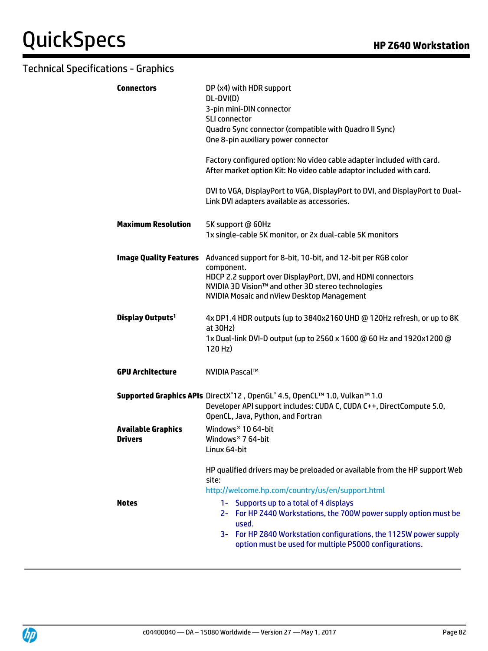| <b>Connectors</b>                           | DP (x4) with HDR support<br>DL-DVI(D)<br>3-pin mini-DIN connector<br><b>SLI connector</b><br>Quadro Sync connector (compatible with Quadro II Sync)<br>One 8-pin auxiliary power connector<br>Factory configured option: No video cable adapter included with card.<br>After market option Kit: No video cable adaptor included with card.<br>DVI to VGA, DisplayPort to VGA, DisplayPort to DVI, and DisplayPort to Dual- |
|---------------------------------------------|----------------------------------------------------------------------------------------------------------------------------------------------------------------------------------------------------------------------------------------------------------------------------------------------------------------------------------------------------------------------------------------------------------------------------|
|                                             | Link DVI adapters available as accessories.                                                                                                                                                                                                                                                                                                                                                                                |
| <b>Maximum Resolution</b>                   | 5K support @ 60Hz<br>1x single-cable 5K monitor, or 2x dual-cable 5K monitors                                                                                                                                                                                                                                                                                                                                              |
| <b>Image Quality Features</b>               | Advanced support for 8-bit, 10-bit, and 12-bit per RGB color                                                                                                                                                                                                                                                                                                                                                               |
|                                             | component.<br>HDCP 2.2 support over DisplayPort, DVI, and HDMI connectors<br>NVIDIA 3D Vision™ and other 3D stereo technologies<br>NVIDIA Mosaic and nView Desktop Management                                                                                                                                                                                                                                              |
| Display Outputs <sup>1</sup>                | 4x DP1.4 HDR outputs (up to 3840x2160 UHD @ 120Hz refresh, or up to 8K<br>at $30Hz$ )<br>1x Dual-link DVI-D output (up to 2560 x 1600 @ 60 Hz and 1920x1200 @<br>120 Hz)                                                                                                                                                                                                                                                   |
| <b>GPU Architecture</b>                     | NVIDIA Pascal™                                                                                                                                                                                                                                                                                                                                                                                                             |
|                                             | Supported Graphics APIs DirectX®12, OpenGL® 4.5, OpenCL™ 1.0, Vulkan™ 1.0<br>Developer API support includes: CUDA C, CUDA C++, DirectCompute 5.0,<br>OpenCL, Java, Python, and Fortran                                                                                                                                                                                                                                     |
| <b>Available Graphics</b><br><b>Drivers</b> | Windows <sup>®</sup> 10 64-bit<br>Windows <sup>®</sup> 7 64-bit<br>Linux 64-bit                                                                                                                                                                                                                                                                                                                                            |
| <b>Notes</b>                                | HP qualified drivers may be preloaded or available from the HP support Web<br>site:<br>http://welcome.hp.com/country/us/en/support.html<br>1- Supports up to a total of 4 displays<br>2- For HP Z440 Workstations, the 700W power supply option must be<br>used.<br>For HP Z840 Workstation configurations, the 1125W power supply<br>3-<br>option must be used for multiple P5000 configurations.                         |

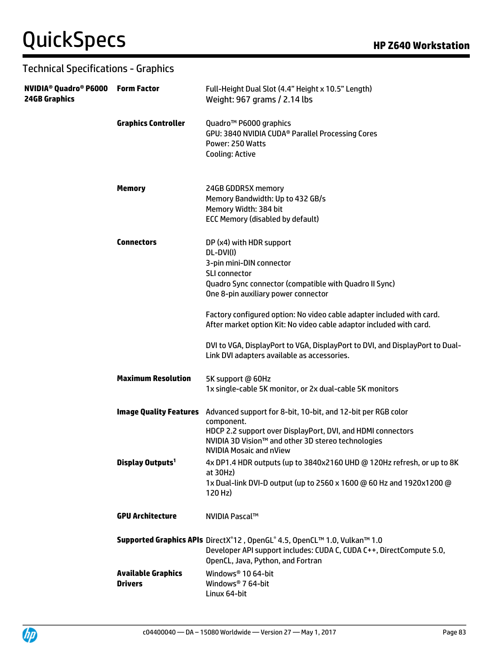| NVIDIA <sup>®</sup> Quadro® P6000 Form Factor<br><b>24GB Graphics</b> |                                             | Full-Height Dual Slot (4.4" Height x 10.5" Length)<br>Weight: 967 grams / 2.14 lbs                                                                                                                                                                                                                                                                                                                                         |
|-----------------------------------------------------------------------|---------------------------------------------|----------------------------------------------------------------------------------------------------------------------------------------------------------------------------------------------------------------------------------------------------------------------------------------------------------------------------------------------------------------------------------------------------------------------------|
|                                                                       | <b>Graphics Controller</b>                  | Quadro <sup>™</sup> P6000 graphics<br>GPU: 3840 NVIDIA CUDA <sup>®</sup> Parallel Processing Cores<br>Power: 250 Watts<br>Cooling: Active                                                                                                                                                                                                                                                                                  |
|                                                                       | <b>Memory</b>                               | 24GB GDDR5X memory<br>Memory Bandwidth: Up to 432 GB/s<br>Memory Width: 384 bit<br><b>ECC Memory (disabled by default)</b>                                                                                                                                                                                                                                                                                                 |
|                                                                       | <b>Connectors</b>                           | DP (x4) with HDR support<br>DL-DVI(I)<br>3-pin mini-DIN connector<br><b>SLI connector</b><br>Quadro Sync connector (compatible with Quadro II Sync)<br>One 8-pin auxiliary power connector<br>Factory configured option: No video cable adapter included with card.<br>After market option Kit: No video cable adaptor included with card.<br>DVI to VGA, DisplayPort to VGA, DisplayPort to DVI, and DisplayPort to Dual- |
|                                                                       | <b>Maximum Resolution</b>                   | Link DVI adapters available as accessories.<br>5K support @ 60Hz<br>1x single-cable 5K monitor, or 2x dual-cable 5K monitors                                                                                                                                                                                                                                                                                               |
|                                                                       |                                             | <b>Image Quality Features</b> Advanced support for 8-bit, 10-bit, and 12-bit per RGB color<br>component.<br>HDCP 2.2 support over DisplayPort, DVI, and HDMI connectors<br>NVIDIA 3D Vision™ and other 3D stereo technologies<br><b>NVIDIA Mosaic and nView</b>                                                                                                                                                            |
|                                                                       | Display Outputs <sup>1</sup>                | 4x DP1.4 HDR outputs (up to 3840x2160 UHD @ 120Hz refresh, or up to 8K<br>at $30Hz$ )<br>1x Dual-link DVI-D output (up to 2560 x 1600 @ 60 Hz and 1920x1200 @<br>120 Hz)                                                                                                                                                                                                                                                   |
|                                                                       | <b>GPU Architecture</b>                     | <b>NVIDIA Pascal™</b>                                                                                                                                                                                                                                                                                                                                                                                                      |
|                                                                       |                                             | Supported Graphics APIs DirectX®12, OpenGL®4.5, OpenCL™1.0, Vulkan™1.0<br>Developer API support includes: CUDA C, CUDA C++, DirectCompute 5.0,<br>OpenCL, Java, Python, and Fortran                                                                                                                                                                                                                                        |
|                                                                       | <b>Available Graphics</b><br><b>Drivers</b> | Windows <sup>®</sup> 10 64-bit<br>Windows <sup>®</sup> 7 64-bit<br>Linux 64-bit                                                                                                                                                                                                                                                                                                                                            |

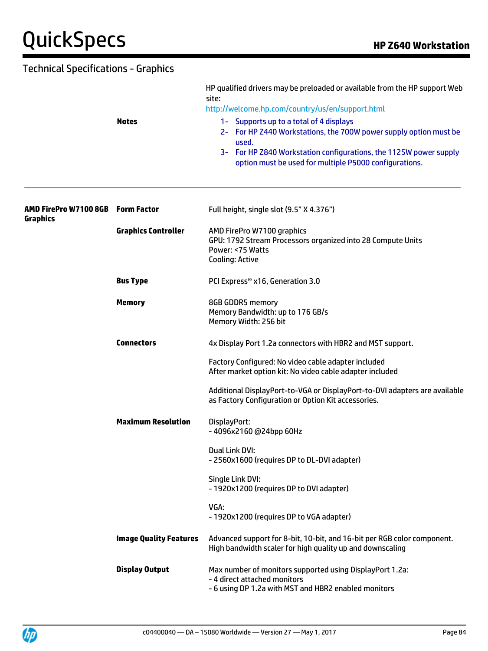|                                          | <b>Notes</b>                  | HP qualified drivers may be preloaded or available from the HP support Web<br>site:<br>http://welcome.hp.com/country/us/en/support.html<br>1- Supports up to a total of 4 displays<br>2- For HP Z440 Workstations, the 700W power supply option must be<br>used.<br>3- For HP Z840 Workstation configurations, the 1125W power supply<br>option must be used for multiple P5000 configurations. |
|------------------------------------------|-------------------------------|-------------------------------------------------------------------------------------------------------------------------------------------------------------------------------------------------------------------------------------------------------------------------------------------------------------------------------------------------------------------------------------------------|
| AMD FirePro W7100 8GB<br><b>Graphics</b> | <b>Form Factor</b>            | Full height, single slot (9.5" X 4.376")                                                                                                                                                                                                                                                                                                                                                        |
|                                          | <b>Graphics Controller</b>    | AMD FirePro W7100 graphics<br>GPU: 1792 Stream Processors organized into 28 Compute Units<br>Power: <75 Watts<br><b>Cooling: Active</b>                                                                                                                                                                                                                                                         |
|                                          | <b>Bus Type</b>               | PCI Express® x16, Generation 3.0                                                                                                                                                                                                                                                                                                                                                                |
|                                          | <b>Memory</b>                 | 8GB GDDR5 memory<br>Memory Bandwidth: up to 176 GB/s<br>Memory Width: 256 bit                                                                                                                                                                                                                                                                                                                   |
|                                          | <b>Connectors</b>             | 4x Display Port 1.2a connectors with HBR2 and MST support.                                                                                                                                                                                                                                                                                                                                      |
|                                          |                               | Factory Configured: No video cable adapter included<br>After market option kit: No video cable adapter included                                                                                                                                                                                                                                                                                 |
|                                          |                               | Additional DisplayPort-to-VGA or DisplayPort-to-DVI adapters are available<br>as Factory Configuration or Option Kit accessories.                                                                                                                                                                                                                                                               |
|                                          | <b>Maximum Resolution</b>     | DisplayPort:<br>-4096x2160 @24bpp 60Hz                                                                                                                                                                                                                                                                                                                                                          |
|                                          |                               | Dual Link DVI:<br>- 2560x1600 (requires DP to DL-DVI adapter)                                                                                                                                                                                                                                                                                                                                   |
|                                          |                               | Single Link DVI:<br>- 1920x1200 (requires DP to DVI adapter)                                                                                                                                                                                                                                                                                                                                    |
|                                          |                               | VGA:<br>- 1920x1200 (requires DP to VGA adapter)                                                                                                                                                                                                                                                                                                                                                |
|                                          | <b>Image Quality Features</b> | Advanced support for 8-bit, 10-bit, and 16-bit per RGB color component.<br>High bandwidth scaler for high quality up and downscaling                                                                                                                                                                                                                                                            |
|                                          | <b>Display Output</b>         | Max number of monitors supported using DisplayPort 1.2a:<br>- 4 direct attached monitors<br>- 6 using DP 1.2a with MST and HBR2 enabled monitors                                                                                                                                                                                                                                                |

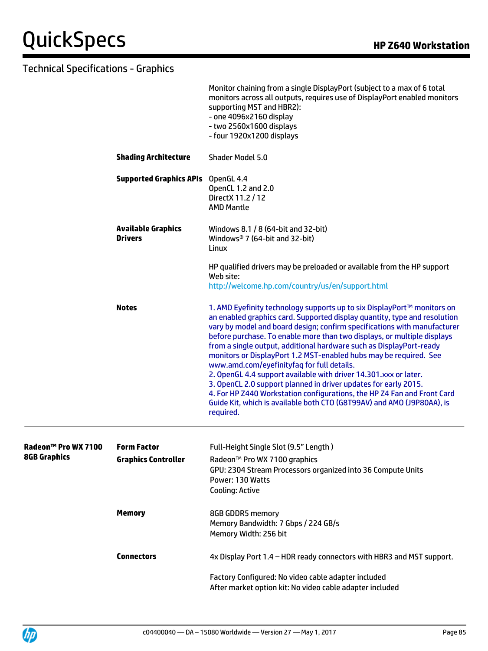|                     |                                             | Monitor chaining from a single DisplayPort (subject to a max of 6 total<br>monitors across all outputs, requires use of DisplayPort enabled monitors<br>supporting MST and HBR2):<br>- one 4096x2160 display<br>- two 2560x1600 displays<br>- four 1920x1200 displays                                                                                                                                                                                                                                                                                                                                                                                                                                                                                                                                          |
|---------------------|---------------------------------------------|----------------------------------------------------------------------------------------------------------------------------------------------------------------------------------------------------------------------------------------------------------------------------------------------------------------------------------------------------------------------------------------------------------------------------------------------------------------------------------------------------------------------------------------------------------------------------------------------------------------------------------------------------------------------------------------------------------------------------------------------------------------------------------------------------------------|
|                     | <b>Shading Architecture</b>                 | Shader Model 5.0                                                                                                                                                                                                                                                                                                                                                                                                                                                                                                                                                                                                                                                                                                                                                                                               |
|                     | <b>Supported Graphics APIs</b> OpenGL 4.4   | OpenCL 1.2 and 2.0<br>DirectX 11.2 / 12<br><b>AMD Mantle</b>                                                                                                                                                                                                                                                                                                                                                                                                                                                                                                                                                                                                                                                                                                                                                   |
|                     | <b>Available Graphics</b><br><b>Drivers</b> | Windows 8.1 / 8 (64-bit and 32-bit)<br>Windows <sup>®</sup> 7 (64-bit and 32-bit)<br>Linux                                                                                                                                                                                                                                                                                                                                                                                                                                                                                                                                                                                                                                                                                                                     |
|                     |                                             | HP qualified drivers may be preloaded or available from the HP support<br>Web site:<br>http://welcome.hp.com/country/us/en/support.html                                                                                                                                                                                                                                                                                                                                                                                                                                                                                                                                                                                                                                                                        |
|                     | <b>Notes</b>                                | 1. AMD Eyefinity technology supports up to six DisplayPort™ monitors on<br>an enabled graphics card. Supported display quantity, type and resolution<br>vary by model and board design; confirm specifications with manufacturer<br>before purchase. To enable more than two displays, or multiple displays<br>from a single output, additional hardware such as DisplayPort-ready<br>monitors or DisplayPort 1.2 MST-enabled hubs may be required. See<br>www.amd.com/eyefinityfaq for full details.<br>2. OpenGL 4.4 support available with driver 14.301.xxx or later.<br>3. OpenCL 2.0 support planned in driver updates for early 2015.<br>4. For HP Z440 Workstation configurations, the HP Z4 Fan and Front Card<br>Guide Kit, which is available both CTO (G8T99AV) and AMO (J9P80AA), is<br>required. |
| Radeon™ Pro WX 7100 | <b>Form Factor</b>                          | Full-Height Single Slot (9.5" Length)                                                                                                                                                                                                                                                                                                                                                                                                                                                                                                                                                                                                                                                                                                                                                                          |
| <b>8GB Graphics</b> | <b>Graphics Controller</b>                  | Radeon <sup>™</sup> Pro WX 7100 graphics<br>GPU: 2304 Stream Processors organized into 36 Compute Units<br>Power: 130 Watts<br><b>Cooling: Active</b>                                                                                                                                                                                                                                                                                                                                                                                                                                                                                                                                                                                                                                                          |
|                     | <b>Memory</b>                               | 8GB GDDR5 memory<br>Memory Bandwidth: 7 Gbps / 224 GB/s<br>Memory Width: 256 bit                                                                                                                                                                                                                                                                                                                                                                                                                                                                                                                                                                                                                                                                                                                               |
|                     | <b>Connectors</b>                           | 4x Display Port 1.4 - HDR ready connectors with HBR3 and MST support.                                                                                                                                                                                                                                                                                                                                                                                                                                                                                                                                                                                                                                                                                                                                          |
|                     |                                             | Factory Configured: No video cable adapter included<br>After market option kit: No video cable adapter included                                                                                                                                                                                                                                                                                                                                                                                                                                                                                                                                                                                                                                                                                                |

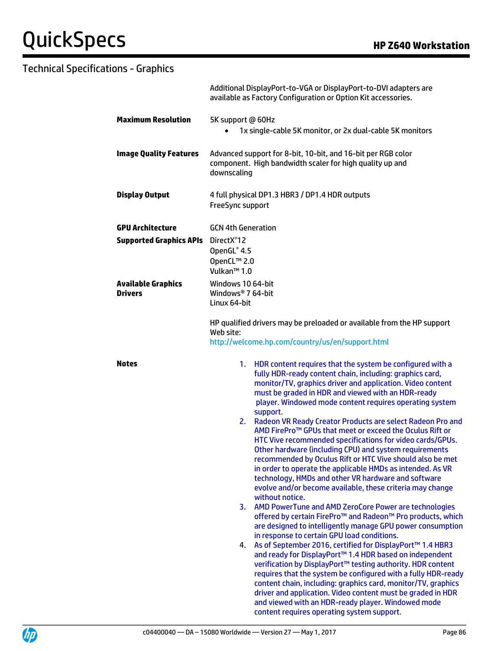|                                                           | Additional DisplayPort-to-VGA or DisplayPort-to-DVI adapters are<br>available as Factory Configuration or Option Kit accessories.                                                                                                                                                                                                                                                                                                                                                                                                                                                                                                                                                                                                                                                                                                                                                                                                                                                                                                                                                                                                                                                                                                                                                                                                                                                                                                                                                                                                                                                                        |  |
|-----------------------------------------------------------|----------------------------------------------------------------------------------------------------------------------------------------------------------------------------------------------------------------------------------------------------------------------------------------------------------------------------------------------------------------------------------------------------------------------------------------------------------------------------------------------------------------------------------------------------------------------------------------------------------------------------------------------------------------------------------------------------------------------------------------------------------------------------------------------------------------------------------------------------------------------------------------------------------------------------------------------------------------------------------------------------------------------------------------------------------------------------------------------------------------------------------------------------------------------------------------------------------------------------------------------------------------------------------------------------------------------------------------------------------------------------------------------------------------------------------------------------------------------------------------------------------------------------------------------------------------------------------------------------------|--|
| <b>Maximum Resolution</b>                                 | 5K support @ 60Hz<br>1x single-cable 5K monitor, or 2x dual-cable 5K monitors<br>$\bullet$                                                                                                                                                                                                                                                                                                                                                                                                                                                                                                                                                                                                                                                                                                                                                                                                                                                                                                                                                                                                                                                                                                                                                                                                                                                                                                                                                                                                                                                                                                               |  |
| <b>Image Quality Features</b>                             | Advanced support for 8-bit, 10-bit, and 16-bit per RGB color<br>component. High bandwidth scaler for high quality up and<br>downscaling                                                                                                                                                                                                                                                                                                                                                                                                                                                                                                                                                                                                                                                                                                                                                                                                                                                                                                                                                                                                                                                                                                                                                                                                                                                                                                                                                                                                                                                                  |  |
| <b>Display Output</b>                                     | 4 full physical DP1.3 HBR3 / DP1.4 HDR outputs<br>FreeSync support                                                                                                                                                                                                                                                                                                                                                                                                                                                                                                                                                                                                                                                                                                                                                                                                                                                                                                                                                                                                                                                                                                                                                                                                                                                                                                                                                                                                                                                                                                                                       |  |
| <b>GPU Architecture</b><br><b>Supported Graphics APIs</b> | <b>GCN 4th Generation</b><br>DirectX <sup>®</sup> 12<br>OpenGL® 4.5<br>OpenCL™ 2.0<br>Vulkan <sup>™</sup> 1.0                                                                                                                                                                                                                                                                                                                                                                                                                                                                                                                                                                                                                                                                                                                                                                                                                                                                                                                                                                                                                                                                                                                                                                                                                                                                                                                                                                                                                                                                                            |  |
| <b>Available Graphics</b><br>Drivers                      | Windows 10 64-bit<br>Windows <sup>®</sup> 7 64-bit<br>Linux 64-bit                                                                                                                                                                                                                                                                                                                                                                                                                                                                                                                                                                                                                                                                                                                                                                                                                                                                                                                                                                                                                                                                                                                                                                                                                                                                                                                                                                                                                                                                                                                                       |  |
|                                                           | HP qualified drivers may be preloaded or available from the HP support<br>Web site:<br>http://welcome.hp.com/country/us/en/support.html                                                                                                                                                                                                                                                                                                                                                                                                                                                                                                                                                                                                                                                                                                                                                                                                                                                                                                                                                                                                                                                                                                                                                                                                                                                                                                                                                                                                                                                                  |  |
| <b>Notes</b>                                              | HDR content requires that the system be configured with a<br>1.<br>fully HDR-ready content chain, including: graphics card,<br>monitor/TV, graphics driver and application. Video content<br>must be graded in HDR and viewed with an HDR-ready<br>player. Windowed mode content requires operating system<br>support.<br>Radeon VR Ready Creator Products are select Radeon Pro and<br>2.<br>AMD FirePro <sup>™</sup> GPUs that meet or exceed the Oculus Rift or<br>HTC Vive recommended specifications for video cards/GPUs.<br>Other hardware (including CPU) and system requirements<br>recommended by Oculus Rift or HTC Vive should also be met<br>in order to operate the applicable HMDs as intended. As VR<br>technology, HMDs and other VR hardware and software<br>evolve and/or become available, these criteria may change<br>without notice.<br>AMD PowerTune and AMD ZeroCore Power are technologies<br>3.<br>offered by certain FirePro™ and Radeon™ Pro products, which<br>are designed to intelligently manage GPU power consumption<br>in response to certain GPU load conditions.<br>As of September 2016, certified for DisplayPort™ 1.4 HBR3<br>4.<br>and ready for DisplayPort™ 1.4 HDR based on independent<br>verification by DisplayPort™ testing authority. HDR content<br>requires that the system be configured with a fully HDR-ready<br>content chain, including: graphics card, monitor/TV, graphics<br>driver and application. Video content must be graded in HDR<br>and viewed with an HDR-ready player. Windowed mode<br>content requires operating system support. |  |

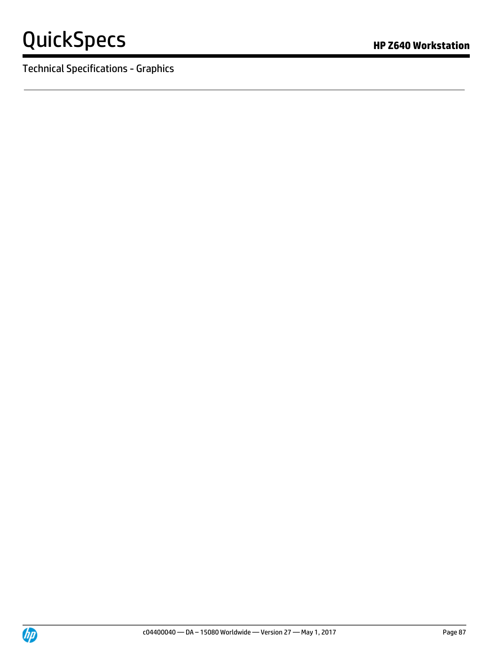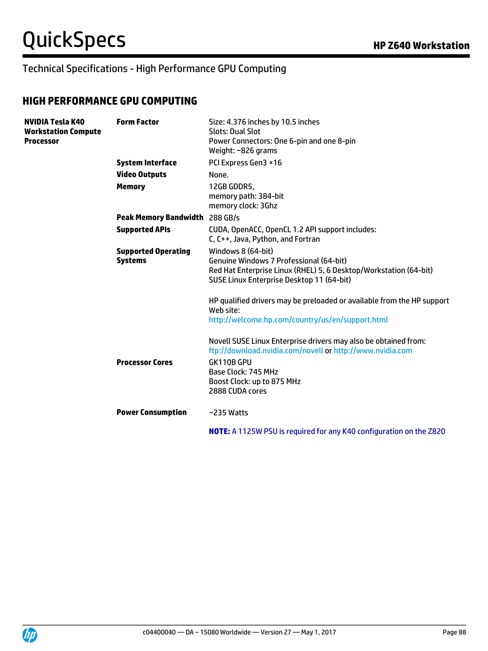## Technical Specifications - High Performance GPU Computing

### **HIGH PERFORMANCE GPU COMPUTING**

| NVIDIA Tesla K40<br><b>Workstation Compute</b><br><b>Processor</b> | <b>Form Factor</b>                           | Size: 4.376 inches by 10.5 inches<br><b>Slots: Dual Slot</b><br>Power Connectors: One 6-pin and one 8-pin<br>Weight: ~826 grams                                                                                    |
|--------------------------------------------------------------------|----------------------------------------------|--------------------------------------------------------------------------------------------------------------------------------------------------------------------------------------------------------------------|
|                                                                    | <b>System Interface</b>                      | PCI Express Gen3 ×16                                                                                                                                                                                               |
|                                                                    | <b>Video Outputs</b>                         | None.                                                                                                                                                                                                              |
|                                                                    | <b>Memory</b>                                | 12GB GDDR5,<br>memory path: 384-bit<br>memory clock: 3Ghz                                                                                                                                                          |
|                                                                    | Peak Memory Bandwidth 288 GB/s               |                                                                                                                                                                                                                    |
|                                                                    | <b>Supported APIs</b>                        | CUDA, OpenACC, OpenCL 1.2 API support includes:<br>C, C++, Java, Python, and Fortran                                                                                                                               |
|                                                                    | <b>Supported Operating</b><br><b>Systems</b> | Windows 8 (64-bit)<br>Genuine Windows 7 Professional (64-bit)<br>Red Hat Enterprise Linux (RHEL) 5, 6 Desktop/Workstation (64-bit)<br>SUSE Linux Enterprise Desktop 11 (64-bit)                                    |
|                                                                    |                                              | HP qualified drivers may be preloaded or available from the HP support<br>Web site:<br>http://welcome.hp.com/country/us/en/support.html                                                                            |
|                                                                    | <b>Processor Cores</b>                       | Novell SUSE Linux Enterprise drivers may also be obtained from:<br>ftp://download.nvidia.com/novell or http://www.nvidia.com<br>GK110B GPU<br>Base Clock: 745 MHz<br>Boost Clock: up to 875 MHz<br>2888 CUDA cores |
|                                                                    | <b>Power Consumption</b>                     | $~235$ Watts                                                                                                                                                                                                       |
|                                                                    |                                              | <b>NOTE:</b> A 1125W PSU is required for any K40 configuration on the Z820                                                                                                                                         |

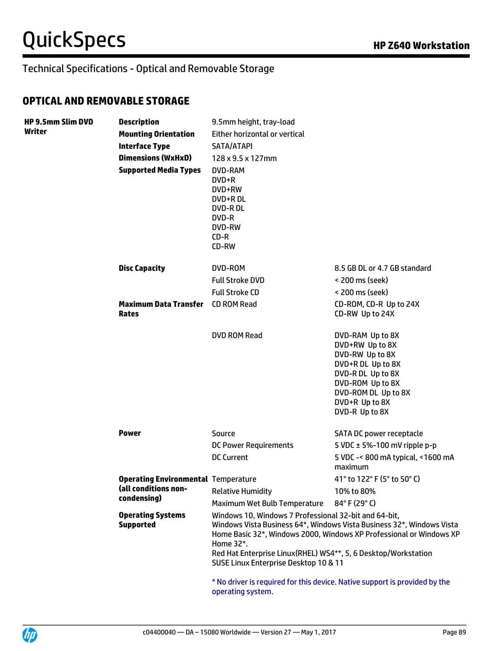### **OPTICAL AND REMOVABLE STORAGE**

| <b>HP 9.5mm Slim DVD</b><br>Writer | <b>Description</b>                           | 9.5mm height, tray-load                                                                                                                                                       |                                                                                                                                                                                 |
|------------------------------------|----------------------------------------------|-------------------------------------------------------------------------------------------------------------------------------------------------------------------------------|---------------------------------------------------------------------------------------------------------------------------------------------------------------------------------|
|                                    | <b>Mounting Orientation</b>                  | Either horizontal or vertical                                                                                                                                                 |                                                                                                                                                                                 |
|                                    | <b>Interface Type</b>                        | SATA/ATAPI                                                                                                                                                                    |                                                                                                                                                                                 |
|                                    | <b>Dimensions (WxHxD)</b>                    | 128 x 9.5 x 127mm                                                                                                                                                             |                                                                                                                                                                                 |
|                                    | <b>Supported Media Types</b>                 | DVD-RAM<br>DVD+R<br>DVD+RW<br>DVD+R DL<br><b>DVD-RDL</b><br>DVD-R<br><b>DVD-RW</b><br>CD-R<br>CD-RW                                                                           |                                                                                                                                                                                 |
|                                    | <b>Disc Capacity</b>                         | DVD-ROM                                                                                                                                                                       | 8.5 GB DL or 4.7 GB standard                                                                                                                                                    |
|                                    |                                              | <b>Full Stroke DVD</b>                                                                                                                                                        | < 200 ms (seek)                                                                                                                                                                 |
|                                    |                                              | <b>Full Stroke CD</b>                                                                                                                                                         | < 200 ms (seek)                                                                                                                                                                 |
|                                    | <b>Maximum Data Transfer</b><br><b>Rates</b> | <b>CD ROM Read</b>                                                                                                                                                            | CD-ROM, CD-R Up to 24X<br>CD-RW Up to 24X                                                                                                                                       |
|                                    |                                              | <b>DVD ROM Read</b>                                                                                                                                                           | DVD-RAM Up to 8X<br>DVD+RW Up to 8X<br>DVD-RW Up to 8X<br>DVD+R DL Up to 8X<br>DVD-R DL Up to 8X<br>DVD-ROM Up to 8X<br>DVD-ROM DL Up to 8X<br>DVD+R Up to 8X<br>DVD-R Up to 8X |
|                                    | <b>Power</b>                                 | Source                                                                                                                                                                        | SATA DC power receptacle                                                                                                                                                        |
|                                    |                                              | <b>DC Power Requirements</b>                                                                                                                                                  | 5 VDC $\pm$ 5%-100 mV ripple p-p                                                                                                                                                |
|                                    |                                              | <b>DC Current</b>                                                                                                                                                             | 5 VDC -< 800 mA typical, <1600 mA<br>maximum                                                                                                                                    |
|                                    | <b>Operating Environmental Temperature</b>   |                                                                                                                                                                               | 41° to 122° F (5° to 50° C)                                                                                                                                                     |
|                                    | (all conditions non-                         | <b>Relative Humidity</b>                                                                                                                                                      | 10% to 80%                                                                                                                                                                      |
|                                    | condensing)                                  | Maximum Wet Bulb Temperature                                                                                                                                                  | 84°F (29°C)                                                                                                                                                                     |
|                                    | <b>Operating Systems</b><br><b>Supported</b> | Windows 10, Windows 7 Professional 32-bit and 64-bit,<br>Home 32*.<br>Red Hat Enterprise Linux(RHEL) WS4**, 5, 6 Desktop/Workstation<br>SUSE Linux Enterprise Desktop 10 & 11 | Windows Vista Business 64*, Windows Vista Business 32*, Windows Vista<br>Home Basic 32*, Windows 2000, Windows XP Professional or Windows XP                                    |
|                                    |                                              | operating system.                                                                                                                                                             | * No driver is required for this device. Native support is provided by the                                                                                                      |

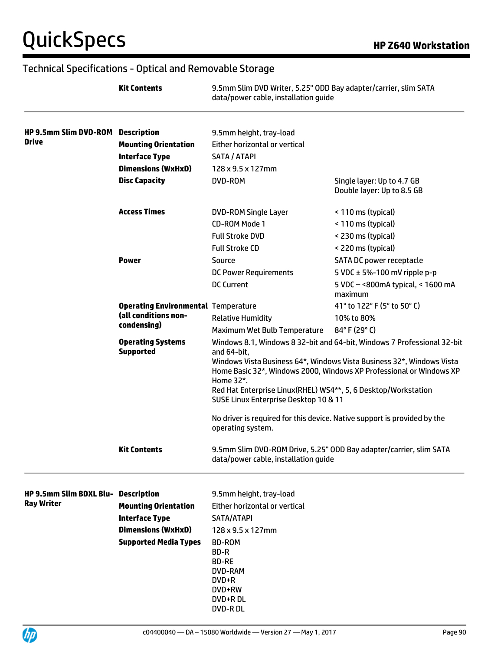|                                                          | <b>Kit Contents</b>                                                                                               | 9.5mm Slim DVD Writer, 5.25" ODD Bay adapter/carrier, slim SATA<br>data/power cable, installation guide                                                                                                                                                                                                                                                                                                                                    |                                                                    |
|----------------------------------------------------------|-------------------------------------------------------------------------------------------------------------------|--------------------------------------------------------------------------------------------------------------------------------------------------------------------------------------------------------------------------------------------------------------------------------------------------------------------------------------------------------------------------------------------------------------------------------------------|--------------------------------------------------------------------|
| HP 9.5mm Slim DVD-ROM Description                        |                                                                                                                   | 9.5mm height, tray-load                                                                                                                                                                                                                                                                                                                                                                                                                    |                                                                    |
| <b>Drive</b>                                             | <b>Mounting Orientation</b>                                                                                       | Either horizontal or vertical                                                                                                                                                                                                                                                                                                                                                                                                              |                                                                    |
|                                                          | <b>Interface Type</b>                                                                                             | SATA / ATAPI                                                                                                                                                                                                                                                                                                                                                                                                                               |                                                                    |
|                                                          | <b>Dimensions (WxHxD)</b>                                                                                         | 128 x 9.5 x 127mm                                                                                                                                                                                                                                                                                                                                                                                                                          |                                                                    |
|                                                          | <b>Disc Capacity</b>                                                                                              | <b>DVD-ROM</b>                                                                                                                                                                                                                                                                                                                                                                                                                             | Single layer: Up to 4.7 GB<br>Double layer: Up to 8.5 GB           |
|                                                          | <b>Access Times</b>                                                                                               | <b>DVD-ROM Single Layer</b>                                                                                                                                                                                                                                                                                                                                                                                                                | < 110 ms (typical)                                                 |
|                                                          |                                                                                                                   | <b>CD-ROM Mode 1</b>                                                                                                                                                                                                                                                                                                                                                                                                                       | < 110 ms (typical)                                                 |
|                                                          |                                                                                                                   | <b>Full Stroke DVD</b>                                                                                                                                                                                                                                                                                                                                                                                                                     | < 230 ms (typical)                                                 |
|                                                          |                                                                                                                   | <b>Full Stroke CD</b>                                                                                                                                                                                                                                                                                                                                                                                                                      | < 220 ms (typical)                                                 |
|                                                          | <b>Power</b>                                                                                                      | Source                                                                                                                                                                                                                                                                                                                                                                                                                                     | <b>SATA DC power receptacle</b>                                    |
|                                                          |                                                                                                                   | <b>DC Power Requirements</b>                                                                                                                                                                                                                                                                                                                                                                                                               | 5 VDC $\pm$ 5%-100 mV ripple p-p                                   |
|                                                          |                                                                                                                   | <b>DC Current</b>                                                                                                                                                                                                                                                                                                                                                                                                                          | 5 VDC - < 800 m A typical, < 1600 m A<br>maximum                   |
|                                                          | <b>Operating Environmental Temperature</b>                                                                        |                                                                                                                                                                                                                                                                                                                                                                                                                                            | 41° to 122° F (5° to 50° C)                                        |
|                                                          | (all conditions non-<br>condensing)                                                                               | <b>Relative Humidity</b>                                                                                                                                                                                                                                                                                                                                                                                                                   | 10% to 80%                                                         |
|                                                          |                                                                                                                   | Maximum Wet Bulb Temperature                                                                                                                                                                                                                                                                                                                                                                                                               | 84°F (29°C)                                                        |
|                                                          | <b>Operating Systems</b><br><b>Supported</b>                                                                      | Windows 8.1, Windows 8 32-bit and 64-bit, Windows 7 Professional 32-bit<br>and 64-bit,<br>Windows Vista Business 64*, Windows Vista Business 32*, Windows Vista<br>Home Basic 32*, Windows 2000, Windows XP Professional or Windows XP<br>Home 32*.<br>Red Hat Enterprise Linux(RHEL) WS4**, 5, 6 Desktop/Workstation<br>SUSE Linux Enterprise Desktop 10 & 11<br>No driver is required for this device. Native support is provided by the |                                                                    |
|                                                          | <b>Kit Contents</b>                                                                                               | operating system.<br>data/power cable, installation quide                                                                                                                                                                                                                                                                                                                                                                                  | 9.5mm Slim DVD-ROM Drive, 5.25" ODD Bay adapter/carrier, slim SATA |
| HP 9.5mm Slim BDXL Blu- Description<br><b>Ray Writer</b> | <b>Mounting Orientation</b><br><b>Interface Type</b><br><b>Dimensions (WxHxD)</b><br><b>Supported Media Types</b> | 9.5mm height, tray-load<br>Either horizontal or vertical<br>SATA/ATAPI<br>$128 \times 9.5 \times 127$ mm<br>BD-ROM<br>BD-R<br><b>BD-RE</b><br>DVD-RAM<br>DVD+R<br>DVD+RW<br>DVD+R DL<br>DVD-R DL                                                                                                                                                                                                                                           |                                                                    |

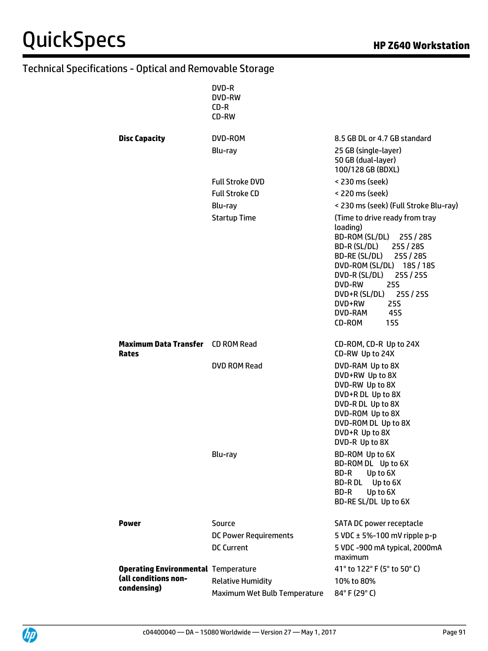|                                                   | DVD-R<br>DVD-RW<br>CD-R<br>CD-RW |                                                                                                                                                                                                                                                                                                   |
|---------------------------------------------------|----------------------------------|---------------------------------------------------------------------------------------------------------------------------------------------------------------------------------------------------------------------------------------------------------------------------------------------------|
| <b>Disc Capacity</b>                              | DVD-ROM                          | 8.5 GB DL or 4.7 GB standard                                                                                                                                                                                                                                                                      |
|                                                   | Blu-ray                          | 25 GB (single-layer)<br>50 GB (dual-layer)<br>100/128 GB (BDXL)                                                                                                                                                                                                                                   |
|                                                   | <b>Full Stroke DVD</b>           | < 230 ms (seek)                                                                                                                                                                                                                                                                                   |
|                                                   | <b>Full Stroke CD</b>            | < 220 ms (seek)                                                                                                                                                                                                                                                                                   |
|                                                   | Blu-ray                          | < 230 ms (seek) (Full Stroke Blu-ray)                                                                                                                                                                                                                                                             |
|                                                   | <b>Startup Time</b>              | (Time to drive ready from tray<br>loading)<br>BD-ROM (SL/DL) 25S / 28S<br>BD-R (SL/DL) 25S / 28S<br>BD-RE (SL/DL) 25S / 28S<br>DVD-ROM (SL/DL) 18S / 18S<br>DVD-R (SL/DL) 25S / 25S<br>DVD-RW<br><b>25S</b><br>DVD+R (SL/DL) 25S / 25S<br>DVD+RW<br><b>25S</b><br>DVD-RAM<br>45S<br>CD-ROM<br>15S |
| <b>Maximum Data Transfer</b> CD ROM Read<br>Rates |                                  | CD-ROM, CD-R Up to 24X<br>CD-RW Up to 24X                                                                                                                                                                                                                                                         |
|                                                   | DVD ROM Read                     | DVD-RAM Up to 8X<br>DVD+RW Up to 8X<br>DVD-RW Up to 8X<br>DVD+R DL Up to 8X<br>DVD-R DL Up to 8X<br>DVD-ROM Up to 8X<br>DVD-ROM DL Up to 8X<br>DVD+R Up to 8X<br>DVD-R Up to 8X                                                                                                                   |
|                                                   | Blu-ray                          | BD-ROM Up to 6X<br>BD-ROM DL Up to 6X<br>Up to 6X<br>BD-R<br><b>BD-RDL</b><br>Up to 6X<br>Up to 6X<br>BD-R<br>BD-RE SL/DL Up to 6X                                                                                                                                                                |
| <b>Power</b>                                      | Source                           | SATA DC power receptacle                                                                                                                                                                                                                                                                          |
|                                                   | <b>DC Power Requirements</b>     | 5 VDC $\pm$ 5%-100 mV ripple p-p                                                                                                                                                                                                                                                                  |
|                                                   | <b>DC Current</b>                | 5 VDC -900 mA typical, 2000mA<br>maximum                                                                                                                                                                                                                                                          |
| <b>Operating Environmental Temperature</b>        |                                  | 41° to 122° F (5° to 50° C)                                                                                                                                                                                                                                                                       |
| (all conditions non-                              | <b>Relative Humidity</b>         | 10% to 80%                                                                                                                                                                                                                                                                                        |
| condensing)                                       | Maximum Wet Bulb Temperature     | 84°F (29°C)                                                                                                                                                                                                                                                                                       |

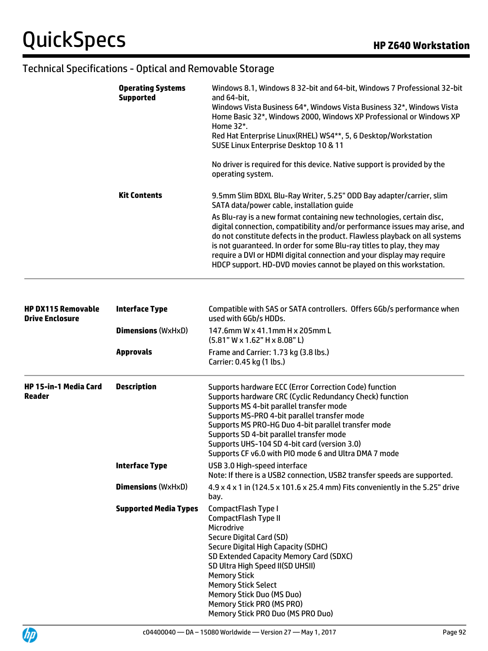| <b>Operating Systems</b><br><b>Supported</b> | Windows 8.1, Windows 8 32-bit and 64-bit, Windows 7 Professional 32-bit<br>and 64-bit.<br>Windows Vista Business 64*, Windows Vista Business 32*, Windows Vista<br>Home Basic 32*, Windows 2000, Windows XP Professional or Windows XP<br>Home 32*.<br>Red Hat Enterprise Linux (RHEL) WS4**, 5, 6 Desktop/Workstation<br>SUSE Linux Enterprise Desktop 10 & 11                                                                                          |  |
|----------------------------------------------|----------------------------------------------------------------------------------------------------------------------------------------------------------------------------------------------------------------------------------------------------------------------------------------------------------------------------------------------------------------------------------------------------------------------------------------------------------|--|
|                                              | No driver is required for this device. Native support is provided by the<br>operating system.                                                                                                                                                                                                                                                                                                                                                            |  |
| <b>Kit Contents</b>                          | 9.5mm Slim BDXL Blu-Ray Writer, 5.25" ODD Bay adapter/carrier, slim<br>SATA data/power cable, installation guide                                                                                                                                                                                                                                                                                                                                         |  |
|                                              | As Blu-ray is a new format containing new technologies, certain disc,<br>digital connection, compatibility and/or performance issues may arise, and<br>do not constitute defects in the product. Flawless playback on all systems<br>is not guaranteed. In order for some Blu-ray titles to play, they may<br>require a DVI or HDMI digital connection and your display may require<br>HDCP support. HD-DVD movies cannot be played on this workstation. |  |

| <b>HP DX115 Removable</b><br><b>Drive Enclosure</b> | <b>Interface Type</b>        | Compatible with SAS or SATA controllers. Offers 6Gb/s performance when<br>used with 6Gb/s HDDs.                                                                                                                                                                                                                                                                                                                            |
|-----------------------------------------------------|------------------------------|----------------------------------------------------------------------------------------------------------------------------------------------------------------------------------------------------------------------------------------------------------------------------------------------------------------------------------------------------------------------------------------------------------------------------|
|                                                     | <b>Dimensions (WxHxD)</b>    | 147.6mm W x 41.1mm H x 205mm L<br>$(5.81" W \times 1.62" H \times 8.08" L)$                                                                                                                                                                                                                                                                                                                                                |
|                                                     | <b>Approvals</b>             | Frame and Carrier: 1.73 kg (3.8 lbs.)<br>Carrier: 0.45 kg (1 lbs.)                                                                                                                                                                                                                                                                                                                                                         |
| <b>HP 15-in-1 Media Card</b><br>Reader              | <b>Description</b>           | Supports hardware ECC (Error Correction Code) function<br>Supports hardware CRC (Cyclic Redundancy Check) function<br>Supports MS 4-bit parallel transfer mode<br>Supports MS-PRO 4-bit parallel transfer mode<br>Supports MS PRO-HG Duo 4-bit parallel transfer mode<br>Supports SD 4-bit parallel transfer mode<br>Supports UHS-104 SD 4-bit card (version 3.0)<br>Supports CF v6.0 with PIO mode 6 and Ultra DMA 7 mode |
|                                                     | <b>Interface Type</b>        | USB 3.0 High-speed interface<br>Note: If there is a USB2 connection, USB2 transfer speeds are supported.                                                                                                                                                                                                                                                                                                                   |
|                                                     | <b>Dimensions (WxHxD)</b>    | 4.9 x 4 x 1 in (124.5 x 101.6 x 25.4 mm) Fits conveniently in the 5.25" drive<br>bay.                                                                                                                                                                                                                                                                                                                                      |
|                                                     | <b>Supported Media Types</b> | CompactFlash Type I<br>CompactFlash Type II<br>Microdrive<br>Secure Digital Card (SD)<br>Secure Digital High Capacity (SDHC)<br>SD Extended Capacity Memory Card (SDXC)<br>SD Ultra High Speed II(SD UHSII)<br><b>Memory Stick</b><br><b>Memory Stick Select</b><br><b>Memory Stick Duo (MS Duo)</b><br>Memory Stick PRO (MS PRO)<br>Memory Stick PRO Duo (MS PRO Duo)                                                     |

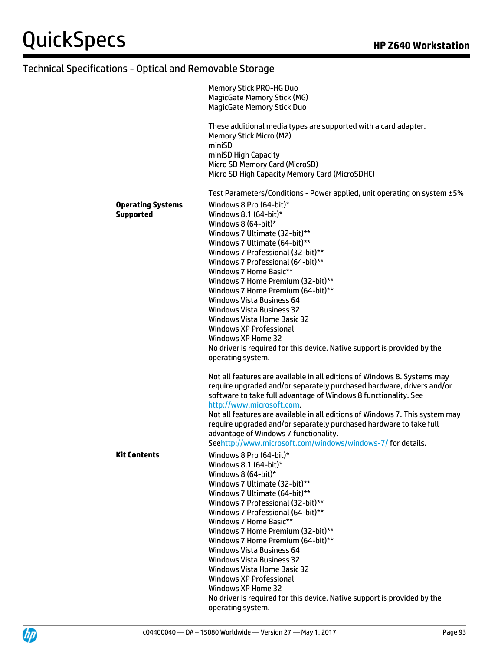|                                              | <b>Memory Stick PRO-HG Duo</b><br><b>MagicGate Memory Stick (MG)</b><br><b>MagicGate Memory Stick Duo</b>                                                                                                                                                                                                                                                                                                                                                                                                                                                                                                                             |
|----------------------------------------------|---------------------------------------------------------------------------------------------------------------------------------------------------------------------------------------------------------------------------------------------------------------------------------------------------------------------------------------------------------------------------------------------------------------------------------------------------------------------------------------------------------------------------------------------------------------------------------------------------------------------------------------|
|                                              | These additional media types are supported with a card adapter.<br><b>Memory Stick Micro (M2)</b><br>miniSD<br>miniSD High Capacity<br>Micro SD Memory Card (MicroSD)<br>Micro SD High Capacity Memory Card (MicroSDHC)                                                                                                                                                                                                                                                                                                                                                                                                               |
|                                              | Test Parameters/Conditions - Power applied, unit operating on system ±5%                                                                                                                                                                                                                                                                                                                                                                                                                                                                                                                                                              |
| <b>Operating Systems</b><br><b>Supported</b> | Windows 8 Pro (64-bit)*<br>Windows 8.1 $(64-bit)*$<br>Windows 8 $(64-bit)*$<br>Windows 7 Ultimate (32-bit)**<br>Windows 7 Ultimate (64-bit)**<br>Windows 7 Professional (32-bit)**<br>Windows 7 Professional (64-bit)**<br>Windows 7 Home Basic**<br>Windows 7 Home Premium (32-bit)**<br>Windows 7 Home Premium (64-bit)**<br><b>Windows Vista Business 64</b><br><b>Windows Vista Business 32</b><br><b>Windows Vista Home Basic 32</b><br>Windows XP Professional                                                                                                                                                                  |
|                                              | Windows XP Home 32<br>No driver is required for this device. Native support is provided by the<br>operating system.<br>Not all features are available in all editions of Windows 8. Systems may<br>require upgraded and/or separately purchased hardware, drivers and/or<br>software to take full advantage of Windows 8 functionality. See<br>http://www.microsoft.com.<br>Not all features are available in all editions of Windows 7. This system may<br>require upgraded and/or separately purchased hardware to take full<br>advantage of Windows 7 functionality.<br>Seehttp://www.microsoft.com/windows/windows-7/for details. |
| <b>Kit Contents</b>                          | Windows 8 Pro (64-bit)*<br>Windows 8.1 $(64-bit)*$<br>Windows 8 $(64-bit)*$<br>Windows 7 Ultimate (32-bit)**<br>Windows 7 Ultimate (64-bit)**<br>Windows 7 Professional (32-bit)**<br>Windows 7 Professional (64-bit)**<br>Windows 7 Home Basic**<br>Windows 7 Home Premium (32-bit)**<br>Windows 7 Home Premium (64-bit)**<br><b>Windows Vista Business 64</b><br><b>Windows Vista Business 32</b><br><b>Windows Vista Home Basic 32</b><br><b>Windows XP Professional</b><br>Windows XP Home 32<br>No driver is required for this device. Native support is provided by the<br>operating system.                                    |

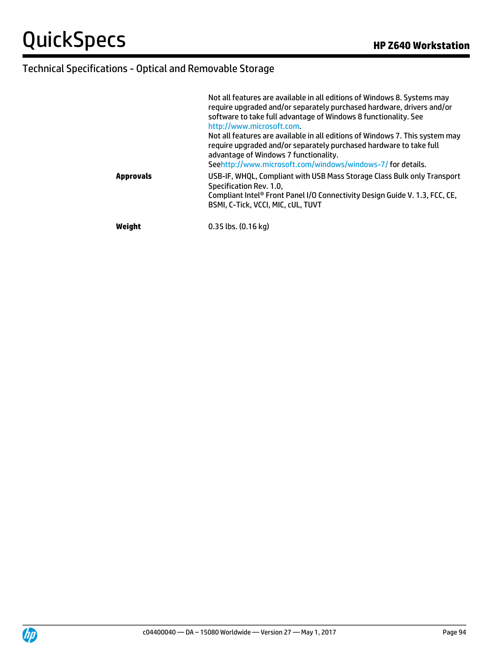|                  | Not all features are available in all editions of Windows 8. Systems may<br>require upgraded and/or separately purchased hardware, drivers and/or<br>software to take full advantage of Windows 8 functionality. See<br>http://www.microsoft.com.         |
|------------------|-----------------------------------------------------------------------------------------------------------------------------------------------------------------------------------------------------------------------------------------------------------|
|                  | Not all features are available in all editions of Windows 7. This system may<br>require upgraded and/or separately purchased hardware to take full<br>advantage of Windows 7 functionality.<br>Seehttp://www.microsoft.com/windows/windows-7/for details. |
| <b>Approvals</b> | USB-IF, WHQL, Compliant with USB Mass Storage Class Bulk only Transport<br>Specification Rev. 1.0.<br>Compliant Intel® Front Panel I/O Connectivity Design Guide V. 1.3, FCC, CE,<br>BSMI, C-Tick, VCCI, MIC, cUL, TUVT                                   |
| Weight           | 0.35 lbs. (0.16 kg)                                                                                                                                                                                                                                       |

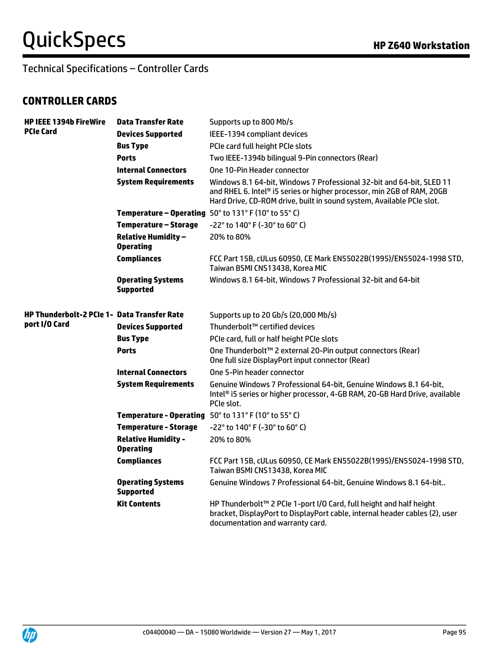Technical Specifications – Controller Cards

#### **CONTROLLER CARDS**

| <b>HP IEEE 1394b FireWire</b><br><b>PCIe Card</b>  | <b>Data Transfer Rate</b>                      | Supports up to 800 Mb/s                                                                                                                                                                                                  |
|----------------------------------------------------|------------------------------------------------|--------------------------------------------------------------------------------------------------------------------------------------------------------------------------------------------------------------------------|
|                                                    | <b>Devices Supported</b>                       | IEEE-1394 compliant devices                                                                                                                                                                                              |
|                                                    | <b>Bus Type</b>                                | PCIe card full height PCIe slots                                                                                                                                                                                         |
|                                                    | <b>Ports</b>                                   | Two IEEE-1394b bilingual 9-Pin connectors (Rear)                                                                                                                                                                         |
|                                                    | <b>Internal Connectors</b>                     | One 10-Pin Header connector                                                                                                                                                                                              |
|                                                    | <b>System Requirements</b>                     | Windows 8.1 64-bit, Windows 7 Professional 32-bit and 64-bit, SLED 11<br>and RHEL 6. Intel® i5 series or higher processor, min 2GB of RAM, 20GB<br>Hard Drive, CD-ROM drive, built in sound system, Available PCIe slot. |
|                                                    |                                                | <b>Temperature - Operating</b> $50^{\circ}$ to $131^{\circ}$ F (10 $^{\circ}$ to 55 $^{\circ}$ C)                                                                                                                        |
|                                                    | <b>Temperature - Storage</b>                   | -22° to 140° F (-30° to 60° C)                                                                                                                                                                                           |
|                                                    | <b>Relative Humidity -</b><br><b>Operating</b> | 20% to 80%                                                                                                                                                                                                               |
|                                                    | <b>Compliances</b>                             | FCC Part 15B, cULus 60950, CE Mark EN55022B(1995)/EN55024-1998 STD,<br>Taiwan BSMI CNS13438, Korea MIC                                                                                                                   |
|                                                    | <b>Operating Systems</b><br><b>Supported</b>   | Windows 8.1 64-bit, Windows 7 Professional 32-bit and 64-bit                                                                                                                                                             |
| <b>HP Thunderbolt-2 PCIe 1- Data Transfer Rate</b> |                                                | Supports up to 20 Gb/s (20,000 Mb/s)                                                                                                                                                                                     |
| port I/O Card                                      | <b>Devices Supported</b>                       | Thunderbolt™ certified devices                                                                                                                                                                                           |
|                                                    | <b>Bus Type</b>                                | PCIe card, full or half height PCIe slots                                                                                                                                                                                |
|                                                    | <b>Ports</b>                                   | One Thunderbolt™ 2 external 20-Pin output connectors (Rear)<br>One full size DisplayPort input connector (Rear)                                                                                                          |
|                                                    | <b>Internal Connectors</b>                     | One 5-Pin header connector                                                                                                                                                                                               |
|                                                    | <b>System Requirements</b>                     | Genuine Windows 7 Professional 64-bit, Genuine Windows 8.1 64-bit,<br>Intel® i5 series or higher processor, 4-GB RAM, 20-GB Hard Drive, available<br>PCIe slot.                                                          |
|                                                    |                                                | <b>Temperature - Operating</b> 50° to 131° F (10° to 55° C)                                                                                                                                                              |
|                                                    | <b>Temperature - Storage</b>                   | -22° to 140° F (-30° to 60° C)                                                                                                                                                                                           |
|                                                    | <b>Relative Humidity -</b><br><b>Operating</b> | 20% to 80%                                                                                                                                                                                                               |
|                                                    | <b>Compliances</b>                             | FCC Part 15B, cULus 60950, CE Mark EN55022B(1995)/EN55024-1998 STD,<br>Taiwan BSMI CNS13438, Korea MIC                                                                                                                   |
|                                                    | <b>Operating Systems</b><br><b>Supported</b>   | Genuine Windows 7 Professional 64-bit, Genuine Windows 8.1 64-bit                                                                                                                                                        |
|                                                    | <b>Kit Contents</b>                            | HP Thunderbolt™ 2 PCIe 1-port I/O Card, full height and half height<br>bracket, DisplayPort to DisplayPort cable, internal header cables (2), user<br>documentation and warranty card.                                   |

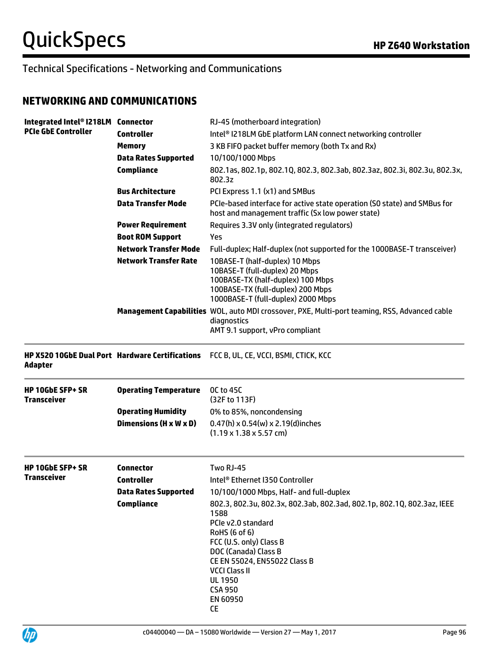#### **NETWORKING AND COMMUNICATIONS**

| Integrated Intel® I218LM Connector<br><b>PCIe GbE Controller</b> |                              | RJ-45 (motherboard integration)                                                                                                                                                                                                                                                        |
|------------------------------------------------------------------|------------------------------|----------------------------------------------------------------------------------------------------------------------------------------------------------------------------------------------------------------------------------------------------------------------------------------|
|                                                                  | <b>Controller</b>            | Intel® I218LM GbE platform LAN connect networking controller                                                                                                                                                                                                                           |
|                                                                  | <b>Memory</b>                | 3 KB FIFO packet buffer memory (both Tx and Rx)                                                                                                                                                                                                                                        |
|                                                                  | <b>Data Rates Supported</b>  | 10/100/1000 Mbps                                                                                                                                                                                                                                                                       |
|                                                                  | <b>Compliance</b>            | 802.1as, 802.1p, 802.1Q, 802.3, 802.3ab, 802.3az, 802.3i, 802.3u, 802.3x,<br>802.3z                                                                                                                                                                                                    |
|                                                                  | <b>Bus Architecture</b>      | PCI Express 1.1 (x1) and SMBus                                                                                                                                                                                                                                                         |
|                                                                  | <b>Data Transfer Mode</b>    | PCIe-based interface for active state operation (SO state) and SMBus for<br>host and management traffic (Sx low power state)                                                                                                                                                           |
|                                                                  | <b>Power Requirement</b>     | Requires 3.3V only (integrated regulators)                                                                                                                                                                                                                                             |
|                                                                  | <b>Boot ROM Support</b>      | Yes                                                                                                                                                                                                                                                                                    |
|                                                                  | <b>Network Transfer Mode</b> | Full-duplex; Half-duplex (not supported for the 1000BASE-T transceiver)                                                                                                                                                                                                                |
|                                                                  | <b>Network Transfer Rate</b> | 10BASE-T (half-duplex) 10 Mbps<br>10BASE-T (full-duplex) 20 Mbps<br>100BASE-TX (half-duplex) 100 Mbps<br>100BASE-TX (full-duplex) 200 Mbps<br>1000BASE-T (full-duplex) 2000 Mbps                                                                                                       |
|                                                                  |                              | Management Capabilities WOL, auto MDI crossover, PXE, Multi-port teaming, RSS, Advanced cable<br>diagnostics<br>AMT 9.1 support, vPro compliant                                                                                                                                        |
| <b>Adapter</b>                                                   |                              | HP X520 10GbE Dual Port Hardware Certifications FCC B, UL, CE, VCCI, BSMI, CTICK, KCC                                                                                                                                                                                                  |
| <b>HP 10GbE SFP+ SR</b><br><b>Transceiver</b>                    | <b>Operating Temperature</b> | <b>OC to 45C</b><br>(32F to 113F)                                                                                                                                                                                                                                                      |
|                                                                  | <b>Operating Humidity</b>    | 0% to 85%, noncondensing                                                                                                                                                                                                                                                               |
|                                                                  | Dimensions (H x W x D)       | $0.47(h) \times 0.54(w) \times 2.19(d)$ inches<br>$(1.19 \times 1.38 \times 5.57$ cm)                                                                                                                                                                                                  |
| <b>HP 10GbE SFP+ SR</b>                                          | <b>Connector</b>             | Two RJ-45                                                                                                                                                                                                                                                                              |
| Transceiver                                                      | Controller                   | Intel® Ethernet I350 Controller                                                                                                                                                                                                                                                        |
|                                                                  | <b>Data Rates Supported</b>  | 10/100/1000 Mbps, Half- and full-duplex                                                                                                                                                                                                                                                |
|                                                                  | <b>Compliance</b>            | 802.3, 802.3u, 802.3x, 802.3ab, 802.3ad, 802.1p, 802.1Q, 802.3az, IEEE<br>1588<br>PCIe v2.0 standard<br>RoHS (6 of 6)<br>FCC (U.S. only) Class B<br>DOC (Canada) Class B<br>CE EN 55024, EN55022 Class B<br><b>VCCI Class II</b><br><b>UL 1950</b><br><b>CSA 950</b><br>EN 60950<br>CE |

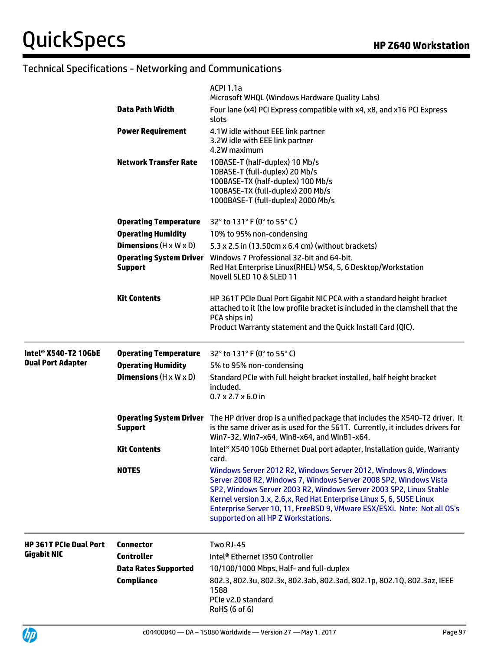|                               |                                                  | <b>ACPI 1.1a</b><br>Microsoft WHQL (Windows Hardware Quality Labs)                                                                                                                                                                                                                                                                                                                                    |
|-------------------------------|--------------------------------------------------|-------------------------------------------------------------------------------------------------------------------------------------------------------------------------------------------------------------------------------------------------------------------------------------------------------------------------------------------------------------------------------------------------------|
|                               | <b>Data Path Width</b>                           | Four lane (x4) PCI Express compatible with x4, x8, and x16 PCI Express<br>slots                                                                                                                                                                                                                                                                                                                       |
|                               | <b>Power Requirement</b>                         | 4.1W idle without EEE link partner<br>3.2W idle with EEE link partner<br>4.2W maximum                                                                                                                                                                                                                                                                                                                 |
|                               | <b>Network Transfer Rate</b>                     | 10BASE-T (half-duplex) 10 Mb/s<br>10BASE-T (full-duplex) 20 Mb/s<br>100BASE-TX (half-duplex) 100 Mb/s<br>100BASE-TX (full-duplex) 200 Mb/s<br>1000BASE-T (full-duplex) 2000 Mb/s                                                                                                                                                                                                                      |
|                               | <b>Operating Temperature</b>                     | 32° to 131° F (0° to 55° C)                                                                                                                                                                                                                                                                                                                                                                           |
|                               | <b>Operating Humidity</b>                        | 10% to 95% non-condensing                                                                                                                                                                                                                                                                                                                                                                             |
|                               | <b>Dimensions</b> $(H \times W \times D)$        | 5.3 x 2.5 in (13.50cm x 6.4 cm) (without brackets)                                                                                                                                                                                                                                                                                                                                                    |
|                               | <b>Operating System Driver</b><br><b>Support</b> | Windows 7 Professional 32-bit and 64-bit.<br>Red Hat Enterprise Linux (RHEL) WS4, 5, 6 Desktop/Workstation<br>Novell SLED 10 & SLED 11                                                                                                                                                                                                                                                                |
|                               | <b>Kit Contents</b>                              | HP 361T PCIe Dual Port Gigabit NIC PCA with a standard height bracket<br>attached to it (the low profile bracket is included in the clamshell that the<br>PCA ships in)<br>Product Warranty statement and the Quick Install Card (QIC).                                                                                                                                                               |
| Intel® X540-T2 10GbE          | <b>Operating Temperature</b>                     | 32° to 131° F (0° to 55° C)                                                                                                                                                                                                                                                                                                                                                                           |
| <b>Dual Port Adapter</b>      | <b>Operating Humidity</b>                        | 5% to 95% non-condensing                                                                                                                                                                                                                                                                                                                                                                              |
|                               | <b>Dimensions</b> $(H \times W \times D)$        | Standard PCIe with full height bracket installed, half height bracket<br>included.<br>$0.7 \times 2.7 \times 6.0$ in                                                                                                                                                                                                                                                                                  |
|                               | <b>Support</b>                                   | <b>Operating System Driver</b> The HP driver drop is a unified package that includes the X540-T2 driver. It<br>is the same driver as is used for the 561T. Currently, it includes drivers for<br>Win7-32, Win7-x64, Win8-x64, and Win81-x64.                                                                                                                                                          |
|                               | Kit Contents                                     | Intel® X540 10Gb Ethernet Dual port adapter, Installation guide, Warranty<br>card.                                                                                                                                                                                                                                                                                                                    |
|                               | <b>NOTES</b>                                     | Windows Server 2012 R2, Windows Server 2012, Windows 8, Windows<br>Server 2008 R2, Windows 7, Windows Server 2008 SP2, Windows Vista<br>SP2, Windows Server 2003 R2, Windows Server 2003 SP2, Linux Stable<br>Kernel version 3.x, 2.6,x, Red Hat Enterprise Linux 5, 6, SUSE Linux<br>Enterprise Server 10, 11, FreeBSD 9, VMware ESX/ESXi. Note: Not all OS's<br>supported on all HP Z Workstations. |
| <b>HP 361T PCIe Dual Port</b> | <b>Connector</b>                                 | Two RJ-45                                                                                                                                                                                                                                                                                                                                                                                             |
| <b>Gigabit NIC</b>            | <b>Controller</b>                                | Intel® Ethernet I350 Controller                                                                                                                                                                                                                                                                                                                                                                       |
|                               | <b>Data Rates Supported</b>                      | 10/100/1000 Mbps, Half- and full-duplex                                                                                                                                                                                                                                                                                                                                                               |
|                               | <b>Compliance</b>                                | 802.3, 802.3u, 802.3x, 802.3ab, 802.3ad, 802.1p, 802.1Q, 802.3az, IEEE<br>1588<br>PCIe v2.0 standard<br>RoHS (6 of 6)                                                                                                                                                                                                                                                                                 |

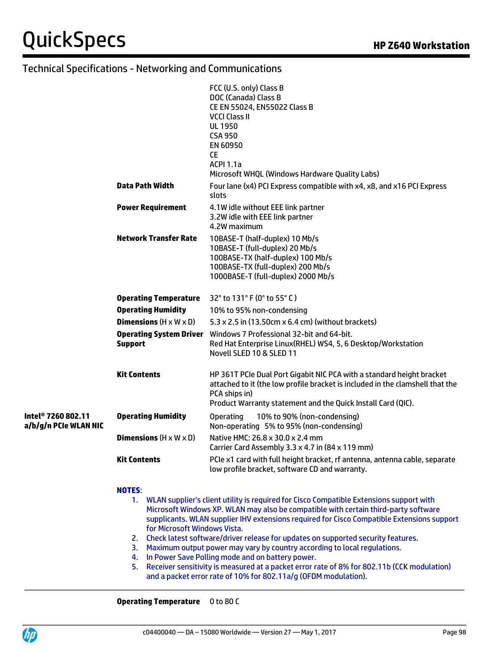|                                                         |                                                  | FCC (U.S. only) Class B<br>DOC (Canada) Class B<br>CE EN 55024, EN55022 Class B<br><b>VCCI Class II</b><br><b>UL 1950</b><br><b>CSA 950</b><br><b>EN 60950</b><br>CE.<br><b>ACPI 1.1a</b><br>Microsoft WHQL (Windows Hardware Quality Labs) |
|---------------------------------------------------------|--------------------------------------------------|---------------------------------------------------------------------------------------------------------------------------------------------------------------------------------------------------------------------------------------------|
|                                                         | Data Path Width                                  | Four lane (x4) PCI Express compatible with x4, x8, and x16 PCI Express<br>slots                                                                                                                                                             |
|                                                         | <b>Power Requirement</b>                         | 4.1W idle without EEE link partner<br>3.2W idle with EEE link partner<br>4.2W maximum                                                                                                                                                       |
|                                                         | <b>Network Transfer Rate</b>                     | 10BASE-T (half-duplex) 10 Mb/s<br>10BASE-T (full-duplex) 20 Mb/s<br>100BASE-TX (half-duplex) 100 Mb/s<br>100BASE-TX (full-duplex) 200 Mb/s<br>1000BASE-T (full-duplex) 2000 Mb/s                                                            |
|                                                         | <b>Operating Temperature</b>                     | 32° to 131° F (0° to 55° C)                                                                                                                                                                                                                 |
|                                                         | <b>Operating Humidity</b>                        | 10% to 95% non-condensing                                                                                                                                                                                                                   |
|                                                         | <b>Dimensions</b> $(H \times W \times D)$        | 5.3 x 2.5 in (13.50cm x 6.4 cm) (without brackets)                                                                                                                                                                                          |
|                                                         | <b>Operating System Driver</b><br><b>Support</b> | Windows 7 Professional 32-bit and 64-bit.<br>Red Hat Enterprise Linux(RHEL) WS4, 5, 6 Desktop/Workstation<br>Novell SLED 10 & SLED 11                                                                                                       |
|                                                         | <b>Kit Contents</b>                              | HP 361T PCIe Dual Port Gigabit NIC PCA with a standard height bracket<br>attached to it (the low profile bracket is included in the clamshell that the<br>PCA ships in)<br>Product Warranty statement and the Quick Install Card (QIC).     |
| Intel <sup>®</sup> 7260 802.11<br>a/b/g/n PCIe WLAN NIC | <b>Operating Humidity</b>                        | <b>Operating</b><br>10% to 90% (non-condensing)<br>Non-operating 5% to 95% (non-condensing)                                                                                                                                                 |
|                                                         | <b>Dimensions</b> $(H \times W \times D)$        | Native HMC: 26.8 x 30.0 x 2.4 mm<br>Carrier Card Assembly 3.3 x 4.7 in (84 x 119 mm)                                                                                                                                                        |
|                                                         | <b>Kit Contents</b>                              | PCIe x1 card with full height bracket, rf antenna, antenna cable, separate<br>low profile bracket, software CD and warranty.                                                                                                                |
|                                                         |                                                  |                                                                                                                                                                                                                                             |

#### **NOTES**:

- 1. WLAN supplier's client utility is required for Cisco Compatible Extensions support with Microsoft Windows XP. WLAN may also be compatible with certain third-party software supplicants. WLAN supplier IHV extensions required for Cisco Compatible Extensions support for Microsoft Windows Vista.
- 2. Check latest software/driver release for updates on supported security features.
- 3. Maximum output power may vary by country according to local regulations.
- 4. In Power Save Polling mode and on battery power.
- 5. Receiver sensitivity is measured at a packet error rate of 8% for 802.11b (CCK modulation) and a packet error rate of 10% for 802.11a/g (OFDM modulation).

#### **Operating Temperature** 0 to 80 C

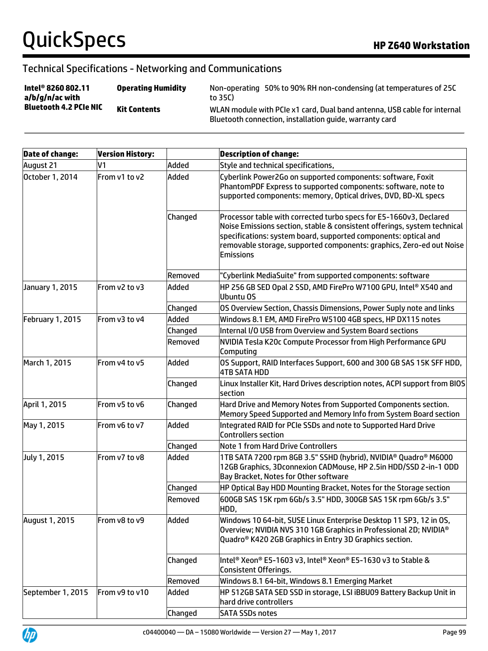| Intel <sup>®</sup> 8260 802.11<br>a/b/g/n/ac with<br><b>Bluetooth 4.2 PCIe NIC</b> | <b>Operating Humidity</b> | Non-operating 50% to 90% RH non-condensing (at temperatures of 25C<br>to 35C)                                                       |
|------------------------------------------------------------------------------------|---------------------------|-------------------------------------------------------------------------------------------------------------------------------------|
|                                                                                    | <b>Kit Contents</b>       | WLAN module with PCIe x1 card, Dual band antenna, USB cable for internal<br>Bluetooth connection, installation quide, warranty card |

| <b>Date of change:</b> | <b>Version History:</b> |         | <b>Description of change:</b>                                                                                                                                                                                                                                                                                 |
|------------------------|-------------------------|---------|---------------------------------------------------------------------------------------------------------------------------------------------------------------------------------------------------------------------------------------------------------------------------------------------------------------|
| August 21              | V1                      | Added   | Style and technical specifications,                                                                                                                                                                                                                                                                           |
| October 1, 2014        | From v1 to v2           | Added   | Cyberlink Power2Go on supported components: software, Foxit<br>PhantomPDF Express to supported components: software, note to<br>supported components: memory, Optical drives, DVD, BD-XL specs                                                                                                                |
|                        |                         | Changed | Processor table with corrected turbo specs for E5-1660v3, Declared<br>Noise Emissions section, stable & consistent offerings, system technical<br>specifications: system board, supported components: optical and<br>removable storage, supported components: graphics, Zero-ed out Noise<br><b>Emissions</b> |
|                        |                         | Removed | "Cyberlink MediaSuite" from supported components: software                                                                                                                                                                                                                                                    |
| January 1, 2015        | From v2 to v3           | Added   | HP 256 GB SED Opal 2 SSD, AMD FirePro W7100 GPU, Intel® X540 and<br>Ubuntu OS                                                                                                                                                                                                                                 |
|                        |                         | Changed | OS Overview Section, Chassis Dimensions, Power Suply note and links                                                                                                                                                                                                                                           |
| February 1, 2015       | From v3 to v4           | Added   | Windows 8.1 EM, AMD FirePro W5100 4GB specs, HP DX115 notes                                                                                                                                                                                                                                                   |
|                        |                         | Changed | Internal I/O USB from Overview and System Board sections                                                                                                                                                                                                                                                      |
|                        |                         | Removed | NVIDIA Tesla K20c Compute Processor from High Performance GPU<br>Computing                                                                                                                                                                                                                                    |
| March 1, 2015          | From v4 to v5           | Added   | OS Support, RAID Interfaces Support, 600 and 300 GB SAS 15K SFF HDD,<br>4TB SATA HDD                                                                                                                                                                                                                          |
|                        |                         | Changed | Linux Installer Kit, Hard Drives description notes, ACPI support from BIOS<br>section                                                                                                                                                                                                                         |
| April 1, 2015          | From v5 to v6           | Changed | Hard Drive and Memory Notes from Supported Components section.<br>Memory Speed Supported and Memory Info from System Board section                                                                                                                                                                            |
| May 1, 2015            | From v6 to v7           | Added   | Integrated RAID for PCIe SSDs and note to Supported Hard Drive<br>Controllers section                                                                                                                                                                                                                         |
|                        |                         | Changed | Note 1 from Hard Drive Controllers                                                                                                                                                                                                                                                                            |
| July 1, 2015           | From v7 to v8           | Added   | 1TB SATA 7200 rpm 8GB 3.5" SSHD (hybrid), NVIDIA® Quadro® M6000<br>12GB Graphics, 3Dconnexion CADMouse, HP 2.5in HDD/SSD 2-in-1 ODD<br>Bay Bracket, Notes for Other software                                                                                                                                  |
|                        |                         | Changed | HP Optical Bay HDD Mounting Bracket, Notes for the Storage section                                                                                                                                                                                                                                            |
|                        |                         | Removed | 600GB SAS 15K rpm 6Gb/s 3.5" HDD, 300GB SAS 15K rpm 6Gb/s 3.5"<br>HDD,                                                                                                                                                                                                                                        |
| August 1, 2015         | From v8 to v9           | Added   | Windows 10 64-bit, SUSE Linux Enterprise Desktop 11 SP3, 12 in OS,<br>Overview; NVIDIA NVS 310 1GB Graphics in Professional 2D; NVIDIA®<br>Quadro <sup>®</sup> K420 2GB Graphics in Entry 3D Graphics section.                                                                                                |
|                        |                         | Changed | Intel® Xeon® E5-1603 v3, Intel® Xeon® E5-1630 v3 to Stable &<br>Consistent Offerings.                                                                                                                                                                                                                         |
|                        |                         | Removed | Windows 8.1 64-bit, Windows 8.1 Emerging Market                                                                                                                                                                                                                                                               |
| September 1, 2015      | From v9 to v10          | Added   | HP 512GB SATA SED SSD in storage, LSI iBBU09 Battery Backup Unit in<br>hard drive controllers                                                                                                                                                                                                                 |
|                        |                         | Changed | <b>SATA SSDs notes</b>                                                                                                                                                                                                                                                                                        |

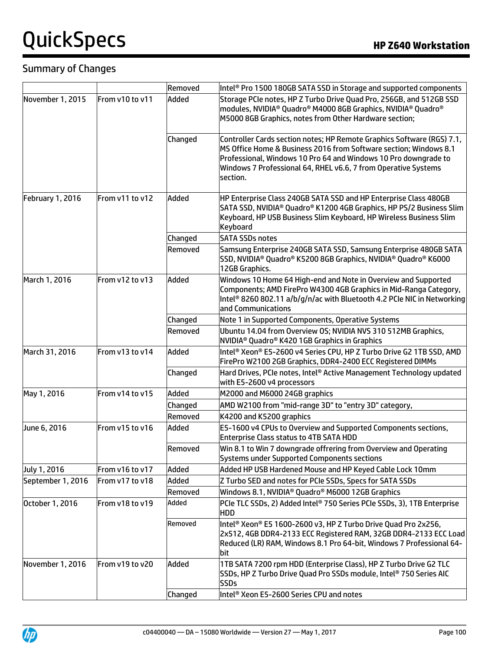# **QuickSpecs HP Z640 Workstation**

## Summary of Changes

|                         |                 | Removed | Intel <sup>®</sup> Pro 1500 180GB SATA SSD in Storage and supported components                                                                                                                                                                                                               |
|-------------------------|-----------------|---------|----------------------------------------------------------------------------------------------------------------------------------------------------------------------------------------------------------------------------------------------------------------------------------------------|
| November 1, 2015        | From v10 to v11 | Added   | Storage PCIe notes, HP Z Turbo Drive Quad Pro, 256GB, and 512GB SSD<br>modules, NVIDIA® Quadro® M4000 8GB Graphics, NVIDIA® Quadro®<br>M5000 8GB Graphics, notes from Other Hardware section;                                                                                                |
|                         |                 | Changed | Controller Cards section notes; HP Remote Graphics Software (RGS) 7.1,<br>MS Office Home & Business 2016 from Software section; Windows 8.1<br>Professional, Windows 10 Pro 64 and Windows 10 Pro downgrade to<br>Windows 7 Professional 64, RHEL v6.6, 7 from Operative Systems<br>section. |
| <b>February 1, 2016</b> | From v11 to v12 | Added   | HP Enterprise Class 240GB SATA SSD and HP Enterprise Class 480GB<br>SATA SSD, NVIDIA® Quadro® K1200 4GB Graphics, HP PS/2 Business Slim<br>Keyboard, HP USB Business Slim Keyboard, HP Wireless Business Slim<br>Keyboard                                                                    |
|                         |                 | Changed | <b>SATA SSDs notes</b>                                                                                                                                                                                                                                                                       |
|                         |                 | Removed | Samsung Enterprise 240GB SATA SSD, Samsung Enterprise 480GB SATA<br>SSD, NVIDIA® Quadro® K5200 8GB Graphics, NVIDIA® Quadro® K6000<br>12GB Graphics.                                                                                                                                         |
| March 1, 2016           | From v12 to v13 | Added   | Windows 10 Home 64 High-end and Note in Overview and Supported<br>Components; AMD FirePro W4300 4GB Graphics in Mid-Ranga Category,<br>Intel <sup>®</sup> 8260 802.11 a/b/g/n/ac with Bluetooth 4.2 PCIe NIC in Networking<br>and Communications                                             |
|                         |                 | Changed | Note 1 in Supported Components, Operative Systems                                                                                                                                                                                                                                            |
|                         |                 | Removed | Ubuntu 14.04 from Overview OS; NVIDIA NVS 310 512MB Graphics,<br>NVIDIA <sup>®</sup> Quadro® K420 1GB Graphics in Graphics                                                                                                                                                                   |
| March 31, 2016          | From v13 to v14 | Added   | Intel® Xeon® E5-2600 v4 Series CPU, HP Z Turbo Drive G2 1TB SSD, AMD<br>FirePro W2100 2GB Graphics, DDR4-2400 ECC Registered DIMMs                                                                                                                                                           |
|                         |                 | Changed | Hard Drives, PCIe notes, Intel® Active Management Technology updated<br>with E5-2600 v4 processors                                                                                                                                                                                           |
| May 1, 2016             | From v14 to v15 | Added   | M2000 and M6000 24GB graphics                                                                                                                                                                                                                                                                |
|                         |                 | Changed | AMD W2100 from "mid-range 3D" to "entry 3D" category,                                                                                                                                                                                                                                        |
|                         |                 | Removed | K4200 and K5200 graphics                                                                                                                                                                                                                                                                     |
| June 6, 2016            | From v15 to v16 | Added   | E5-1600 v4 CPUs to Overview and Supported Components sections,<br><b>Enterprise Class status to 4TB SATA HDD</b>                                                                                                                                                                             |
|                         |                 | Removed | Win 8.1 to Win 7 downgrade offrering from Overview and Operating<br>Systems under Supported Components sections                                                                                                                                                                              |
| July 1, 2016            | From v16 to v17 | Added   | Added HP USB Hardened Mouse and HP Keyed Cable Lock 10mm                                                                                                                                                                                                                                     |
| September 1, 2016       | From v17 to v18 | Added   | Z Turbo SED and notes for PCIe SSDs, Specs for SATA SSDs                                                                                                                                                                                                                                     |
|                         |                 | Removed | Windows 8.1, NVIDIA <sup>®</sup> Quadro <sup>®</sup> M6000 12GB Graphics                                                                                                                                                                                                                     |
| October 1, 2016         | From v18 to v19 | Added   | PCIe TLC SSDs, 2) Added Intel® 750 Series PCIe SSDs, 3), 1TB Enterprise<br>HDD                                                                                                                                                                                                               |
|                         |                 | Removed | Intel <sup>®</sup> Xeon® E5 1600-2600 v3, HP Z Turbo Drive Quad Pro 2x256,<br>2x512, 4GB DDR4-2133 ECC Registered RAM, 32GB DDR4-2133 ECC Load<br>Reduced (LR) RAM, Windows 8.1 Pro 64-bit, Windows 7 Professional 64-<br>bit                                                                |
| November 1, 2016        | From v19 to v20 | Added   | 1TB SATA 7200 rpm HDD (Enterprise Class), HP Z Turbo Drive G2 TLC<br>SSDs, HP Z Turbo Drive Quad Pro SSDs module, Intel® 750 Series AIC<br><b>SSDs</b>                                                                                                                                       |
|                         |                 | Changed | Intel <sup>®</sup> Xeon E5-2600 Series CPU and notes                                                                                                                                                                                                                                         |

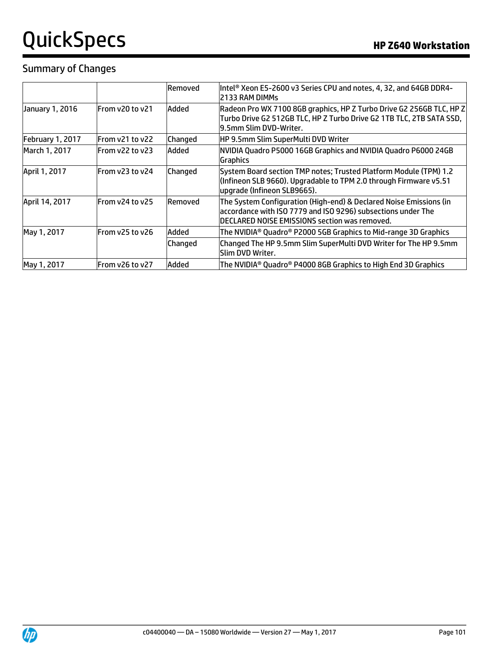# QuickSpecs **Manual Contract Contract Contract Contract Contract Contract Contract Contract Contract Contract Contract Contract Contract Contract Contract Contract Contract Contract Contract Contract Contract Contract Contr**

#### Summary of Changes

|                  |                  | Removed | Intel <sup>®</sup> Xeon E5-2600 v3 Series CPU and notes, 4, 32, and 64GB DDR4-<br>2133 RAM DIMMs                                                                                    |
|------------------|------------------|---------|-------------------------------------------------------------------------------------------------------------------------------------------------------------------------------------|
| January 1, 2016  | From y20 to y21  | Added   | Radeon Pro WX 7100 8GB graphics, HP Z Turbo Drive G2 256GB TLC, HP Z<br>Turbo Drive G2 512GB TLC, HP Z Turbo Drive G2 1TB TLC, 2TB SATA SSD,<br>l9.5mm Slim DVD-Writer.             |
| February 1, 2017 | IFrom v21 to v22 | Changed | HP 9.5mm Slim SuperMulti DVD Writer                                                                                                                                                 |
| March 1, 2017    | From y22 to y23  | Added   | NVIDIA Quadro P5000 16GB Graphics and NVIDIA Quadro P6000 24GB<br>Graphics                                                                                                          |
| April 1, 2017    | From y23 to y24  | Changed | System Board section TMP notes; Trusted Platform Module (TPM) 1.2<br>(Infineon SLB 9660). Upgradable to TPM 2.0 through Firmware v5.51<br>upgrade (Infineon SLB9665).               |
| April 14, 2017   | From y24 to y25  | Removed | The System Configuration (High-end) & Declared Noise Emissions (in<br>accordance with ISO 7779 and ISO 9296) subsections under The<br>DECLARED NOISE EMISSIONS section was removed. |
| May 1, 2017      | From y25 to y26  | Added   | The NVIDIA® Quadro® P2000 5GB Graphics to Mid-range 3D Graphics                                                                                                                     |
|                  |                  | Changed | Changed The HP 9.5mm Slim SuperMulti DVD Writer for The HP 9.5mm<br><b>Slim DVD Writer.</b>                                                                                         |
| May 1, 2017      | IFrom v26 to v27 | Added   | The NVIDIA® Quadro® P4000 8GB Graphics to High End 3D Graphics                                                                                                                      |